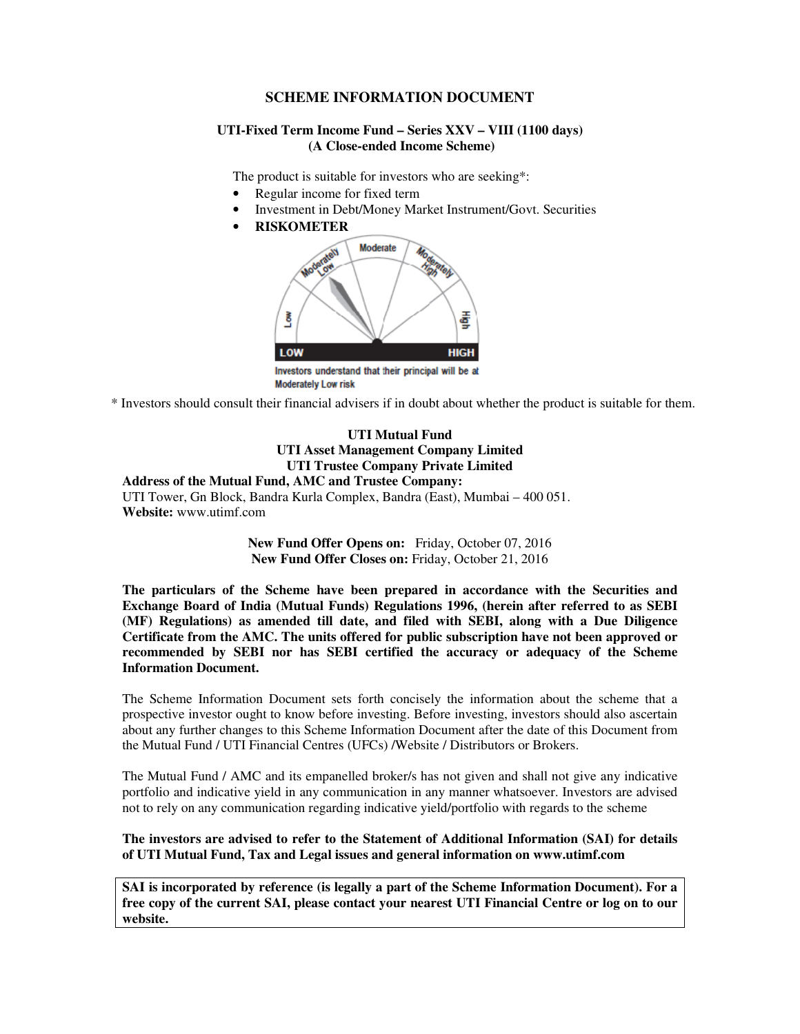# **SCHEME INFORMATION DOCUMENT**

### **UTI-Fixed Term Income Fund – Series XXV – VIII (1100 days) (A Close-ended Income Scheme)**

The product is suitable for investors who are seeking\*:

- Regular income for fixed term
- Investment in Debt/Money Market Instrument/Govt. Securities
- **RISKOMETER**



\* Investors should consult their financial advisers if in doubt about whether the product is suitable for them.

### **UTI Mutual Fund UTI Asset Management Company Limited UTI Trustee Company Private Limited Address of the Mutual Fund, AMC and Trustee Company:**

UTI Tower, Gn Block, Bandra Kurla Complex, Bandra (East), Mumbai – 400 051. **Website:** www.utimf.com

> **New Fund Offer Opens on:** Friday, October 07, 2016 **New Fund Offer Closes on:** Friday, October 21, 2016

**The particulars of the Scheme have been prepared in accordance with the Securities and Exchange Board of India (Mutual Funds) Regulations 1996, (herein after referred to as SEBI (MF) Regulations) as amended till date, and filed with SEBI, along with a Due Diligence Certificate from the AMC. The units offered for public subscription have not been approved or recommended by SEBI nor has SEBI certified the accuracy or adequacy of the Scheme Information Document.** 

The Scheme Information Document sets forth concisely the information about the scheme that a prospective investor ought to know before investing. Before investing, investors should also ascertain about any further changes to this Scheme Information Document after the date of this Document from the Mutual Fund / UTI Financial Centres (UFCs) /Website / Distributors or Brokers.

The Mutual Fund / AMC and its empanelled broker/s has not given and shall not give any indicative portfolio and indicative yield in any communication in any manner whatsoever. Investors are advised not to rely on any communication regarding indicative yield/portfolio with regards to the scheme

**The investors are advised to refer to the Statement of Additional Information (SAI) for details of UTI Mutual Fund, Tax and Legal issues and general information on www.utimf.com** 

**SAI is incorporated by reference (is legally a part of the Scheme Information Document). For a free copy of the current SAI, please contact your nearest UTI Financial Centre or log on to our website.**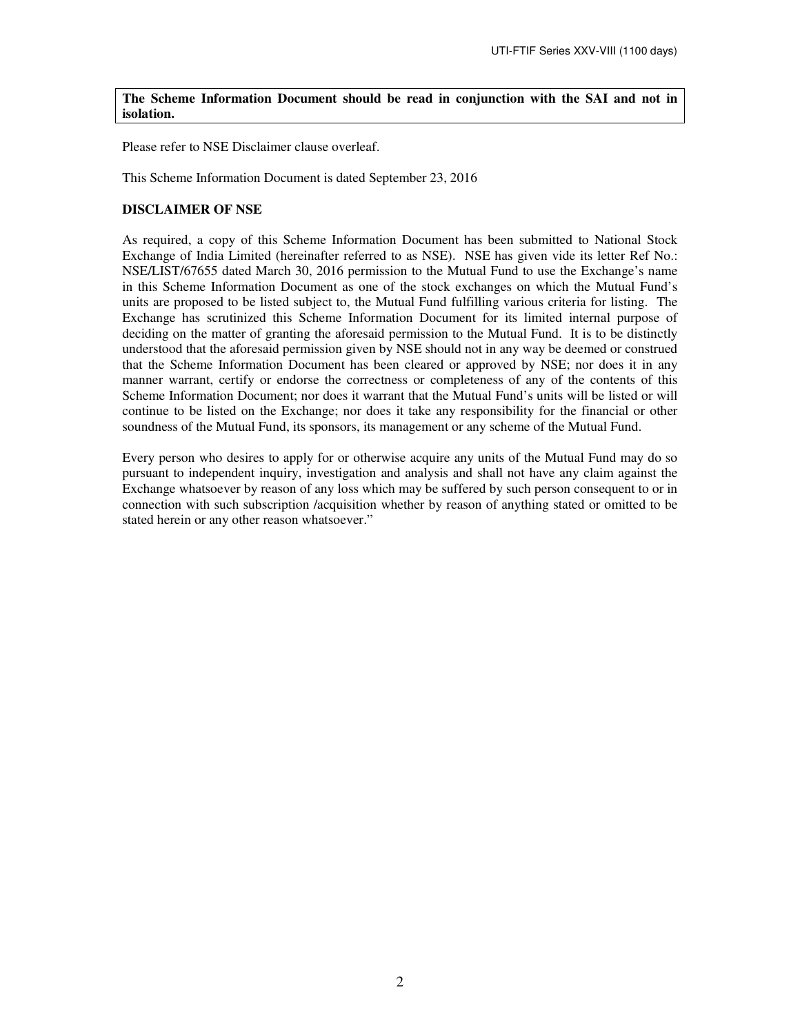**The Scheme Information Document should be read in conjunction with the SAI and not in isolation.** 

Please refer to NSE Disclaimer clause overleaf.

This Scheme Information Document is dated September 23, 2016

## **DISCLAIMER OF NSE**

As required, a copy of this Scheme Information Document has been submitted to National Stock Exchange of India Limited (hereinafter referred to as NSE). NSE has given vide its letter Ref No.: NSE/LIST/67655 dated March 30, 2016 permission to the Mutual Fund to use the Exchange's name in this Scheme Information Document as one of the stock exchanges on which the Mutual Fund's units are proposed to be listed subject to, the Mutual Fund fulfilling various criteria for listing. The Exchange has scrutinized this Scheme Information Document for its limited internal purpose of deciding on the matter of granting the aforesaid permission to the Mutual Fund. It is to be distinctly understood that the aforesaid permission given by NSE should not in any way be deemed or construed that the Scheme Information Document has been cleared or approved by NSE; nor does it in any manner warrant, certify or endorse the correctness or completeness of any of the contents of this Scheme Information Document; nor does it warrant that the Mutual Fund's units will be listed or will continue to be listed on the Exchange; nor does it take any responsibility for the financial or other soundness of the Mutual Fund, its sponsors, its management or any scheme of the Mutual Fund.

Every person who desires to apply for or otherwise acquire any units of the Mutual Fund may do so pursuant to independent inquiry, investigation and analysis and shall not have any claim against the Exchange whatsoever by reason of any loss which may be suffered by such person consequent to or in connection with such subscription /acquisition whether by reason of anything stated or omitted to be stated herein or any other reason whatsoever."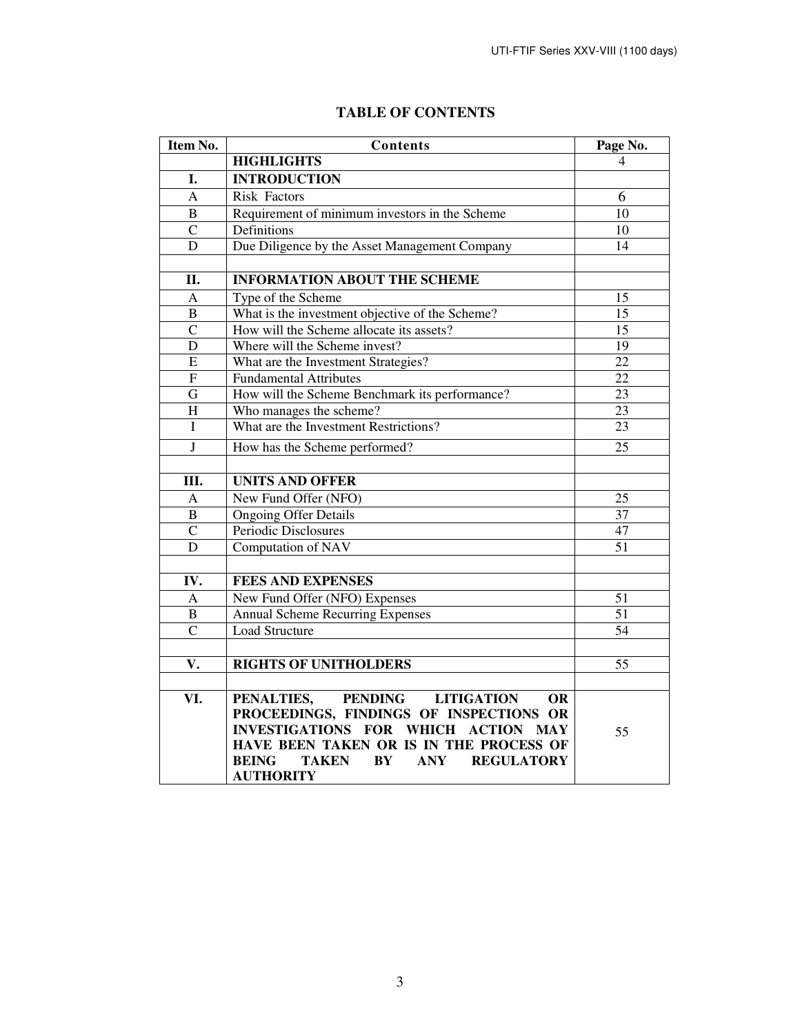| Item No.       | Contents                                                                     | Page No.        |
|----------------|------------------------------------------------------------------------------|-----------------|
|                | <b>HIGHLIGHTS</b>                                                            | 4               |
| I.             | <b>INTRODUCTION</b>                                                          |                 |
| $\overline{A}$ | <b>Risk Factors</b>                                                          | 6               |
| B              | Requirement of minimum investors in the Scheme                               | 10              |
| $\mathcal{C}$  | Definitions                                                                  | 10              |
| D              | Due Diligence by the Asset Management Company                                | 14              |
|                |                                                                              |                 |
| II.            | <b>INFORMATION ABOUT THE SCHEME</b>                                          |                 |
| $\mathbf{A}$   | Type of the Scheme                                                           | 15              |
| $\overline{B}$ | What is the investment objective of the Scheme?                              | 15              |
| $\overline{C}$ | How will the Scheme allocate its assets?                                     | $\overline{15}$ |
| D              | Where will the Scheme invest?                                                | 19              |
| E              | What are the Investment Strategies?                                          | $\overline{22}$ |
| ${\bf F}$      | <b>Fundamental Attributes</b>                                                | $\overline{22}$ |
| G              | How will the Scheme Benchmark its performance?                               | $\overline{23}$ |
| H              | Who manages the scheme?                                                      | $\overline{23}$ |
| I              | What are the Investment Restrictions?                                        | 23              |
| $\mathbf{J}$   | How has the Scheme performed?                                                | 25              |
|                |                                                                              |                 |
| Ш.             | <b>UNITS AND OFFER</b>                                                       |                 |
| A              | New Fund Offer (NFO)                                                         | 25              |
| $\bf{B}$       | <b>Ongoing Offer Details</b>                                                 | 37              |
| $\mathbf C$    | Periodic Disclosures                                                         | 47              |
| D              | Computation of NAV                                                           | 51              |
|                |                                                                              |                 |
| IV.            | <b>FEES AND EXPENSES</b>                                                     |                 |
| A              | New Fund Offer (NFO) Expenses                                                | 51              |
| $\overline{B}$ | <b>Annual Scheme Recurring Expenses</b>                                      | $\overline{51}$ |
| $\overline{C}$ | Load Structure                                                               | 54              |
|                |                                                                              |                 |
| V.             | <b>RIGHTS OF UNITHOLDERS</b>                                                 | 55              |
|                |                                                                              |                 |
| VI.            | PENALTIES,<br>PENDING<br><b>LITIGATION</b><br>OR.                            |                 |
|                | PROCEEDINGS, FINDINGS OF INSPECTIONS OR                                      |                 |
|                | <b>INVESTIGATIONS FOR WHICH</b><br><b>ACTION MAY</b>                         | 55              |
|                | HAVE BEEN TAKEN OR IS IN THE PROCESS OF                                      |                 |
|                | <b>BEING</b><br><b>BY</b><br><b>TAKEN</b><br><b>ANY</b><br><b>REGULATORY</b> |                 |
|                | <b>AUTHORITY</b>                                                             |                 |

# **TABLE OF CONTENTS**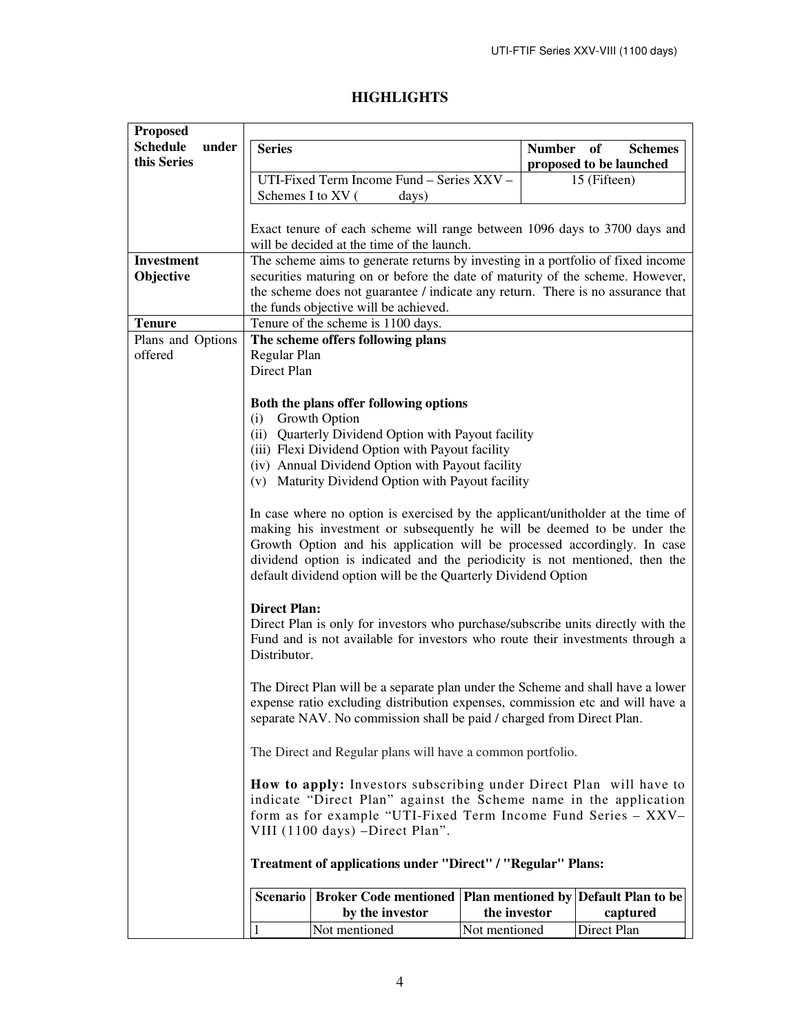# **HIGHLIGHTS**

| <b>Proposed</b>                         |                                                                                                                                                                                                                                                                                                                                                                                        |                                                                                                                         |               |             |
|-----------------------------------------|----------------------------------------------------------------------------------------------------------------------------------------------------------------------------------------------------------------------------------------------------------------------------------------------------------------------------------------------------------------------------------------|-------------------------------------------------------------------------------------------------------------------------|---------------|-------------|
| <b>Schedule</b><br>under<br>this Series | <b>Series</b><br><b>Number</b><br>of<br><b>Schemes</b><br>proposed to be launched                                                                                                                                                                                                                                                                                                      |                                                                                                                         |               |             |
|                                         | UTI-Fixed Term Income Fund - Series XXV -<br>Schemes I to XV (                                                                                                                                                                                                                                                                                                                         | 15 (Fifteen)                                                                                                            |               |             |
|                                         |                                                                                                                                                                                                                                                                                                                                                                                        | days)                                                                                                                   |               |             |
|                                         |                                                                                                                                                                                                                                                                                                                                                                                        | Exact tenure of each scheme will range between 1096 days to 3700 days and<br>will be decided at the time of the launch. |               |             |
| <b>Investment</b>                       |                                                                                                                                                                                                                                                                                                                                                                                        | The scheme aims to generate returns by investing in a portfolio of fixed income                                         |               |             |
| Objective                               |                                                                                                                                                                                                                                                                                                                                                                                        | securities maturing on or before the date of maturity of the scheme. However,                                           |               |             |
|                                         |                                                                                                                                                                                                                                                                                                                                                                                        | the scheme does not guarantee / indicate any return. There is no assurance that                                         |               |             |
|                                         | the funds objective will be achieved.                                                                                                                                                                                                                                                                                                                                                  |                                                                                                                         |               |             |
| <b>Tenure</b>                           |                                                                                                                                                                                                                                                                                                                                                                                        | Tenure of the scheme is 1100 days.                                                                                      |               |             |
| Plans and Options                       |                                                                                                                                                                                                                                                                                                                                                                                        | The scheme offers following plans                                                                                       |               |             |
| offered                                 | Regular Plan                                                                                                                                                                                                                                                                                                                                                                           |                                                                                                                         |               |             |
|                                         | Direct Plan                                                                                                                                                                                                                                                                                                                                                                            |                                                                                                                         |               |             |
|                                         |                                                                                                                                                                                                                                                                                                                                                                                        |                                                                                                                         |               |             |
|                                         |                                                                                                                                                                                                                                                                                                                                                                                        | Both the plans offer following options                                                                                  |               |             |
|                                         | (i)                                                                                                                                                                                                                                                                                                                                                                                    | Growth Option<br>(ii) Quarterly Dividend Option with Payout facility                                                    |               |             |
|                                         |                                                                                                                                                                                                                                                                                                                                                                                        | (iii) Flexi Dividend Option with Payout facility                                                                        |               |             |
|                                         |                                                                                                                                                                                                                                                                                                                                                                                        | (iv) Annual Dividend Option with Payout facility                                                                        |               |             |
|                                         |                                                                                                                                                                                                                                                                                                                                                                                        |                                                                                                                         |               |             |
|                                         | (v) Maturity Dividend Option with Payout facility                                                                                                                                                                                                                                                                                                                                      |                                                                                                                         |               |             |
|                                         | In case where no option is exercised by the applicant/unitholder at the time of<br>making his investment or subsequently he will be deemed to be under the<br>Growth Option and his application will be processed accordingly. In case<br>dividend option is indicated and the periodicity is not mentioned, then the<br>default dividend option will be the Quarterly Dividend Option |                                                                                                                         |               |             |
|                                         | <b>Direct Plan:</b><br>Direct Plan is only for investors who purchase/subscribe units directly with the<br>Fund and is not available for investors who route their investments through a<br>Distributor.                                                                                                                                                                               |                                                                                                                         |               |             |
|                                         | The Direct Plan will be a separate plan under the Scheme and shall have a lower<br>expense ratio excluding distribution expenses, commission etc and will have a<br>separate NAV. No commission shall be paid / charged from Direct Plan.                                                                                                                                              |                                                                                                                         |               |             |
|                                         | The Direct and Regular plans will have a common portfolio.                                                                                                                                                                                                                                                                                                                             |                                                                                                                         |               |             |
|                                         | How to apply: Investors subscribing under Direct Plan will have to<br>indicate "Direct Plan" against the Scheme name in the application<br>form as for example "UTI-Fixed Term Income Fund Series - XXV-<br>VIII (1100 days) -Direct Plan".                                                                                                                                            |                                                                                                                         |               |             |
|                                         | Treatment of applications under "Direct" / "Regular" Plans:                                                                                                                                                                                                                                                                                                                            |                                                                                                                         |               |             |
|                                         | Scenario                                                                                                                                                                                                                                                                                                                                                                               | Broker Code mentioned   Plan mentioned by   Default Plan to be                                                          |               |             |
|                                         |                                                                                                                                                                                                                                                                                                                                                                                        | by the investor                                                                                                         | the investor  | captured    |
|                                         | 1                                                                                                                                                                                                                                                                                                                                                                                      | Not mentioned                                                                                                           | Not mentioned | Direct Plan |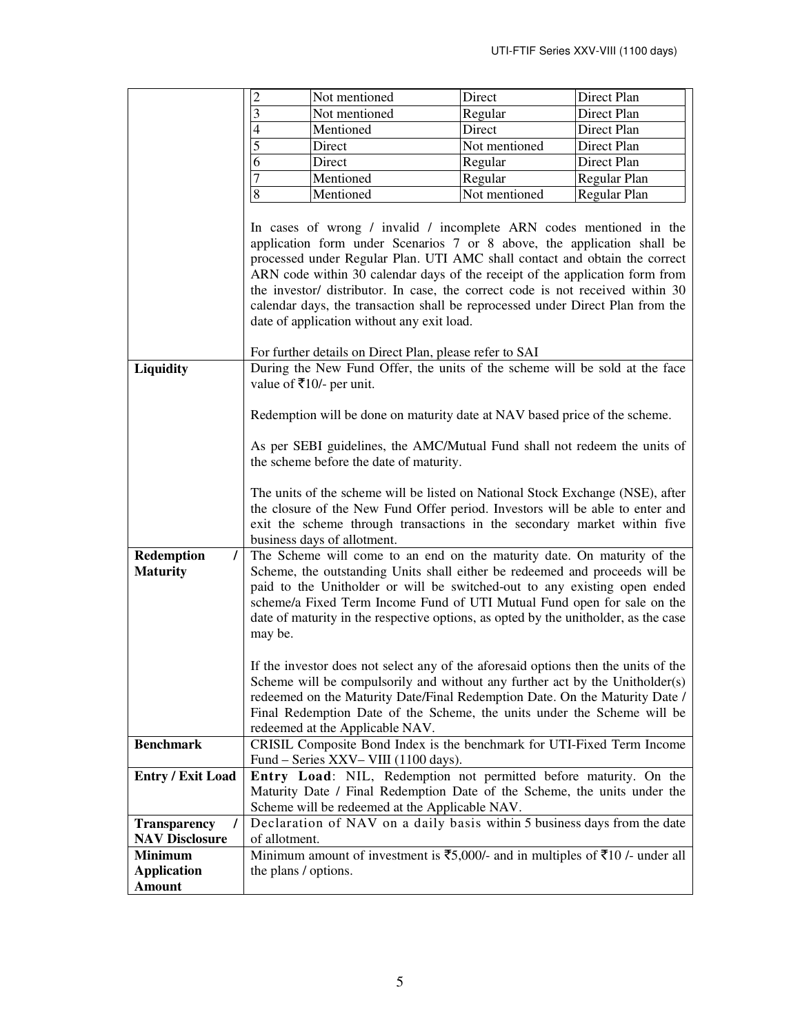|                                           | $\overline{c}$                                                                                                                                                                                                                                                                                                                                                                                                                                                                                                                                                                                                                                                                                                                                   | Not mentioned                                                                                                                                                                                                                                                                                                                                                                                                                                                                                                                                                                                                                                                                                                                                                                                                                                                                                                                                                                                                                                                                                                                                                                            | Direct        | Direct Plan  |
|-------------------------------------------|--------------------------------------------------------------------------------------------------------------------------------------------------------------------------------------------------------------------------------------------------------------------------------------------------------------------------------------------------------------------------------------------------------------------------------------------------------------------------------------------------------------------------------------------------------------------------------------------------------------------------------------------------------------------------------------------------------------------------------------------------|------------------------------------------------------------------------------------------------------------------------------------------------------------------------------------------------------------------------------------------------------------------------------------------------------------------------------------------------------------------------------------------------------------------------------------------------------------------------------------------------------------------------------------------------------------------------------------------------------------------------------------------------------------------------------------------------------------------------------------------------------------------------------------------------------------------------------------------------------------------------------------------------------------------------------------------------------------------------------------------------------------------------------------------------------------------------------------------------------------------------------------------------------------------------------------------|---------------|--------------|
|                                           | $\mathfrak{Z}$                                                                                                                                                                                                                                                                                                                                                                                                                                                                                                                                                                                                                                                                                                                                   | Not mentioned                                                                                                                                                                                                                                                                                                                                                                                                                                                                                                                                                                                                                                                                                                                                                                                                                                                                                                                                                                                                                                                                                                                                                                            | Regular       | Direct Plan  |
|                                           | 4                                                                                                                                                                                                                                                                                                                                                                                                                                                                                                                                                                                                                                                                                                                                                | Mentioned                                                                                                                                                                                                                                                                                                                                                                                                                                                                                                                                                                                                                                                                                                                                                                                                                                                                                                                                                                                                                                                                                                                                                                                | Direct        | Direct Plan  |
|                                           | 5                                                                                                                                                                                                                                                                                                                                                                                                                                                                                                                                                                                                                                                                                                                                                | Direct                                                                                                                                                                                                                                                                                                                                                                                                                                                                                                                                                                                                                                                                                                                                                                                                                                                                                                                                                                                                                                                                                                                                                                                   | Not mentioned | Direct Plan  |
|                                           | 6                                                                                                                                                                                                                                                                                                                                                                                                                                                                                                                                                                                                                                                                                                                                                | Direct                                                                                                                                                                                                                                                                                                                                                                                                                                                                                                                                                                                                                                                                                                                                                                                                                                                                                                                                                                                                                                                                                                                                                                                   | Regular       | Direct Plan  |
|                                           | 7                                                                                                                                                                                                                                                                                                                                                                                                                                                                                                                                                                                                                                                                                                                                                | Mentioned                                                                                                                                                                                                                                                                                                                                                                                                                                                                                                                                                                                                                                                                                                                                                                                                                                                                                                                                                                                                                                                                                                                                                                                | Regular       | Regular Plan |
|                                           | $\bf 8$                                                                                                                                                                                                                                                                                                                                                                                                                                                                                                                                                                                                                                                                                                                                          | Mentioned                                                                                                                                                                                                                                                                                                                                                                                                                                                                                                                                                                                                                                                                                                                                                                                                                                                                                                                                                                                                                                                                                                                                                                                | Not mentioned | Regular Plan |
| Liquidity                                 |                                                                                                                                                                                                                                                                                                                                                                                                                                                                                                                                                                                                                                                                                                                                                  | In cases of wrong / invalid / incomplete ARN codes mentioned in the<br>application form under Scenarios 7 or 8 above, the application shall be<br>processed under Regular Plan. UTI AMC shall contact and obtain the correct<br>ARN code within 30 calendar days of the receipt of the application form from<br>the investor/ distributor. In case, the correct code is not received within 30<br>calendar days, the transaction shall be reprocessed under Direct Plan from the<br>date of application without any exit load.<br>For further details on Direct Plan, please refer to SAI<br>During the New Fund Offer, the units of the scheme will be sold at the face<br>value of ₹10/- per unit.<br>Redemption will be done on maturity date at NAV based price of the scheme.<br>As per SEBI guidelines, the AMC/Mutual Fund shall not redeem the units of<br>the scheme before the date of maturity.<br>The units of the scheme will be listed on National Stock Exchange (NSE), after<br>the closure of the New Fund Offer period. Investors will be able to enter and<br>exit the scheme through transactions in the secondary market within five<br>business days of allotment. |               |              |
| Redemption<br>$\prime$<br><b>Maturity</b> | The Scheme will come to an end on the maturity date. On maturity of the<br>Scheme, the outstanding Units shall either be redeemed and proceeds will be<br>paid to the Unitholder or will be switched-out to any existing open ended<br>scheme/a Fixed Term Income Fund of UTI Mutual Fund open for sale on the<br>date of maturity in the respective options, as opted by the unitholder, as the case<br>may be.<br>If the investor does not select any of the aforesaid options then the units of the<br>Scheme will be compulsorily and without any further act by the Unitholder(s)<br>redeemed on the Maturity Date/Final Redemption Date. On the Maturity Date /<br>Final Redemption Date of the Scheme, the units under the Scheme will be |                                                                                                                                                                                                                                                                                                                                                                                                                                                                                                                                                                                                                                                                                                                                                                                                                                                                                                                                                                                                                                                                                                                                                                                          |               |              |
|                                           |                                                                                                                                                                                                                                                                                                                                                                                                                                                                                                                                                                                                                                                                                                                                                  | redeemed at the Applicable NAV.                                                                                                                                                                                                                                                                                                                                                                                                                                                                                                                                                                                                                                                                                                                                                                                                                                                                                                                                                                                                                                                                                                                                                          |               |              |
| <b>Benchmark</b>                          |                                                                                                                                                                                                                                                                                                                                                                                                                                                                                                                                                                                                                                                                                                                                                  | CRISIL Composite Bond Index is the benchmark for UTI-Fixed Term Income<br>Fund – Series XXV– VIII (1100 days).                                                                                                                                                                                                                                                                                                                                                                                                                                                                                                                                                                                                                                                                                                                                                                                                                                                                                                                                                                                                                                                                           |               |              |
| <b>Entry / Exit Load</b>                  |                                                                                                                                                                                                                                                                                                                                                                                                                                                                                                                                                                                                                                                                                                                                                  | Entry Load: NIL, Redemption not permitted before maturity. On the<br>Maturity Date / Final Redemption Date of the Scheme, the units under the<br>Scheme will be redeemed at the Applicable NAV.                                                                                                                                                                                                                                                                                                                                                                                                                                                                                                                                                                                                                                                                                                                                                                                                                                                                                                                                                                                          |               |              |
| <b>Transparency</b><br>7                  |                                                                                                                                                                                                                                                                                                                                                                                                                                                                                                                                                                                                                                                                                                                                                  | Declaration of NAV on a daily basis within 5 business days from the date                                                                                                                                                                                                                                                                                                                                                                                                                                                                                                                                                                                                                                                                                                                                                                                                                                                                                                                                                                                                                                                                                                                 |               |              |
| <b>NAV Disclosure</b>                     | of allotment.                                                                                                                                                                                                                                                                                                                                                                                                                                                                                                                                                                                                                                                                                                                                    |                                                                                                                                                                                                                                                                                                                                                                                                                                                                                                                                                                                                                                                                                                                                                                                                                                                                                                                                                                                                                                                                                                                                                                                          |               |              |
| <b>Minimum</b>                            |                                                                                                                                                                                                                                                                                                                                                                                                                                                                                                                                                                                                                                                                                                                                                  | Minimum amount of investment is $\overline{\xi}$ 5,000/- and in multiples of $\overline{\xi}$ 10/- under all                                                                                                                                                                                                                                                                                                                                                                                                                                                                                                                                                                                                                                                                                                                                                                                                                                                                                                                                                                                                                                                                             |               |              |
| <b>Application</b>                        | the plans / options.                                                                                                                                                                                                                                                                                                                                                                                                                                                                                                                                                                                                                                                                                                                             |                                                                                                                                                                                                                                                                                                                                                                                                                                                                                                                                                                                                                                                                                                                                                                                                                                                                                                                                                                                                                                                                                                                                                                                          |               |              |
|                                           |                                                                                                                                                                                                                                                                                                                                                                                                                                                                                                                                                                                                                                                                                                                                                  |                                                                                                                                                                                                                                                                                                                                                                                                                                                                                                                                                                                                                                                                                                                                                                                                                                                                                                                                                                                                                                                                                                                                                                                          |               |              |
| <b>Amount</b>                             |                                                                                                                                                                                                                                                                                                                                                                                                                                                                                                                                                                                                                                                                                                                                                  |                                                                                                                                                                                                                                                                                                                                                                                                                                                                                                                                                                                                                                                                                                                                                                                                                                                                                                                                                                                                                                                                                                                                                                                          |               |              |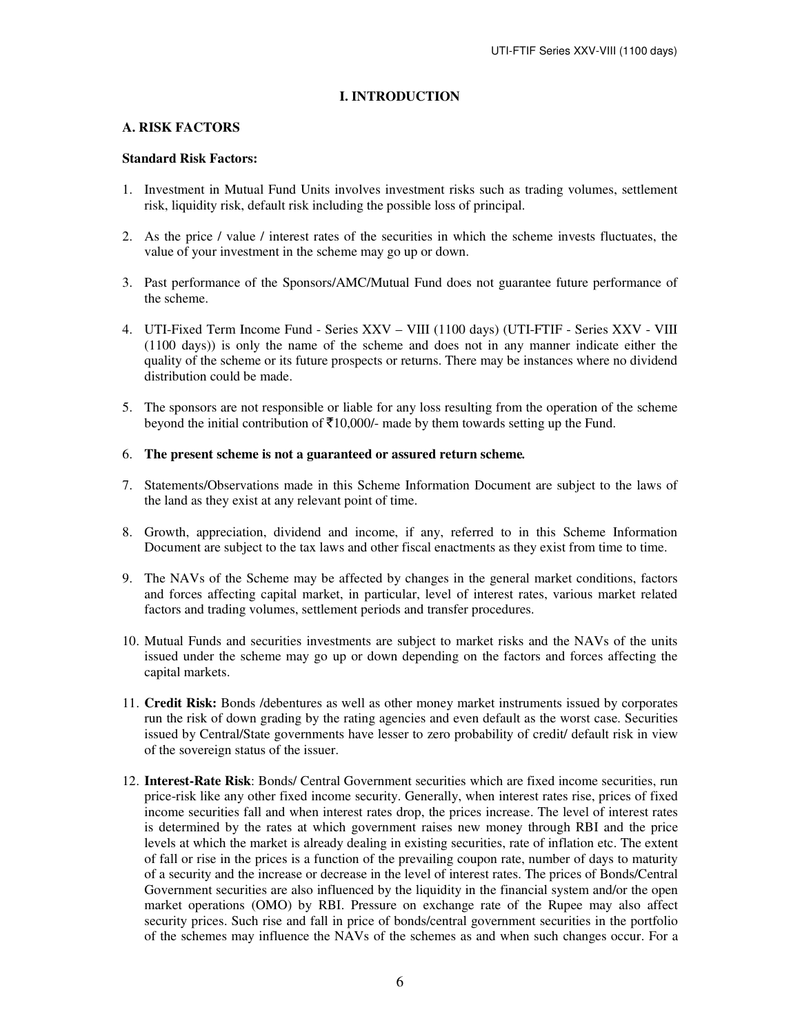### **I. INTRODUCTION**

### **A. RISK FACTORS**

### **Standard Risk Factors:**

- 1. Investment in Mutual Fund Units involves investment risks such as trading volumes, settlement risk, liquidity risk, default risk including the possible loss of principal.
- 2. As the price / value / interest rates of the securities in which the scheme invests fluctuates, the value of your investment in the scheme may go up or down.
- 3. Past performance of the Sponsors/AMC/Mutual Fund does not guarantee future performance of the scheme.
- 4. UTI-Fixed Term Income Fund Series XXV VIII (1100 days) (UTI-FTIF Series XXV VIII (1100 days)) is only the name of the scheme and does not in any manner indicate either the quality of the scheme or its future prospects or returns. There may be instances where no dividend distribution could be made.
- 5. The sponsors are not responsible or liable for any loss resulting from the operation of the scheme beyond the initial contribution of  $\bar{\tau}10,000/$ - made by them towards setting up the Fund.

### 6. **The present scheme is not a guaranteed or assured return scheme***.*

- 7. Statements/Observations made in this Scheme Information Document are subject to the laws of the land as they exist at any relevant point of time.
- 8. Growth, appreciation, dividend and income, if any, referred to in this Scheme Information Document are subject to the tax laws and other fiscal enactments as they exist from time to time.
- 9. The NAVs of the Scheme may be affected by changes in the general market conditions, factors and forces affecting capital market, in particular, level of interest rates, various market related factors and trading volumes, settlement periods and transfer procedures.
- 10. Mutual Funds and securities investments are subject to market risks and the NAVs of the units issued under the scheme may go up or down depending on the factors and forces affecting the capital markets.
- 11. **Credit Risk:** Bonds /debentures as well as other money market instruments issued by corporates run the risk of down grading by the rating agencies and even default as the worst case. Securities issued by Central/State governments have lesser to zero probability of credit/ default risk in view of the sovereign status of the issuer.
- 12. **Interest-Rate Risk**: Bonds/ Central Government securities which are fixed income securities, run price-risk like any other fixed income security. Generally, when interest rates rise, prices of fixed income securities fall and when interest rates drop, the prices increase. The level of interest rates is determined by the rates at which government raises new money through RBI and the price levels at which the market is already dealing in existing securities, rate of inflation etc. The extent of fall or rise in the prices is a function of the prevailing coupon rate, number of days to maturity of a security and the increase or decrease in the level of interest rates. The prices of Bonds/Central Government securities are also influenced by the liquidity in the financial system and/or the open market operations (OMO) by RBI. Pressure on exchange rate of the Rupee may also affect security prices. Such rise and fall in price of bonds/central government securities in the portfolio of the schemes may influence the NAVs of the schemes as and when such changes occur. For a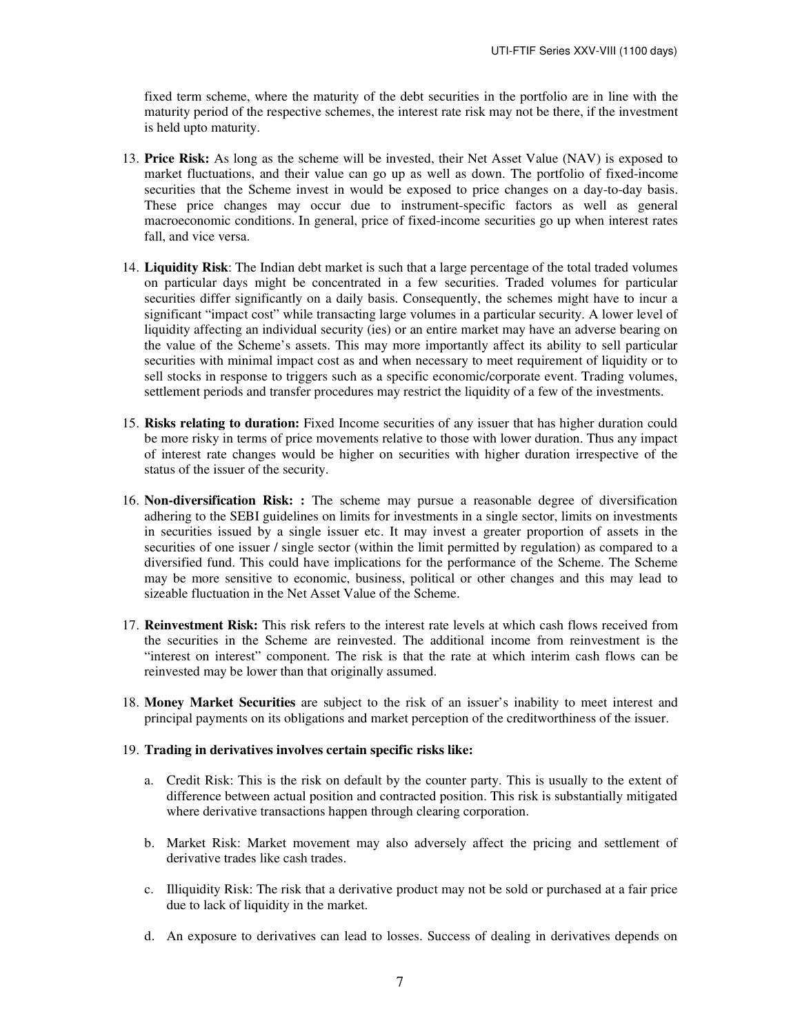fixed term scheme, where the maturity of the debt securities in the portfolio are in line with the maturity period of the respective schemes, the interest rate risk may not be there, if the investment is held upto maturity.

- 13. **Price Risk:** As long as the scheme will be invested, their Net Asset Value (NAV) is exposed to market fluctuations, and their value can go up as well as down. The portfolio of fixed-income securities that the Scheme invest in would be exposed to price changes on a day-to-day basis. These price changes may occur due to instrument-specific factors as well as general macroeconomic conditions. In general, price of fixed-income securities go up when interest rates fall, and vice versa.
- 14. **Liquidity Risk**: The Indian debt market is such that a large percentage of the total traded volumes on particular days might be concentrated in a few securities. Traded volumes for particular securities differ significantly on a daily basis. Consequently, the schemes might have to incur a significant "impact cost" while transacting large volumes in a particular security. A lower level of liquidity affecting an individual security (ies) or an entire market may have an adverse bearing on the value of the Scheme's assets. This may more importantly affect its ability to sell particular securities with minimal impact cost as and when necessary to meet requirement of liquidity or to sell stocks in response to triggers such as a specific economic/corporate event. Trading volumes, settlement periods and transfer procedures may restrict the liquidity of a few of the investments.
- 15. **Risks relating to duration:** Fixed Income securities of any issuer that has higher duration could be more risky in terms of price movements relative to those with lower duration. Thus any impact of interest rate changes would be higher on securities with higher duration irrespective of the status of the issuer of the security.
- 16. **Non-diversification Risk: :** The scheme may pursue a reasonable degree of diversification adhering to the SEBI guidelines on limits for investments in a single sector, limits on investments in securities issued by a single issuer etc. It may invest a greater proportion of assets in the securities of one issuer / single sector (within the limit permitted by regulation) as compared to a diversified fund. This could have implications for the performance of the Scheme. The Scheme may be more sensitive to economic, business, political or other changes and this may lead to sizeable fluctuation in the Net Asset Value of the Scheme.
- 17. **Reinvestment Risk:** This risk refers to the interest rate levels at which cash flows received from the securities in the Scheme are reinvested. The additional income from reinvestment is the "interest on interest" component. The risk is that the rate at which interim cash flows can be reinvested may be lower than that originally assumed.
- 18. **Money Market Securities** are subject to the risk of an issuer's inability to meet interest and principal payments on its obligations and market perception of the creditworthiness of the issuer.

### 19. **Trading in derivatives involves certain specific risks like:**

- a. Credit Risk: This is the risk on default by the counter party. This is usually to the extent of difference between actual position and contracted position. This risk is substantially mitigated where derivative transactions happen through clearing corporation.
- b. Market Risk: Market movement may also adversely affect the pricing and settlement of derivative trades like cash trades.
- c. Illiquidity Risk: The risk that a derivative product may not be sold or purchased at a fair price due to lack of liquidity in the market.
- d. An exposure to derivatives can lead to losses. Success of dealing in derivatives depends on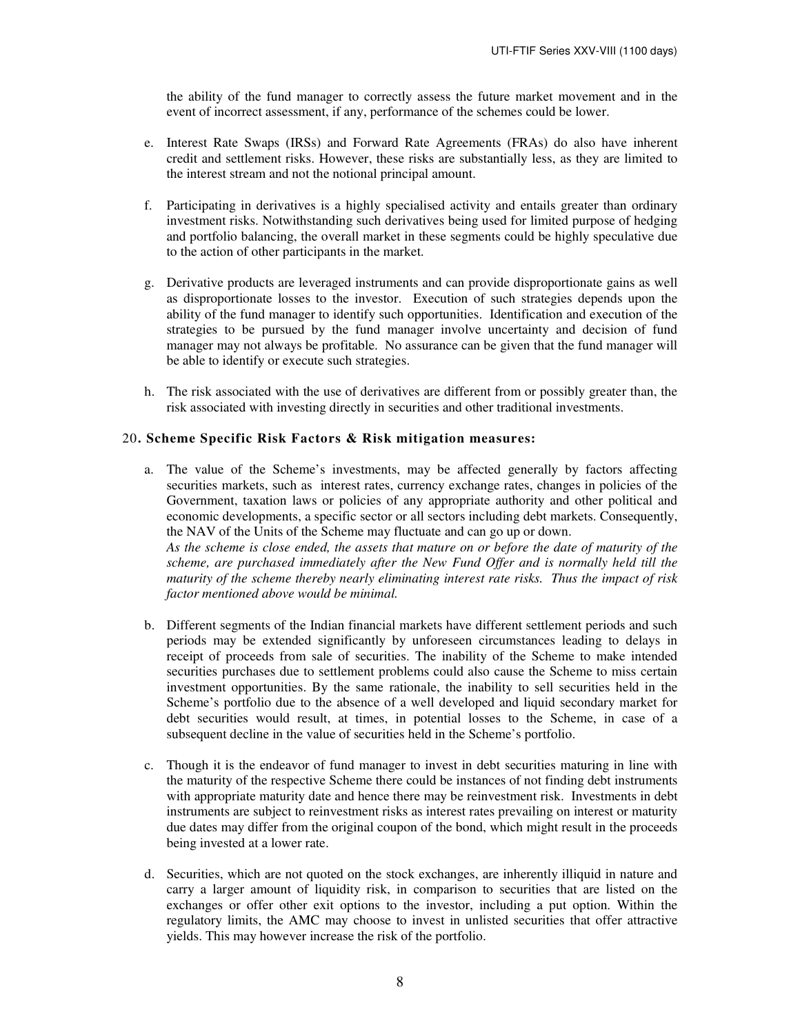the ability of the fund manager to correctly assess the future market movement and in the event of incorrect assessment, if any, performance of the schemes could be lower.

- e. Interest Rate Swaps (IRSs) and Forward Rate Agreements (FRAs) do also have inherent credit and settlement risks. However, these risks are substantially less, as they are limited to the interest stream and not the notional principal amount.
- f. Participating in derivatives is a highly specialised activity and entails greater than ordinary investment risks. Notwithstanding such derivatives being used for limited purpose of hedging and portfolio balancing, the overall market in these segments could be highly speculative due to the action of other participants in the market.
- g. Derivative products are leveraged instruments and can provide disproportionate gains as well as disproportionate losses to the investor. Execution of such strategies depends upon the ability of the fund manager to identify such opportunities. Identification and execution of the strategies to be pursued by the fund manager involve uncertainty and decision of fund manager may not always be profitable. No assurance can be given that the fund manager will be able to identify or execute such strategies.
- h. The risk associated with the use of derivatives are different from or possibly greater than, the risk associated with investing directly in securities and other traditional investments.

### 20**. Scheme Specific Risk Factors & Risk mitigation measures:**

a. The value of the Scheme's investments, may be affected generally by factors affecting securities markets, such as interest rates, currency exchange rates, changes in policies of the Government, taxation laws or policies of any appropriate authority and other political and economic developments, a specific sector or all sectors including debt markets. Consequently, the NAV of the Units of the Scheme may fluctuate and can go up or down. *As the scheme is close ended, the assets that mature on or before the date of maturity of the scheme, are purchased immediately after the New Fund Offer and is normally held till the* 

*maturity of the scheme thereby nearly eliminating interest rate risks. Thus the impact of risk factor mentioned above would be minimal.* 

- b. Different segments of the Indian financial markets have different settlement periods and such periods may be extended significantly by unforeseen circumstances leading to delays in receipt of proceeds from sale of securities. The inability of the Scheme to make intended securities purchases due to settlement problems could also cause the Scheme to miss certain investment opportunities. By the same rationale, the inability to sell securities held in the Scheme's portfolio due to the absence of a well developed and liquid secondary market for debt securities would result, at times, in potential losses to the Scheme, in case of a subsequent decline in the value of securities held in the Scheme's portfolio.
- c. Though it is the endeavor of fund manager to invest in debt securities maturing in line with the maturity of the respective Scheme there could be instances of not finding debt instruments with appropriate maturity date and hence there may be reinvestment risk. Investments in debt instruments are subject to reinvestment risks as interest rates prevailing on interest or maturity due dates may differ from the original coupon of the bond, which might result in the proceeds being invested at a lower rate.
- d. Securities, which are not quoted on the stock exchanges, are inherently illiquid in nature and carry a larger amount of liquidity risk, in comparison to securities that are listed on the exchanges or offer other exit options to the investor, including a put option. Within the regulatory limits, the AMC may choose to invest in unlisted securities that offer attractive yields. This may however increase the risk of the portfolio.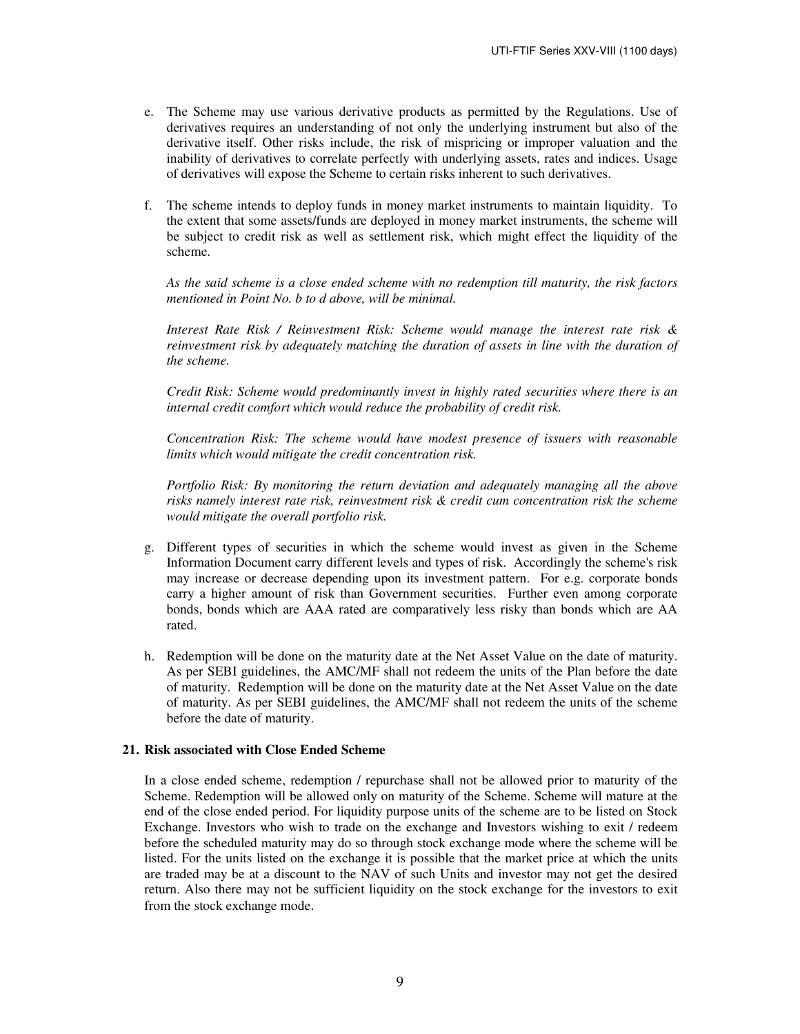- e. The Scheme may use various derivative products as permitted by the Regulations. Use of derivatives requires an understanding of not only the underlying instrument but also of the derivative itself. Other risks include, the risk of mispricing or improper valuation and the inability of derivatives to correlate perfectly with underlying assets, rates and indices. Usage of derivatives will expose the Scheme to certain risks inherent to such derivatives.
- f. The scheme intends to deploy funds in money market instruments to maintain liquidity. To the extent that some assets/funds are deployed in money market instruments, the scheme will be subject to credit risk as well as settlement risk, which might effect the liquidity of the scheme.

*As the said scheme is a close ended scheme with no redemption till maturity, the risk factors mentioned in Point No. b to d above, will be minimal.* 

 *Interest Rate Risk / Reinvestment Risk: Scheme would manage the interest rate risk & reinvestment risk by adequately matching the duration of assets in line with the duration of the scheme.* 

 *Credit Risk: Scheme would predominantly invest in highly rated securities where there is an internal credit comfort which would reduce the probability of credit risk.* 

 *Concentration Risk: The scheme would have modest presence of issuers with reasonable limits which would mitigate the credit concentration risk.* 

 *Portfolio Risk: By monitoring the return deviation and adequately managing all the above risks namely interest rate risk, reinvestment risk & credit cum concentration risk the scheme would mitigate the overall portfolio risk.* 

- g. Different types of securities in which the scheme would invest as given in the Scheme Information Document carry different levels and types of risk. Accordingly the scheme's risk may increase or decrease depending upon its investment pattern. For e.g. corporate bonds carry a higher amount of risk than Government securities. Further even among corporate bonds, bonds which are AAA rated are comparatively less risky than bonds which are AA rated.
- h. Redemption will be done on the maturity date at the Net Asset Value on the date of maturity. As per SEBI guidelines, the AMC/MF shall not redeem the units of the Plan before the date of maturity. Redemption will be done on the maturity date at the Net Asset Value on the date of maturity. As per SEBI guidelines, the AMC/MF shall not redeem the units of the scheme before the date of maturity.

### **21. Risk associated with Close Ended Scheme**

In a close ended scheme, redemption / repurchase shall not be allowed prior to maturity of the Scheme. Redemption will be allowed only on maturity of the Scheme. Scheme will mature at the end of the close ended period. For liquidity purpose units of the scheme are to be listed on Stock Exchange. Investors who wish to trade on the exchange and Investors wishing to exit / redeem before the scheduled maturity may do so through stock exchange mode where the scheme will be listed. For the units listed on the exchange it is possible that the market price at which the units are traded may be at a discount to the NAV of such Units and investor may not get the desired return. Also there may not be sufficient liquidity on the stock exchange for the investors to exit from the stock exchange mode.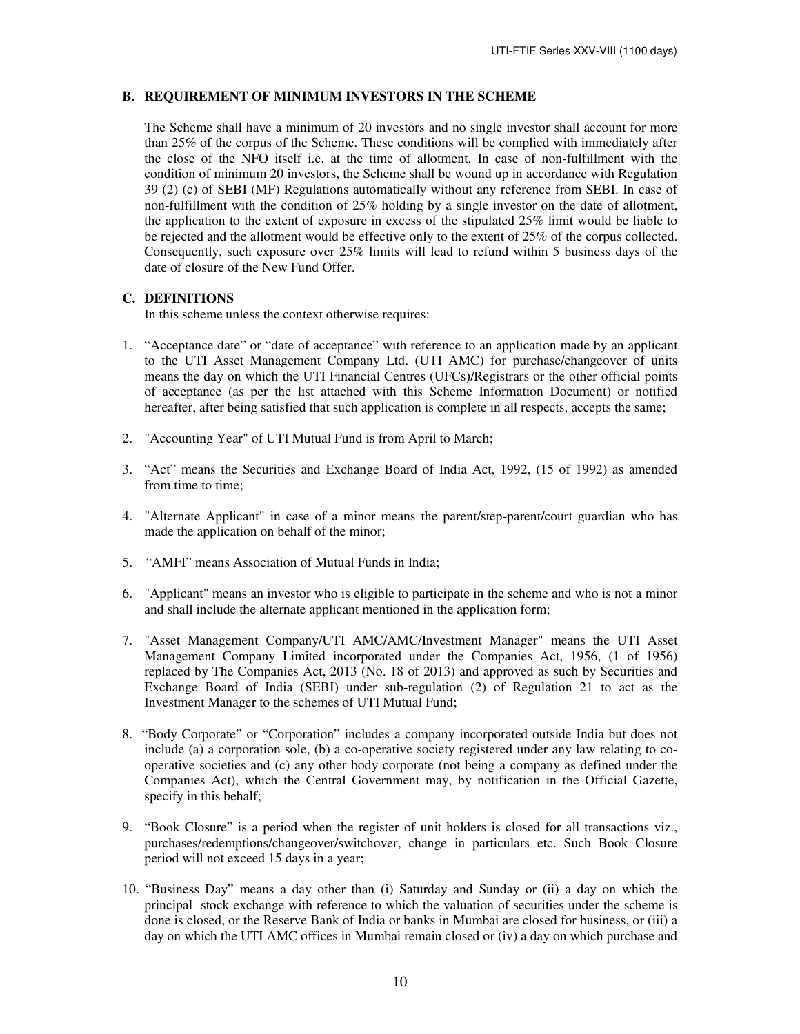### **B. REQUIREMENT OF MINIMUM INVESTORS IN THE SCHEME**

The Scheme shall have a minimum of 20 investors and no single investor shall account for more than 25% of the corpus of the Scheme. These conditions will be complied with immediately after the close of the NFO itself i.e. at the time of allotment. In case of non-fulfillment with the condition of minimum 20 investors, the Scheme shall be wound up in accordance with Regulation 39 (2) (c) of SEBI (MF) Regulations automatically without any reference from SEBI. In case of non-fulfillment with the condition of 25% holding by a single investor on the date of allotment, the application to the extent of exposure in excess of the stipulated 25% limit would be liable to be rejected and the allotment would be effective only to the extent of 25% of the corpus collected. Consequently, such exposure over 25% limits will lead to refund within 5 business days of the date of closure of the New Fund Offer.

### **C. DEFINITIONS**

In this scheme unless the context otherwise requires:

- 1. "Acceptance date" or "date of acceptance" with reference to an application made by an applicant to the UTI Asset Management Company Ltd. (UTI AMC) for purchase/changeover of units means the day on which the UTI Financial Centres (UFCs)/Registrars or the other official points of acceptance (as per the list attached with this Scheme Information Document) or notified hereafter, after being satisfied that such application is complete in all respects, accepts the same;
- 2. "Accounting Year" of UTI Mutual Fund is from April to March;
- 3. "Act" means the Securities and Exchange Board of India Act, 1992, (15 of 1992) as amended from time to time;
- 4. "Alternate Applicant" in case of a minor means the parent/step-parent/court guardian who has made the application on behalf of the minor;
- 5. "AMFI" means Association of Mutual Funds in India;
- 6. "Applicant" means an investor who is eligible to participate in the scheme and who is not a minor and shall include the alternate applicant mentioned in the application form;
- 7. "Asset Management Company/UTI AMC/AMC/Investment Manager" means the UTI Asset Management Company Limited incorporated under the Companies Act, 1956, (1 of 1956) replaced by The Companies Act, 2013 (No. 18 of 2013) and approved as such by Securities and Exchange Board of India (SEBI) under sub-regulation (2) of Regulation 21 to act as the Investment Manager to the schemes of UTI Mutual Fund;
- 8. "Body Corporate" or "Corporation" includes a company incorporated outside India but does not include (a) a corporation sole, (b) a co-operative society registered under any law relating to cooperative societies and (c) any other body corporate (not being a company as defined under the Companies Act), which the Central Government may, by notification in the Official Gazette, specify in this behalf;
- 9. "Book Closure" is a period when the register of unit holders is closed for all transactions viz., purchases/redemptions/changeover/switchover, change in particulars etc. Such Book Closure period will not exceed 15 days in a year;
- 10. "Business Day" means a day other than (i) Saturday and Sunday or (ii) a day on which the principal stock exchange with reference to which the valuation of securities under the scheme is done is closed, or the Reserve Bank of India or banks in Mumbai are closed for business, or (iii) a day on which the UTI AMC offices in Mumbai remain closed or (iv) a day on which purchase and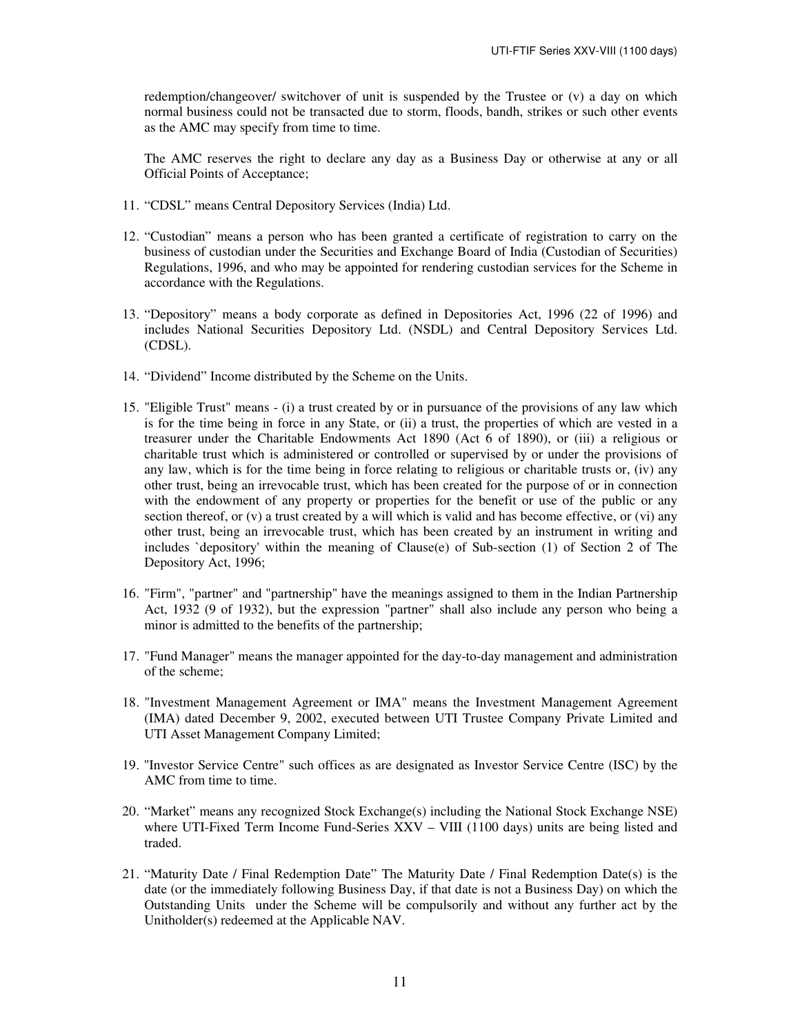redemption/changeover/ switchover of unit is suspended by the Trustee or (v) a day on which normal business could not be transacted due to storm, floods, bandh, strikes or such other events as the AMC may specify from time to time.

The AMC reserves the right to declare any day as a Business Day or otherwise at any or all Official Points of Acceptance;

- 11. "CDSL" means Central Depository Services (India) Ltd.
- 12. "Custodian" means a person who has been granted a certificate of registration to carry on the business of custodian under the Securities and Exchange Board of India (Custodian of Securities) Regulations, 1996, and who may be appointed for rendering custodian services for the Scheme in accordance with the Regulations.
- 13. "Depository" means a body corporate as defined in Depositories Act, 1996 (22 of 1996) and includes National Securities Depository Ltd. (NSDL) and Central Depository Services Ltd. (CDSL).
- 14. "Dividend" Income distributed by the Scheme on the Units.
- 15. "Eligible Trust" means (i) a trust created by or in pursuance of the provisions of any law which is for the time being in force in any State, or (ii) a trust, the properties of which are vested in a treasurer under the Charitable Endowments Act 1890 (Act 6 of 1890), or (iii) a religious or charitable trust which is administered or controlled or supervised by or under the provisions of any law, which is for the time being in force relating to religious or charitable trusts or, (iv) any other trust, being an irrevocable trust, which has been created for the purpose of or in connection with the endowment of any property or properties for the benefit or use of the public or any section thereof, or (v) a trust created by a will which is valid and has become effective, or (vi) any other trust, being an irrevocable trust, which has been created by an instrument in writing and includes `depository' within the meaning of Clause(e) of Sub-section (1) of Section 2 of The Depository Act, 1996;
- 16. "Firm", "partner" and "partnership" have the meanings assigned to them in the Indian Partnership Act, 1932 (9 of 1932), but the expression "partner" shall also include any person who being a minor is admitted to the benefits of the partnership;
- 17. "Fund Manager" means the manager appointed for the day-to-day management and administration of the scheme;
- 18. "Investment Management Agreement or IMA" means the Investment Management Agreement (IMA) dated December 9, 2002, executed between UTI Trustee Company Private Limited and UTI Asset Management Company Limited;
- 19. "Investor Service Centre" such offices as are designated as Investor Service Centre (ISC) by the AMC from time to time.
- 20. "Market" means any recognized Stock Exchange(s) including the National Stock Exchange NSE) where UTI-Fixed Term Income Fund-Series XXV – VIII (1100 days) units are being listed and traded.
- 21. "Maturity Date / Final Redemption Date" The Maturity Date / Final Redemption Date(s) is the date (or the immediately following Business Day, if that date is not a Business Day) on which the Outstanding Units under the Scheme will be compulsorily and without any further act by the Unitholder(s) redeemed at the Applicable NAV.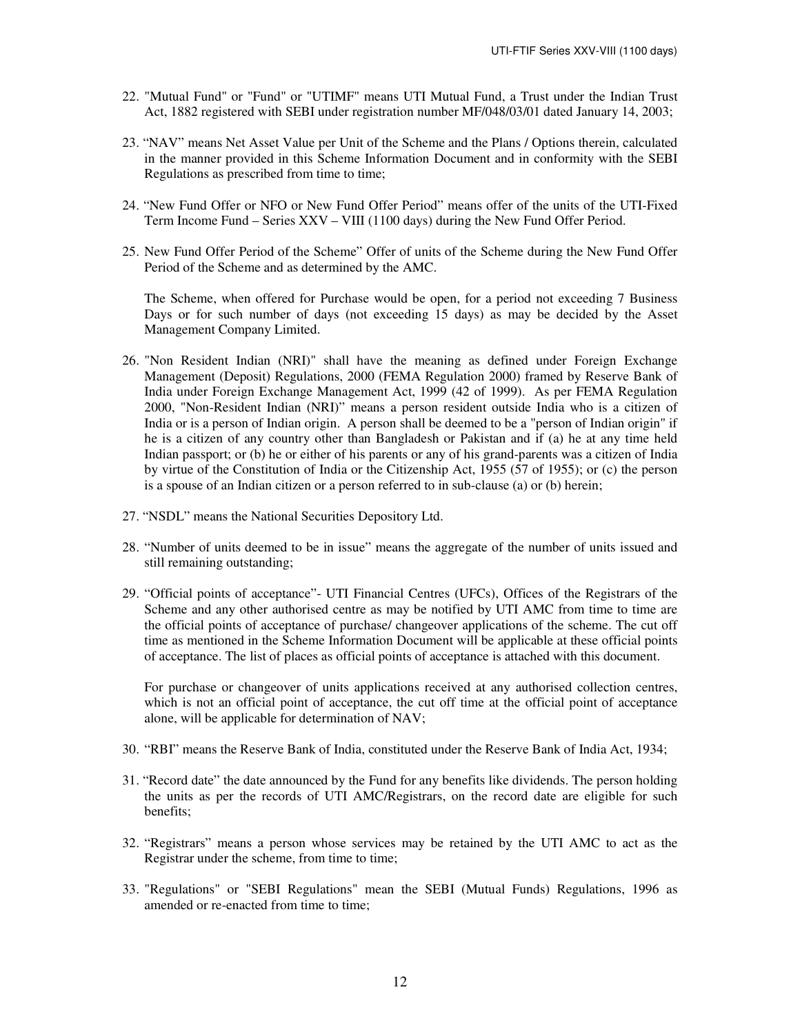- 22. "Mutual Fund" or "Fund" or "UTIMF" means UTI Mutual Fund, a Trust under the Indian Trust Act, 1882 registered with SEBI under registration number MF/048/03/01 dated January 14, 2003;
- 23. "NAV" means Net Asset Value per Unit of the Scheme and the Plans / Options therein, calculated in the manner provided in this Scheme Information Document and in conformity with the SEBI Regulations as prescribed from time to time;
- 24. "New Fund Offer or NFO or New Fund Offer Period" means offer of the units of the UTI-Fixed Term Income Fund – Series XXV – VIII (1100 days) during the New Fund Offer Period.
- 25. New Fund Offer Period of the Scheme" Offer of units of the Scheme during the New Fund Offer Period of the Scheme and as determined by the AMC.

The Scheme, when offered for Purchase would be open, for a period not exceeding 7 Business Days or for such number of days (not exceeding 15 days) as may be decided by the Asset Management Company Limited.

- 26. "Non Resident Indian (NRI)" shall have the meaning as defined under Foreign Exchange Management (Deposit) Regulations, 2000 (FEMA Regulation 2000) framed by Reserve Bank of India under Foreign Exchange Management Act, 1999 (42 of 1999). As per FEMA Regulation 2000, "Non-Resident Indian (NRI)" means a person resident outside India who is a citizen of India or is a person of Indian origin. A person shall be deemed to be a "person of Indian origin" if he is a citizen of any country other than Bangladesh or Pakistan and if (a) he at any time held Indian passport; or (b) he or either of his parents or any of his grand-parents was a citizen of India by virtue of the Constitution of India or the Citizenship Act, 1955 (57 of 1955); or (c) the person is a spouse of an Indian citizen or a person referred to in sub-clause (a) or (b) herein;
- 27. "NSDL" means the National Securities Depository Ltd.
- 28. "Number of units deemed to be in issue" means the aggregate of the number of units issued and still remaining outstanding;
- 29. "Official points of acceptance"- UTI Financial Centres (UFCs), Offices of the Registrars of the Scheme and any other authorised centre as may be notified by UTI AMC from time to time are the official points of acceptance of purchase/ changeover applications of the scheme. The cut off time as mentioned in the Scheme Information Document will be applicable at these official points of acceptance. The list of places as official points of acceptance is attached with this document.

For purchase or changeover of units applications received at any authorised collection centres, which is not an official point of acceptance, the cut off time at the official point of acceptance alone, will be applicable for determination of NAV;

- 30. "RBI" means the Reserve Bank of India, constituted under the Reserve Bank of India Act, 1934;
- 31. "Record date" the date announced by the Fund for any benefits like dividends. The person holding the units as per the records of UTI AMC/Registrars, on the record date are eligible for such benefits;
- 32. "Registrars" means a person whose services may be retained by the UTI AMC to act as the Registrar under the scheme, from time to time;
- 33. "Regulations" or "SEBI Regulations" mean the SEBI (Mutual Funds) Regulations, 1996 as amended or re-enacted from time to time;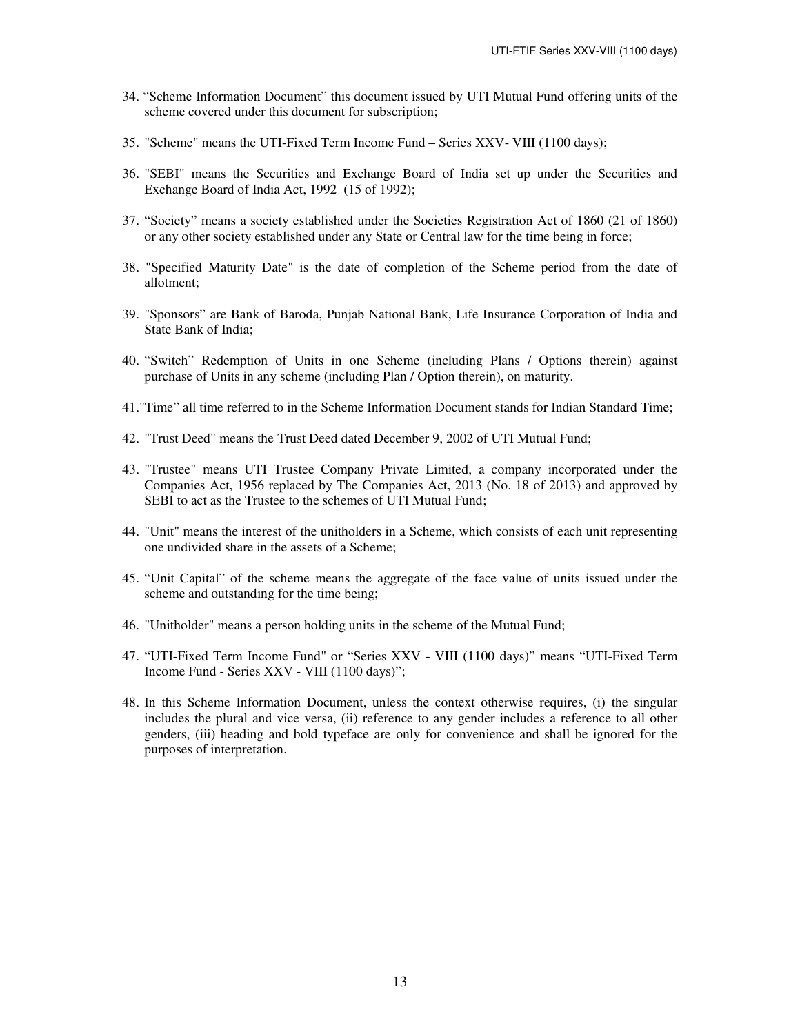- 34. "Scheme Information Document" this document issued by UTI Mutual Fund offering units of the scheme covered under this document for subscription;
- 35. "Scheme" means the UTI-Fixed Term Income Fund Series XXV- VIII (1100 days);
- 36. "SEBI" means the Securities and Exchange Board of India set up under the Securities and Exchange Board of India Act, 1992 (15 of 1992);
- 37. "Society" means a society established under the Societies Registration Act of 1860 (21 of 1860) or any other society established under any State or Central law for the time being in force;
- 38. "Specified Maturity Date" is the date of completion of the Scheme period from the date of allotment;
- 39. "Sponsors" are Bank of Baroda, Punjab National Bank, Life Insurance Corporation of India and State Bank of India;
- 40. "Switch" Redemption of Units in one Scheme (including Plans / Options therein) against purchase of Units in any scheme (including Plan / Option therein), on maturity.
- 41."Time" all time referred to in the Scheme Information Document stands for Indian Standard Time;
- 42. "Trust Deed" means the Trust Deed dated December 9, 2002 of UTI Mutual Fund;
- 43. "Trustee" means UTI Trustee Company Private Limited, a company incorporated under the Companies Act, 1956 replaced by The Companies Act, 2013 (No. 18 of 2013) and approved by SEBI to act as the Trustee to the schemes of UTI Mutual Fund;
- 44. "Unit" means the interest of the unitholders in a Scheme, which consists of each unit representing one undivided share in the assets of a Scheme;
- 45. "Unit Capital" of the scheme means the aggregate of the face value of units issued under the scheme and outstanding for the time being;
- 46. "Unitholder" means a person holding units in the scheme of the Mutual Fund;
- 47. "UTI-Fixed Term Income Fund" or "Series XXV VIII (1100 days)" means "UTI-Fixed Term Income Fund - Series XXV - VIII (1100 days)";
- 48. In this Scheme Information Document, unless the context otherwise requires, (i) the singular includes the plural and vice versa, (ii) reference to any gender includes a reference to all other genders, (iii) heading and bold typeface are only for convenience and shall be ignored for the purposes of interpretation.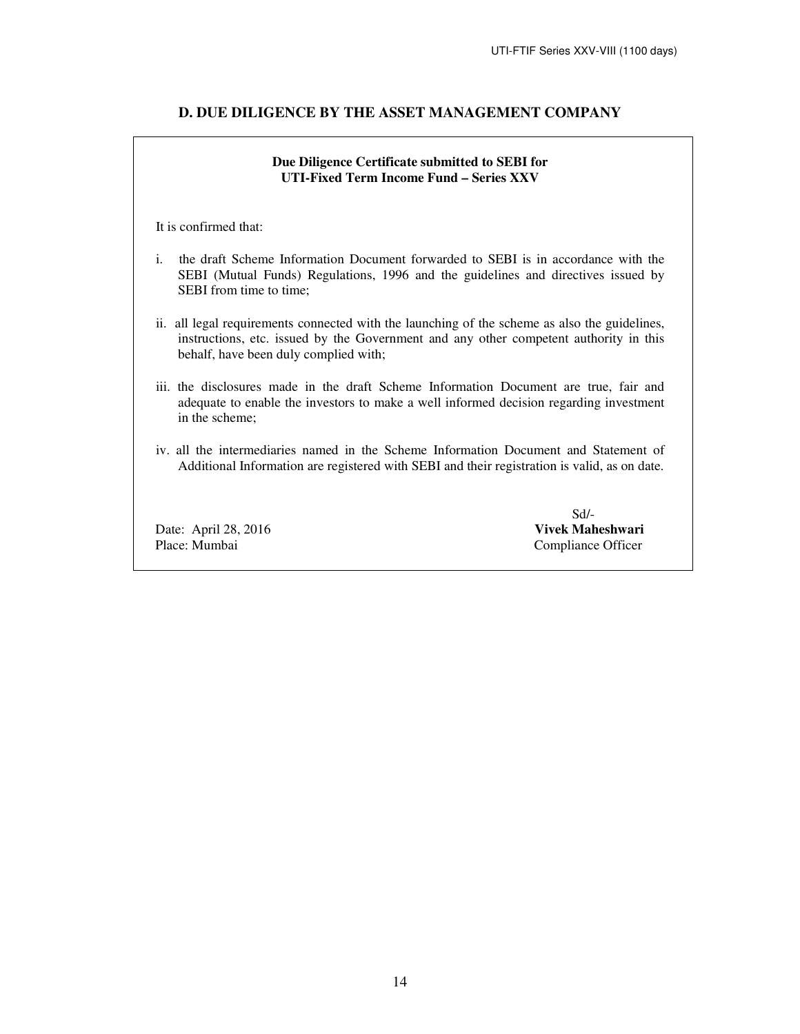# **D. DUE DILIGENCE BY THE ASSET MANAGEMENT COMPANY**

# **Due Diligence Certificate submitted to SEBI for UTI-Fixed Term Income Fund – Series XXV**

It is confirmed that:

- i. the draft Scheme Information Document forwarded to SEBI is in accordance with the SEBI (Mutual Funds) Regulations, 1996 and the guidelines and directives issued by SEBI from time to time;
- ii. all legal requirements connected with the launching of the scheme as also the guidelines, instructions, etc. issued by the Government and any other competent authority in this behalf, have been duly complied with;
- iii. the disclosures made in the draft Scheme Information Document are true, fair and adequate to enable the investors to make a well informed decision regarding investment in the scheme;
- iv. all the intermediaries named in the Scheme Information Document and Statement of Additional Information are registered with SEBI and their registration is valid, as on date.

Place: Mumbai Compliance Officer

 Sd/- Date: April 28, 2016 **Vivek Maheshwari**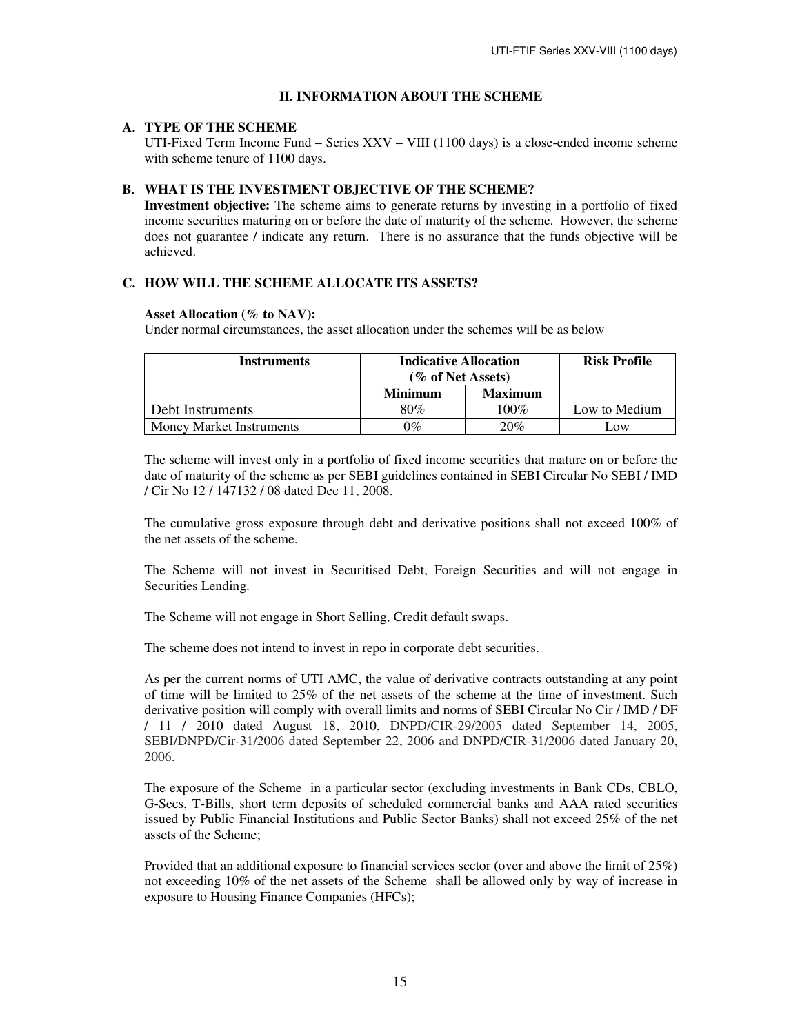# **II. INFORMATION ABOUT THE SCHEME**

### **A. TYPE OF THE SCHEME**

UTI-Fixed Term Income Fund – Series XXV – VIII (1100 days) is a close-ended income scheme with scheme tenure of 1100 days.

# **B. WHAT IS THE INVESTMENT OBJECTIVE OF THE SCHEME?**

**Investment objective:** The scheme aims to generate returns by investing in a portfolio of fixed income securities maturing on or before the date of maturity of the scheme. However, the scheme does not guarantee / indicate any return. There is no assurance that the funds objective will be achieved.

# **C. HOW WILL THE SCHEME ALLOCATE ITS ASSETS?**

### **Asset Allocation (% to NAV):**

Under normal circumstances, the asset allocation under the schemes will be as below

| Instruments                     | <b>Indicative Allocation</b><br>(% of Net Assets) |                | <b>Risk Profile</b> |
|---------------------------------|---------------------------------------------------|----------------|---------------------|
|                                 | <b>Minimum</b>                                    | <b>Maximum</b> |                     |
| Debt Instruments                | 80%                                               | $100\%$        | Low to Medium       |
| <b>Money Market Instruments</b> | $9\%$                                             | 20%            | LOW                 |

 The scheme will invest only in a portfolio of fixed income securities that mature on or before the date of maturity of the scheme as per SEBI guidelines contained in SEBI Circular No SEBI / IMD / Cir No 12 / 147132 / 08 dated Dec 11, 2008.

The cumulative gross exposure through debt and derivative positions shall not exceed 100% of the net assets of the scheme.

The Scheme will not invest in Securitised Debt, Foreign Securities and will not engage in Securities Lending.

The Scheme will not engage in Short Selling, Credit default swaps.

The scheme does not intend to invest in repo in corporate debt securities.

As per the current norms of UTI AMC, the value of derivative contracts outstanding at any point of time will be limited to 25% of the net assets of the scheme at the time of investment. Such derivative position will comply with overall limits and norms of SEBI Circular No Cir / IMD / DF / 11 / 2010 dated August 18, 2010, DNPD/CIR-29/2005 dated September 14, 2005, SEBI/DNPD/Cir-31/2006 dated September 22, 2006 and DNPD/CIR-31/2006 dated January 20, 2006.

The exposure of the Scheme in a particular sector (excluding investments in Bank CDs, CBLO, G-Secs, T-Bills, short term deposits of scheduled commercial banks and AAA rated securities issued by Public Financial Institutions and Public Sector Banks) shall not exceed 25% of the net assets of the Scheme;

Provided that an additional exposure to financial services sector (over and above the limit of 25%) not exceeding 10% of the net assets of the Scheme shall be allowed only by way of increase in exposure to Housing Finance Companies (HFCs);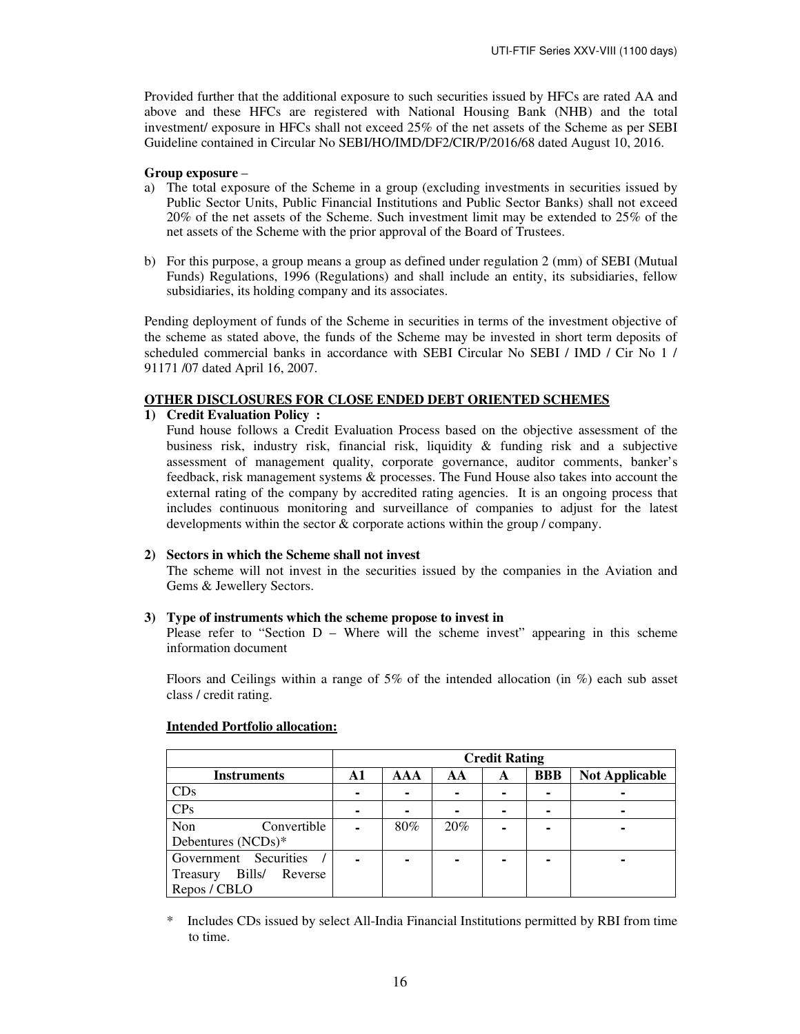Provided further that the additional exposure to such securities issued by HFCs are rated AA and above and these HFCs are registered with National Housing Bank (NHB) and the total investment/ exposure in HFCs shall not exceed 25% of the net assets of the Scheme as per SEBI Guideline contained in Circular No SEBI/HO/IMD/DF2/CIR/P/2016/68 dated August 10, 2016.

### **Group exposure** –

- a) The total exposure of the Scheme in a group (excluding investments in securities issued by Public Sector Units, Public Financial Institutions and Public Sector Banks) shall not exceed 20% of the net assets of the Scheme. Such investment limit may be extended to 25% of the net assets of the Scheme with the prior approval of the Board of Trustees.
- b) For this purpose, a group means a group as defined under regulation 2 (mm) of SEBI (Mutual Funds) Regulations, 1996 (Regulations) and shall include an entity, its subsidiaries, fellow subsidiaries, its holding company and its associates.

Pending deployment of funds of the Scheme in securities in terms of the investment objective of the scheme as stated above, the funds of the Scheme may be invested in short term deposits of scheduled commercial banks in accordance with SEBI Circular No SEBI / IMD / Cir No 1 / 91171 /07 dated April 16, 2007.

#### **OTHER DISCLOSURES FOR CLOSE ENDED DEBT ORIENTED SCHEMES**

#### **1) Credit Evaluation Policy :**

Fund house follows a Credit Evaluation Process based on the objective assessment of the business risk, industry risk, financial risk, liquidity  $\&$  funding risk and a subjective assessment of management quality, corporate governance, auditor comments, banker's feedback, risk management systems & processes. The Fund House also takes into account the external rating of the company by accredited rating agencies. It is an ongoing process that includes continuous monitoring and surveillance of companies to adjust for the latest developments within the sector & corporate actions within the group / company.

### **2) Sectors in which the Scheme shall not invest**

The scheme will not invest in the securities issued by the companies in the Aviation and Gems & Jewellery Sectors.

#### **3) Type of instruments which the scheme propose to invest in**

Please refer to "Section D – Where will the scheme invest" appearing in this scheme information document

Floors and Ceilings within a range of 5% of the intended allocation (in %) each sub asset class / credit rating.

|                               |    |     |     | <b>Credit Rating</b> |            |                       |
|-------------------------------|----|-----|-----|----------------------|------------|-----------------------|
| <b>Instruments</b>            | A1 | AAA | AA  | A                    | <b>BBB</b> | <b>Not Applicable</b> |
| CDs                           |    |     | ۰   |                      |            |                       |
| CPs                           |    |     |     | ۰                    |            |                       |
| Non<br>Convertible            |    | 80% | 20% |                      |            |                       |
| Debentures (NCDs)*            |    |     |     |                      |            |                       |
| Government Securities         |    |     | ۰   |                      |            |                       |
| Bills/<br>Reverse<br>Treasury |    |     |     |                      |            |                       |
| Repos / CBLO                  |    |     |     |                      |            |                       |

#### **Intended Portfolio allocation:**

\* Includes CDs issued by select All-India Financial Institutions permitted by RBI from time to time.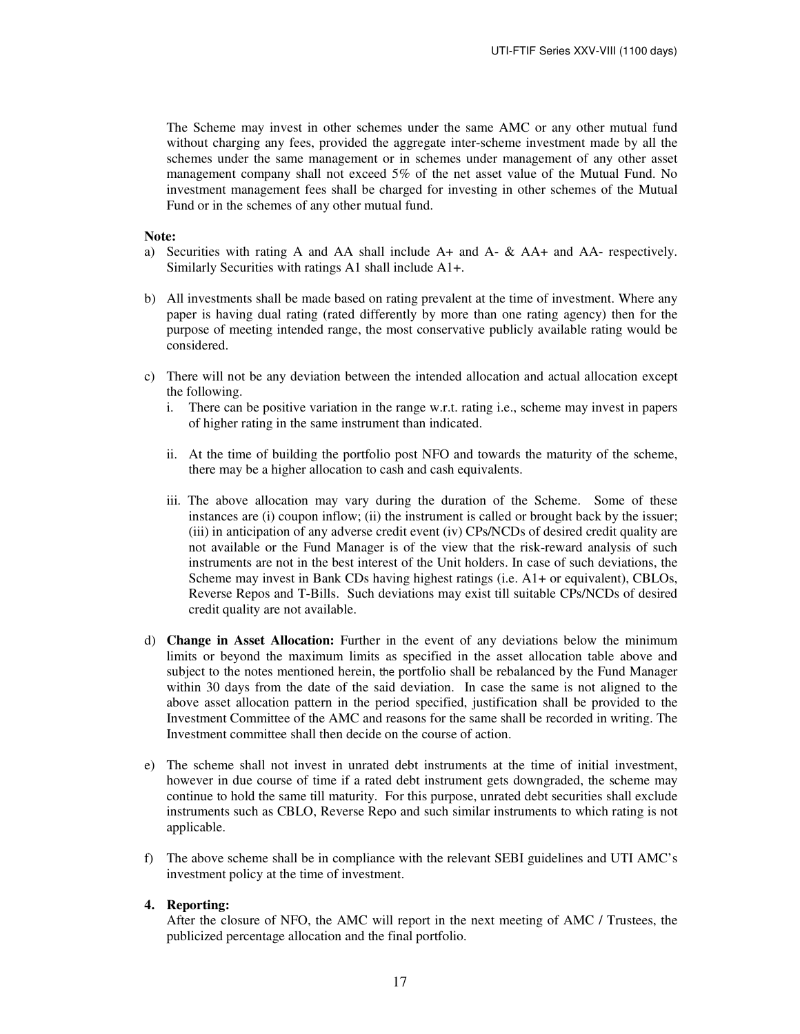The Scheme may invest in other schemes under the same AMC or any other mutual fund without charging any fees, provided the aggregate inter-scheme investment made by all the schemes under the same management or in schemes under management of any other asset management company shall not exceed 5% of the net asset value of the Mutual Fund. No investment management fees shall be charged for investing in other schemes of the Mutual Fund or in the schemes of any other mutual fund.

#### **Note:**

- a)Securities with rating A and AA shall include A+ and A- & AA+ and AA- respectively. Similarly Securities with ratings A1 shall include A1+.
- b) All investments shall be made based on rating prevalent at the time of investment. Where any paper is having dual rating (rated differently by more than one rating agency) then for the purpose of meeting intended range, the most conservative publicly available rating would be considered.
- c) There will not be any deviation between the intended allocation and actual allocation except the following.
	- i. There can be positive variation in the range w.r.t. rating i.e., scheme may invest in papers of higher rating in the same instrument than indicated.
	- ii. At the time of building the portfolio post NFO and towards the maturity of the scheme, there may be a higher allocation to cash and cash equivalents.
	- iii. The above allocation may vary during the duration of the Scheme. Some of these instances are (i) coupon inflow; (ii) the instrument is called or brought back by the issuer; (iii) in anticipation of any adverse credit event (iv) CPs/NCDs of desired credit quality are not available or the Fund Manager is of the view that the risk-reward analysis of such instruments are not in the best interest of the Unit holders. In case of such deviations, the Scheme may invest in Bank CDs having highest ratings (i.e. A1+ or equivalent), CBLOs, Reverse Repos and T-Bills. Such deviations may exist till suitable CPs/NCDs of desired credit quality are not available.
- d) **Change in Asset Allocation:** Further in the event of any deviations below the minimum limits or beyond the maximum limits as specified in the asset allocation table above and subject to the notes mentioned herein, the portfolio shall be rebalanced by the Fund Manager within 30 days from the date of the said deviation. In case the same is not aligned to the above asset allocation pattern in the period specified, justification shall be provided to the Investment Committee of the AMC and reasons for the same shall be recorded in writing. The Investment committee shall then decide on the course of action.
- e) The scheme shall not invest in unrated debt instruments at the time of initial investment, however in due course of time if a rated debt instrument gets downgraded, the scheme may continue to hold the same till maturity. For this purpose, unrated debt securities shall exclude instruments such as CBLO, Reverse Repo and such similar instruments to which rating is not applicable.
- f) The above scheme shall be in compliance with the relevant SEBI guidelines and UTI AMC's investment policy at the time of investment.

### **4. Reporting:**

After the closure of NFO, the AMC will report in the next meeting of AMC / Trustees, the publicized percentage allocation and the final portfolio.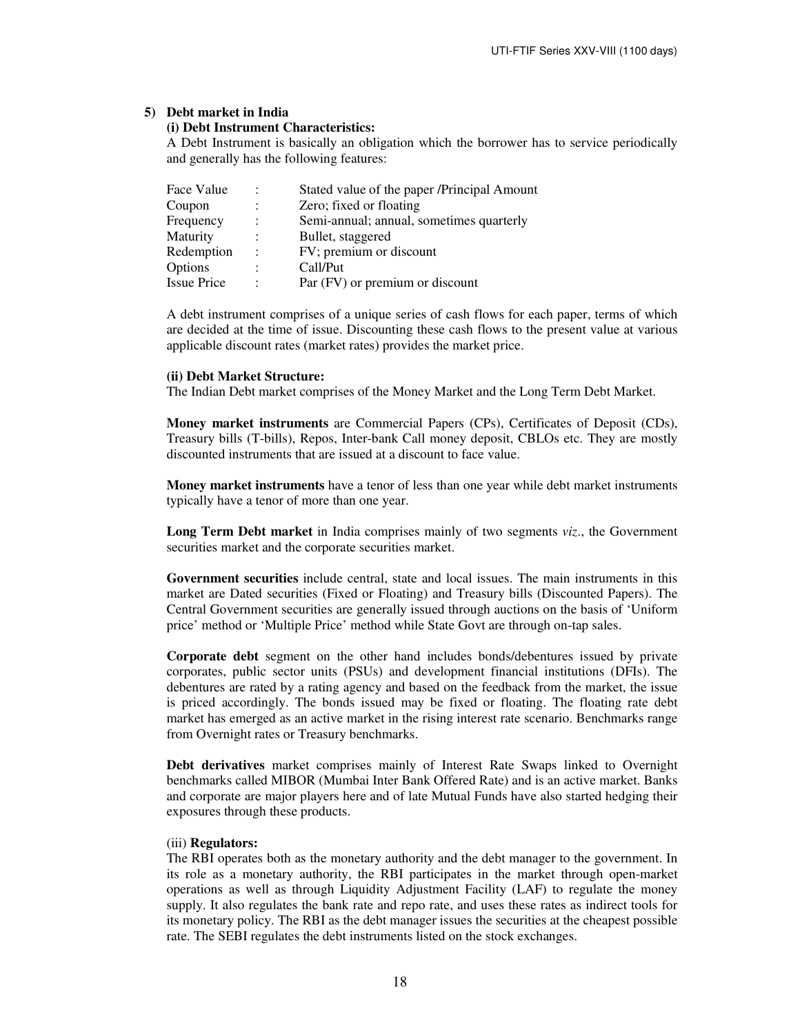#### **5) Debt market in India**

### **(i) Debt Instrument Characteristics:**

A Debt Instrument is basically an obligation which the borrower has to service periodically and generally has the following features:

| Face Value         | $\ddot{\phantom{a}}$ | Stated value of the paper /Principal Amount |
|--------------------|----------------------|---------------------------------------------|
| Coupon             |                      | Zero; fixed or floating                     |
| Frequency          | $\ddot{\cdot}$       | Semi-annual; annual, sometimes quarterly    |
| Maturity           |                      | Bullet, staggered                           |
| Redemption         | $\ddot{\cdot}$       | FV; premium or discount                     |
| Options            | $\ddot{\cdot}$       | Call/Put                                    |
| <b>Issue Price</b> | ٠                    | Par (FV) or premium or discount             |

A debt instrument comprises of a unique series of cash flows for each paper, terms of which are decided at the time of issue. Discounting these cash flows to the present value at various applicable discount rates (market rates) provides the market price.

#### **(ii) Debt Market Structure:**

The Indian Debt market comprises of the Money Market and the Long Term Debt Market.

**Money market instruments** are Commercial Papers (CPs), Certificates of Deposit (CDs), Treasury bills (T-bills), Repos, Inter-bank Call money deposit, CBLOs etc. They are mostly discounted instruments that are issued at a discount to face value.

**Money market instruments** have a tenor of less than one year while debt market instruments typically have a tenor of more than one year.

**Long Term Debt market** in India comprises mainly of two segments *viz*., the Government securities market and the corporate securities market.

**Government securities** include central, state and local issues. The main instruments in this market are Dated securities (Fixed or Floating) and Treasury bills (Discounted Papers). The Central Government securities are generally issued through auctions on the basis of 'Uniform price' method or 'Multiple Price' method while State Govt are through on-tap sales.

**Corporate debt** segment on the other hand includes bonds/debentures issued by private corporates, public sector units (PSUs) and development financial institutions (DFIs). The debentures are rated by a rating agency and based on the feedback from the market, the issue is priced accordingly. The bonds issued may be fixed or floating. The floating rate debt market has emerged as an active market in the rising interest rate scenario. Benchmarks range from Overnight rates or Treasury benchmarks.

**Debt derivatives** market comprises mainly of Interest Rate Swaps linked to Overnight benchmarks called MIBOR (Mumbai Inter Bank Offered Rate) and is an active market. Banks and corporate are major players here and of late Mutual Funds have also started hedging their exposures through these products.

#### (iii) **Regulators:**

The RBI operates both as the monetary authority and the debt manager to the government. In its role as a monetary authority, the RBI participates in the market through open-market operations as well as through Liquidity Adjustment Facility (LAF) to regulate the money supply. It also regulates the bank rate and repo rate, and uses these rates as indirect tools for its monetary policy. The RBI as the debt manager issues the securities at the cheapest possible rate. The SEBI regulates the debt instruments listed on the stock exchanges.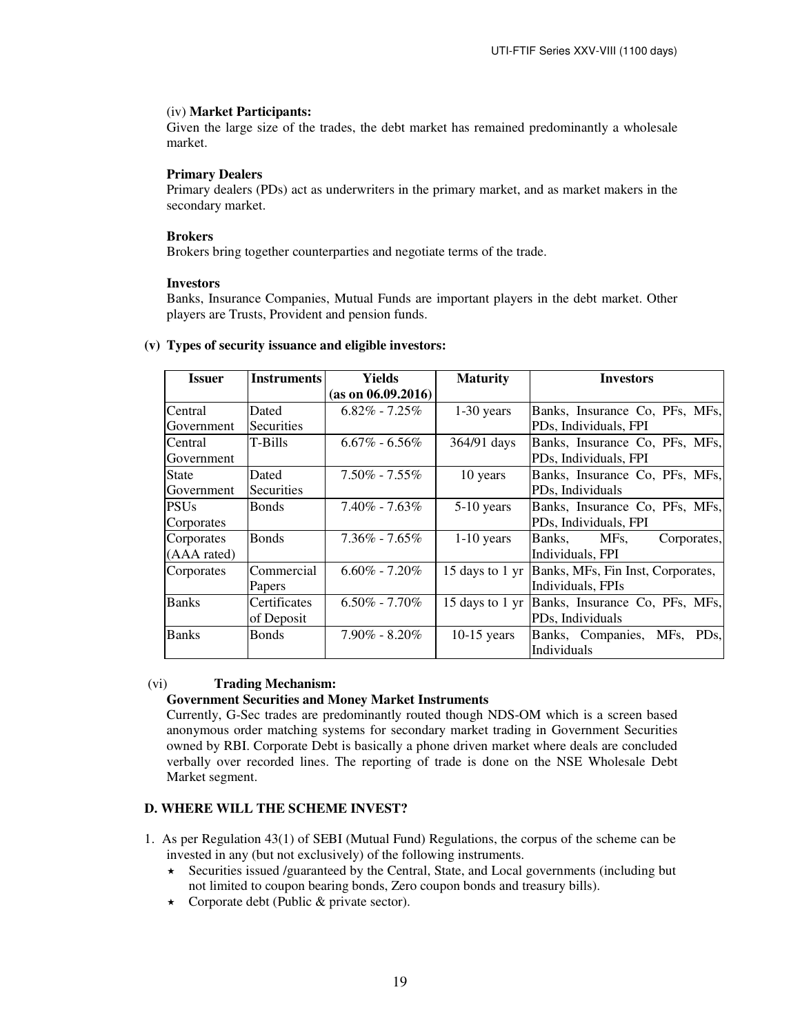#### (iv) **Market Participants:**

Given the large size of the trades, the debt market has remained predominantly a wholesale market.

#### **Primary Dealers**

Primary dealers (PDs) act as underwriters in the primary market, and as market makers in the secondary market.

## **Brokers**

Brokers bring together counterparties and negotiate terms of the trade.

#### **Investors**

Banks, Insurance Companies, Mutual Funds are important players in the debt market. Other players are Trusts, Provident and pension funds.

| <b>Issuer</b> | <b>Instruments</b> | Yields              | <b>Maturity</b> | <b>Investors</b>                                  |
|---------------|--------------------|---------------------|-----------------|---------------------------------------------------|
|               |                    | (as on 06.09.2016)  |                 |                                                   |
| Central       | Dated              | $6.82\%$ - $7.25\%$ | $1-30$ years    | Banks, Insurance Co, PFs, MFs,                    |
| Government    | <b>Securities</b>  |                     |                 | PDs, Individuals, FPI                             |
| Central       | T-Bills            | $6.67\% - 6.56\%$   | 364/91 days     | Banks, Insurance Co, PFs, MFs,                    |
| Government    |                    |                     |                 | PDs, Individuals, FPI                             |
| State         | Dated              | $7.50\% - 7.55\%$   | 10 years        | Banks, Insurance Co, PFs, MFs,                    |
| Government    | <b>Securities</b>  |                     |                 | PDs, Individuals                                  |
| <b>PSUs</b>   | <b>Bonds</b>       | $7.40\% - 7.63\%$   | $5-10$ years    | Banks, Insurance Co, PFs, MFs,                    |
| Corporates    |                    |                     |                 | PDs, Individuals, FPI                             |
| Corporates    | <b>Bonds</b>       | $7.36\% - 7.65\%$   | $1-10$ years    | Banks,<br>MFs.<br>Corporates,                     |
| (AAA rated)   |                    |                     |                 | Individuals, FPI                                  |
| Corporates    | Commercial         | $6.60\% - 7.20\%$   |                 | 15 days to 1 yr Banks, MFs, Fin Inst, Corporates, |
|               | <b>Papers</b>      |                     |                 | Individuals, FPIs                                 |
| <b>Banks</b>  | Certificates       | $6.50\% - 7.70\%$   |                 | 15 days to 1 yr Banks, Insurance Co, PFs, MFs,    |
|               | of Deposit         |                     |                 | PDs, Individuals                                  |
| <b>Banks</b>  | <b>Bonds</b>       | $7.90\%$ - 8.20%    | $10-15$ years   | Banks, Companies, MFs, PDs,                       |
|               |                    |                     |                 | Individuals                                       |

#### **(v) Types of security issuance and eligible investors:**

#### (vi) **Trading Mechanism:**

#### **Government Securities and Money Market Instruments**

Currently, G-Sec trades are predominantly routed though NDS-OM which is a screen based anonymous order matching systems for secondary market trading in Government Securities owned by RBI. Corporate Debt is basically a phone driven market where deals are concluded verbally over recorded lines. The reporting of trade is done on the NSE Wholesale Debt Market segment.

# **D. WHERE WILL THE SCHEME INVEST?**

- 1. As per Regulation 43(1) of SEBI (Mutual Fund) Regulations, the corpus of the scheme can be invested in any (but not exclusively) of the following instruments.
	- $\star$  Securities issued /guaranteed by the Central, State, and Local governments (including but not limited to coupon bearing bonds, Zero coupon bonds and treasury bills).
	- $\star$  Corporate debt (Public & private sector).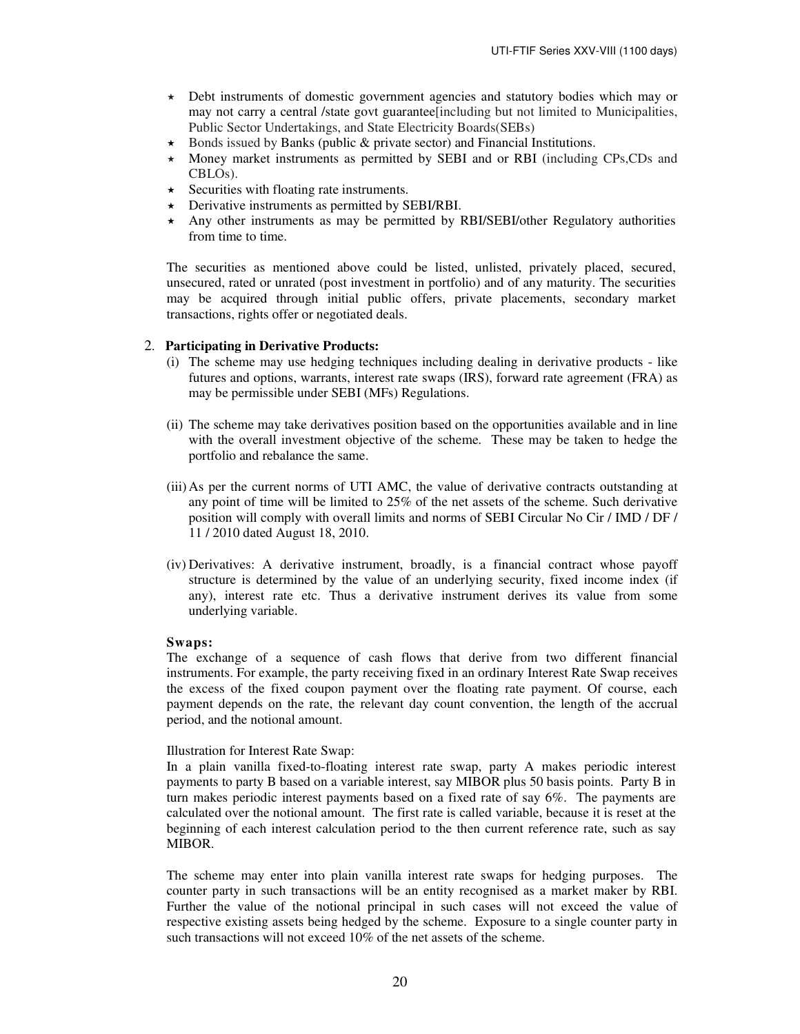- Debt instruments of domestic government agencies and statutory bodies which may or may not carry a central /state govt guarantee[including but not limited to Municipalities, Public Sector Undertakings, and State Electricity Boards(SEBs)
- $\star$  Bonds issued by Banks (public & private sector) and Financial Institutions.
- $\star$  Money market instruments as permitted by SEBI and or RBI (including CPs, CDs and CBLOs).
- $\star$  Securities with floating rate instruments.
- $\star$  Derivative instruments as permitted by SEBI/RBI.
- Any other instruments as may be permitted by RBI/SEBI/other Regulatory authorities from time to time.

 The securities as mentioned above could be listed, unlisted, privately placed, secured, unsecured, rated or unrated (post investment in portfolio) and of any maturity. The securities may be acquired through initial public offers, private placements, secondary market transactions, rights offer or negotiated deals.

#### 2. **Participating in Derivative Products:**

- (i) The scheme may use hedging techniques including dealing in derivative products like futures and options, warrants, interest rate swaps (IRS), forward rate agreement (FRA) as may be permissible under SEBI (MFs) Regulations.
- (ii) The scheme may take derivatives position based on the opportunities available and in line with the overall investment objective of the scheme. These may be taken to hedge the portfolio and rebalance the same.
- (iii) As per the current norms of UTI AMC, the value of derivative contracts outstanding at any point of time will be limited to 25% of the net assets of the scheme. Such derivative position will comply with overall limits and norms of SEBI Circular No Cir / IMD / DF / 11 / 2010 dated August 18, 2010.
- (iv) Derivatives: A derivative instrument, broadly, is a financial contract whose payoff structure is determined by the value of an underlying security, fixed income index (if any), interest rate etc. Thus a derivative instrument derives its value from some underlying variable.

#### **Swaps:**

The exchange of a sequence of cash flows that derive from two different financial instruments. For example, the party receiving fixed in an ordinary Interest Rate Swap receives the excess of the fixed coupon payment over the floating rate payment. Of course, each payment depends on the rate, the relevant day count convention, the length of the accrual period, and the notional amount.

#### Illustration for Interest Rate Swap:

In a plain vanilla fixed-to-floating interest rate swap, party A makes periodic interest payments to party B based on a variable interest, say MIBOR plus 50 basis points. Party B in turn makes periodic interest payments based on a fixed rate of say 6%. The payments are calculated over the notional amount. The first rate is called variable, because it is reset at the beginning of each interest calculation period to the then current reference rate, such as say MIBOR.

The scheme may enter into plain vanilla interest rate swaps for hedging purposes. The counter party in such transactions will be an entity recognised as a market maker by RBI. Further the value of the notional principal in such cases will not exceed the value of respective existing assets being hedged by the scheme. Exposure to a single counter party in such transactions will not exceed 10% of the net assets of the scheme.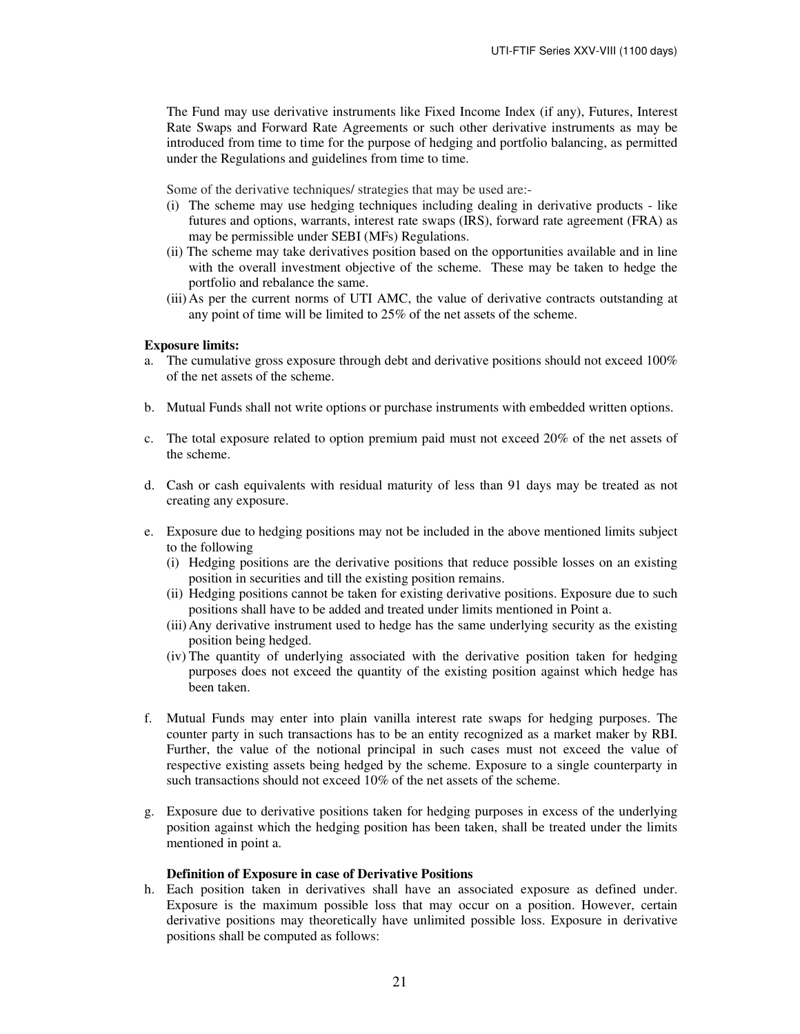The Fund may use derivative instruments like Fixed Income Index (if any), Futures, Interest Rate Swaps and Forward Rate Agreements or such other derivative instruments as may be introduced from time to time for the purpose of hedging and portfolio balancing, as permitted under the Regulations and guidelines from time to time.

Some of the derivative techniques/ strategies that may be used are:-

- (i) The scheme may use hedging techniques including dealing in derivative products like futures and options, warrants, interest rate swaps (IRS), forward rate agreement (FRA) as may be permissible under SEBI (MFs) Regulations.
- (ii) The scheme may take derivatives position based on the opportunities available and in line with the overall investment objective of the scheme. These may be taken to hedge the portfolio and rebalance the same.
- (iii) As per the current norms of UTI AMC, the value of derivative contracts outstanding at any point of time will be limited to 25% of the net assets of the scheme.

#### **Exposure limits:**

- a. The cumulative gross exposure through debt and derivative positions should not exceed 100% of the net assets of the scheme.
- b. Mutual Funds shall not write options or purchase instruments with embedded written options.
- c. The total exposure related to option premium paid must not exceed 20% of the net assets of the scheme.
- d. Cash or cash equivalents with residual maturity of less than 91 days may be treated as not creating any exposure.
- e. Exposure due to hedging positions may not be included in the above mentioned limits subject to the following
	- (i) Hedging positions are the derivative positions that reduce possible losses on an existing position in securities and till the existing position remains.
	- (ii) Hedging positions cannot be taken for existing derivative positions. Exposure due to such positions shall have to be added and treated under limits mentioned in Point a.
	- (iii) Any derivative instrument used to hedge has the same underlying security as the existing position being hedged.
	- (iv) The quantity of underlying associated with the derivative position taken for hedging purposes does not exceed the quantity of the existing position against which hedge has been taken.
- f. Mutual Funds may enter into plain vanilla interest rate swaps for hedging purposes. The counter party in such transactions has to be an entity recognized as a market maker by RBI. Further, the value of the notional principal in such cases must not exceed the value of respective existing assets being hedged by the scheme. Exposure to a single counterparty in such transactions should not exceed 10% of the net assets of the scheme.
- g. Exposure due to derivative positions taken for hedging purposes in excess of the underlying position against which the hedging position has been taken, shall be treated under the limits mentioned in point a.

#### **Definition of Exposure in case of Derivative Positions**

h. Each position taken in derivatives shall have an associated exposure as defined under. Exposure is the maximum possible loss that may occur on a position. However, certain derivative positions may theoretically have unlimited possible loss. Exposure in derivative positions shall be computed as follows: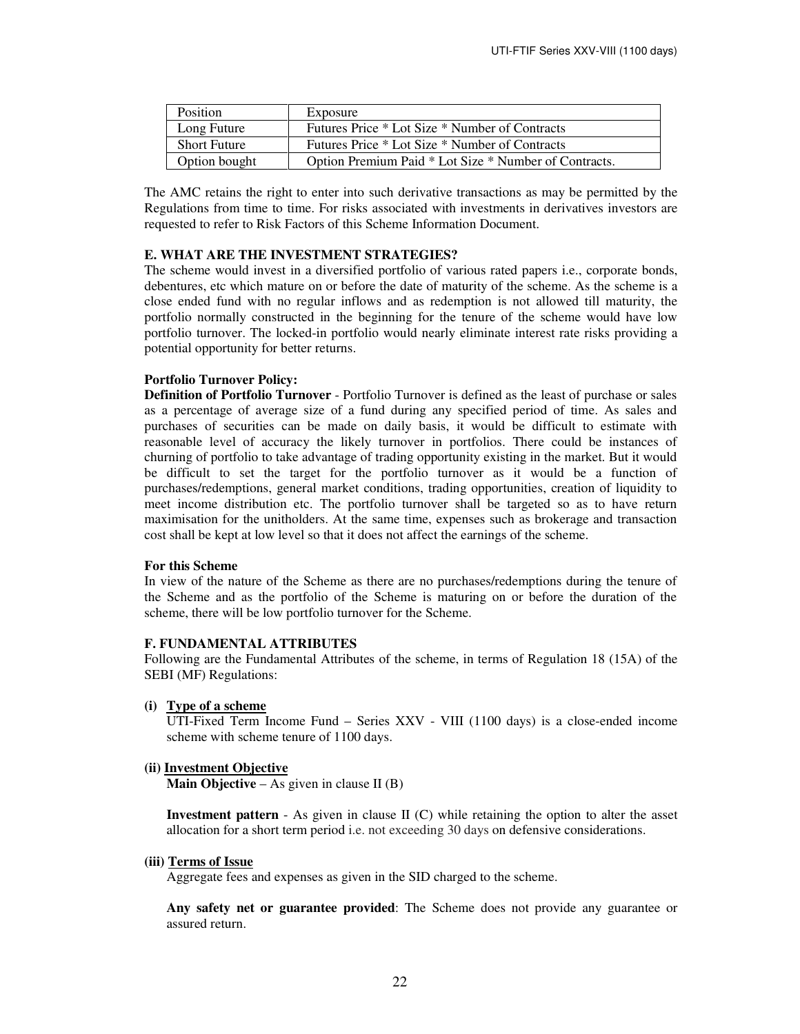| <b>Position</b>     | Exposure                                              |
|---------------------|-------------------------------------------------------|
| Long Future         | Futures Price * Lot Size * Number of Contracts        |
| <b>Short Future</b> | Futures Price * Lot Size * Number of Contracts        |
| Option bought       | Option Premium Paid * Lot Size * Number of Contracts. |

The AMC retains the right to enter into such derivative transactions as may be permitted by the Regulations from time to time. For risks associated with investments in derivatives investors are requested to refer to Risk Factors of this Scheme Information Document.

### **E. WHAT ARE THE INVESTMENT STRATEGIES?**

The scheme would invest in a diversified portfolio of various rated papers i.e., corporate bonds, debentures, etc which mature on or before the date of maturity of the scheme. As the scheme is a close ended fund with no regular inflows and as redemption is not allowed till maturity, the portfolio normally constructed in the beginning for the tenure of the scheme would have low portfolio turnover. The locked-in portfolio would nearly eliminate interest rate risks providing a potential opportunity for better returns.

### **Portfolio Turnover Policy:**

**Definition of Portfolio Turnover** - Portfolio Turnover is defined as the least of purchase or sales as a percentage of average size of a fund during any specified period of time. As sales and purchases of securities can be made on daily basis, it would be difficult to estimate with reasonable level of accuracy the likely turnover in portfolios. There could be instances of churning of portfolio to take advantage of trading opportunity existing in the market. But it would be difficult to set the target for the portfolio turnover as it would be a function of purchases/redemptions, general market conditions, trading opportunities, creation of liquidity to meet income distribution etc. The portfolio turnover shall be targeted so as to have return maximisation for the unitholders. At the same time, expenses such as brokerage and transaction cost shall be kept at low level so that it does not affect the earnings of the scheme.

### **For this Scheme**

In view of the nature of the Scheme as there are no purchases/redemptions during the tenure of the Scheme and as the portfolio of the Scheme is maturing on or before the duration of the scheme, there will be low portfolio turnover for the Scheme.

### **F. FUNDAMENTAL ATTRIBUTES**

Following are the Fundamental Attributes of the scheme, in terms of Regulation 18 (15A) of the SEBI (MF) Regulations:

**(i) Type of a scheme**

UTI-Fixed Term Income Fund – Series XXV - VIII (1100 days) is a close-ended income scheme with scheme tenure of 1100 days.

#### **(ii) Investment Objective**

**Main Objective** – As given in clause II (B)

**Investment pattern** - As given in clause II (C) while retaining the option to alter the asset allocation for a short term period i.e. not exceeding 30 days on defensive considerations.

### **(iii) Terms of Issue**

Aggregate fees and expenses as given in the SID charged to the scheme.

**Any safety net or guarantee provided**: The Scheme does not provide any guarantee or assured return.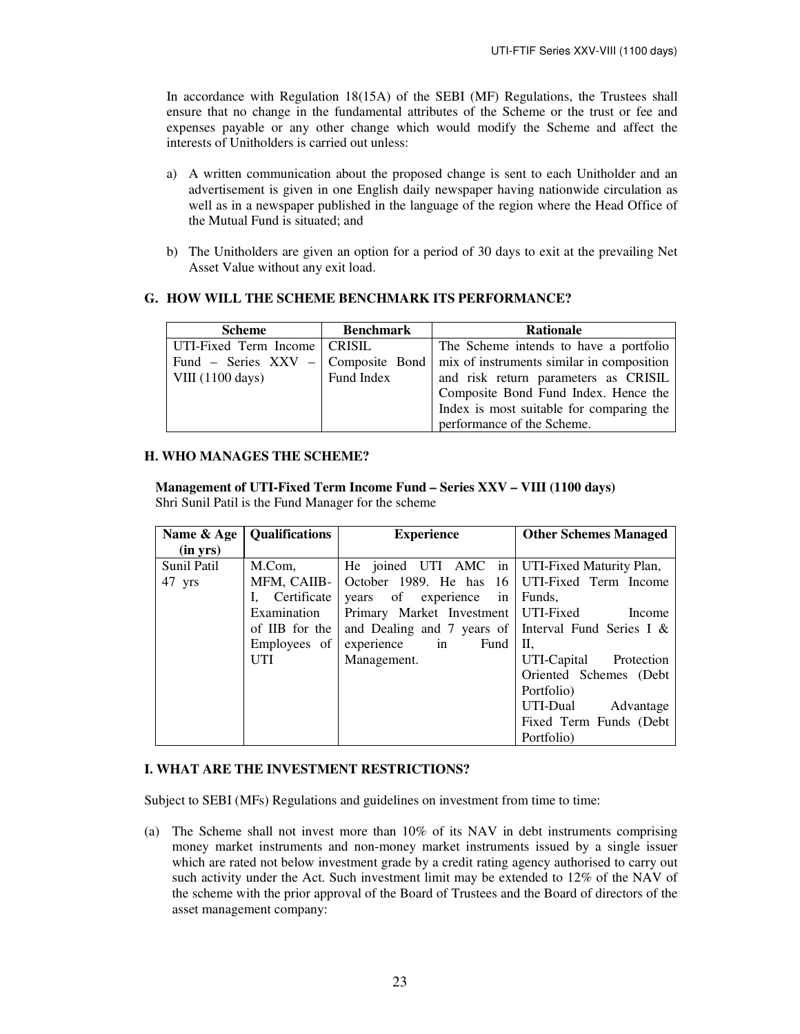In accordance with Regulation 18(15A) of the SEBI (MF) Regulations, the Trustees shall ensure that no change in the fundamental attributes of the Scheme or the trust or fee and expenses payable or any other change which would modify the Scheme and affect the interests of Unitholders is carried out unless:

- a) A written communication about the proposed change is sent to each Unitholder and an advertisement is given in one English daily newspaper having nationwide circulation as well as in a newspaper published in the language of the region where the Head Office of the Mutual Fund is situated; and
- b) The Unitholders are given an option for a period of 30 days to exit at the prevailing Net Asset Value without any exit load.

# **G. HOW WILL THE SCHEME BENCHMARK ITS PERFORMANCE?**

| <b>Scheme</b>                  | <b>Benchmark</b> | <b>Rationale</b>                                                                    |
|--------------------------------|------------------|-------------------------------------------------------------------------------------|
| UTI-Fixed Term Income   CRISIL |                  | The Scheme intends to have a portfolio                                              |
|                                |                  | Fund – Series XXV – Composite Bond $\mid$ mix of instruments similar in composition |
| VIII(1100 days)                | Fund Index       | and risk return parameters as CRISIL                                                |
|                                |                  | Composite Bond Fund Index. Hence the                                                |
|                                |                  | Index is most suitable for comparing the                                            |
|                                |                  | performance of the Scheme.                                                          |

### **H. WHO MANAGES THE SCHEME?**

**Management of UTI-Fixed Term Income Fund – Series XXV – VIII (1100 days)**  Shri Sunil Patil is the Fund Manager for the scheme

| Name & Age  | <b>Qualifications</b> | <b>Experience</b>                                   | <b>Other Schemes Managed</b> |
|-------------|-----------------------|-----------------------------------------------------|------------------------------|
| (in yrs)    |                       |                                                     |                              |
| Sunil Patil | M.Com,                | He joined UTI AMC in UTI-Fixed Maturity Plan,       |                              |
| 47 yrs      | MFM, CAIIB-           | October 1989. He has 16 UTI-Fixed Term Income       |                              |
|             | Certificate           | years of experience in                              | Funds,                       |
|             | Examination           | Primary Market Investment UTI-Fixed                 | Income                       |
|             | of IIB for the        | and Dealing and 7 years of Interval Fund Series I & |                              |
|             | Employees of $\vert$  | $\overline{\text{in}}$<br>experience<br>Fund        | П,                           |
|             | UTI                   | Management.                                         | UTI-Capital Protection       |
|             |                       |                                                     | Oriented Schemes (Debt)      |
|             |                       |                                                     | Portfolio)                   |
|             |                       |                                                     | UTI-Dual<br>Advantage        |
|             |                       |                                                     | Fixed Term Funds (Debt)      |
|             |                       |                                                     | Portfolio)                   |

## **I. WHAT ARE THE INVESTMENT RESTRICTIONS?**

Subject to SEBI (MFs) Regulations and guidelines on investment from time to time:

(a) The Scheme shall not invest more than 10% of its NAV in debt instruments comprising money market instruments and non-money market instruments issued by a single issuer which are rated not below investment grade by a credit rating agency authorised to carry out such activity under the Act. Such investment limit may be extended to 12% of the NAV of the scheme with the prior approval of the Board of Trustees and the Board of directors of the asset management company: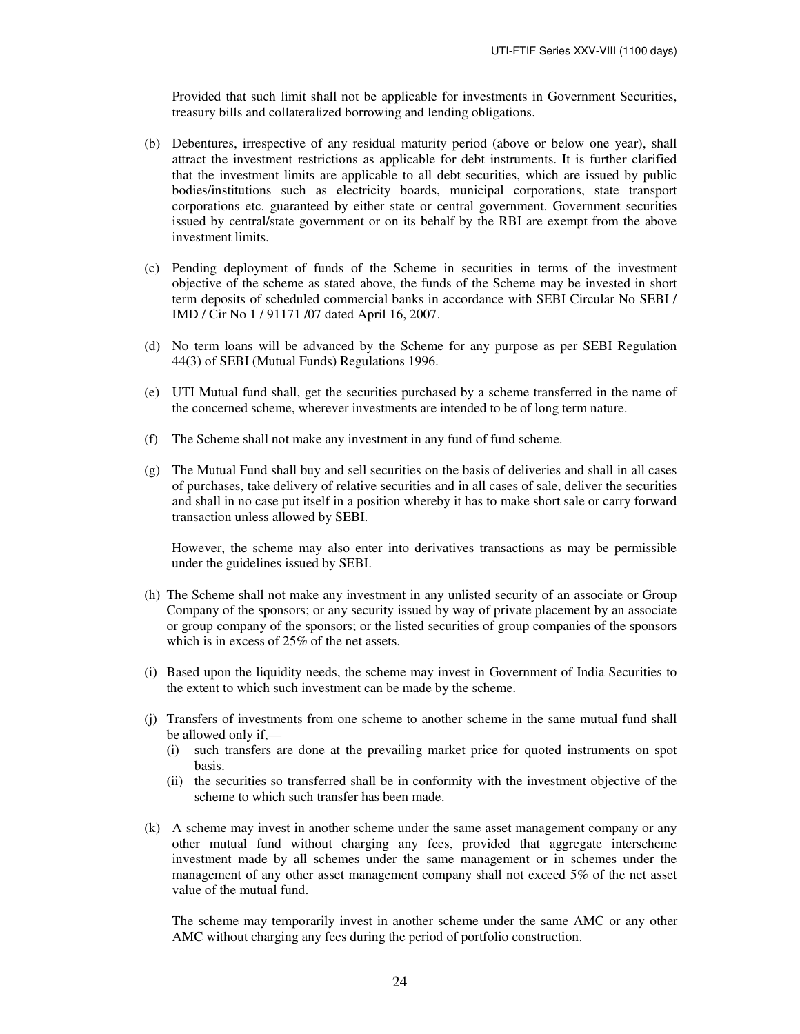Provided that such limit shall not be applicable for investments in Government Securities, treasury bills and collateralized borrowing and lending obligations.

- (b) Debentures, irrespective of any residual maturity period (above or below one year), shall attract the investment restrictions as applicable for debt instruments. It is further clarified that the investment limits are applicable to all debt securities, which are issued by public bodies/institutions such as electricity boards, municipal corporations, state transport corporations etc. guaranteed by either state or central government. Government securities issued by central/state government or on its behalf by the RBI are exempt from the above investment limits.
- (c) Pending deployment of funds of the Scheme in securities in terms of the investment objective of the scheme as stated above, the funds of the Scheme may be invested in short term deposits of scheduled commercial banks in accordance with SEBI Circular No SEBI / IMD / Cir No 1 / 91171 /07 dated April 16, 2007.
- (d) No term loans will be advanced by the Scheme for any purpose as per SEBI Regulation 44(3) of SEBI (Mutual Funds) Regulations 1996.
- (e) UTI Mutual fund shall, get the securities purchased by a scheme transferred in the name of the concerned scheme, wherever investments are intended to be of long term nature.
- (f) The Scheme shall not make any investment in any fund of fund scheme.
- (g) The Mutual Fund shall buy and sell securities on the basis of deliveries and shall in all cases of purchases, take delivery of relative securities and in all cases of sale, deliver the securities and shall in no case put itself in a position whereby it has to make short sale or carry forward transaction unless allowed by SEBI.

However, the scheme may also enter into derivatives transactions as may be permissible under the guidelines issued by SEBI.

- (h) The Scheme shall not make any investment in any unlisted security of an associate or Group Company of the sponsors; or any security issued by way of private placement by an associate or group company of the sponsors; or the listed securities of group companies of the sponsors which is in excess of 25% of the net assets.
- (i) Based upon the liquidity needs, the scheme may invest in Government of India Securities to the extent to which such investment can be made by the scheme.
- (j) Transfers of investments from one scheme to another scheme in the same mutual fund shall be allowed only if,—
	- (i) such transfers are done at the prevailing market price for quoted instruments on spot basis.
	- (ii) the securities so transferred shall be in conformity with the investment objective of the scheme to which such transfer has been made.
- (k) A scheme may invest in another scheme under the same asset management company or any other mutual fund without charging any fees, provided that aggregate interscheme investment made by all schemes under the same management or in schemes under the management of any other asset management company shall not exceed 5% of the net asset value of the mutual fund.

The scheme may temporarily invest in another scheme under the same AMC or any other AMC without charging any fees during the period of portfolio construction.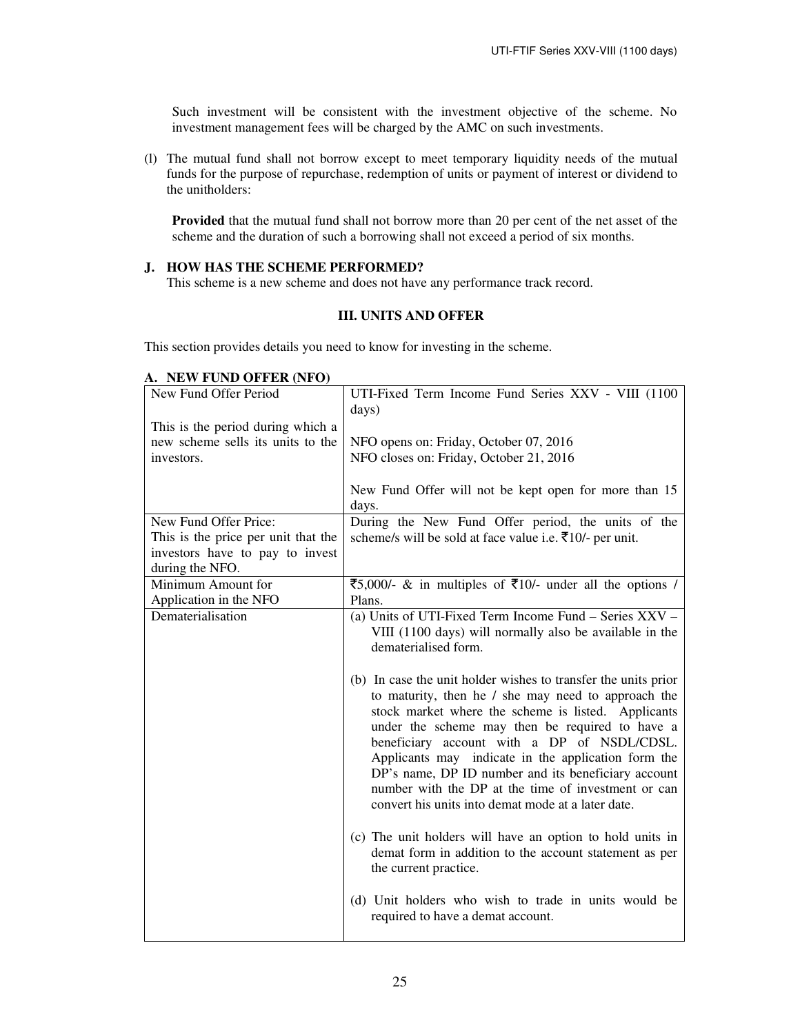Such investment will be consistent with the investment objective of the scheme. No investment management fees will be charged by the AMC on such investments.

(l) The mutual fund shall not borrow except to meet temporary liquidity needs of the mutual funds for the purpose of repurchase, redemption of units or payment of interest or dividend to the unitholders:

**Provided** that the mutual fund shall not borrow more than 20 per cent of the net asset of the scheme and the duration of such a borrowing shall not exceed a period of six months.

### **J. HOW HAS THE SCHEME PERFORMED?**

This scheme is a new scheme and does not have any performance track record.

# **III. UNITS AND OFFER**

This section provides details you need to know for investing in the scheme.

| New Fund Offer Period               | UTI-Fixed Term Income Fund Series XXV - VIII (1100<br>days)                                                                                                                                                                                                                                                                                                                                                                                                                                               |
|-------------------------------------|-----------------------------------------------------------------------------------------------------------------------------------------------------------------------------------------------------------------------------------------------------------------------------------------------------------------------------------------------------------------------------------------------------------------------------------------------------------------------------------------------------------|
| This is the period during which a   |                                                                                                                                                                                                                                                                                                                                                                                                                                                                                                           |
| new scheme sells its units to the   | NFO opens on: Friday, October 07, 2016                                                                                                                                                                                                                                                                                                                                                                                                                                                                    |
| investors.                          | NFO closes on: Friday, October 21, 2016                                                                                                                                                                                                                                                                                                                                                                                                                                                                   |
|                                     |                                                                                                                                                                                                                                                                                                                                                                                                                                                                                                           |
|                                     | New Fund Offer will not be kept open for more than 15                                                                                                                                                                                                                                                                                                                                                                                                                                                     |
|                                     | days.                                                                                                                                                                                                                                                                                                                                                                                                                                                                                                     |
| New Fund Offer Price:               | During the New Fund Offer period, the units of the                                                                                                                                                                                                                                                                                                                                                                                                                                                        |
| This is the price per unit that the | scheme/s will be sold at face value i.e. ₹10/- per unit.                                                                                                                                                                                                                                                                                                                                                                                                                                                  |
| investors have to pay to invest     |                                                                                                                                                                                                                                                                                                                                                                                                                                                                                                           |
| during the NFO.                     |                                                                                                                                                                                                                                                                                                                                                                                                                                                                                                           |
| Minimum Amount for                  | ₹5,000/- & in multiples of ₹10/- under all the options /                                                                                                                                                                                                                                                                                                                                                                                                                                                  |
| Application in the NFO              | Plans.                                                                                                                                                                                                                                                                                                                                                                                                                                                                                                    |
| Dematerialisation                   | (a) Units of UTI-Fixed Term Income Fund – Series XXV –<br>VIII (1100 days) will normally also be available in the<br>dematerialised form.                                                                                                                                                                                                                                                                                                                                                                 |
|                                     |                                                                                                                                                                                                                                                                                                                                                                                                                                                                                                           |
|                                     | (b) In case the unit holder wishes to transfer the units prior<br>to maturity, then he / she may need to approach the<br>stock market where the scheme is listed. Applicants<br>under the scheme may then be required to have a<br>beneficiary account with a DP of NSDL/CDSL.<br>Applicants may indicate in the application form the<br>DP's name, DP ID number and its beneficiary account<br>number with the DP at the time of investment or can<br>convert his units into demat mode at a later date. |
|                                     | (c) The unit holders will have an option to hold units in<br>demat form in addition to the account statement as per<br>the current practice.                                                                                                                                                                                                                                                                                                                                                              |
|                                     | (d) Unit holders who wish to trade in units would be<br>required to have a demat account.                                                                                                                                                                                                                                                                                                                                                                                                                 |

### **A. NEW FUND OFFER (NFO)**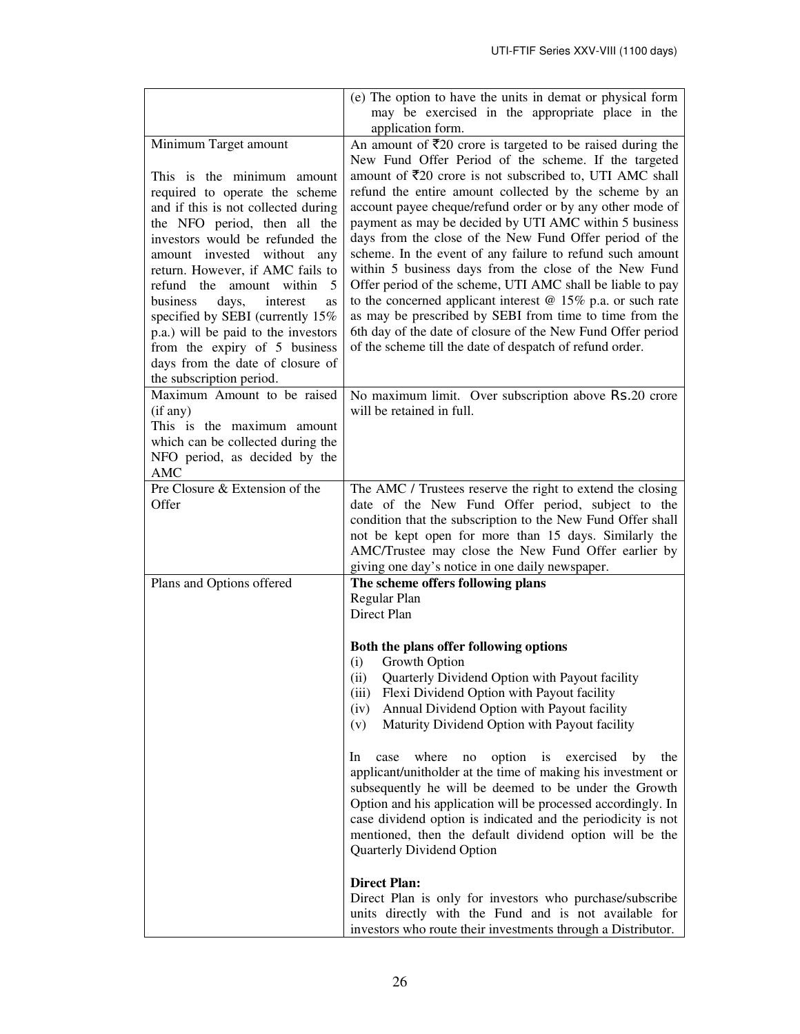|                                                                                                                                                                                                                                                                                                                                                                                                                                                                                                      | (e) The option to have the units in demat or physical form<br>may be exercised in the appropriate place in the<br>application form.                                                                                                                                                                                                                                                                                                                                                                                                                                                                                                                                                                                                                         |
|------------------------------------------------------------------------------------------------------------------------------------------------------------------------------------------------------------------------------------------------------------------------------------------------------------------------------------------------------------------------------------------------------------------------------------------------------------------------------------------------------|-------------------------------------------------------------------------------------------------------------------------------------------------------------------------------------------------------------------------------------------------------------------------------------------------------------------------------------------------------------------------------------------------------------------------------------------------------------------------------------------------------------------------------------------------------------------------------------------------------------------------------------------------------------------------------------------------------------------------------------------------------------|
| Minimum Target amount                                                                                                                                                                                                                                                                                                                                                                                                                                                                                | An amount of $\overline{\xi}20$ crore is targeted to be raised during the<br>New Fund Offer Period of the scheme. If the targeted                                                                                                                                                                                                                                                                                                                                                                                                                                                                                                                                                                                                                           |
| This is the minimum amount<br>required to operate the scheme<br>and if this is not collected during<br>the NFO period, then all the<br>investors would be refunded the<br>amount invested without any<br>return. However, if AMC fails to<br>refund the amount within<br>5<br>business<br>days,<br>interest<br><b>as</b><br>specified by SEBI (currently 15%<br>p.a.) will be paid to the investors<br>from the expiry of 5 business<br>days from the date of closure of<br>the subscription period. | amount of $\overline{5}20$ crore is not subscribed to, UTI AMC shall<br>refund the entire amount collected by the scheme by an<br>account payee cheque/refund order or by any other mode of<br>payment as may be decided by UTI AMC within 5 business<br>days from the close of the New Fund Offer period of the<br>scheme. In the event of any failure to refund such amount<br>within 5 business days from the close of the New Fund<br>Offer period of the scheme, UTI AMC shall be liable to pay<br>to the concerned applicant interest $@15\%$ p.a. or such rate<br>as may be prescribed by SEBI from time to time from the<br>6th day of the date of closure of the New Fund Offer period<br>of the scheme till the date of despatch of refund order. |
| Maximum Amount to be raised<br>(if any)<br>This is the maximum amount<br>which can be collected during the<br>NFO period, as decided by the<br><b>AMC</b>                                                                                                                                                                                                                                                                                                                                            | No maximum limit. Over subscription above Rs.20 crore<br>will be retained in full.                                                                                                                                                                                                                                                                                                                                                                                                                                                                                                                                                                                                                                                                          |
| Pre Closure & Extension of the<br>Offer                                                                                                                                                                                                                                                                                                                                                                                                                                                              | The AMC / Trustees reserve the right to extend the closing<br>date of the New Fund Offer period, subject to the<br>condition that the subscription to the New Fund Offer shall<br>not be kept open for more than 15 days. Similarly the<br>AMC/Trustee may close the New Fund Offer earlier by<br>giving one day's notice in one daily newspaper.                                                                                                                                                                                                                                                                                                                                                                                                           |
| Plans and Options offered                                                                                                                                                                                                                                                                                                                                                                                                                                                                            | The scheme offers following plans<br>Regular Plan<br>Direct Plan                                                                                                                                                                                                                                                                                                                                                                                                                                                                                                                                                                                                                                                                                            |
|                                                                                                                                                                                                                                                                                                                                                                                                                                                                                                      | Both the plans offer following options<br>Growth Option<br>(i)<br>Quarterly Dividend Option with Payout facility<br>(ii)<br>Flexi Dividend Option with Payout facility<br>(iii)<br>Annual Dividend Option with Payout facility<br>(iv)<br>Maturity Dividend Option with Payout facility<br>(v)                                                                                                                                                                                                                                                                                                                                                                                                                                                              |
|                                                                                                                                                                                                                                                                                                                                                                                                                                                                                                      | where<br>option<br>In<br>is<br>exercised<br>case<br>no<br>by<br>the<br>applicant/unitholder at the time of making his investment or<br>subsequently he will be deemed to be under the Growth<br>Option and his application will be processed accordingly. In<br>case dividend option is indicated and the periodicity is not<br>mentioned, then the default dividend option will be the<br><b>Quarterly Dividend Option</b>                                                                                                                                                                                                                                                                                                                                 |
|                                                                                                                                                                                                                                                                                                                                                                                                                                                                                                      | <b>Direct Plan:</b><br>Direct Plan is only for investors who purchase/subscribe<br>units directly with the Fund and is not available for<br>investors who route their investments through a Distributor.                                                                                                                                                                                                                                                                                                                                                                                                                                                                                                                                                    |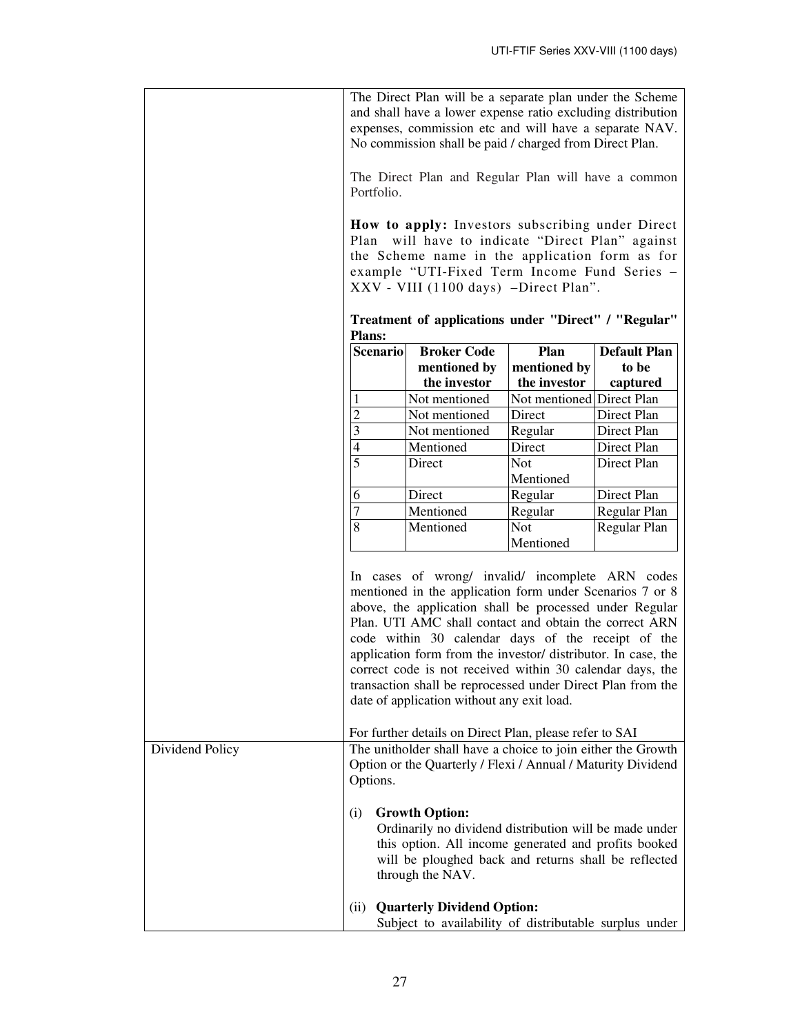|                 | The Direct Plan will be a separate plan under the Scheme<br>and shall have a lower expense ratio excluding distribution<br>expenses, commission etc and will have a separate NAV.<br>No commission shall be paid / charged from Direct Plan.                                                                                                                                                                                                                                                                                                                                                                                                                                                                                              |                                                                                                                                                                                                                                                          |                           |                     |
|-----------------|-------------------------------------------------------------------------------------------------------------------------------------------------------------------------------------------------------------------------------------------------------------------------------------------------------------------------------------------------------------------------------------------------------------------------------------------------------------------------------------------------------------------------------------------------------------------------------------------------------------------------------------------------------------------------------------------------------------------------------------------|----------------------------------------------------------------------------------------------------------------------------------------------------------------------------------------------------------------------------------------------------------|---------------------------|---------------------|
|                 | The Direct Plan and Regular Plan will have a common<br>Portfolio.<br>How to apply: Investors subscribing under Direct<br>will have to indicate "Direct Plan" against<br>Plan<br>the Scheme name in the application form as for<br>example "UTI-Fixed Term Income Fund Series -<br>XXV - VIII (1100 days) -Direct Plan".                                                                                                                                                                                                                                                                                                                                                                                                                   |                                                                                                                                                                                                                                                          |                           |                     |
|                 |                                                                                                                                                                                                                                                                                                                                                                                                                                                                                                                                                                                                                                                                                                                                           |                                                                                                                                                                                                                                                          |                           |                     |
|                 | <b>Plans:</b>                                                                                                                                                                                                                                                                                                                                                                                                                                                                                                                                                                                                                                                                                                                             | Treatment of applications under "Direct" / "Regular"                                                                                                                                                                                                     |                           |                     |
|                 | <b>Scenario</b>                                                                                                                                                                                                                                                                                                                                                                                                                                                                                                                                                                                                                                                                                                                           | <b>Broker Code</b>                                                                                                                                                                                                                                       | Plan                      | <b>Default Plan</b> |
|                 |                                                                                                                                                                                                                                                                                                                                                                                                                                                                                                                                                                                                                                                                                                                                           | mentioned by                                                                                                                                                                                                                                             | mentioned by              | to be               |
|                 |                                                                                                                                                                                                                                                                                                                                                                                                                                                                                                                                                                                                                                                                                                                                           | the investor                                                                                                                                                                                                                                             | the investor              | captured            |
|                 |                                                                                                                                                                                                                                                                                                                                                                                                                                                                                                                                                                                                                                                                                                                                           | Not mentioned                                                                                                                                                                                                                                            | Not mentioned Direct Plan |                     |
|                 | $\overline{2}$                                                                                                                                                                                                                                                                                                                                                                                                                                                                                                                                                                                                                                                                                                                            | Not mentioned                                                                                                                                                                                                                                            | Direct                    | Direct Plan         |
|                 | 3                                                                                                                                                                                                                                                                                                                                                                                                                                                                                                                                                                                                                                                                                                                                         | Not mentioned                                                                                                                                                                                                                                            | Regular                   | Direct Plan         |
|                 | 4                                                                                                                                                                                                                                                                                                                                                                                                                                                                                                                                                                                                                                                                                                                                         | Mentioned                                                                                                                                                                                                                                                | Direct                    | Direct Plan         |
|                 | 5                                                                                                                                                                                                                                                                                                                                                                                                                                                                                                                                                                                                                                                                                                                                         | Direct                                                                                                                                                                                                                                                   | Not                       | Direct Plan         |
|                 | 6                                                                                                                                                                                                                                                                                                                                                                                                                                                                                                                                                                                                                                                                                                                                         | Direct                                                                                                                                                                                                                                                   | Mentioned<br>Regular      | Direct Plan         |
|                 | 7                                                                                                                                                                                                                                                                                                                                                                                                                                                                                                                                                                                                                                                                                                                                         | Mentioned                                                                                                                                                                                                                                                | Regular                   | Regular Plan        |
|                 | 8                                                                                                                                                                                                                                                                                                                                                                                                                                                                                                                                                                                                                                                                                                                                         | Mentioned                                                                                                                                                                                                                                                | <b>Not</b>                | Regular Plan        |
|                 |                                                                                                                                                                                                                                                                                                                                                                                                                                                                                                                                                                                                                                                                                                                                           |                                                                                                                                                                                                                                                          | Mentioned                 |                     |
| Dividend Policy | In cases of wrong/ invalid/ incomplete ARN codes<br>mentioned in the application form under Scenarios 7 or 8<br>above, the application shall be processed under Regular<br>Plan. UTI AMC shall contact and obtain the correct ARN<br>code within 30 calendar days of the receipt of the<br>application form from the investor/ distributor. In case, the<br>correct code is not received within 30 calendar days, the<br>transaction shall be reprocessed under Direct Plan from the<br>date of application without any exit load.<br>For further details on Direct Plan, please refer to SAI<br>The unitholder shall have a choice to join either the Growth<br>Option or the Quarterly / Flexi / Annual / Maturity Dividend<br>Options. |                                                                                                                                                                                                                                                          |                           |                     |
|                 | (i)<br>(ii)                                                                                                                                                                                                                                                                                                                                                                                                                                                                                                                                                                                                                                                                                                                               | <b>Growth Option:</b><br>Ordinarily no dividend distribution will be made under<br>this option. All income generated and profits booked<br>will be ploughed back and returns shall be reflected<br>through the NAV.<br><b>Quarterly Dividend Option:</b> |                           |                     |
|                 |                                                                                                                                                                                                                                                                                                                                                                                                                                                                                                                                                                                                                                                                                                                                           | Subject to availability of distributable surplus under                                                                                                                                                                                                   |                           |                     |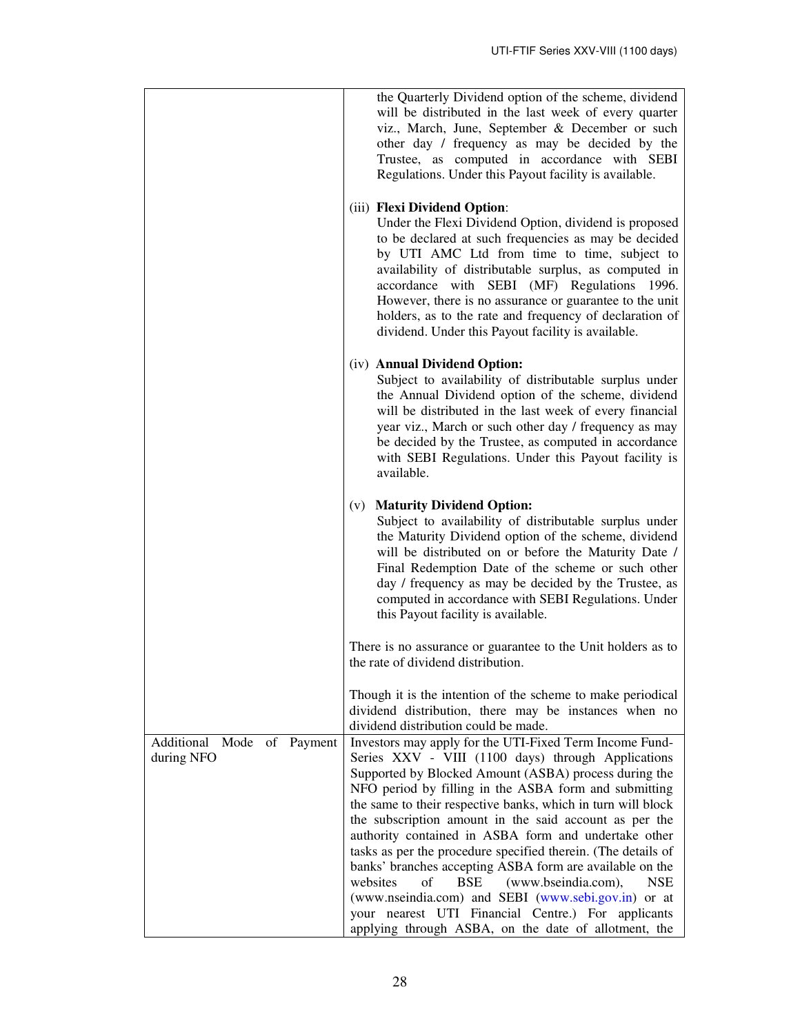|                                             | the Quarterly Dividend option of the scheme, dividend<br>will be distributed in the last week of every quarter<br>viz., March, June, September & December or such<br>other day / frequency as may be decided by the<br>Trustee, as computed in accordance with SEBI<br>Regulations. Under this Payout facility is available.<br>(iii) Flexi Dividend Option:<br>Under the Flexi Dividend Option, dividend is proposed<br>to be declared at such frequencies as may be decided<br>by UTI AMC Ltd from time to time, subject to<br>availability of distributable surplus, as computed in<br>accordance with SEBI (MF) Regulations 1996.<br>However, there is no assurance or guarantee to the unit<br>holders, as to the rate and frequency of declaration of<br>dividend. Under this Payout facility is available. |
|---------------------------------------------|-------------------------------------------------------------------------------------------------------------------------------------------------------------------------------------------------------------------------------------------------------------------------------------------------------------------------------------------------------------------------------------------------------------------------------------------------------------------------------------------------------------------------------------------------------------------------------------------------------------------------------------------------------------------------------------------------------------------------------------------------------------------------------------------------------------------|
|                                             | (iv) Annual Dividend Option:<br>Subject to availability of distributable surplus under<br>the Annual Dividend option of the scheme, dividend<br>will be distributed in the last week of every financial<br>year viz., March or such other day / frequency as may<br>be decided by the Trustee, as computed in accordance<br>with SEBI Regulations. Under this Payout facility is<br>available.                                                                                                                                                                                                                                                                                                                                                                                                                    |
|                                             | (v) Maturity Dividend Option:<br>Subject to availability of distributable surplus under<br>the Maturity Dividend option of the scheme, dividend<br>will be distributed on or before the Maturity Date /<br>Final Redemption Date of the scheme or such other<br>day / frequency as may be decided by the Trustee, as<br>computed in accordance with SEBI Regulations. Under<br>this Payout facility is available.                                                                                                                                                                                                                                                                                                                                                                                                 |
|                                             | There is no assurance or guarantee to the Unit holders as to<br>the rate of dividend distribution.                                                                                                                                                                                                                                                                                                                                                                                                                                                                                                                                                                                                                                                                                                                |
|                                             | Though it is the intention of the scheme to make periodical<br>dividend distribution, there may be instances when no<br>dividend distribution could be made.                                                                                                                                                                                                                                                                                                                                                                                                                                                                                                                                                                                                                                                      |
| Additional Mode of<br>Payment<br>during NFO | Investors may apply for the UTI-Fixed Term Income Fund-<br>Series XXV - VIII (1100 days) through Applications<br>Supported by Blocked Amount (ASBA) process during the<br>NFO period by filling in the ASBA form and submitting<br>the same to their respective banks, which in turn will block<br>the subscription amount in the said account as per the<br>authority contained in ASBA form and undertake other<br>tasks as per the procedure specified therein. (The details of<br>banks' branches accepting ASBA form are available on the<br>websites<br>of<br><b>BSE</b><br>(www.bseindia.com),<br><b>NSE</b><br>(www.nseindia.com) and SEBI (www.sebi.gov.in) or at<br>your nearest UTI Financial Centre.) For applicants<br>applying through ASBA, on the date of allotment, the                          |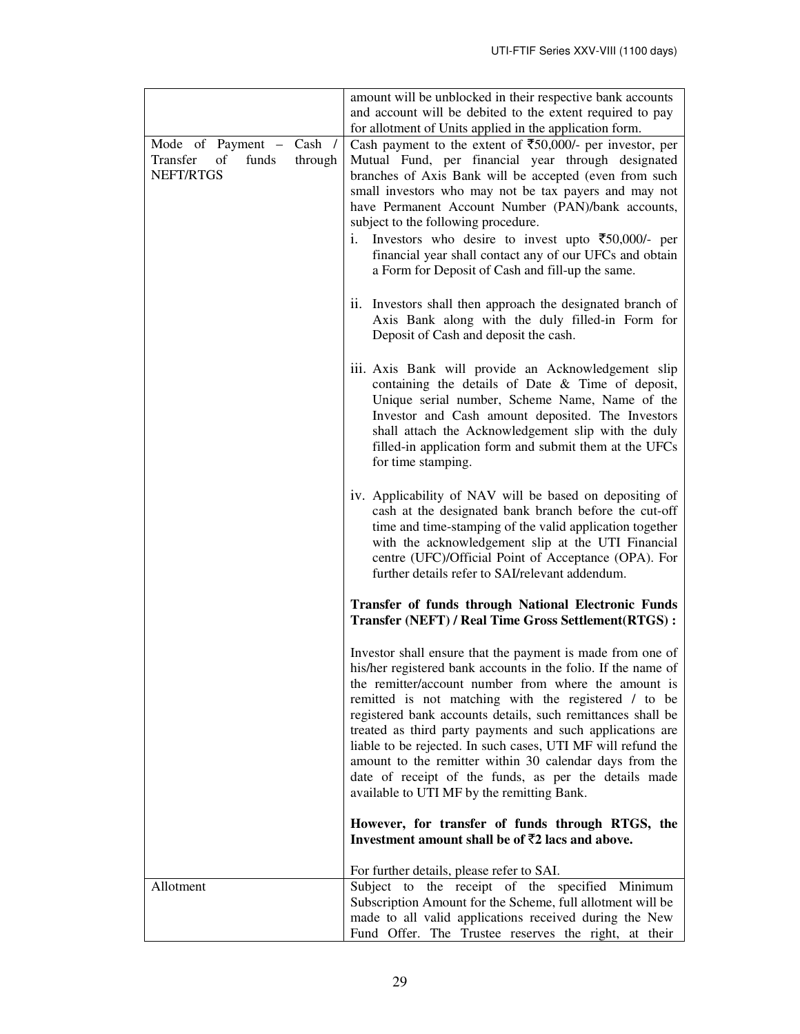|                                                                                | amount will be unblocked in their respective bank accounts<br>and account will be debited to the extent required to pay                                                                                                                                                                                                                                                                                                                                                                                                                                                                                   |
|--------------------------------------------------------------------------------|-----------------------------------------------------------------------------------------------------------------------------------------------------------------------------------------------------------------------------------------------------------------------------------------------------------------------------------------------------------------------------------------------------------------------------------------------------------------------------------------------------------------------------------------------------------------------------------------------------------|
| Cash /<br>Mode of Payment –<br>Transfer<br>funds<br>of<br>through<br>NEFT/RTGS | for allotment of Units applied in the application form.<br>Cash payment to the extent of $\overline{$}50,000/$ - per investor, per<br>Mutual Fund, per financial year through designated<br>branches of Axis Bank will be accepted (even from such<br>small investors who may not be tax payers and may not<br>have Permanent Account Number (PAN)/bank accounts,<br>subject to the following procedure.                                                                                                                                                                                                  |
|                                                                                | Investors who desire to invest upto $\overline{\xi}50,000/$ - per<br>i.<br>financial year shall contact any of our UFCs and obtain<br>a Form for Deposit of Cash and fill-up the same.                                                                                                                                                                                                                                                                                                                                                                                                                    |
|                                                                                | ii. Investors shall then approach the designated branch of<br>Axis Bank along with the duly filled-in Form for<br>Deposit of Cash and deposit the cash.                                                                                                                                                                                                                                                                                                                                                                                                                                                   |
|                                                                                | iii. Axis Bank will provide an Acknowledgement slip<br>containing the details of Date & Time of deposit,<br>Unique serial number, Scheme Name, Name of the<br>Investor and Cash amount deposited. The Investors<br>shall attach the Acknowledgement slip with the duly<br>filled-in application form and submit them at the UFCs<br>for time stamping.                                                                                                                                                                                                                                                    |
|                                                                                | iv. Applicability of NAV will be based on depositing of<br>cash at the designated bank branch before the cut-off<br>time and time-stamping of the valid application together<br>with the acknowledgement slip at the UTI Financial<br>centre (UFC)/Official Point of Acceptance (OPA). For<br>further details refer to SAI/relevant addendum.                                                                                                                                                                                                                                                             |
|                                                                                | Transfer of funds through National Electronic Funds<br><b>Transfer (NEFT) / Real Time Gross Settlement (RTGS) :</b>                                                                                                                                                                                                                                                                                                                                                                                                                                                                                       |
|                                                                                | Investor shall ensure that the payment is made from one of<br>his/her registered bank accounts in the folio. If the name of<br>the remitter/account number from where the amount is<br>remitted is not matching with the registered / to be<br>registered bank accounts details, such remittances shall be<br>treated as third party payments and such applications are<br>liable to be rejected. In such cases, UTI MF will refund the<br>amount to the remitter within 30 calendar days from the<br>date of receipt of the funds, as per the details made<br>available to UTI MF by the remitting Bank. |
|                                                                                | However, for transfer of funds through RTGS, the<br>Investment amount shall be of $\bar{z}2$ lacs and above.                                                                                                                                                                                                                                                                                                                                                                                                                                                                                              |
| Allotment                                                                      | For further details, please refer to SAI.<br>Subject to the receipt of the specified Minimum<br>Subscription Amount for the Scheme, full allotment will be<br>made to all valid applications received during the New<br>Fund Offer. The Trustee reserves the right, at their                                                                                                                                                                                                                                                                                                                              |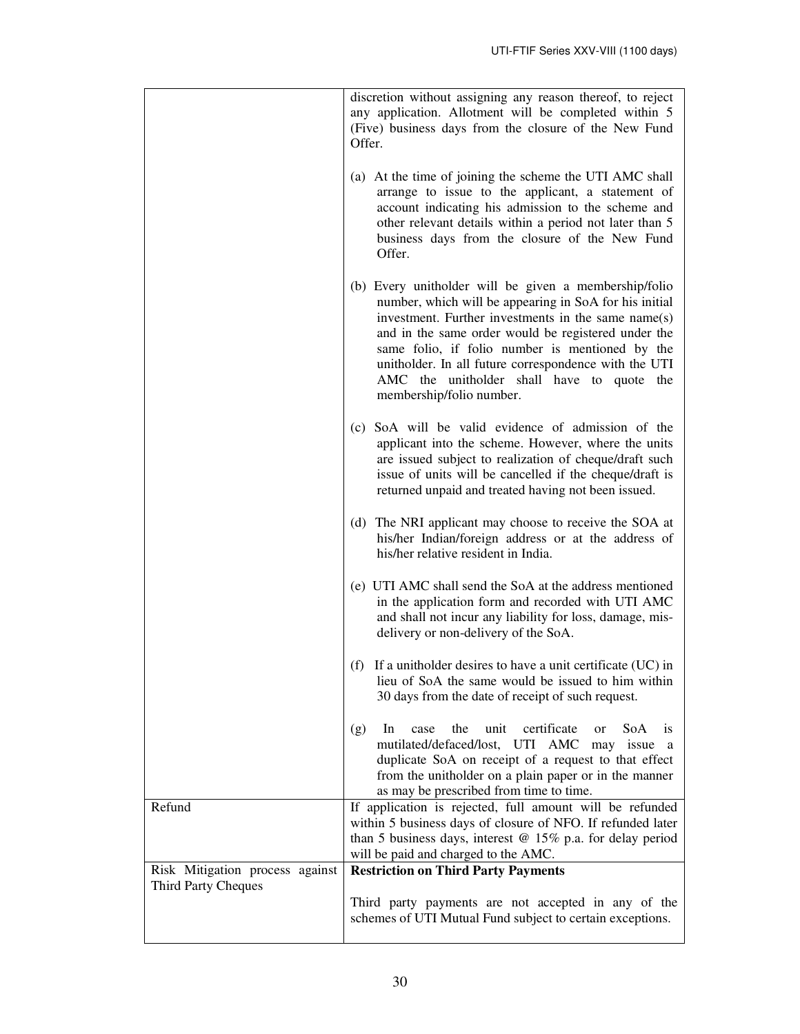|                                 | discretion without assigning any reason thereof, to reject<br>any application. Allotment will be completed within 5<br>(Five) business days from the closure of the New Fund<br>Offer.                                                                                                                                                                                                                              |
|---------------------------------|---------------------------------------------------------------------------------------------------------------------------------------------------------------------------------------------------------------------------------------------------------------------------------------------------------------------------------------------------------------------------------------------------------------------|
|                                 | (a) At the time of joining the scheme the UTI AMC shall<br>arrange to issue to the applicant, a statement of<br>account indicating his admission to the scheme and<br>other relevant details within a period not later than 5<br>business days from the closure of the New Fund<br>Offer.                                                                                                                           |
|                                 | (b) Every unitholder will be given a membership/folio<br>number, which will be appearing in SoA for his initial<br>investment. Further investments in the same name(s)<br>and in the same order would be registered under the<br>same folio, if folio number is mentioned by the<br>unitholder. In all future correspondence with the UTI<br>AMC the unitholder shall have to quote the<br>membership/folio number. |
|                                 | (c) SoA will be valid evidence of admission of the<br>applicant into the scheme. However, where the units<br>are issued subject to realization of cheque/draft such<br>issue of units will be cancelled if the cheque/draft is<br>returned unpaid and treated having not been issued.                                                                                                                               |
|                                 | (d) The NRI applicant may choose to receive the SOA at<br>his/her Indian/foreign address or at the address of<br>his/her relative resident in India.                                                                                                                                                                                                                                                                |
|                                 | (e) UTI AMC shall send the SoA at the address mentioned<br>in the application form and recorded with UTI AMC<br>and shall not incur any liability for loss, damage, mis-<br>delivery or non-delivery of the SoA.                                                                                                                                                                                                    |
|                                 | (f) If a unitholder desires to have a unit certificate $(UC)$ in<br>lieu of SoA the same would be issued to him within<br>30 days from the date of receipt of such request.                                                                                                                                                                                                                                         |
|                                 | certificate<br>the<br>unit<br>In<br>SoA<br>(g)<br>case<br><sub>or</sub><br><i>is</i><br>mutilated/defaced/lost, UTI<br>AMC<br>may issue a<br>duplicate SoA on receipt of a request to that effect<br>from the unitholder on a plain paper or in the manner<br>as may be prescribed from time to time.                                                                                                               |
| Refund                          | If application is rejected, full amount will be refunded<br>within 5 business days of closure of NFO. If refunded later<br>than 5 business days, interest $@$ 15% p.a. for delay period<br>will be paid and charged to the AMC.                                                                                                                                                                                     |
| Risk Mitigation process against | <b>Restriction on Third Party Payments</b>                                                                                                                                                                                                                                                                                                                                                                          |
| <b>Third Party Cheques</b>      | Third party payments are not accepted in any of the<br>schemes of UTI Mutual Fund subject to certain exceptions.                                                                                                                                                                                                                                                                                                    |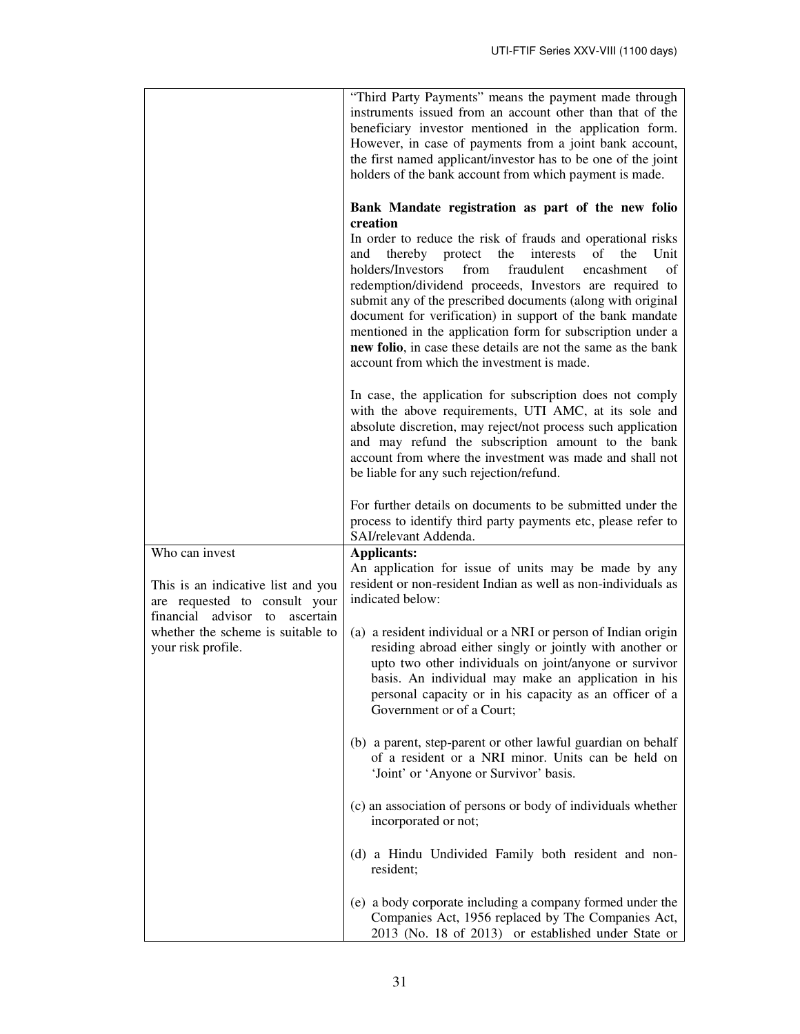|                                                                                                                               | "Third Party Payments" means the payment made through<br>instruments issued from an account other than that of the<br>beneficiary investor mentioned in the application form.<br>However, in case of payments from a joint bank account,<br>the first named applicant/investor has to be one of the joint<br>holders of the bank account from which payment is made.                                                                                                                                                                                                                                                                |
|-------------------------------------------------------------------------------------------------------------------------------|-------------------------------------------------------------------------------------------------------------------------------------------------------------------------------------------------------------------------------------------------------------------------------------------------------------------------------------------------------------------------------------------------------------------------------------------------------------------------------------------------------------------------------------------------------------------------------------------------------------------------------------|
|                                                                                                                               | Bank Mandate registration as part of the new folio<br>creation<br>In order to reduce the risk of frauds and operational risks<br>thereby protect<br>the<br>interests<br>of<br>the<br>Unit<br>and<br>holders/Investors<br>fraudulent<br>from<br>encashment<br>οf<br>redemption/dividend proceeds, Investors are required to<br>submit any of the prescribed documents (along with original<br>document for verification) in support of the bank mandate<br>mentioned in the application form for subscription under a<br>new folio, in case these details are not the same as the bank<br>account from which the investment is made. |
|                                                                                                                               | In case, the application for subscription does not comply<br>with the above requirements, UTI AMC, at its sole and<br>absolute discretion, may reject/not process such application<br>and may refund the subscription amount to the bank<br>account from where the investment was made and shall not<br>be liable for any such rejection/refund.                                                                                                                                                                                                                                                                                    |
|                                                                                                                               | For further details on documents to be submitted under the<br>process to identify third party payments etc, please refer to<br>SAI/relevant Addenda.                                                                                                                                                                                                                                                                                                                                                                                                                                                                                |
| Who can invest<br>This is an indicative list and you<br>are requested to consult your<br>financial advisor<br>ascertain<br>to | <b>Applicants:</b><br>An application for issue of units may be made by any<br>resident or non-resident Indian as well as non-individuals as<br>indicated below:                                                                                                                                                                                                                                                                                                                                                                                                                                                                     |
| whether the scheme is suitable to<br>your risk profile.                                                                       | (a) a resident individual or a NRI or person of Indian origin<br>residing abroad either singly or jointly with another or<br>upto two other individuals on joint/anyone or survivor<br>basis. An individual may make an application in his<br>personal capacity or in his capacity as an officer of a<br>Government or of a Court;                                                                                                                                                                                                                                                                                                  |
|                                                                                                                               | (b) a parent, step-parent or other lawful guardian on behalf<br>of a resident or a NRI minor. Units can be held on<br>'Joint' or 'Anyone or Survivor' basis.                                                                                                                                                                                                                                                                                                                                                                                                                                                                        |
|                                                                                                                               | (c) an association of persons or body of individuals whether<br>incorporated or not;                                                                                                                                                                                                                                                                                                                                                                                                                                                                                                                                                |
|                                                                                                                               | (d) a Hindu Undivided Family both resident and non-<br>resident;                                                                                                                                                                                                                                                                                                                                                                                                                                                                                                                                                                    |
|                                                                                                                               | (e) a body corporate including a company formed under the<br>Companies Act, 1956 replaced by The Companies Act,<br>2013 (No. 18 of 2013) or established under State or                                                                                                                                                                                                                                                                                                                                                                                                                                                              |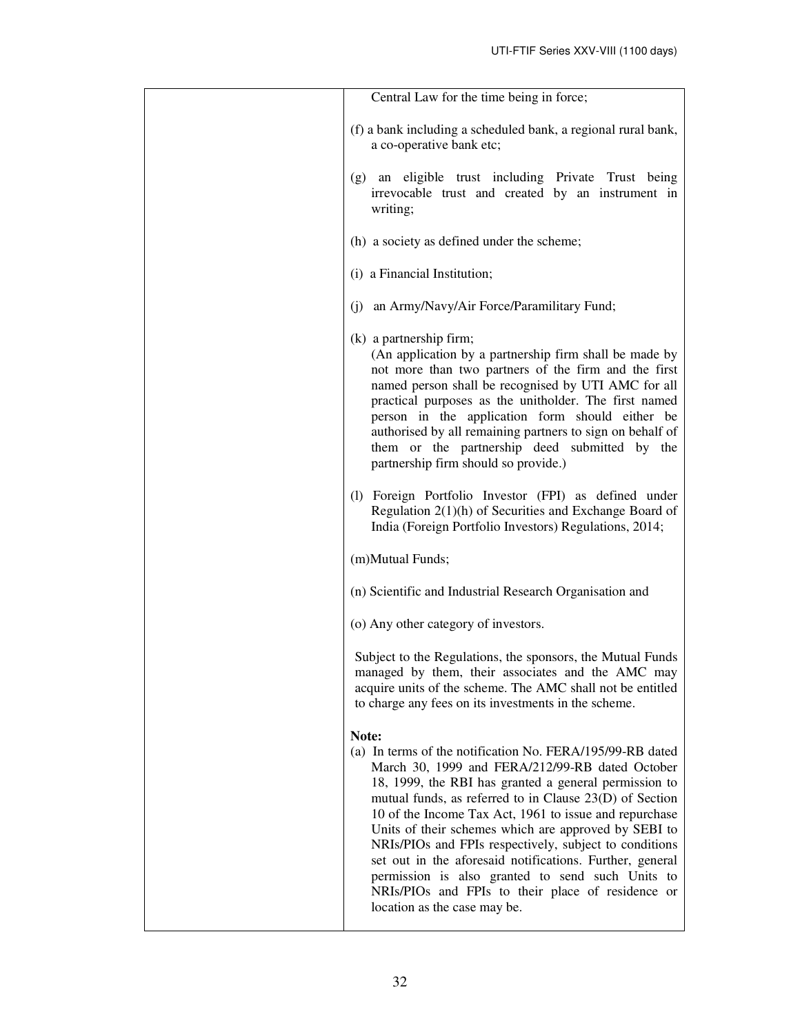| Central Law for the time being in force;                                                                                                                                                                                                                                                                                                                                                                                                                                                                                                                                                                                   |
|----------------------------------------------------------------------------------------------------------------------------------------------------------------------------------------------------------------------------------------------------------------------------------------------------------------------------------------------------------------------------------------------------------------------------------------------------------------------------------------------------------------------------------------------------------------------------------------------------------------------------|
| (f) a bank including a scheduled bank, a regional rural bank,<br>a co-operative bank etc;                                                                                                                                                                                                                                                                                                                                                                                                                                                                                                                                  |
| an eligible trust including Private Trust being<br>(g)<br>irrevocable trust and created by an instrument in<br>writing;                                                                                                                                                                                                                                                                                                                                                                                                                                                                                                    |
| (h) a society as defined under the scheme;                                                                                                                                                                                                                                                                                                                                                                                                                                                                                                                                                                                 |
| (i) a Financial Institution;                                                                                                                                                                                                                                                                                                                                                                                                                                                                                                                                                                                               |
| an Army/Navy/Air Force/Paramilitary Fund;<br>(i)                                                                                                                                                                                                                                                                                                                                                                                                                                                                                                                                                                           |
| $(k)$ a partnership firm;<br>(An application by a partnership firm shall be made by<br>not more than two partners of the firm and the first<br>named person shall be recognised by UTI AMC for all<br>practical purposes as the unitholder. The first named<br>person in the application form should either be<br>authorised by all remaining partners to sign on behalf of<br>them or the partnership deed submitted by the<br>partnership firm should so provide.)                                                                                                                                                       |
| (1) Foreign Portfolio Investor (FPI) as defined under<br>Regulation $2(1)(h)$ of Securities and Exchange Board of<br>India (Foreign Portfolio Investors) Regulations, 2014;                                                                                                                                                                                                                                                                                                                                                                                                                                                |
| (m)Mutual Funds;                                                                                                                                                                                                                                                                                                                                                                                                                                                                                                                                                                                                           |
| (n) Scientific and Industrial Research Organisation and                                                                                                                                                                                                                                                                                                                                                                                                                                                                                                                                                                    |
| (o) Any other category of investors.                                                                                                                                                                                                                                                                                                                                                                                                                                                                                                                                                                                       |
| Subject to the Regulations, the sponsors, the Mutual Funds<br>managed by them, their associates and the AMC may<br>acquire units of the scheme. The AMC shall not be entitled<br>to charge any fees on its investments in the scheme.                                                                                                                                                                                                                                                                                                                                                                                      |
| Note:<br>(a) In terms of the notification No. FERA/195/99-RB dated<br>March 30, 1999 and FERA/212/99-RB dated October<br>18, 1999, the RBI has granted a general permission to<br>mutual funds, as referred to in Clause 23(D) of Section<br>10 of the Income Tax Act, 1961 to issue and repurchase<br>Units of their schemes which are approved by SEBI to<br>NRIs/PIOs and FPIs respectively, subject to conditions<br>set out in the aforesaid notifications. Further, general<br>permission is also granted to send such Units to<br>NRIs/PIOs and FPIs to their place of residence or<br>location as the case may be. |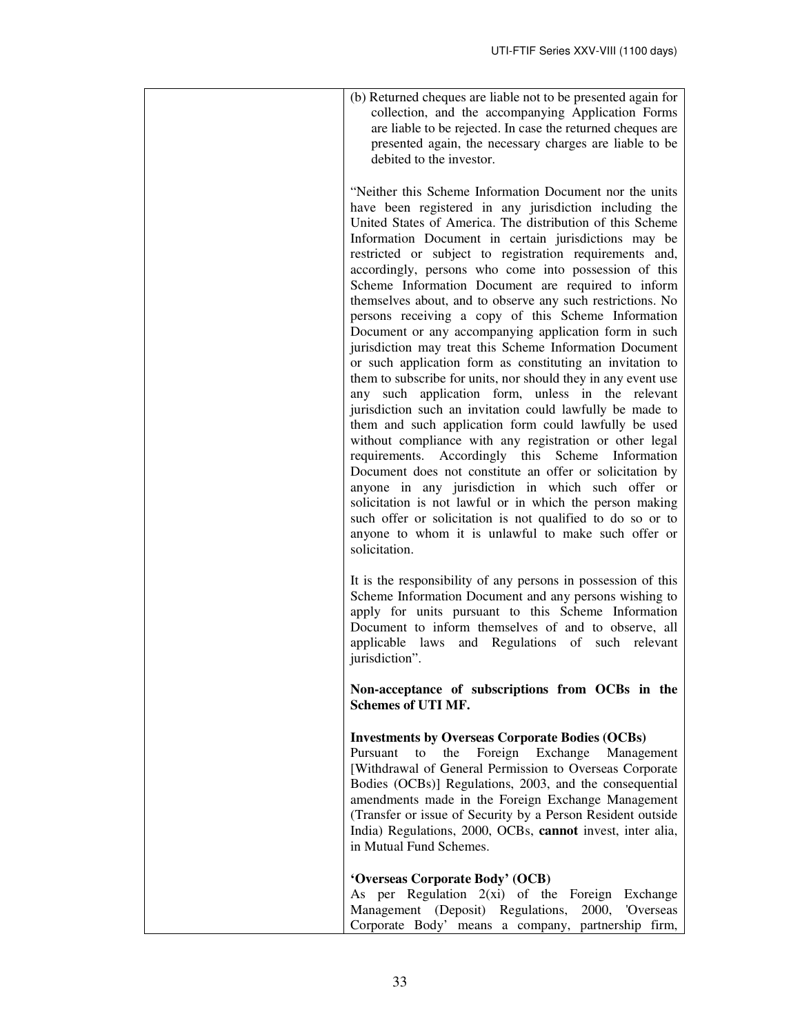| (b) Returned cheques are liable not to be presented again for<br>collection, and the accompanying Application Forms<br>are liable to be rejected. In case the returned cheques are<br>presented again, the necessary charges are liable to be<br>debited to the investor.                                                                                                                                                                                                                                                                                                                                                                                                                                                                                                                                                                                                                                                                                                                                                                                                                                                                                                                                                                                                                                                                                                                             |
|-------------------------------------------------------------------------------------------------------------------------------------------------------------------------------------------------------------------------------------------------------------------------------------------------------------------------------------------------------------------------------------------------------------------------------------------------------------------------------------------------------------------------------------------------------------------------------------------------------------------------------------------------------------------------------------------------------------------------------------------------------------------------------------------------------------------------------------------------------------------------------------------------------------------------------------------------------------------------------------------------------------------------------------------------------------------------------------------------------------------------------------------------------------------------------------------------------------------------------------------------------------------------------------------------------------------------------------------------------------------------------------------------------|
| "Neither this Scheme Information Document nor the units<br>have been registered in any jurisdiction including the<br>United States of America. The distribution of this Scheme<br>Information Document in certain jurisdictions may be<br>restricted or subject to registration requirements and,<br>accordingly, persons who come into possession of this<br>Scheme Information Document are required to inform<br>themselves about, and to observe any such restrictions. No<br>persons receiving a copy of this Scheme Information<br>Document or any accompanying application form in such<br>jurisdiction may treat this Scheme Information Document<br>or such application form as constituting an invitation to<br>them to subscribe for units, nor should they in any event use<br>any such application form, unless in the relevant<br>jurisdiction such an invitation could lawfully be made to<br>them and such application form could lawfully be used<br>without compliance with any registration or other legal<br>requirements. Accordingly this Scheme Information<br>Document does not constitute an offer or solicitation by<br>anyone in any jurisdiction in which such offer or<br>solicitation is not lawful or in which the person making<br>such offer or solicitation is not qualified to do so or to<br>anyone to whom it is unlawful to make such offer or<br>solicitation. |
| It is the responsibility of any persons in possession of this<br>Scheme Information Document and any persons wishing to<br>apply for units pursuant to this Scheme Information<br>Document to inform themselves of and to observe, all<br>and Regulations of such<br>applicable laws<br>relevant<br>jurisdiction".                                                                                                                                                                                                                                                                                                                                                                                                                                                                                                                                                                                                                                                                                                                                                                                                                                                                                                                                                                                                                                                                                    |
| Non-acceptance of subscriptions from OCBs in the<br><b>Schemes of UTI MF.</b>                                                                                                                                                                                                                                                                                                                                                                                                                                                                                                                                                                                                                                                                                                                                                                                                                                                                                                                                                                                                                                                                                                                                                                                                                                                                                                                         |
| <b>Investments by Overseas Corporate Bodies (OCBs)</b><br>Foreign Exchange<br>to<br>the<br>Management<br>Pursuant<br>[Withdrawal of General Permission to Overseas Corporate<br>Bodies (OCBs)] Regulations, 2003, and the consequential<br>amendments made in the Foreign Exchange Management<br>(Transfer or issue of Security by a Person Resident outside<br>India) Regulations, 2000, OCBs, cannot invest, inter alia,<br>in Mutual Fund Schemes.                                                                                                                                                                                                                                                                                                                                                                                                                                                                                                                                                                                                                                                                                                                                                                                                                                                                                                                                                 |
| 'Overseas Corporate Body' (OCB)<br>As per Regulation $2(xi)$ of the Foreign<br>Exchange<br>Management (Deposit) Regulations,<br>2000,<br>'Overseas<br>Corporate Body' means a company, partnership firm,                                                                                                                                                                                                                                                                                                                                                                                                                                                                                                                                                                                                                                                                                                                                                                                                                                                                                                                                                                                                                                                                                                                                                                                              |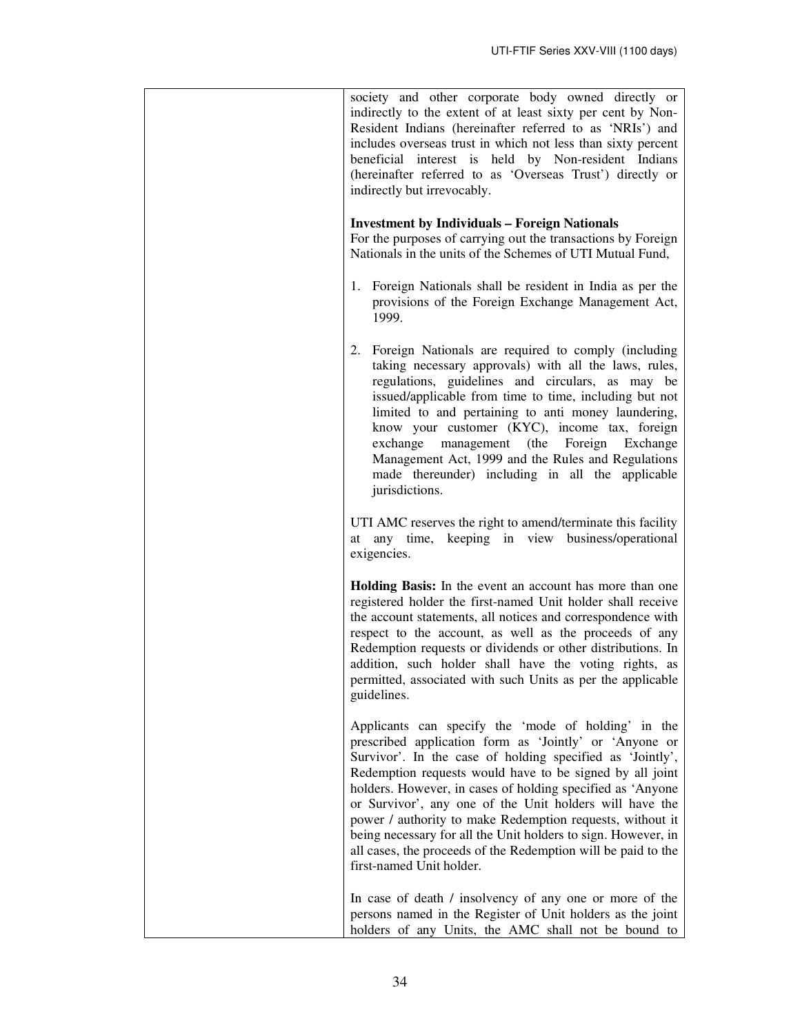| society and other corporate body owned directly or<br>indirectly to the extent of at least sixty per cent by Non-<br>Resident Indians (hereinafter referred to as 'NRIs') and<br>includes overseas trust in which not less than sixty percent<br>beneficial interest is held by Non-resident Indians<br>(hereinafter referred to as 'Overseas Trust') directly or<br>indirectly but irrevocably.                                                                                                                                                                                           |
|--------------------------------------------------------------------------------------------------------------------------------------------------------------------------------------------------------------------------------------------------------------------------------------------------------------------------------------------------------------------------------------------------------------------------------------------------------------------------------------------------------------------------------------------------------------------------------------------|
| <b>Investment by Individuals - Foreign Nationals</b><br>For the purposes of carrying out the transactions by Foreign<br>Nationals in the units of the Schemes of UTI Mutual Fund,                                                                                                                                                                                                                                                                                                                                                                                                          |
| 1. Foreign Nationals shall be resident in India as per the<br>provisions of the Foreign Exchange Management Act,<br>1999.                                                                                                                                                                                                                                                                                                                                                                                                                                                                  |
| 2. Foreign Nationals are required to comply (including<br>taking necessary approvals) with all the laws, rules,<br>regulations, guidelines and circulars, as may be<br>issued/applicable from time to time, including but not<br>limited to and pertaining to anti money laundering,<br>know your customer (KYC), income tax, foreign<br>exchange<br>management (the Foreign Exchange<br>Management Act, 1999 and the Rules and Regulations<br>made thereunder) including in all the applicable<br>jurisdictions.                                                                          |
| UTI AMC reserves the right to amend/terminate this facility<br>at any time, keeping in view business/operational<br>exigencies.                                                                                                                                                                                                                                                                                                                                                                                                                                                            |
| Holding Basis: In the event an account has more than one<br>registered holder the first-named Unit holder shall receive<br>the account statements, all notices and correspondence with<br>respect to the account, as well as the proceeds of any<br>Redemption requests or dividends or other distributions. In<br>addition, such holder shall have the voting rights, as<br>permitted, associated with such Units as per the applicable<br>guidelines.                                                                                                                                    |
| Applicants can specify the 'mode of holding' in the<br>prescribed application form as 'Jointly' or 'Anyone or<br>Survivor'. In the case of holding specified as 'Jointly',<br>Redemption requests would have to be signed by all joint<br>holders. However, in cases of holding specified as 'Anyone<br>or Survivor', any one of the Unit holders will have the<br>power / authority to make Redemption requests, without it<br>being necessary for all the Unit holders to sign. However, in<br>all cases, the proceeds of the Redemption will be paid to the<br>first-named Unit holder. |
| In case of death / insolvency of any one or more of the<br>persons named in the Register of Unit holders as the joint<br>holders of any Units, the AMC shall not be bound to                                                                                                                                                                                                                                                                                                                                                                                                               |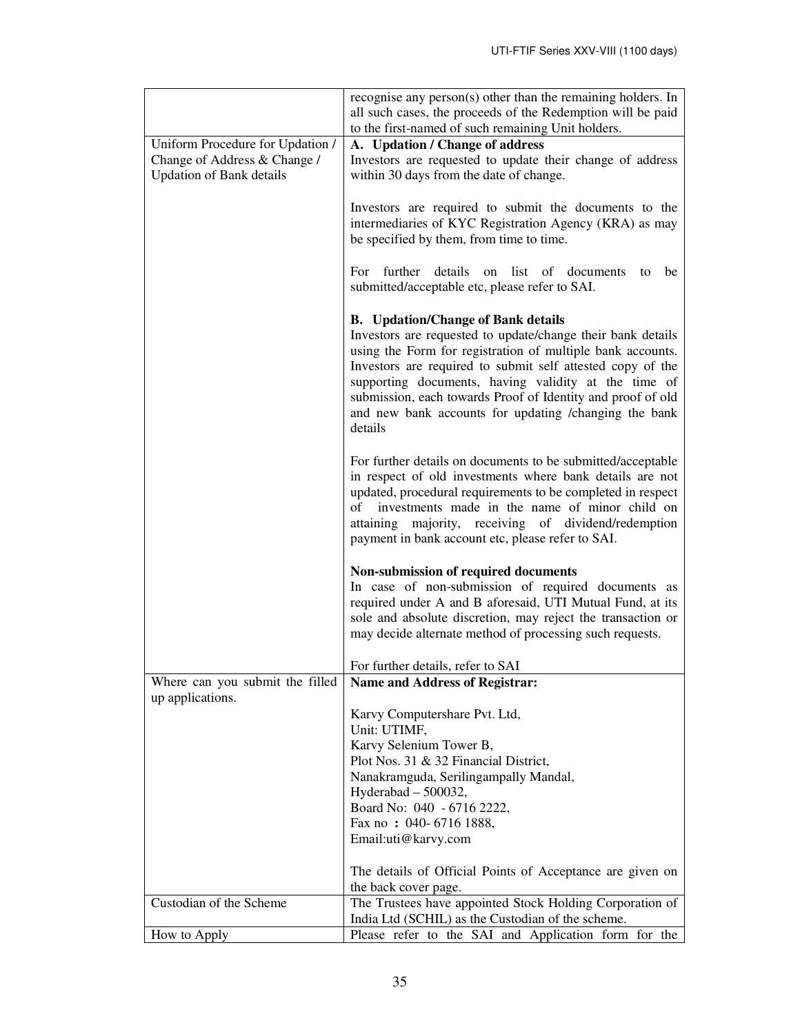|                                  | recognise any person $(s)$ other than the remaining holders. In<br>all such cases, the proceeds of the Redemption will be paid<br>to the first-named of such remaining Unit holders. |
|----------------------------------|--------------------------------------------------------------------------------------------------------------------------------------------------------------------------------------|
| Uniform Procedure for Updation / | A. Updation / Change of address                                                                                                                                                      |
| Change of Address & Change /     | Investors are requested to update their change of address                                                                                                                            |
| <b>Updation of Bank details</b>  | within 30 days from the date of change.                                                                                                                                              |
|                                  |                                                                                                                                                                                      |
|                                  | Investors are required to submit the documents to the                                                                                                                                |
|                                  | intermediaries of KYC Registration Agency (KRA) as may                                                                                                                               |
|                                  | be specified by them, from time to time.                                                                                                                                             |
|                                  |                                                                                                                                                                                      |
|                                  | For further<br>details<br>list of<br>on<br>documents<br>be<br>to                                                                                                                     |
|                                  | submitted/acceptable etc, please refer to SAI.                                                                                                                                       |
|                                  |                                                                                                                                                                                      |
|                                  | <b>B.</b> Updation/Change of Bank details                                                                                                                                            |
|                                  | Investors are requested to update/change their bank details                                                                                                                          |
|                                  | using the Form for registration of multiple bank accounts.                                                                                                                           |
|                                  | Investors are required to submit self attested copy of the                                                                                                                           |
|                                  | supporting documents, having validity at the time of                                                                                                                                 |
|                                  | submission, each towards Proof of Identity and proof of old                                                                                                                          |
|                                  | and new bank accounts for updating /changing the bank                                                                                                                                |
|                                  | details                                                                                                                                                                              |
|                                  |                                                                                                                                                                                      |
|                                  | For further details on documents to be submitted/acceptable                                                                                                                          |
|                                  | in respect of old investments where bank details are not                                                                                                                             |
|                                  | updated, procedural requirements to be completed in respect                                                                                                                          |
|                                  | investments made in the name of minor child on<br>of                                                                                                                                 |
|                                  | attaining majority, receiving of dividend/redemption                                                                                                                                 |
|                                  | payment in bank account etc, please refer to SAI.                                                                                                                                    |
|                                  |                                                                                                                                                                                      |
|                                  | Non-submission of required documents                                                                                                                                                 |
|                                  | In case of non-submission of required documents as                                                                                                                                   |
|                                  | required under A and B aforesaid, UTI Mutual Fund, at its                                                                                                                            |
|                                  | sole and absolute discretion, may reject the transaction or                                                                                                                          |
|                                  | may decide alternate method of processing such requests.                                                                                                                             |
|                                  |                                                                                                                                                                                      |
| Where can you submit the filled  | For further details, refer to SAI<br><b>Name and Address of Registrar:</b>                                                                                                           |
| up applications.                 |                                                                                                                                                                                      |
|                                  | Karvy Computershare Pvt. Ltd,                                                                                                                                                        |
|                                  | Unit: UTIMF,                                                                                                                                                                         |
|                                  | Karvy Selenium Tower B,                                                                                                                                                              |
|                                  | Plot Nos. 31 & 32 Financial District,                                                                                                                                                |
|                                  | Nanakramguda, Serilingampally Mandal,                                                                                                                                                |
|                                  | Hyderabad $-500032$ ,                                                                                                                                                                |
|                                  | Board No: 040 - 6716 2222,                                                                                                                                                           |
|                                  | Fax no: 040-6716 1888,                                                                                                                                                               |
|                                  | Email:uti@karvy.com                                                                                                                                                                  |
|                                  |                                                                                                                                                                                      |
|                                  | The details of Official Points of Acceptance are given on                                                                                                                            |
|                                  | the back cover page.                                                                                                                                                                 |
| Custodian of the Scheme          | The Trustees have appointed Stock Holding Corporation of                                                                                                                             |
|                                  | India Ltd (SCHIL) as the Custodian of the scheme.                                                                                                                                    |
| How to Apply                     | Please refer to the SAI and Application form for the                                                                                                                                 |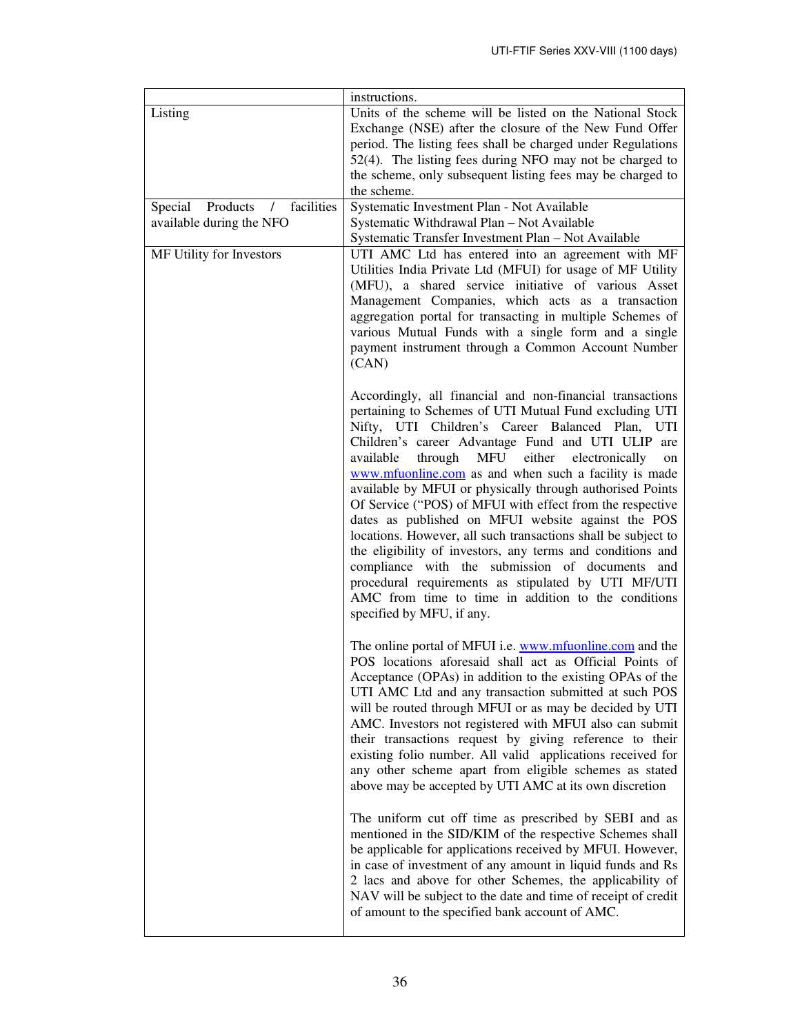|                                                 | instructions.                                                                                                                                                                                                                                                                                                                                                                                                                                                                                                                                                                                                                                                                                                                                                                                                                                                   |
|-------------------------------------------------|-----------------------------------------------------------------------------------------------------------------------------------------------------------------------------------------------------------------------------------------------------------------------------------------------------------------------------------------------------------------------------------------------------------------------------------------------------------------------------------------------------------------------------------------------------------------------------------------------------------------------------------------------------------------------------------------------------------------------------------------------------------------------------------------------------------------------------------------------------------------|
| Listing                                         | Units of the scheme will be listed on the National Stock<br>Exchange (NSE) after the closure of the New Fund Offer<br>period. The listing fees shall be charged under Regulations<br>52(4). The listing fees during NFO may not be charged to                                                                                                                                                                                                                                                                                                                                                                                                                                                                                                                                                                                                                   |
|                                                 | the scheme, only subsequent listing fees may be charged to<br>the scheme.                                                                                                                                                                                                                                                                                                                                                                                                                                                                                                                                                                                                                                                                                                                                                                                       |
| Products<br>facilities<br>Special<br>$\sqrt{2}$ | Systematic Investment Plan - Not Available                                                                                                                                                                                                                                                                                                                                                                                                                                                                                                                                                                                                                                                                                                                                                                                                                      |
| available during the NFO                        | Systematic Withdrawal Plan - Not Available                                                                                                                                                                                                                                                                                                                                                                                                                                                                                                                                                                                                                                                                                                                                                                                                                      |
| MF Utility for Investors                        | Systematic Transfer Investment Plan - Not Available<br>UTI AMC Ltd has entered into an agreement with MF<br>Utilities India Private Ltd (MFUI) for usage of MF Utility<br>(MFU), a shared service initiative of various Asset<br>Management Companies, which acts as a transaction<br>aggregation portal for transacting in multiple Schemes of<br>various Mutual Funds with a single form and a single<br>payment instrument through a Common Account Number<br>(CAN)                                                                                                                                                                                                                                                                                                                                                                                          |
|                                                 | Accordingly, all financial and non-financial transactions<br>pertaining to Schemes of UTI Mutual Fund excluding UTI<br>Nifty, UTI Children's Career Balanced Plan, UTI<br>Children's career Advantage Fund and UTI ULIP are<br>MFU either<br>available<br>through<br>electronically<br>on<br>www.mfuonline.com as and when such a facility is made<br>available by MFUI or physically through authorised Points<br>Of Service ("POS) of MFUI with effect from the respective<br>dates as published on MFUI website against the POS<br>locations. However, all such transactions shall be subject to<br>the eligibility of investors, any terms and conditions and<br>compliance with the submission of documents and<br>procedural requirements as stipulated by UTI MF/UTI<br>AMC from time to time in addition to the conditions<br>specified by MFU, if any. |
|                                                 | The online portal of MFUI i.e. www.mfuonline.com and the<br>POS locations aforesaid shall act as Official Points of<br>Acceptance (OPAs) in addition to the existing OPAs of the<br>UTI AMC Ltd and any transaction submitted at such POS<br>will be routed through MFUI or as may be decided by UTI<br>AMC. Investors not registered with MFUI also can submit<br>their transactions request by giving reference to their<br>existing folio number. All valid applications received for<br>any other scheme apart from eligible schemes as stated<br>above may be accepted by UTI AMC at its own discretion                                                                                                                                                                                                                                                    |
|                                                 | The uniform cut off time as prescribed by SEBI and as<br>mentioned in the SID/KIM of the respective Schemes shall<br>be applicable for applications received by MFUI. However,<br>in case of investment of any amount in liquid funds and Rs<br>2 lacs and above for other Schemes, the applicability of<br>NAV will be subject to the date and time of receipt of credit<br>of amount to the specified bank account of AMC.                                                                                                                                                                                                                                                                                                                                                                                                                                    |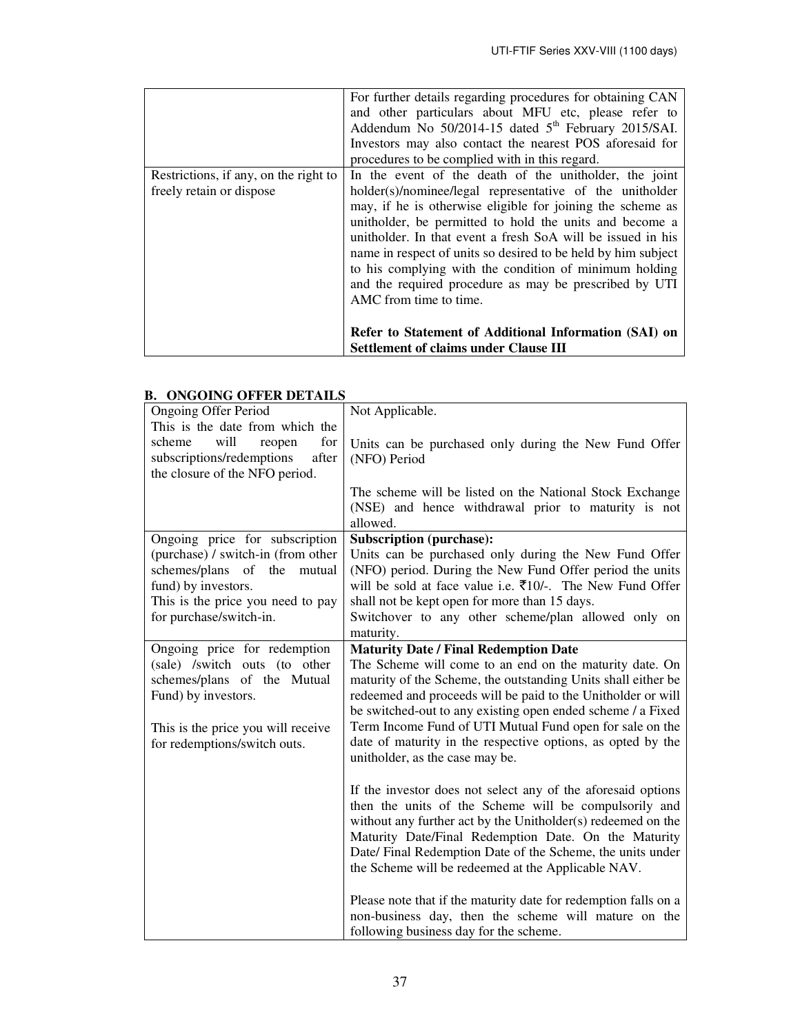|                                                                   | For further details regarding procedures for obtaining CAN<br>and other particulars about MFU etc, please refer to<br>Addendum No 50/2014-15 dated 5 <sup>th</sup> February 2015/SAI.<br>Investors may also contact the nearest POS aforesaid for<br>procedures to be complied with in this regard. |
|-------------------------------------------------------------------|-----------------------------------------------------------------------------------------------------------------------------------------------------------------------------------------------------------------------------------------------------------------------------------------------------|
| Restrictions, if any, on the right to<br>freely retain or dispose | In the event of the death of the unitholder, the joint<br>holder(s)/nominee/legal representative of the unitholder<br>may, if he is otherwise eligible for joining the scheme as<br>unitholder, be permitted to hold the units and become a                                                         |
|                                                                   | unitholder. In that event a fresh SoA will be issued in his<br>name in respect of units so desired to be held by him subject<br>to his complying with the condition of minimum holding<br>and the required procedure as may be prescribed by UTI<br>AMC from time to time.                          |
|                                                                   | Refer to Statement of Additional Information (SAI) on<br><b>Settlement of claims under Clause III</b>                                                                                                                                                                                               |

# **B. ONGOING OFFER DETAILS**

| <b>Ongoing Offer Period</b>        | Not Applicable.                                                                                                             |
|------------------------------------|-----------------------------------------------------------------------------------------------------------------------------|
| This is the date from which the    |                                                                                                                             |
| for<br>will<br>scheme<br>reopen    | Units can be purchased only during the New Fund Offer                                                                       |
| after<br>subscriptions/redemptions | (NFO) Period                                                                                                                |
| the closure of the NFO period.     |                                                                                                                             |
|                                    | The scheme will be listed on the National Stock Exchange<br>(NSE) and hence withdrawal prior to maturity is not<br>allowed. |
| Ongoing price for subscription     | <b>Subscription (purchase):</b>                                                                                             |
| (purchase) / switch-in (from other | Units can be purchased only during the New Fund Offer                                                                       |
| schemes/plans of the<br>mutual     | (NFO) period. During the New Fund Offer period the units                                                                    |
| fund) by investors.                | will be sold at face value i.e. $\bar{\tau}10/-$ . The New Fund Offer                                                       |
| This is the price you need to pay  | shall not be kept open for more than 15 days.                                                                               |
| for purchase/switch-in.            | Switchover to any other scheme/plan allowed only on                                                                         |
|                                    | maturity.                                                                                                                   |
| Ongoing price for redemption       | <b>Maturity Date / Final Redemption Date</b>                                                                                |
| (sale) /switch outs (to other      | The Scheme will come to an end on the maturity date. On                                                                     |
| schemes/plans of the Mutual        | maturity of the Scheme, the outstanding Units shall either be                                                               |
| Fund) by investors.                | redeemed and proceeds will be paid to the Unitholder or will                                                                |
|                                    | be switched-out to any existing open ended scheme / a Fixed                                                                 |
| This is the price you will receive | Term Income Fund of UTI Mutual Fund open for sale on the                                                                    |
| for redemptions/switch outs.       | date of maturity in the respective options, as opted by the                                                                 |
|                                    | unitholder, as the case may be.                                                                                             |
|                                    |                                                                                                                             |
|                                    | If the investor does not select any of the aforesaid options                                                                |
|                                    | then the units of the Scheme will be compulsorily and                                                                       |
|                                    | without any further act by the Unitholder(s) redeemed on the                                                                |
|                                    | Maturity Date/Final Redemption Date. On the Maturity                                                                        |
|                                    | Date/ Final Redemption Date of the Scheme, the units under                                                                  |
|                                    | the Scheme will be redeemed at the Applicable NAV.                                                                          |
|                                    |                                                                                                                             |
|                                    | Please note that if the maturity date for redemption falls on a                                                             |
|                                    | non-business day, then the scheme will mature on the                                                                        |
|                                    | following business day for the scheme.                                                                                      |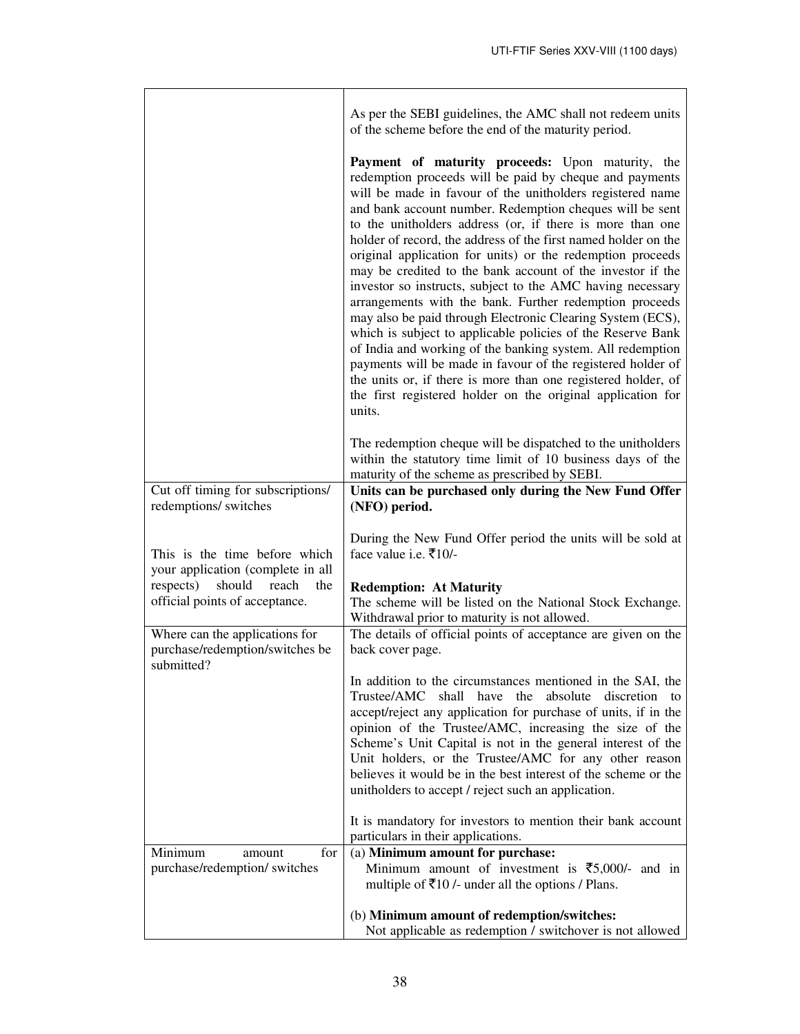|                                                                                 | As per the SEBI guidelines, the AMC shall not redeem units<br>of the scheme before the end of the maturity period.                                                                                                                                                                                                                                                                                                                                                                                                                                                                                                                                                                                                                                                                                                                                                                                                                                                                                                           |
|---------------------------------------------------------------------------------|------------------------------------------------------------------------------------------------------------------------------------------------------------------------------------------------------------------------------------------------------------------------------------------------------------------------------------------------------------------------------------------------------------------------------------------------------------------------------------------------------------------------------------------------------------------------------------------------------------------------------------------------------------------------------------------------------------------------------------------------------------------------------------------------------------------------------------------------------------------------------------------------------------------------------------------------------------------------------------------------------------------------------|
|                                                                                 | Payment of maturity proceeds: Upon maturity, the<br>redemption proceeds will be paid by cheque and payments<br>will be made in favour of the unitholders registered name<br>and bank account number. Redemption cheques will be sent<br>to the unitholders address (or, if there is more than one<br>holder of record, the address of the first named holder on the<br>original application for units) or the redemption proceeds<br>may be credited to the bank account of the investor if the<br>investor so instructs, subject to the AMC having necessary<br>arrangements with the bank. Further redemption proceeds<br>may also be paid through Electronic Clearing System (ECS),<br>which is subject to applicable policies of the Reserve Bank<br>of India and working of the banking system. All redemption<br>payments will be made in favour of the registered holder of<br>the units or, if there is more than one registered holder, of<br>the first registered holder on the original application for<br>units. |
| Cut off timing for subscriptions/<br>redemptions/ switches                      | The redemption cheque will be dispatched to the unitholders<br>within the statutory time limit of 10 business days of the<br>maturity of the scheme as prescribed by SEBI.<br>Units can be purchased only during the New Fund Offer<br>(NFO) period.                                                                                                                                                                                                                                                                                                                                                                                                                                                                                                                                                                                                                                                                                                                                                                         |
| This is the time before which<br>your application (complete in all              | During the New Fund Offer period the units will be sold at<br>face value i.e. $\bar{\tau}10/-$                                                                                                                                                                                                                                                                                                                                                                                                                                                                                                                                                                                                                                                                                                                                                                                                                                                                                                                               |
| respects)<br>should reach<br>the<br>official points of acceptance.              | <b>Redemption: At Maturity</b><br>The scheme will be listed on the National Stock Exchange.<br>Withdrawal prior to maturity is not allowed.                                                                                                                                                                                                                                                                                                                                                                                                                                                                                                                                                                                                                                                                                                                                                                                                                                                                                  |
| Where can the applications for<br>purchase/redemption/switches be<br>submitted? | The details of official points of acceptance are given on the<br>back cover page.                                                                                                                                                                                                                                                                                                                                                                                                                                                                                                                                                                                                                                                                                                                                                                                                                                                                                                                                            |
|                                                                                 | In addition to the circumstances mentioned in the SAI, the<br>Trustee/AMC<br>shall<br>have<br>the<br>absolute<br>discretion<br>to<br>accept/reject any application for purchase of units, if in the<br>opinion of the Trustee/AMC, increasing the size of the<br>Scheme's Unit Capital is not in the general interest of the<br>Unit holders, or the Trustee/AMC for any other reason<br>believes it would be in the best interest of the scheme or the<br>unitholders to accept / reject such an application.                                                                                                                                                                                                                                                                                                                                                                                                                                                                                                               |
|                                                                                 | It is mandatory for investors to mention their bank account<br>particulars in their applications.                                                                                                                                                                                                                                                                                                                                                                                                                                                                                                                                                                                                                                                                                                                                                                                                                                                                                                                            |
| Minimum<br>for<br>amount<br>purchase/redemption/ switches                       | (a) Minimum amount for purchase:<br>Minimum amount of investment is $\overline{\text{5,000}}$ and in                                                                                                                                                                                                                                                                                                                                                                                                                                                                                                                                                                                                                                                                                                                                                                                                                                                                                                                         |
|                                                                                 | multiple of $\bar{\tau}10$ /- under all the options / Plans.                                                                                                                                                                                                                                                                                                                                                                                                                                                                                                                                                                                                                                                                                                                                                                                                                                                                                                                                                                 |
|                                                                                 | (b) Minimum amount of redemption/switches:<br>Not applicable as redemption / switchover is not allowed                                                                                                                                                                                                                                                                                                                                                                                                                                                                                                                                                                                                                                                                                                                                                                                                                                                                                                                       |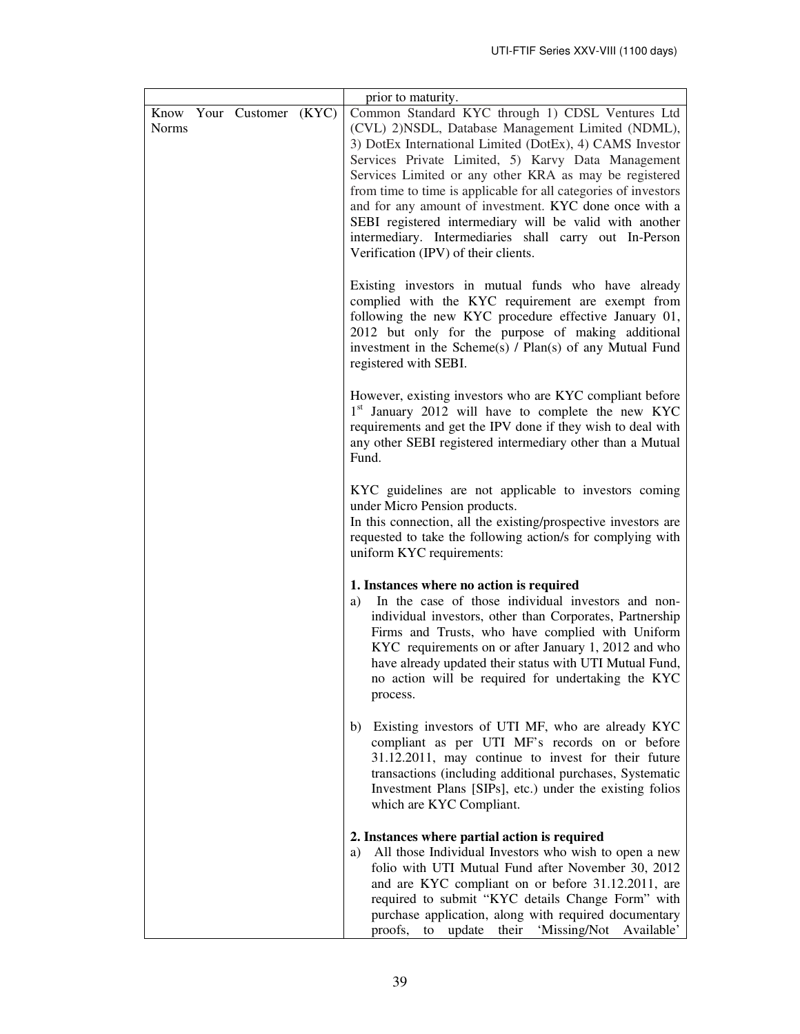| <b>Norms</b> | Know Your Customer (KYC) | prior to maturity.<br>Common Standard KYC through 1) CDSL Ventures Ltd<br>(CVL) 2)NSDL, Database Management Limited (NDML),<br>3) DotEx International Limited (DotEx), 4) CAMS Investor<br>Services Private Limited, 5) Karvy Data Management<br>Services Limited or any other KRA as may be registered<br>from time to time is applicable for all categories of investors<br>and for any amount of investment. KYC done once with a<br>SEBI registered intermediary will be valid with another<br>intermediary. Intermediaries shall carry out In-Person<br>Verification (IPV) of their clients. |
|--------------|--------------------------|---------------------------------------------------------------------------------------------------------------------------------------------------------------------------------------------------------------------------------------------------------------------------------------------------------------------------------------------------------------------------------------------------------------------------------------------------------------------------------------------------------------------------------------------------------------------------------------------------|
|              |                          | Existing investors in mutual funds who have already<br>complied with the KYC requirement are exempt from<br>following the new KYC procedure effective January 01,<br>2012 but only for the purpose of making additional<br>investment in the Scheme(s) / Plan(s) of any Mutual Fund<br>registered with SEBI.                                                                                                                                                                                                                                                                                      |
|              |                          | However, existing investors who are KYC compliant before<br>1 <sup>st</sup> January 2012 will have to complete the new KYC<br>requirements and get the IPV done if they wish to deal with<br>any other SEBI registered intermediary other than a Mutual<br>Fund.                                                                                                                                                                                                                                                                                                                                  |
|              |                          | KYC guidelines are not applicable to investors coming<br>under Micro Pension products.<br>In this connection, all the existing/prospective investors are<br>requested to take the following action/s for complying with<br>uniform KYC requirements:                                                                                                                                                                                                                                                                                                                                              |
|              |                          | 1. Instances where no action is required<br>In the case of those individual investors and non-<br>a)<br>individual investors, other than Corporates, Partnership<br>Firms and Trusts, who have complied with Uniform<br>KYC requirements on or after January 1, 2012 and who<br>have already updated their status with UTI Mutual Fund,<br>no action will be required for undertaking the KYC<br>process.                                                                                                                                                                                         |
|              |                          | Existing investors of UTI MF, who are already KYC<br>b)<br>compliant as per UTI MF's records on or before<br>31.12.2011, may continue to invest for their future<br>transactions (including additional purchases, Systematic<br>Investment Plans [SIPs], etc.) under the existing folios<br>which are KYC Compliant.                                                                                                                                                                                                                                                                              |
|              |                          | 2. Instances where partial action is required<br>All those Individual Investors who wish to open a new<br>a)<br>folio with UTI Mutual Fund after November 30, 2012<br>and are KYC compliant on or before 31.12.2011, are<br>required to submit "KYC details Change Form" with<br>purchase application, along with required documentary<br>update their 'Missing/Not Available'<br>proofs,<br>to                                                                                                                                                                                                   |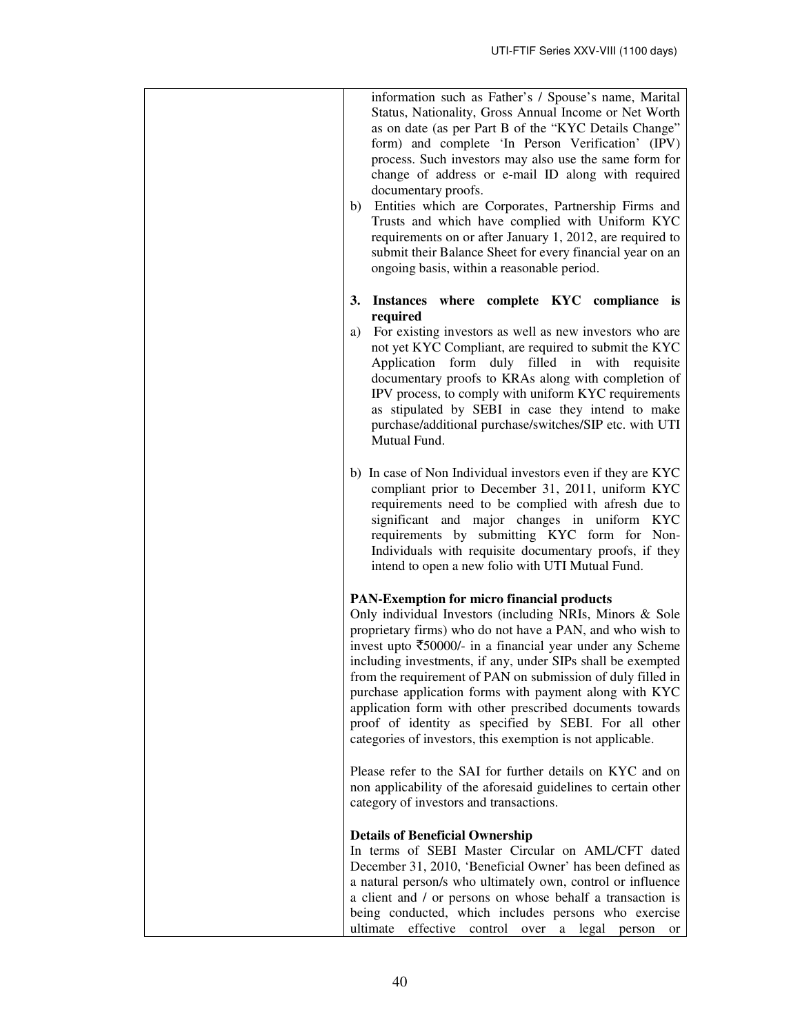| information such as Father's / Spouse's name, Marital<br>Status, Nationality, Gross Annual Income or Net Worth<br>as on date (as per Part B of the "KYC Details Change"<br>form) and complete 'In Person Verification' (IPV)<br>process. Such investors may also use the same form for<br>change of address or e-mail ID along with required<br>documentary proofs.<br>b) Entities which are Corporates, Partnership Firms and<br>Trusts and which have complied with Uniform KYC<br>requirements on or after January 1, 2012, are required to<br>submit their Balance Sheet for every financial year on an<br>ongoing basis, within a reasonable period. |
|-----------------------------------------------------------------------------------------------------------------------------------------------------------------------------------------------------------------------------------------------------------------------------------------------------------------------------------------------------------------------------------------------------------------------------------------------------------------------------------------------------------------------------------------------------------------------------------------------------------------------------------------------------------|
| Instances where complete KYC compliance is<br>3.<br>required<br>For existing investors as well as new investors who are<br>a)<br>not yet KYC Compliant, are required to submit the KYC<br>Application form duly filled in with<br>requisite<br>documentary proofs to KRAs along with completion of<br>IPV process, to comply with uniform KYC requirements<br>as stipulated by SEBI in case they intend to make<br>purchase/additional purchase/switches/SIP etc. with UTI<br>Mutual Fund.                                                                                                                                                                |
| b) In case of Non Individual investors even if they are KYC<br>compliant prior to December 31, 2011, uniform KYC<br>requirements need to be complied with afresh due to<br>significant and major changes in uniform KYC<br>requirements by submitting KYC form for Non-<br>Individuals with requisite documentary proofs, if they<br>intend to open a new folio with UTI Mutual Fund.                                                                                                                                                                                                                                                                     |
| <b>PAN-Exemption for micro financial products</b><br>Only individual Investors (including NRIs, Minors & Sole<br>proprietary firms) who do not have a PAN, and who wish to<br>invest upto $\overline{\xi}50000$ /- in a financial year under any Scheme<br>including investments, if any, under SIPs shall be exempted<br>from the requirement of PAN on submission of duly filled in<br>purchase application forms with payment along with KYC<br>application form with other prescribed documents towards<br>proof of identity as specified by SEBI. For all other<br>categories of investors, this exemption is not applicable.                        |
| Please refer to the SAI for further details on KYC and on<br>non applicability of the aforesaid guidelines to certain other<br>category of investors and transactions.                                                                                                                                                                                                                                                                                                                                                                                                                                                                                    |
| <b>Details of Beneficial Ownership</b><br>In terms of SEBI Master Circular on AML/CFT dated<br>December 31, 2010, 'Beneficial Owner' has been defined as<br>a natural person/s who ultimately own, control or influence<br>a client and / or persons on whose behalf a transaction is<br>being conducted, which includes persons who exercise<br>ultimate<br>effective control over a legal person<br><sub>or</sub>                                                                                                                                                                                                                                       |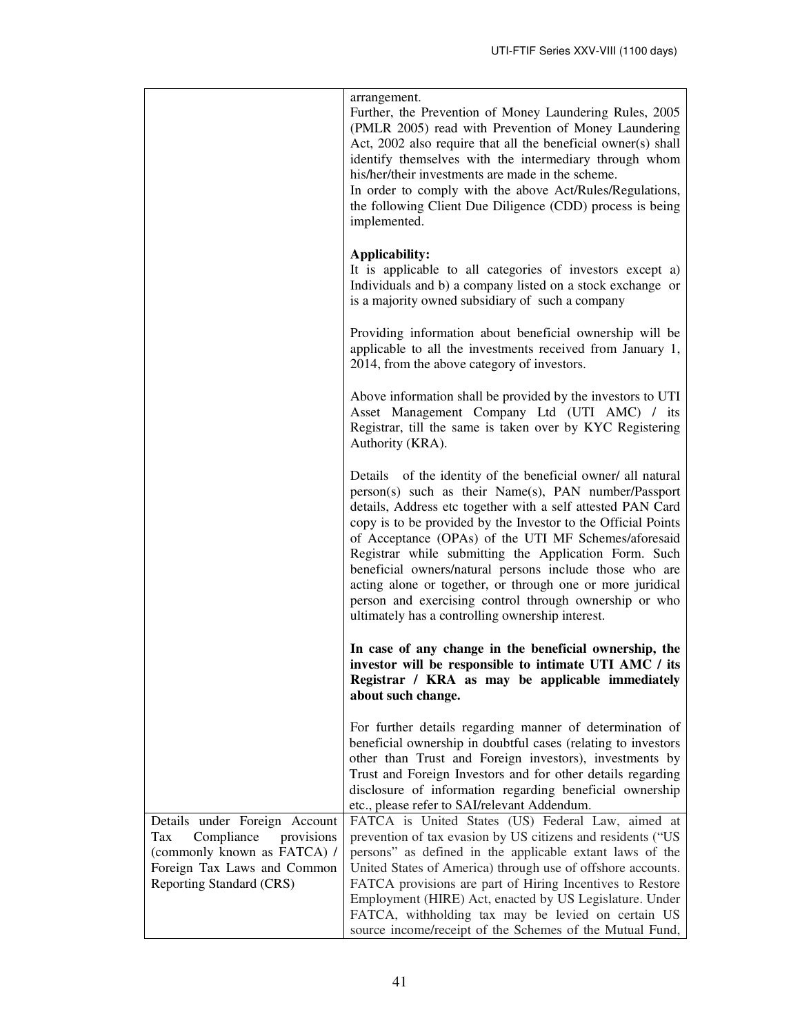|                                                                                                                                                            | arrangement.<br>Further, the Prevention of Money Laundering Rules, 2005<br>(PMLR 2005) read with Prevention of Money Laundering<br>Act, 2002 also require that all the beneficial owner(s) shall<br>identify themselves with the intermediary through whom<br>his/her/their investments are made in the scheme.<br>In order to comply with the above Act/Rules/Regulations,<br>the following Client Due Diligence (CDD) process is being<br>implemented.                                                                                                                                                     |
|------------------------------------------------------------------------------------------------------------------------------------------------------------|--------------------------------------------------------------------------------------------------------------------------------------------------------------------------------------------------------------------------------------------------------------------------------------------------------------------------------------------------------------------------------------------------------------------------------------------------------------------------------------------------------------------------------------------------------------------------------------------------------------|
|                                                                                                                                                            | <b>Applicability:</b><br>It is applicable to all categories of investors except a)<br>Individuals and b) a company listed on a stock exchange or<br>is a majority owned subsidiary of such a company                                                                                                                                                                                                                                                                                                                                                                                                         |
|                                                                                                                                                            | Providing information about beneficial ownership will be<br>applicable to all the investments received from January 1,<br>2014, from the above category of investors.                                                                                                                                                                                                                                                                                                                                                                                                                                        |
|                                                                                                                                                            | Above information shall be provided by the investors to UTI<br>Asset Management Company Ltd (UTI AMC) / its<br>Registrar, till the same is taken over by KYC Registering<br>Authority (KRA).                                                                                                                                                                                                                                                                                                                                                                                                                 |
|                                                                                                                                                            | Details of the identity of the beneficial owner/ all natural<br>person(s) such as their Name(s), PAN number/Passport<br>details, Address etc together with a self attested PAN Card<br>copy is to be provided by the Investor to the Official Points<br>of Acceptance (OPAs) of the UTI MF Schemes/aforesaid<br>Registrar while submitting the Application Form. Such<br>beneficial owners/natural persons include those who are<br>acting alone or together, or through one or more juridical<br>person and exercising control through ownership or who<br>ultimately has a controlling ownership interest. |
|                                                                                                                                                            | In case of any change in the beneficial ownership, the<br>investor will be responsible to intimate UTI AMC / its<br>Registrar / KRA as may be applicable immediately<br>about such change.                                                                                                                                                                                                                                                                                                                                                                                                                   |
|                                                                                                                                                            | For further details regarding manner of determination of<br>beneficial ownership in doubtful cases (relating to investors<br>other than Trust and Foreign investors), investments by<br>Trust and Foreign Investors and for other details regarding<br>disclosure of information regarding beneficial ownership<br>etc., please refer to SAI/relevant Addendum.                                                                                                                                                                                                                                              |
| Details under Foreign Account<br>Tax<br>Compliance<br>provisions<br>(commonly known as FATCA) /<br>Foreign Tax Laws and Common<br>Reporting Standard (CRS) | FATCA is United States (US) Federal Law, aimed at<br>prevention of tax evasion by US citizens and residents ("US<br>persons" as defined in the applicable extant laws of the<br>United States of America) through use of offshore accounts.<br>FATCA provisions are part of Hiring Incentives to Restore<br>Employment (HIRE) Act, enacted by US Legislature. Under<br>FATCA, withholding tax may be levied on certain US<br>source income/receipt of the Schemes of the Mutual Fund,                                                                                                                        |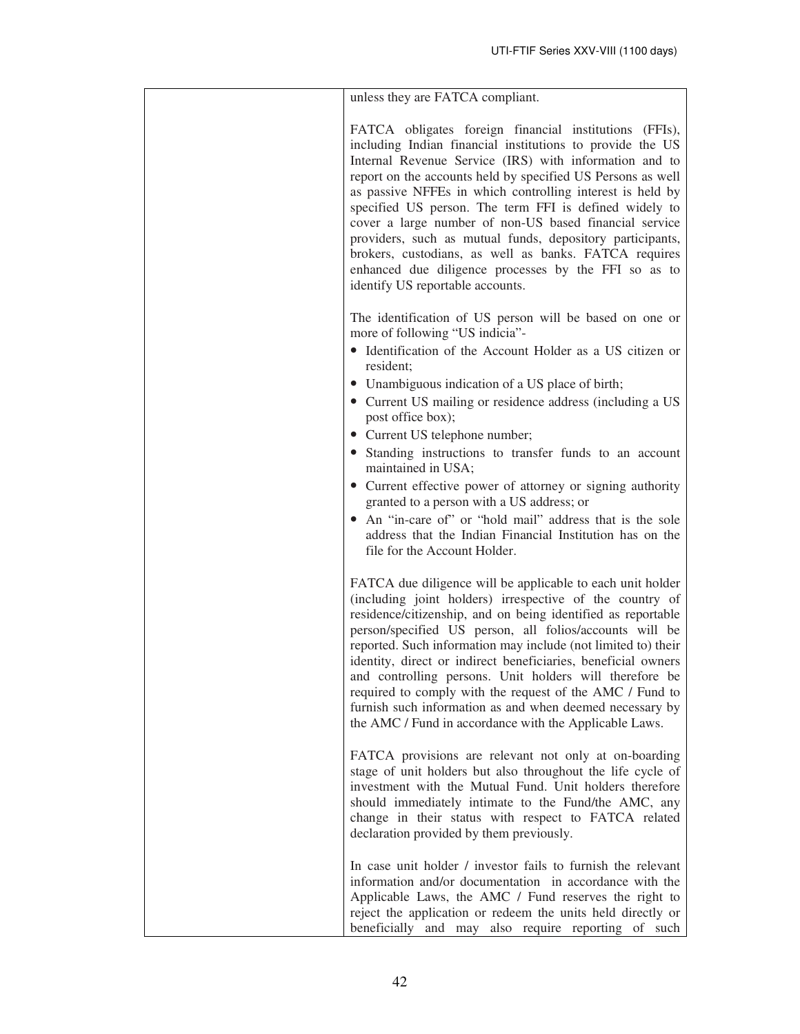| unless they are FATCA compliant.                                                                                                                                                                                                                                                                                                                                                                                                                                                                                                                                                                                                                |
|-------------------------------------------------------------------------------------------------------------------------------------------------------------------------------------------------------------------------------------------------------------------------------------------------------------------------------------------------------------------------------------------------------------------------------------------------------------------------------------------------------------------------------------------------------------------------------------------------------------------------------------------------|
| FATCA obligates foreign financial institutions (FFIs),<br>including Indian financial institutions to provide the US<br>Internal Revenue Service (IRS) with information and to<br>report on the accounts held by specified US Persons as well<br>as passive NFFEs in which controlling interest is held by<br>specified US person. The term FFI is defined widely to<br>cover a large number of non-US based financial service<br>providers, such as mutual funds, depository participants,<br>brokers, custodians, as well as banks. FATCA requires<br>enhanced due diligence processes by the FFI so as to<br>identify US reportable accounts. |
| The identification of US person will be based on one or<br>more of following "US indicia"-<br>• Identification of the Account Holder as a US citizen or                                                                                                                                                                                                                                                                                                                                                                                                                                                                                         |
| resident;<br>• Unambiguous indication of a US place of birth;<br>• Current US mailing or residence address (including a US<br>post office box);                                                                                                                                                                                                                                                                                                                                                                                                                                                                                                 |
| • Current US telephone number;<br>• Standing instructions to transfer funds to an account<br>maintained in USA;                                                                                                                                                                                                                                                                                                                                                                                                                                                                                                                                 |
| • Current effective power of attorney or signing authority<br>granted to a person with a US address; or<br>• An "in-care of" or "hold mail" address that is the sole<br>address that the Indian Financial Institution has on the<br>file for the Account Holder.                                                                                                                                                                                                                                                                                                                                                                                |
| FATCA due diligence will be applicable to each unit holder<br>(including joint holders) irrespective of the country of<br>residence/citizenship, and on being identified as reportable<br>person/specified US person, all folios/accounts will be<br>reported. Such information may include (not limited to) their<br>identity, direct or indirect beneficiaries, beneficial owners<br>and controlling persons. Unit holders will therefore be<br>required to comply with the request of the AMC / Fund to<br>furnish such information as and when deemed necessary by<br>the AMC / Fund in accordance with the Applicable Laws.                |
| FATCA provisions are relevant not only at on-boarding<br>stage of unit holders but also throughout the life cycle of<br>investment with the Mutual Fund. Unit holders therefore<br>should immediately intimate to the Fund/the AMC, any<br>change in their status with respect to FATCA related<br>declaration provided by them previously.                                                                                                                                                                                                                                                                                                     |
| In case unit holder / investor fails to furnish the relevant<br>information and/or documentation in accordance with the<br>Applicable Laws, the AMC / Fund reserves the right to<br>reject the application or redeem the units held directly or<br>beneficially and may also require reporting of such                                                                                                                                                                                                                                                                                                                                          |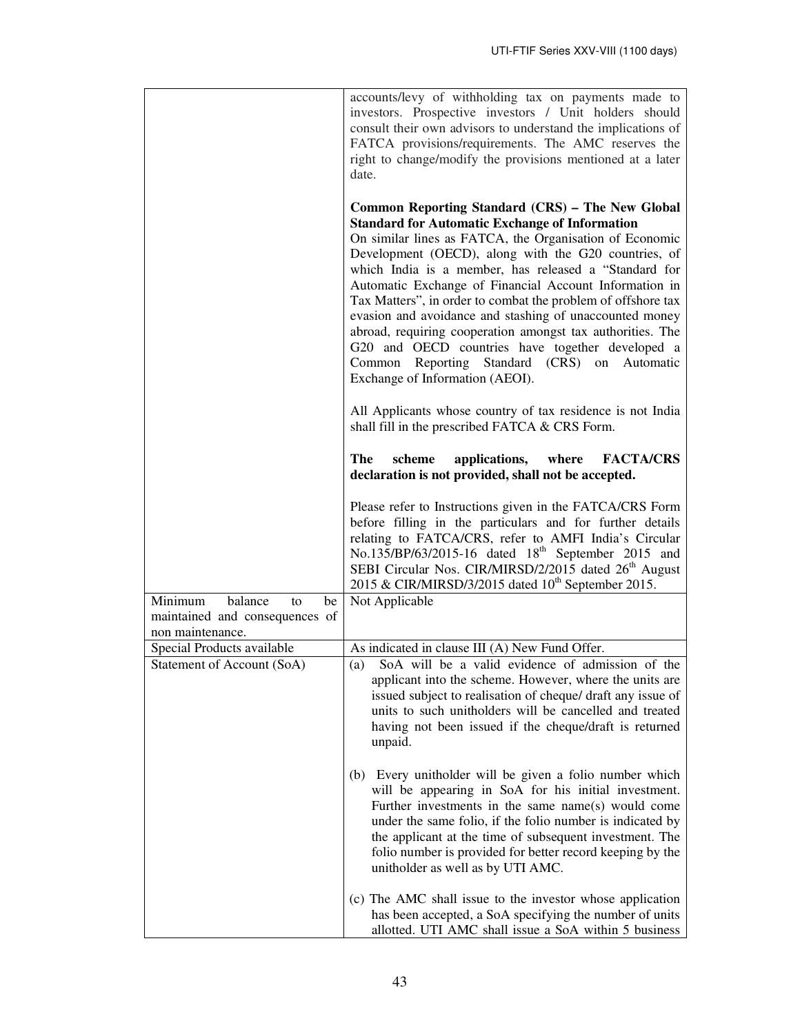|                                                                                      | accounts/levy of withholding tax on payments made to<br>investors. Prospective investors / Unit holders should<br>consult their own advisors to understand the implications of<br>FATCA provisions/requirements. The AMC reserves the<br>right to change/modify the provisions mentioned at a later<br>date.                                                                                                                                                                                                                                                                                                                                                                       |
|--------------------------------------------------------------------------------------|------------------------------------------------------------------------------------------------------------------------------------------------------------------------------------------------------------------------------------------------------------------------------------------------------------------------------------------------------------------------------------------------------------------------------------------------------------------------------------------------------------------------------------------------------------------------------------------------------------------------------------------------------------------------------------|
|                                                                                      | Common Reporting Standard (CRS) - The New Global<br><b>Standard for Automatic Exchange of Information</b><br>On similar lines as FATCA, the Organisation of Economic<br>Development (OECD), along with the G20 countries, of<br>which India is a member, has released a "Standard for<br>Automatic Exchange of Financial Account Information in<br>Tax Matters", in order to combat the problem of offshore tax<br>evasion and avoidance and stashing of unaccounted money<br>abroad, requiring cooperation amongst tax authorities. The<br>G20 and OECD countries have together developed a<br>Common Reporting Standard (CRS) on<br>Automatic<br>Exchange of Information (AEOI). |
|                                                                                      | All Applicants whose country of tax residence is not India<br>shall fill in the prescribed FATCA & CRS Form.                                                                                                                                                                                                                                                                                                                                                                                                                                                                                                                                                                       |
|                                                                                      | The<br><b>FACTA/CRS</b><br>scheme<br>applications,<br>where<br>declaration is not provided, shall not be accepted.                                                                                                                                                                                                                                                                                                                                                                                                                                                                                                                                                                 |
|                                                                                      | Please refer to Instructions given in the FATCA/CRS Form<br>before filling in the particulars and for further details<br>relating to FATCA/CRS, refer to AMFI India's Circular<br>No.135/BP/63/2015-16 dated 18 <sup>th</sup> September 2015 and<br>SEBI Circular Nos. CIR/MIRSD/2/2015 dated 26 <sup>th</sup> August<br>2015 & CIR/MIRSD/3/2015 dated 10 <sup>th</sup> September 2015.                                                                                                                                                                                                                                                                                            |
| balance<br>Minimum<br>be<br>to<br>maintained and consequences of<br>non maintenance. | Not Applicable                                                                                                                                                                                                                                                                                                                                                                                                                                                                                                                                                                                                                                                                     |
| Special Products available<br>Statement of Account (SoA)                             | As indicated in clause III (A) New Fund Offer.<br>SoA will be a valid evidence of admission of the<br>(a)<br>applicant into the scheme. However, where the units are<br>issued subject to realisation of cheque/ draft any issue of<br>units to such unitholders will be cancelled and treated<br>having not been issued if the cheque/draft is returned<br>unpaid.                                                                                                                                                                                                                                                                                                                |
|                                                                                      | (b) Every unitholder will be given a folio number which<br>will be appearing in SoA for his initial investment.<br>Further investments in the same name(s) would come<br>under the same folio, if the folio number is indicated by<br>the applicant at the time of subsequent investment. The<br>folio number is provided for better record keeping by the<br>unitholder as well as by UTI AMC.                                                                                                                                                                                                                                                                                    |
|                                                                                      | (c) The AMC shall issue to the investor whose application<br>has been accepted, a SoA specifying the number of units<br>allotted. UTI AMC shall issue a SoA within 5 business                                                                                                                                                                                                                                                                                                                                                                                                                                                                                                      |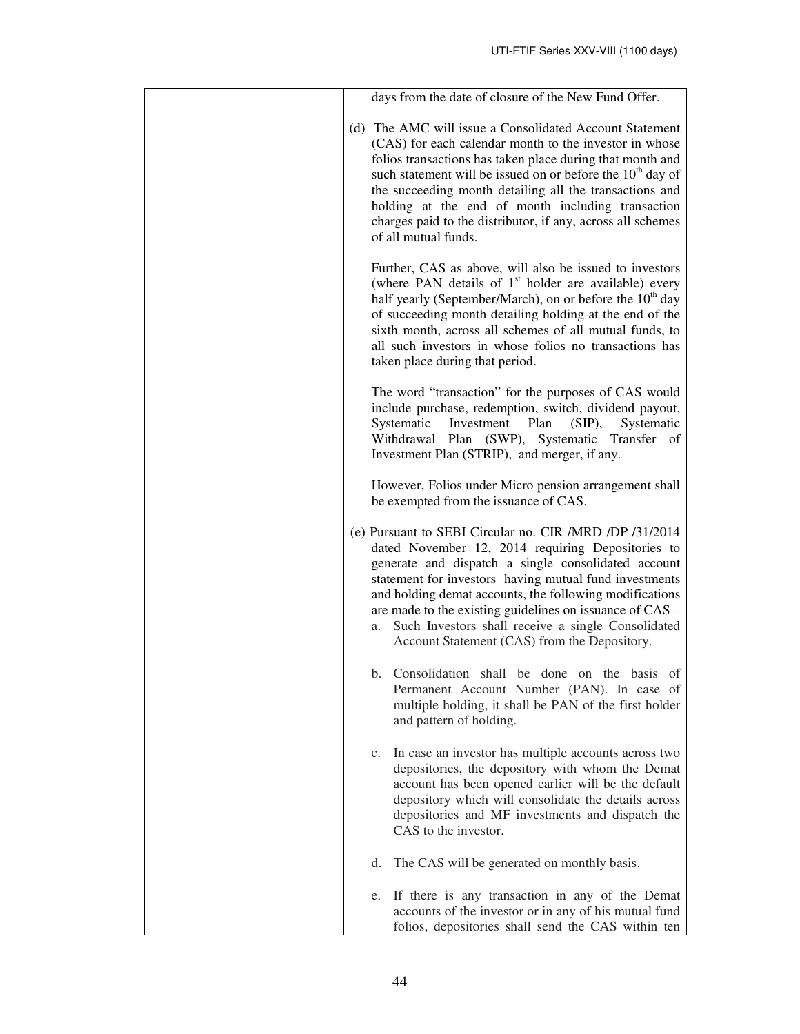| days from the date of closure of the New Fund Offer.                                                                                                                                                                                                                                                                                                                                                                                                            |
|-----------------------------------------------------------------------------------------------------------------------------------------------------------------------------------------------------------------------------------------------------------------------------------------------------------------------------------------------------------------------------------------------------------------------------------------------------------------|
| (d) The AMC will issue a Consolidated Account Statement<br>(CAS) for each calendar month to the investor in whose<br>folios transactions has taken place during that month and<br>such statement will be issued on or before the 10 <sup>th</sup> day of<br>the succeeding month detailing all the transactions and<br>holding at the end of month including transaction<br>charges paid to the distributor, if any, across all schemes<br>of all mutual funds. |
| Further, CAS as above, will also be issued to investors<br>(where PAN details of $1st$ holder are available) every<br>half yearly (September/March), on or before the 10 <sup>th</sup> day<br>of succeeding month detailing holding at the end of the<br>sixth month, across all schemes of all mutual funds, to<br>all such investors in whose folios no transactions has<br>taken place during that period.                                                   |
| The word "transaction" for the purposes of CAS would<br>include purchase, redemption, switch, dividend payout,<br>Systematic<br>Investment<br>Plan<br>$(SIP)$ ,<br>Systematic<br>Withdrawal<br>Plan (SWP), Systematic Transfer of<br>Investment Plan (STRIP), and merger, if any.                                                                                                                                                                               |
| However, Folios under Micro pension arrangement shall<br>be exempted from the issuance of CAS.                                                                                                                                                                                                                                                                                                                                                                  |
| (e) Pursuant to SEBI Circular no. CIR /MRD /DP /31/2014<br>dated November 12, 2014 requiring Depositories to<br>generate and dispatch a single consolidated account<br>statement for investors having mutual fund investments<br>and holding demat accounts, the following modifications<br>are made to the existing guidelines on issuance of CAS-<br>Such Investors shall receive a single Consolidated<br>a.<br>Account Statement (CAS) from the Depository. |
| Consolidation shall be done on the basis of<br>b.<br>Permanent Account Number (PAN). In case of<br>multiple holding, it shall be PAN of the first holder<br>and pattern of holding.                                                                                                                                                                                                                                                                             |
| In case an investor has multiple accounts across two<br>$c_{\cdot}$<br>depositories, the depository with whom the Demat<br>account has been opened earlier will be the default<br>depository which will consolidate the details across<br>depositories and MF investments and dispatch the<br>CAS to the investor.                                                                                                                                              |
| The CAS will be generated on monthly basis.<br>d.                                                                                                                                                                                                                                                                                                                                                                                                               |
| If there is any transaction in any of the Demat<br>e.<br>accounts of the investor or in any of his mutual fund<br>folios, depositories shall send the CAS within ten                                                                                                                                                                                                                                                                                            |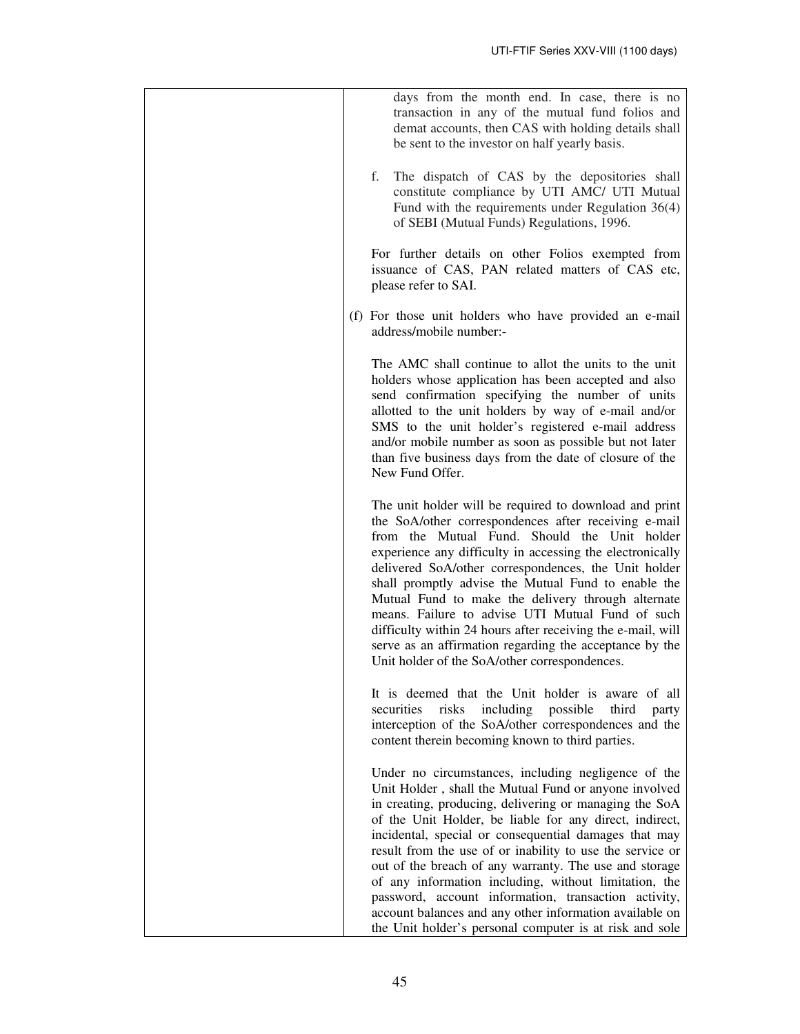| days from the month end. In case, there is no<br>transaction in any of the mutual fund folios and<br>demat accounts, then CAS with holding details shall<br>be sent to the investor on half yearly basis.                                                                                                                                                                                                                                                                                                                                                                                                                       |
|---------------------------------------------------------------------------------------------------------------------------------------------------------------------------------------------------------------------------------------------------------------------------------------------------------------------------------------------------------------------------------------------------------------------------------------------------------------------------------------------------------------------------------------------------------------------------------------------------------------------------------|
| f.<br>The dispatch of CAS by the depositories shall<br>constitute compliance by UTI AMC/ UTI Mutual<br>Fund with the requirements under Regulation $36(4)$<br>of SEBI (Mutual Funds) Regulations, 1996.                                                                                                                                                                                                                                                                                                                                                                                                                         |
| For further details on other Folios exempted from<br>issuance of CAS, PAN related matters of CAS etc,<br>please refer to SAI.                                                                                                                                                                                                                                                                                                                                                                                                                                                                                                   |
| (f) For those unit holders who have provided an e-mail<br>address/mobile number:-                                                                                                                                                                                                                                                                                                                                                                                                                                                                                                                                               |
| The AMC shall continue to allot the units to the unit<br>holders whose application has been accepted and also<br>send confirmation specifying the number of units<br>allotted to the unit holders by way of e-mail and/or<br>SMS to the unit holder's registered e-mail address<br>and/or mobile number as soon as possible but not later<br>than five business days from the date of closure of the<br>New Fund Offer.                                                                                                                                                                                                         |
| The unit holder will be required to download and print<br>the SoA/other correspondences after receiving e-mail<br>from the Mutual Fund. Should the Unit holder<br>experience any difficulty in accessing the electronically<br>delivered SoA/other correspondences, the Unit holder<br>shall promptly advise the Mutual Fund to enable the<br>Mutual Fund to make the delivery through alternate<br>means. Failure to advise UTI Mutual Fund of such<br>difficulty within 24 hours after receiving the e-mail, will<br>serve as an affirmation regarding the acceptance by the<br>Unit holder of the SoA/other correspondences. |
| It is deemed that the Unit holder is aware of all<br>including<br>possible<br>securities<br>risks<br>third<br>party<br>interception of the SoA/other correspondences and the<br>content therein becoming known to third parties.                                                                                                                                                                                                                                                                                                                                                                                                |
| Under no circumstances, including negligence of the<br>Unit Holder, shall the Mutual Fund or anyone involved<br>in creating, producing, delivering or managing the SoA<br>of the Unit Holder, be liable for any direct, indirect,<br>incidental, special or consequential damages that may<br>result from the use of or inability to use the service or<br>out of the breach of any warranty. The use and storage<br>of any information including, without limitation, the<br>password, account information, transaction activity,                                                                                              |
| account balances and any other information available on<br>the Unit holder's personal computer is at risk and sole                                                                                                                                                                                                                                                                                                                                                                                                                                                                                                              |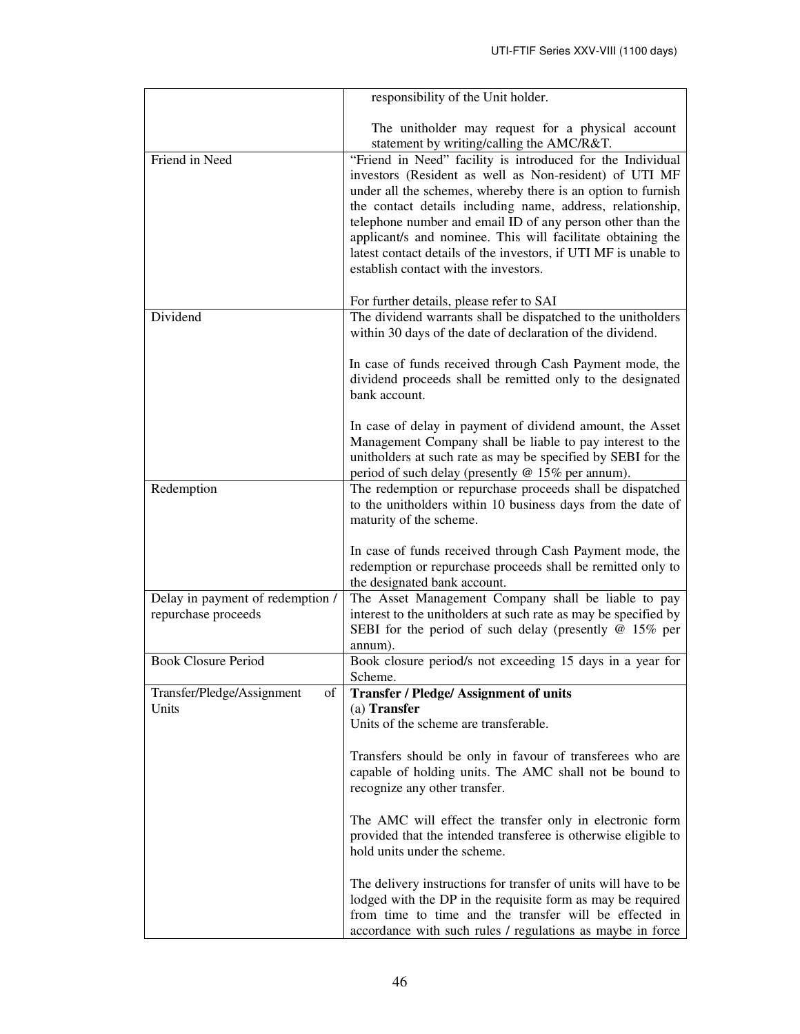|                                                         | responsibility of the Unit holder.                                                                                                                                                                                                                                                                                                                                                                                                                                                          |
|---------------------------------------------------------|---------------------------------------------------------------------------------------------------------------------------------------------------------------------------------------------------------------------------------------------------------------------------------------------------------------------------------------------------------------------------------------------------------------------------------------------------------------------------------------------|
|                                                         | The unitholder may request for a physical account<br>statement by writing/calling the AMC/R&T.                                                                                                                                                                                                                                                                                                                                                                                              |
| Friend in Need                                          | "Friend in Need" facility is introduced for the Individual<br>investors (Resident as well as Non-resident) of UTI MF<br>under all the schemes, whereby there is an option to furnish<br>the contact details including name, address, relationship,<br>telephone number and email ID of any person other than the<br>applicant/s and nominee. This will facilitate obtaining the<br>latest contact details of the investors, if UTI MF is unable to<br>establish contact with the investors. |
|                                                         | For further details, please refer to SAI                                                                                                                                                                                                                                                                                                                                                                                                                                                    |
| Dividend                                                | The dividend warrants shall be dispatched to the unitholders<br>within 30 days of the date of declaration of the dividend.                                                                                                                                                                                                                                                                                                                                                                  |
|                                                         | In case of funds received through Cash Payment mode, the<br>dividend proceeds shall be remitted only to the designated<br>bank account.                                                                                                                                                                                                                                                                                                                                                     |
|                                                         | In case of delay in payment of dividend amount, the Asset<br>Management Company shall be liable to pay interest to the<br>unitholders at such rate as may be specified by SEBI for the<br>period of such delay (presently @ 15% per annum).                                                                                                                                                                                                                                                 |
| Redemption                                              | The redemption or repurchase proceeds shall be dispatched<br>to the unitholders within 10 business days from the date of<br>maturity of the scheme.                                                                                                                                                                                                                                                                                                                                         |
|                                                         | In case of funds received through Cash Payment mode, the<br>redemption or repurchase proceeds shall be remitted only to<br>the designated bank account.                                                                                                                                                                                                                                                                                                                                     |
| Delay in payment of redemption /<br>repurchase proceeds | The Asset Management Company shall be liable to pay<br>interest to the unitholders at such rate as may be specified by<br>SEBI for the period of such delay (presently $@15\%$ per<br>annum).                                                                                                                                                                                                                                                                                               |
| <b>Book Closure Period</b>                              | Book closure period/s not exceeding 15 days in a year for<br>Scheme.                                                                                                                                                                                                                                                                                                                                                                                                                        |
| Transfer/Pledge/Assignment<br>of<br>Units               | <b>Transfer / Pledge/ Assignment of units</b><br>(a) Transfer<br>Units of the scheme are transferable.                                                                                                                                                                                                                                                                                                                                                                                      |
|                                                         | Transfers should be only in favour of transferees who are<br>capable of holding units. The AMC shall not be bound to<br>recognize any other transfer.                                                                                                                                                                                                                                                                                                                                       |
|                                                         | The AMC will effect the transfer only in electronic form<br>provided that the intended transferee is otherwise eligible to<br>hold units under the scheme.                                                                                                                                                                                                                                                                                                                                  |
|                                                         | The delivery instructions for transfer of units will have to be<br>lodged with the DP in the requisite form as may be required<br>from time to time and the transfer will be effected in<br>accordance with such rules / regulations as maybe in force                                                                                                                                                                                                                                      |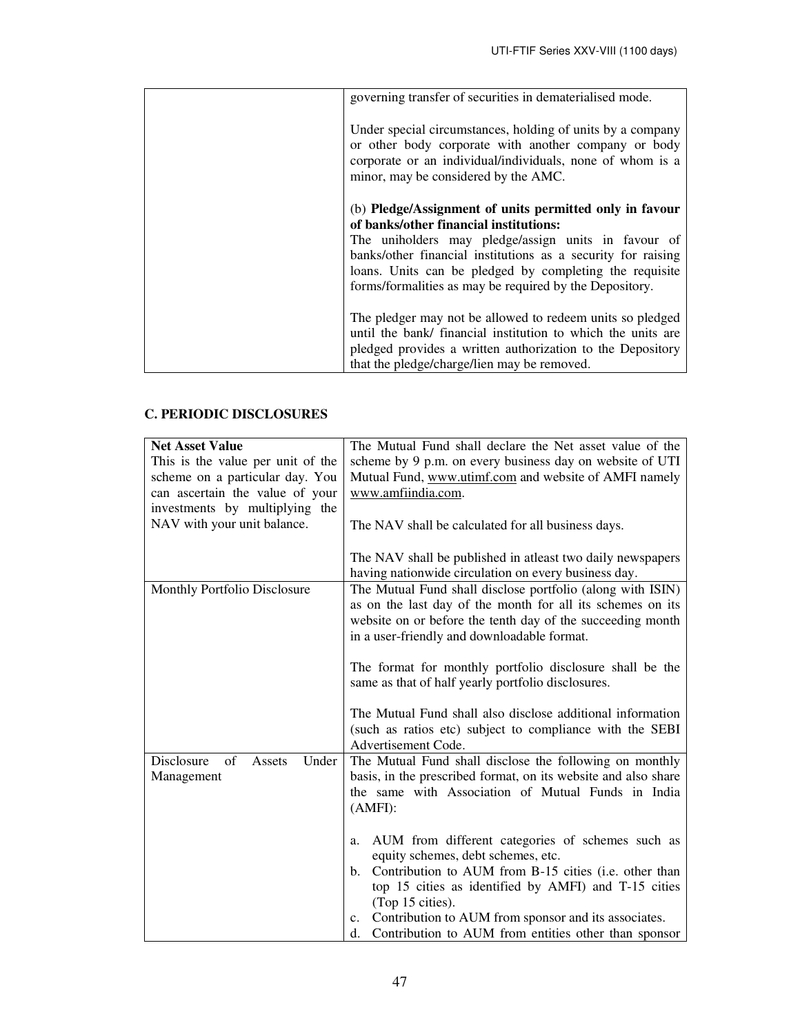| governing transfer of securities in dematerialised mode.                                                                                                                                                                |
|-------------------------------------------------------------------------------------------------------------------------------------------------------------------------------------------------------------------------|
| Under special circumstances, holding of units by a company<br>or other body corporate with another company or body<br>corporate or an individual/individuals, none of whom is a<br>minor, may be considered by the AMC. |
| (b) Pledge/Assignment of units permitted only in favour                                                                                                                                                                 |
| of banks/other financial institutions:                                                                                                                                                                                  |
| The uniholders may pledge/assign units in favour of                                                                                                                                                                     |
| banks/other financial institutions as a security for raising                                                                                                                                                            |
| loans. Units can be pledged by completing the requisite                                                                                                                                                                 |
| forms/formalities as may be required by the Depository.                                                                                                                                                                 |
|                                                                                                                                                                                                                         |
| The pledger may not be allowed to redeem units so pledged                                                                                                                                                               |
| until the bank/ financial institution to which the units are                                                                                                                                                            |
| pledged provides a written authorization to the Depository                                                                                                                                                              |
| that the pledge/charge/lien may be removed.                                                                                                                                                                             |

# **C. PERIODIC DISCLOSURES**

| <b>Net Asset Value</b>              | The Mutual Fund shall declare the Net asset value of the       |  |  |
|-------------------------------------|----------------------------------------------------------------|--|--|
| This is the value per unit of the   | scheme by 9 p.m. on every business day on website of UTI       |  |  |
| scheme on a particular day. You     | Mutual Fund, www.utimf.com and website of AMFI namely          |  |  |
| can ascertain the value of your     | www.amfiindia.com.                                             |  |  |
| investments by multiplying the      |                                                                |  |  |
| NAV with your unit balance.         | The NAV shall be calculated for all business days.             |  |  |
|                                     | The NAV shall be published in atleast two daily newspapers     |  |  |
|                                     | having nationwide circulation on every business day.           |  |  |
| Monthly Portfolio Disclosure        | The Mutual Fund shall disclose portfolio (along with ISIN)     |  |  |
|                                     | as on the last day of the month for all its schemes on its     |  |  |
|                                     | website on or before the tenth day of the succeeding month     |  |  |
|                                     | in a user-friendly and downloadable format.                    |  |  |
|                                     | The format for monthly portfolio disclosure shall be the       |  |  |
|                                     | same as that of half yearly portfolio disclosures.             |  |  |
|                                     |                                                                |  |  |
|                                     | The Mutual Fund shall also disclose additional information     |  |  |
|                                     | (such as ratios etc) subject to compliance with the SEBI       |  |  |
|                                     | Advertisement Code.                                            |  |  |
| Disclosure<br>of<br>Under<br>Assets | The Mutual Fund shall disclose the following on monthly        |  |  |
| Management                          | basis, in the prescribed format, on its website and also share |  |  |
|                                     | the same with Association of Mutual Funds in India             |  |  |
|                                     | (AMFI):                                                        |  |  |
|                                     |                                                                |  |  |
|                                     | AUM from different categories of schemes such as<br>a.         |  |  |
|                                     | equity schemes, debt schemes, etc.                             |  |  |
|                                     | Contribution to AUM from B-15 cities (i.e. other than<br>b.    |  |  |
|                                     | top 15 cities as identified by AMFI) and T-15 cities           |  |  |
|                                     | (Top 15 cities).                                               |  |  |
|                                     | Contribution to AUM from sponsor and its associates.<br>c.     |  |  |
|                                     | Contribution to AUM from entities other than sponsor<br>d.     |  |  |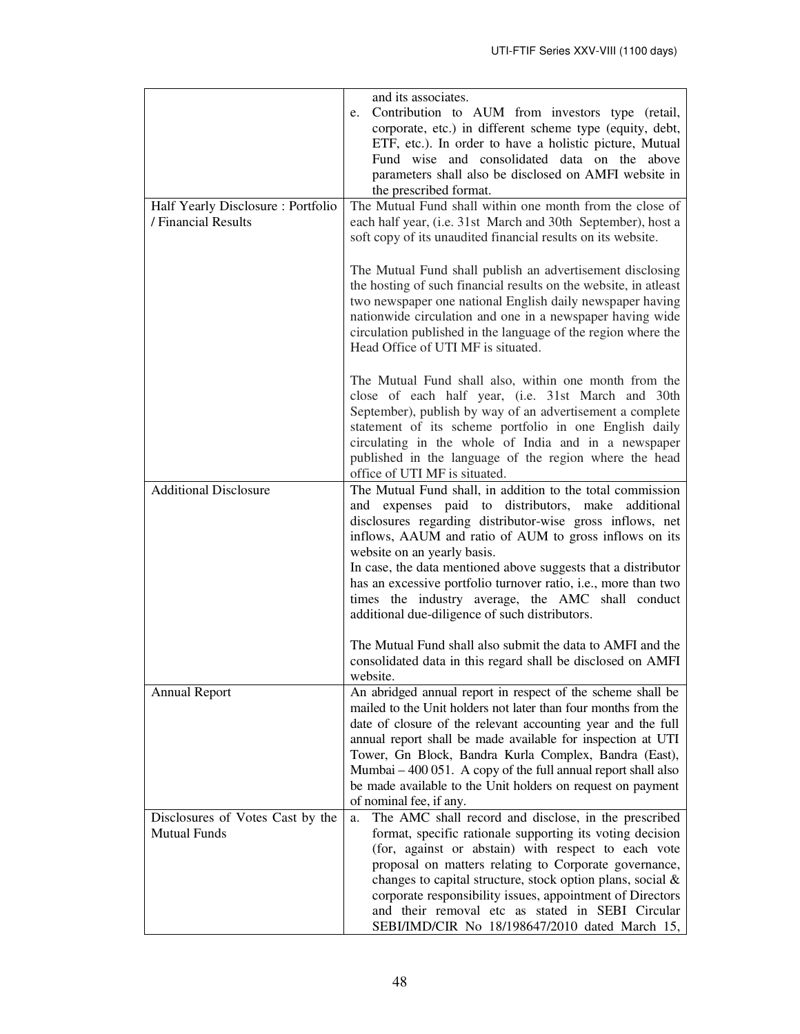|                                                          | and its associates.<br>Contribution to AUM from investors type (retail,<br>e.<br>corporate, etc.) in different scheme type (equity, debt,<br>ETF, etc.). In order to have a holistic picture, Mutual<br>Fund wise and consolidated data on the above<br>parameters shall also be disclosed on AMFI website in<br>the prescribed format.                                                                                                                                                                          |  |  |  |  |
|----------------------------------------------------------|------------------------------------------------------------------------------------------------------------------------------------------------------------------------------------------------------------------------------------------------------------------------------------------------------------------------------------------------------------------------------------------------------------------------------------------------------------------------------------------------------------------|--|--|--|--|
| Half Yearly Disclosure: Portfolio<br>/ Financial Results | The Mutual Fund shall within one month from the close of<br>each half year, (i.e. 31st March and 30th September), host a<br>soft copy of its unaudited financial results on its website.                                                                                                                                                                                                                                                                                                                         |  |  |  |  |
|                                                          | The Mutual Fund shall publish an advertisement disclosing<br>the hosting of such financial results on the website, in atleast<br>two newspaper one national English daily newspaper having<br>nationwide circulation and one in a newspaper having wide<br>circulation published in the language of the region where the<br>Head Office of UTI MF is situated.                                                                                                                                                   |  |  |  |  |
|                                                          | The Mutual Fund shall also, within one month from the<br>close of each half year, (i.e. 31st March and 30th<br>September), publish by way of an advertisement a complete<br>statement of its scheme portfolio in one English daily<br>circulating in the whole of India and in a newspaper<br>published in the language of the region where the head<br>office of UTI MF is situated.                                                                                                                            |  |  |  |  |
| <b>Additional Disclosure</b>                             | The Mutual Fund shall, in addition to the total commission<br>and expenses paid to distributors, make additional<br>disclosures regarding distributor-wise gross inflows, net<br>inflows, AAUM and ratio of AUM to gross inflows on its<br>website on an yearly basis.<br>In case, the data mentioned above suggests that a distributor<br>has an excessive portfolio turnover ratio, i.e., more than two<br>times the industry average, the AMC shall conduct<br>additional due-diligence of such distributors. |  |  |  |  |
|                                                          | The Mutual Fund shall also submit the data to AMFI and the<br>consolidated data in this regard shall be disclosed on AMFI<br>website.                                                                                                                                                                                                                                                                                                                                                                            |  |  |  |  |
| <b>Annual Report</b>                                     | An abridged annual report in respect of the scheme shall be<br>mailed to the Unit holders not later than four months from the<br>date of closure of the relevant accounting year and the full<br>annual report shall be made available for inspection at UTI<br>Tower, Gn Block, Bandra Kurla Complex, Bandra (East),<br>Mumbai – 400 051. A copy of the full annual report shall also<br>be made available to the Unit holders on request on payment<br>of nominal fee, if any.                                 |  |  |  |  |
| Disclosures of Votes Cast by the<br><b>Mutual Funds</b>  | The AMC shall record and disclose, in the prescribed<br>a.<br>format, specific rationale supporting its voting decision<br>(for, against or abstain) with respect to each vote<br>proposal on matters relating to Corporate governance,<br>changes to capital structure, stock option plans, social &<br>corporate responsibility issues, appointment of Directors<br>and their removal etc as stated in SEBI Circular<br>SEBI/IMD/CIR No 18/198647/2010 dated March 15,                                         |  |  |  |  |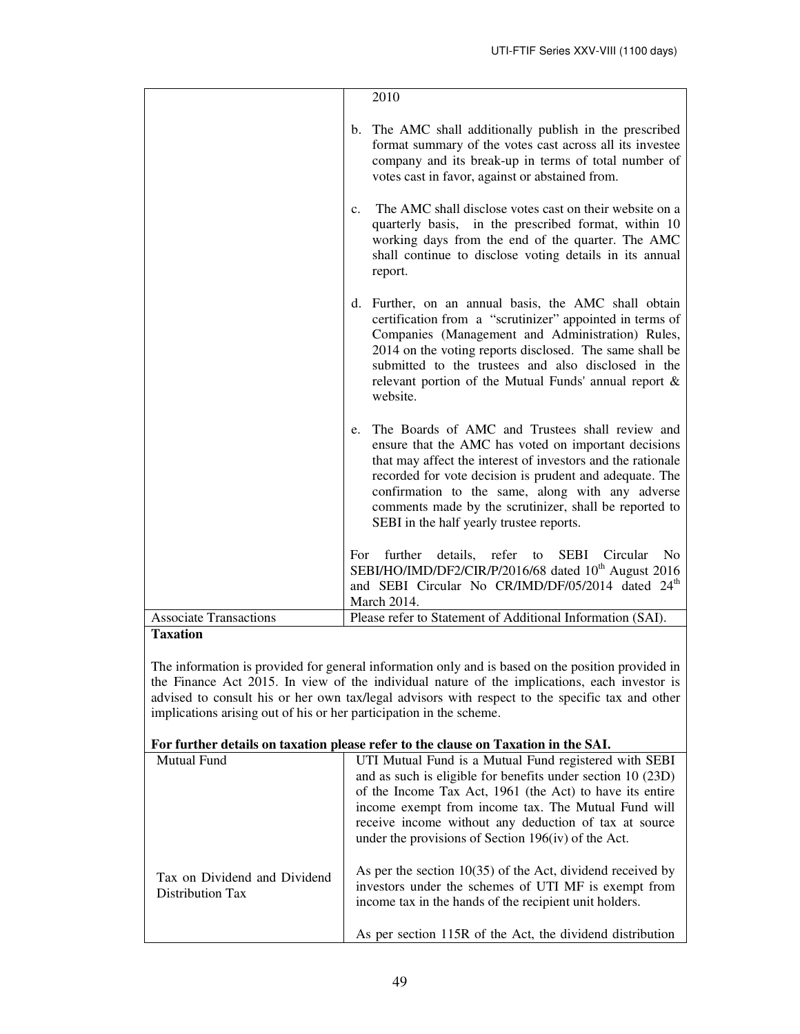|                               | 2010                                                                                                                                                                                                                                                                                                                                                                                              |
|-------------------------------|---------------------------------------------------------------------------------------------------------------------------------------------------------------------------------------------------------------------------------------------------------------------------------------------------------------------------------------------------------------------------------------------------|
|                               | The AMC shall additionally publish in the prescribed<br>b.<br>format summary of the votes cast across all its investee<br>company and its break-up in terms of total number of<br>votes cast in favor, against or abstained from.                                                                                                                                                                 |
|                               | The AMC shall disclose votes cast on their website on a<br>$\mathbf{c}$ .<br>quarterly basis, in the prescribed format, within 10<br>working days from the end of the quarter. The AMC<br>shall continue to disclose voting details in its annual<br>report.                                                                                                                                      |
|                               | d. Further, on an annual basis, the AMC shall obtain<br>certification from a "scrutinizer" appointed in terms of<br>Companies (Management and Administration) Rules,<br>2014 on the voting reports disclosed. The same shall be<br>submitted to the trustees and also disclosed in the<br>relevant portion of the Mutual Funds' annual report &<br>website.                                       |
|                               | The Boards of AMC and Trustees shall review and<br>e.<br>ensure that the AMC has voted on important decisions<br>that may affect the interest of investors and the rationale<br>recorded for vote decision is prudent and adequate. The<br>confirmation to the same, along with any adverse<br>comments made by the scrutinizer, shall be reported to<br>SEBI in the half yearly trustee reports. |
|                               | further<br>details,<br>refer to<br>SEBI Circular<br>No<br>For<br>SEBI/HO/IMD/DF2/CIR/P/2016/68 dated 10 <sup>th</sup> August 2016<br>and SEBI Circular No CR/IMD/DF/05/2014 dated 24 <sup>th</sup><br>March 2014.                                                                                                                                                                                 |
| <b>Associate Transactions</b> | Please refer to Statement of Additional Information (SAI).                                                                                                                                                                                                                                                                                                                                        |

# **Taxation**

The information is provided for general information only and is based on the position provided in the Finance Act 2015. In view of the individual nature of the implications, each investor is advised to consult his or her own tax/legal advisors with respect to the specific tax and other implications arising out of his or her participation in the scheme.

# **For further details on taxation please refer to the clause on Taxation in the SAI.**

| <b>Mutual Fund</b>                               | UTI Mutual Fund is a Mutual Fund registered with SEBI<br>and as such is eligible for benefits under section 10 (23D)<br>of the Income Tax Act, 1961 (the Act) to have its entire<br>income exempt from income tax. The Mutual Fund will<br>receive income without any deduction of tax at source<br>under the provisions of Section $196(iv)$ of the Act. |
|--------------------------------------------------|-----------------------------------------------------------------------------------------------------------------------------------------------------------------------------------------------------------------------------------------------------------------------------------------------------------------------------------------------------------|
| Tax on Dividend and Dividend<br>Distribution Tax | As per the section $10(35)$ of the Act, dividend received by<br>investors under the schemes of UTI MF is exempt from<br>income tax in the hands of the recipient unit holders.<br>As per section 115R of the Act, the dividend distribution                                                                                                               |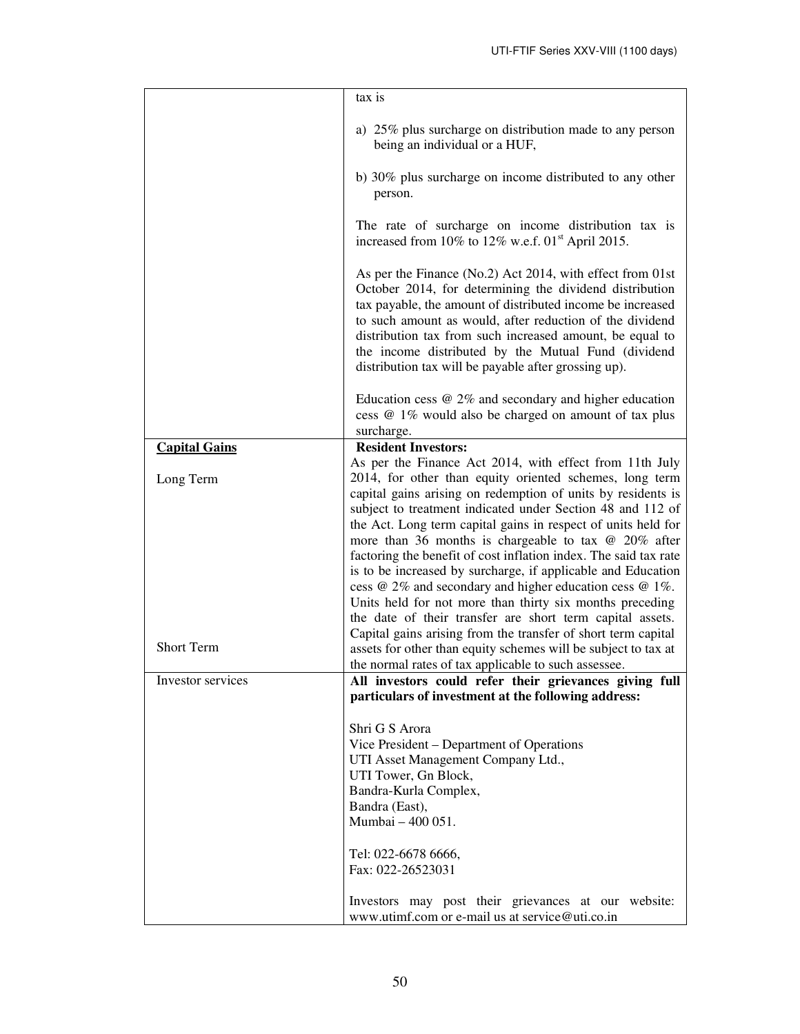|                      | tax is                                                                                                                                                                                                                                                                                                                                                                                                                                                                                                                                                                                                                                                                                                                |  |  |
|----------------------|-----------------------------------------------------------------------------------------------------------------------------------------------------------------------------------------------------------------------------------------------------------------------------------------------------------------------------------------------------------------------------------------------------------------------------------------------------------------------------------------------------------------------------------------------------------------------------------------------------------------------------------------------------------------------------------------------------------------------|--|--|
|                      | a) 25% plus surcharge on distribution made to any person<br>being an individual or a HUF,                                                                                                                                                                                                                                                                                                                                                                                                                                                                                                                                                                                                                             |  |  |
|                      | b) 30% plus surcharge on income distributed to any other<br>person.                                                                                                                                                                                                                                                                                                                                                                                                                                                                                                                                                                                                                                                   |  |  |
|                      | The rate of surcharge on income distribution tax is<br>increased from 10% to 12% w.e.f. $01st$ April 2015.                                                                                                                                                                                                                                                                                                                                                                                                                                                                                                                                                                                                            |  |  |
|                      | As per the Finance (No.2) Act 2014, with effect from 01st<br>October 2014, for determining the dividend distribution<br>tax payable, the amount of distributed income be increased<br>to such amount as would, after reduction of the dividend<br>distribution tax from such increased amount, be equal to<br>the income distributed by the Mutual Fund (dividend<br>distribution tax will be payable after grossing up).                                                                                                                                                                                                                                                                                             |  |  |
|                      | Education cess $@2\%$ and secondary and higher education<br>cess @ 1% would also be charged on amount of tax plus<br>surcharge.                                                                                                                                                                                                                                                                                                                                                                                                                                                                                                                                                                                       |  |  |
| <b>Capital Gains</b> | <b>Resident Investors:</b>                                                                                                                                                                                                                                                                                                                                                                                                                                                                                                                                                                                                                                                                                            |  |  |
|                      | As per the Finance Act 2014, with effect from 11th July                                                                                                                                                                                                                                                                                                                                                                                                                                                                                                                                                                                                                                                               |  |  |
| Long Term            | 2014, for other than equity oriented schemes, long term                                                                                                                                                                                                                                                                                                                                                                                                                                                                                                                                                                                                                                                               |  |  |
| <b>Short Term</b>    | capital gains arising on redemption of units by residents is<br>subject to treatment indicated under Section 48 and 112 of<br>the Act. Long term capital gains in respect of units held for<br>more than 36 months is chargeable to tax $\omega$ 20% after<br>factoring the benefit of cost inflation index. The said tax rate<br>is to be increased by surcharge, if applicable and Education<br>cess @ 2% and secondary and higher education cess @ 1%.<br>Units held for not more than thirty six months preceding<br>the date of their transfer are short term capital assets.<br>Capital gains arising from the transfer of short term capital<br>assets for other than equity schemes will be subject to tax at |  |  |
| Investor services    | the normal rates of tax applicable to such assessee.<br>All investors could refer their grievances giving full                                                                                                                                                                                                                                                                                                                                                                                                                                                                                                                                                                                                        |  |  |
|                      | particulars of investment at the following address:                                                                                                                                                                                                                                                                                                                                                                                                                                                                                                                                                                                                                                                                   |  |  |
|                      | Shri G S Arora<br>Vice President – Department of Operations<br>UTI Asset Management Company Ltd.,<br>UTI Tower, Gn Block,<br>Bandra-Kurla Complex,<br>Bandra (East),<br>Mumbai - 400 051.                                                                                                                                                                                                                                                                                                                                                                                                                                                                                                                             |  |  |
|                      | Tel: 022-6678 6666,<br>Fax: 022-26523031                                                                                                                                                                                                                                                                                                                                                                                                                                                                                                                                                                                                                                                                              |  |  |
|                      | Investors may post their grievances at our website:<br>www.utimf.com or e-mail us at service@uti.co.in                                                                                                                                                                                                                                                                                                                                                                                                                                                                                                                                                                                                                |  |  |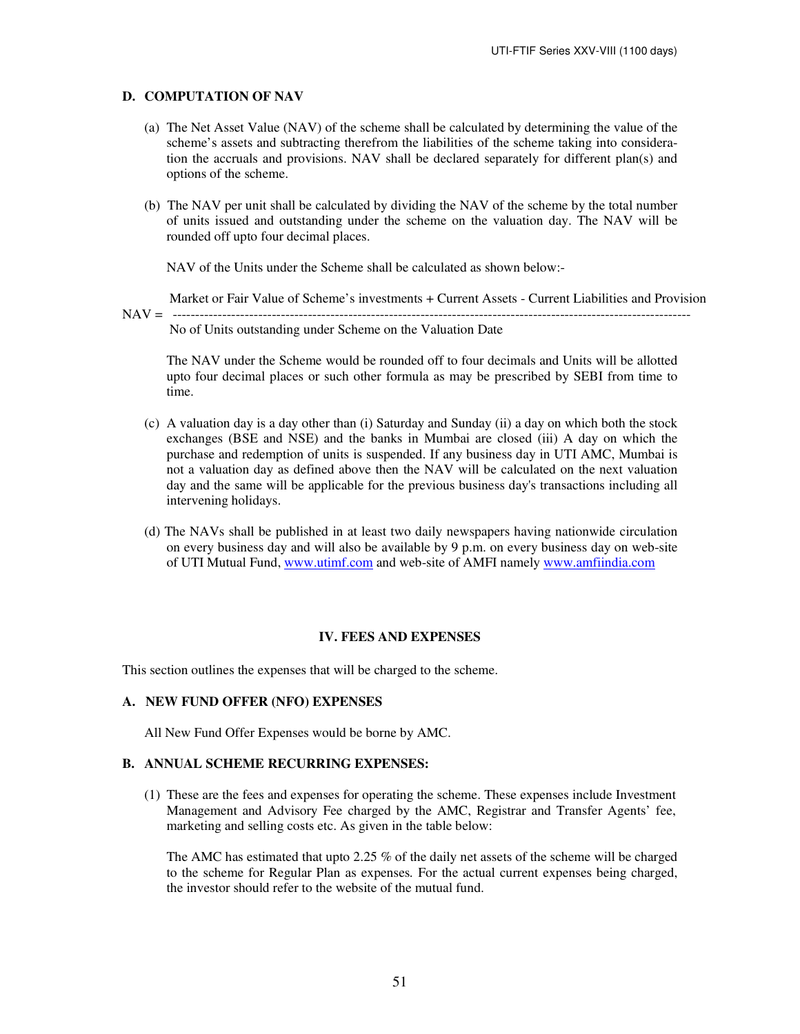### **D. COMPUTATION OF NAV**

- (a) The Net Asset Value (NAV) of the scheme shall be calculated by determining the value of the scheme's assets and subtracting therefrom the liabilities of the scheme taking into consideration the accruals and provisions. NAV shall be declared separately for different plan(s) and options of the scheme.
- (b) The NAV per unit shall be calculated by dividing the NAV of the scheme by the total number of units issued and outstanding under the scheme on the valuation day. The NAV will be rounded off upto four decimal places.

NAV of the Units under the Scheme shall be calculated as shown below:-

 Market or Fair Value of Scheme's investments + Current Assets - Current Liabilities and Provision NAV = ------------------------------------------------------------------------------------------------------------------- No of Units outstanding under Scheme on the Valuation Date

The NAV under the Scheme would be rounded off to four decimals and Units will be allotted upto four decimal places or such other formula as may be prescribed by SEBI from time to time.

- (c) A valuation day is a day other than (i) Saturday and Sunday (ii) a day on which both the stock exchanges (BSE and NSE) and the banks in Mumbai are closed (iii) A day on which the purchase and redemption of units is suspended. If any business day in UTI AMC, Mumbai is not a valuation day as defined above then the NAV will be calculated on the next valuation day and the same will be applicable for the previous business day's transactions including all intervening holidays.
- (d) The NAVs shall be published in at least two daily newspapers having nationwide circulation on every business day and will also be available by 9 p.m. on every business day on web-site of UTI Mutual Fund, www.utimf.com and web-site of AMFI namely www.amfiindia.com

#### **IV. FEES AND EXPENSES**

This section outlines the expenses that will be charged to the scheme.

### **A. NEW FUND OFFER (NFO) EXPENSES**

All New Fund Offer Expenses would be borne by AMC.

# **B. ANNUAL SCHEME RECURRING EXPENSES:**

(1) These are the fees and expenses for operating the scheme. These expenses include Investment Management and Advisory Fee charged by the AMC, Registrar and Transfer Agents' fee, marketing and selling costs etc. As given in the table below:

The AMC has estimated that upto 2.25 % of the daily net assets of the scheme will be charged to the scheme for Regular Plan as expenses*.* For the actual current expenses being charged, the investor should refer to the website of the mutual fund.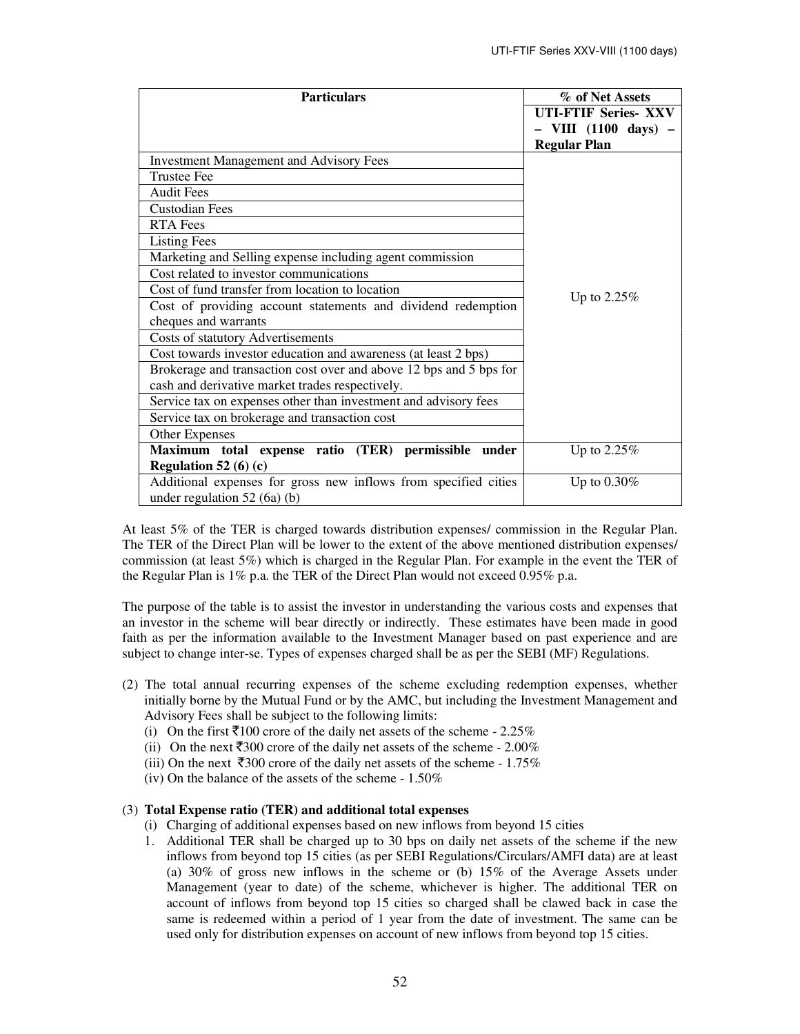| <b>Particulars</b>                                                 | % of Net Assets              |
|--------------------------------------------------------------------|------------------------------|
|                                                                    | <b>UTI-FTIF Series-XXV</b>   |
|                                                                    | VIII $(1100 \text{ days})$ – |
|                                                                    | <b>Regular Plan</b>          |
| <b>Investment Management and Advisory Fees</b>                     |                              |
| <b>Trustee Fee</b>                                                 |                              |
| <b>Audit Fees</b>                                                  |                              |
| <b>Custodian Fees</b>                                              |                              |
| <b>RTA Fees</b>                                                    |                              |
| <b>Listing Fees</b>                                                |                              |
| Marketing and Selling expense including agent commission           |                              |
| Cost related to investor communications                            |                              |
| Cost of fund transfer from location to location                    | Up to $2.25\%$               |
| Cost of providing account statements and dividend redemption       |                              |
| cheques and warrants                                               |                              |
| Costs of statutory Advertisements                                  |                              |
| Cost towards investor education and awareness (at least 2 bps)     |                              |
| Brokerage and transaction cost over and above 12 bps and 5 bps for |                              |
| cash and derivative market trades respectively.                    |                              |
| Service tax on expenses other than investment and advisory fees    |                              |
| Service tax on brokerage and transaction cost                      |                              |
| Other Expenses                                                     |                              |
| Maximum total expense ratio (TER) permissible<br>under             | Up to 2.25%                  |
| Regulation 52 (6) (c)                                              |                              |
| Additional expenses for gross new inflows from specified cities    | Up to $0.30\%$               |
| under regulation $52(6a)(b)$                                       |                              |

At least 5% of the TER is charged towards distribution expenses/ commission in the Regular Plan. The TER of the Direct Plan will be lower to the extent of the above mentioned distribution expenses/ commission (at least 5%) which is charged in the Regular Plan. For example in the event the TER of the Regular Plan is 1% p.a. the TER of the Direct Plan would not exceed 0.95% p.a.

The purpose of the table is to assist the investor in understanding the various costs and expenses that an investor in the scheme will bear directly or indirectly. These estimates have been made in good faith as per the information available to the Investment Manager based on past experience and are subject to change inter-se. Types of expenses charged shall be as per the SEBI (MF) Regulations.

- (2) The total annual recurring expenses of the scheme excluding redemption expenses, whether initially borne by the Mutual Fund or by the AMC, but including the Investment Management and Advisory Fees shall be subject to the following limits:
	- (i) On the first  $\bar{5}100$  crore of the daily net assets of the scheme 2.25%
	- (ii) On the next  $\overline{5300}$  crore of the daily net assets of the scheme 2.00%
	- (iii) On the next  $\overline{5300}$  crore of the daily net assets of the scheme 1.75%
	- (iv) On the balance of the assets of the scheme 1.50%

# (3) **Total Expense ratio (TER) and additional total expenses**

- (i) Charging of additional expenses based on new inflows from beyond 15 cities
- 1. Additional TER shall be charged up to 30 bps on daily net assets of the scheme if the new inflows from beyond top 15 cities (as per SEBI Regulations/Circulars/AMFI data) are at least (a) 30% of gross new inflows in the scheme or (b) 15% of the Average Assets under Management (year to date) of the scheme, whichever is higher. The additional TER on account of inflows from beyond top 15 cities so charged shall be clawed back in case the same is redeemed within a period of 1 year from the date of investment. The same can be used only for distribution expenses on account of new inflows from beyond top 15 cities.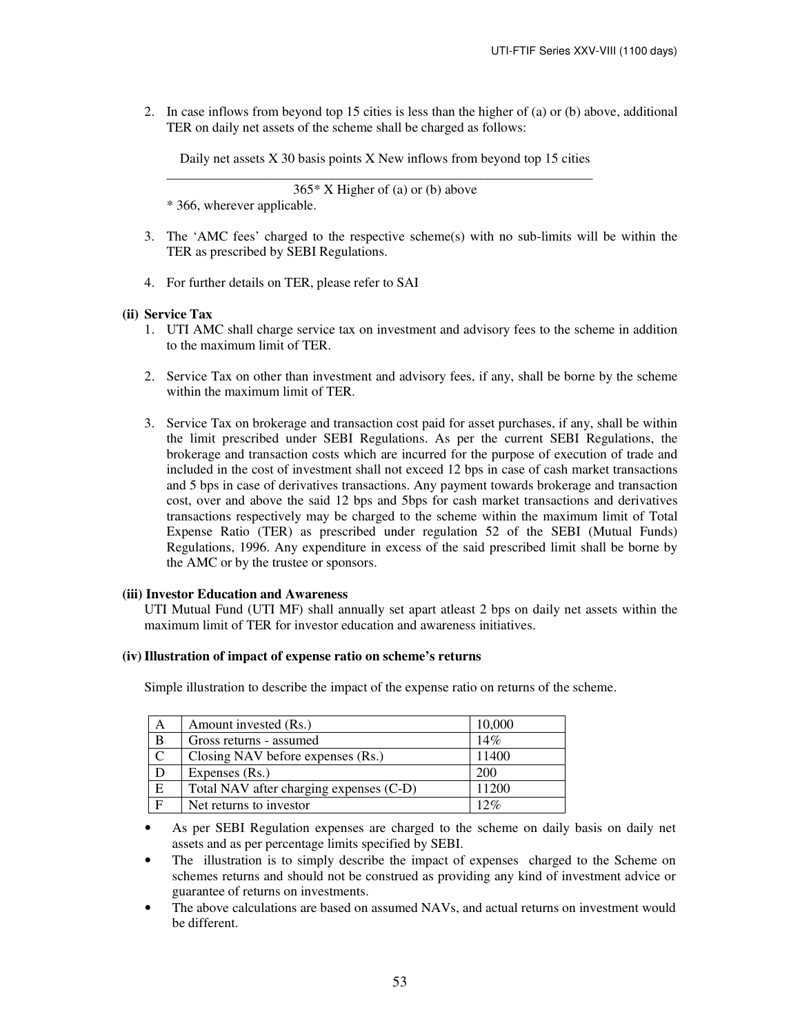2. In case inflows from beyond top 15 cities is less than the higher of (a) or (b) above, additional TER on daily net assets of the scheme shall be charged as follows:

Daily net assets X 30 basis points X New inflows from beyond top 15 cities \_\_\_\_\_\_\_\_\_\_\_\_\_\_\_\_\_\_\_\_\_\_\_\_\_\_\_\_\_\_\_\_\_\_\_\_\_\_\_\_\_\_\_\_\_\_\_\_\_\_\_\_\_\_\_\_\_\_\_\_\_\_\_

365\* X Higher of (a) or (b) above \* 366, wherever applicable.

- 3. The 'AMC fees' charged to the respective scheme(s) with no sub-limits will be within the TER as prescribed by SEBI Regulations.
- 4. For further details on TER, please refer to SAI

# **(ii) Service Tax**

- 1. UTI AMC shall charge service tax on investment and advisory fees to the scheme in addition to the maximum limit of TER.
- 2. Service Tax on other than investment and advisory fees, if any, shall be borne by the scheme within the maximum limit of TER.
- 3. Service Tax on brokerage and transaction cost paid for asset purchases, if any, shall be within the limit prescribed under SEBI Regulations. As per the current SEBI Regulations, the brokerage and transaction costs which are incurred for the purpose of execution of trade and included in the cost of investment shall not exceed 12 bps in case of cash market transactions and 5 bps in case of derivatives transactions. Any payment towards brokerage and transaction cost, over and above the said 12 bps and 5bps for cash market transactions and derivatives transactions respectively may be charged to the scheme within the maximum limit of Total Expense Ratio (TER) as prescribed under regulation 52 of the SEBI (Mutual Funds) Regulations, 1996. Any expenditure in excess of the said prescribed limit shall be borne by the AMC or by the trustee or sponsors.

# **(iii) Investor Education and Awareness**

UTI Mutual Fund (UTI MF) shall annually set apart atleast 2 bps on daily net assets within the maximum limit of TER for investor education and awareness initiatives.

# **(iv) Illustration of impact of expense ratio on scheme's returns**

Simple illustration to describe the impact of the expense ratio on returns of the scheme.

| Α             | Amount invested (Rs.)                   | 10,000 |
|---------------|-----------------------------------------|--------|
| B             | Gross returns - assumed                 | 14%    |
| $\mathcal{C}$ | Closing NAV before expenses (Rs.)       | 11400  |
| D             | Expenses (Rs.)                          | 200    |
| E             | Total NAV after charging expenses (C-D) | 11200  |
| $\mathbf{F}$  | Net returns to investor                 | 12%    |

• As per SEBI Regulation expenses are charged to the scheme on daily basis on daily net assets and as per percentage limits specified by SEBI.

- The illustration is to simply describe the impact of expenses charged to the Scheme on schemes returns and should not be construed as providing any kind of investment advice or guarantee of returns on investments.
- The above calculations are based on assumed NAVs, and actual returns on investment would be different.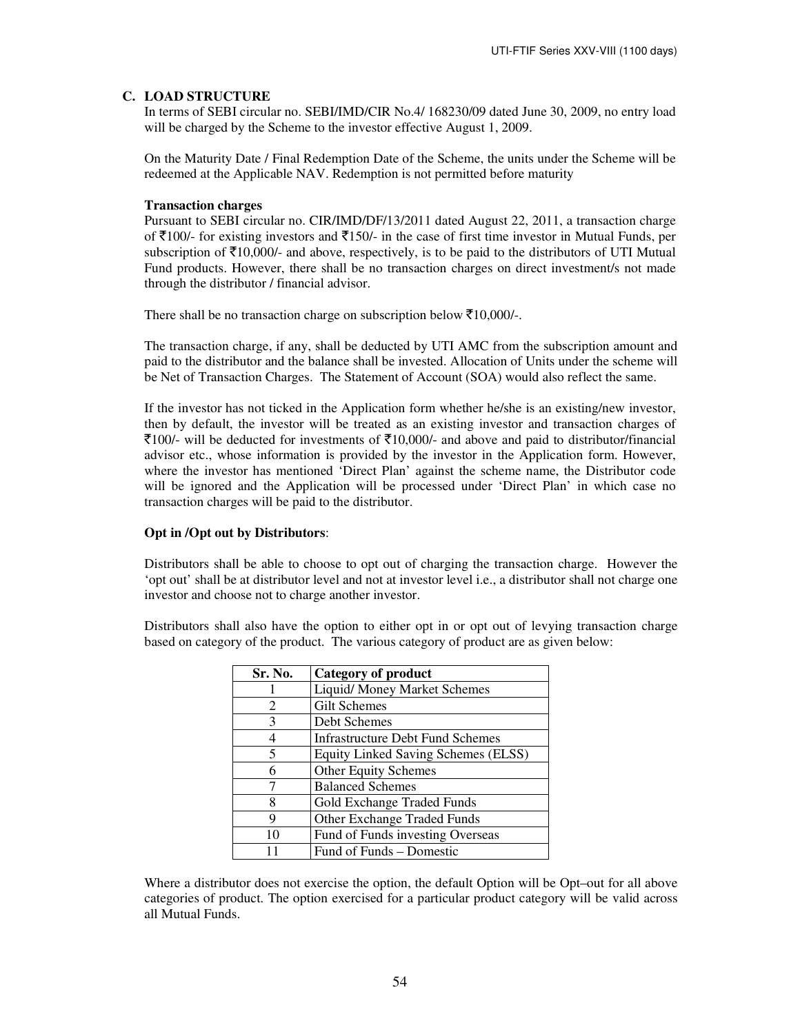# **C. LOAD STRUCTURE**

In terms of SEBI circular no. SEBI/IMD/CIR No.4/ 168230/09 dated June 30, 2009, no entry load will be charged by the Scheme to the investor effective August 1, 2009.

On the Maturity Date / Final Redemption Date of the Scheme, the units under the Scheme will be redeemed at the Applicable NAV. Redemption is not permitted before maturity

### **Transaction charges**

Pursuant to SEBI circular no. CIR/IMD/DF/13/2011 dated August 22, 2011, a transaction charge of  $\bar{\tau}$ 100/- for existing investors and  $\bar{\tau}$ 150/- in the case of first time investor in Mutual Funds, per subscription of  $\bar{\tau}10,000$ /- and above, respectively, is to be paid to the distributors of UTI Mutual Fund products. However, there shall be no transaction charges on direct investment/s not made through the distributor / financial advisor.

There shall be no transaction charge on subscription below  $\overline{5}10,000/$ -.

The transaction charge, if any, shall be deducted by UTI AMC from the subscription amount and paid to the distributor and the balance shall be invested. Allocation of Units under the scheme will be Net of Transaction Charges. The Statement of Account (SOA) would also reflect the same.

If the investor has not ticked in the Application form whether he/she is an existing/new investor, then by default, the investor will be treated as an existing investor and transaction charges of  $\bar{z}$ 100/- will be deducted for investments of  $\bar{z}$ 10,000/- and above and paid to distributor/financial advisor etc., whose information is provided by the investor in the Application form. However, where the investor has mentioned 'Direct Plan' against the scheme name, the Distributor code will be ignored and the Application will be processed under 'Direct Plan' in which case no transaction charges will be paid to the distributor.

#### **Opt in /Opt out by Distributors**:

Distributors shall be able to choose to opt out of charging the transaction charge. However the 'opt out' shall be at distributor level and not at investor level i.e., a distributor shall not charge one investor and choose not to charge another investor.

Distributors shall also have the option to either opt in or opt out of levying transaction charge based on category of the product. The various category of product are as given below:

| Sr. No.        | <b>Category of product</b>              |
|----------------|-----------------------------------------|
|                | Liquid/Money Market Schemes             |
| $\overline{c}$ | <b>Gilt Schemes</b>                     |
| 3              | Debt Schemes                            |
| 4              | <b>Infrastructure Debt Fund Schemes</b> |
| 5              | Equity Linked Saving Schemes (ELSS)     |
| 6              | Other Equity Schemes                    |
| 7              | <b>Balanced Schemes</b>                 |
| 8              | Gold Exchange Traded Funds              |
| 9              | Other Exchange Traded Funds             |
| 10             | Fund of Funds investing Overseas        |
|                | Fund of Funds – Domestic                |

Where a distributor does not exercise the option, the default Option will be Opt–out for all above categories of product. The option exercised for a particular product category will be valid across all Mutual Funds.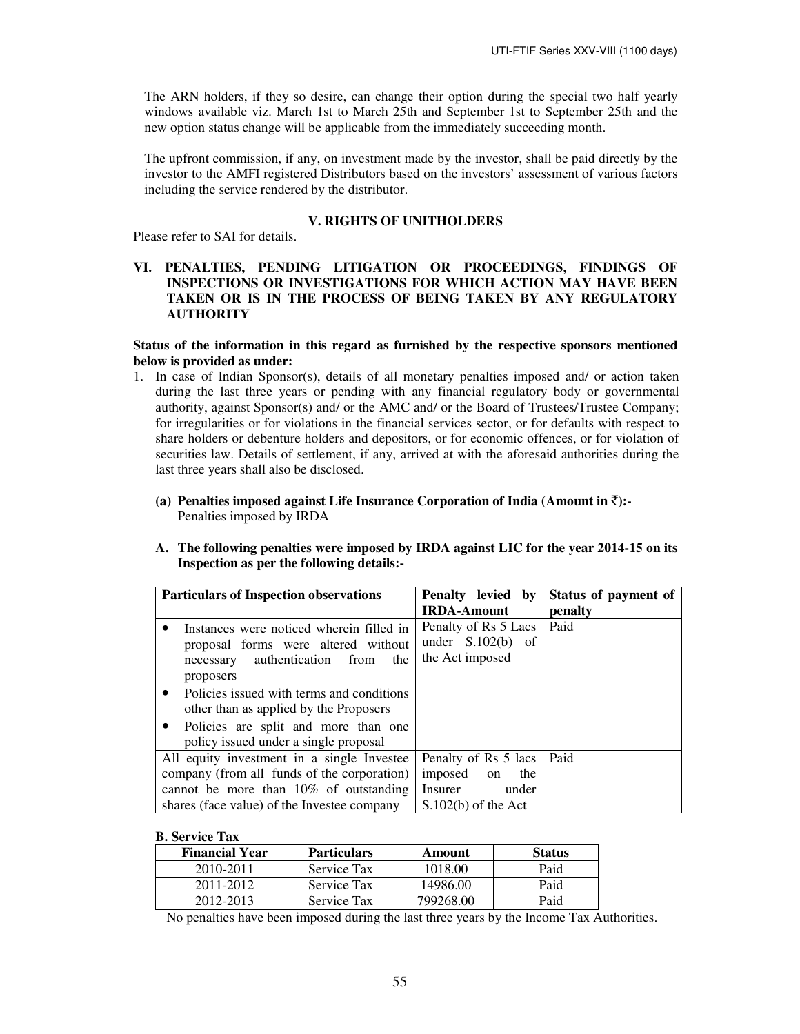The ARN holders, if they so desire, can change their option during the special two half yearly windows available viz. March 1st to March 25th and September 1st to September 25th and the new option status change will be applicable from the immediately succeeding month.

The upfront commission, if any, on investment made by the investor, shall be paid directly by the investor to the AMFI registered Distributors based on the investors' assessment of various factors including the service rendered by the distributor.

#### **V. RIGHTS OF UNITHOLDERS**

Please refer to SAI for details.

# **VI. PENALTIES, PENDING LITIGATION OR PROCEEDINGS, FINDINGS OF INSPECTIONS OR INVESTIGATIONS FOR WHICH ACTION MAY HAVE BEEN TAKEN OR IS IN THE PROCESS OF BEING TAKEN BY ANY REGULATORY AUTHORITY**

**Status of the information in this regard as furnished by the respective sponsors mentioned below is provided as under:** 

- 1. In case of Indian Sponsor(s), details of all monetary penalties imposed and/ or action taken during the last three years or pending with any financial regulatory body or governmental authority, against Sponsor(s) and/ or the AMC and/ or the Board of Trustees/Trustee Company; for irregularities or for violations in the financial services sector, or for defaults with respect to share holders or debenture holders and depositors, or for economic offences, or for violation of securities law. Details of settlement, if any, arrived at with the aforesaid authorities during the last three years shall also be disclosed.
	- (a) Penalties imposed against Life Insurance Corporation of India (Amount in  $\bar{\tau}$ ):-Penalties imposed by IRDA
	- **A. The following penalties were imposed by IRDA against LIC for the year 2014-15 on its Inspection as per the following details:-**

| <b>Particulars of Inspection observations</b>                                                                                                                                                                                                                                                                                     | Penalty levied by<br><b>IRDA-Amount</b>                                                   | Status of payment of<br>penalty |
|-----------------------------------------------------------------------------------------------------------------------------------------------------------------------------------------------------------------------------------------------------------------------------------------------------------------------------------|-------------------------------------------------------------------------------------------|---------------------------------|
| Instances were noticed wherein filled in<br>٠<br>proposal forms were altered without<br>authentication<br>from<br>the<br>necessary<br>proposers<br>Policies issued with terms and conditions<br>٠<br>other than as applied by the Proposers<br>Policies are split and more than one<br>٠<br>policy issued under a single proposal | Penalty of Rs 5 Lacs<br>under $S.102(b)$ of<br>the Act imposed                            | Paid                            |
| All equity investment in a single Investee<br>company (from all funds of the corporation)<br>cannot be more than $10\%$ of outstanding<br>shares (face value) of the Investee company                                                                                                                                             | Penalty of Rs 5 lacs<br>imposed<br>the<br>on<br>Insurer<br>under<br>$S.102(b)$ of the Act | Paid                            |

## **B. Service Tax**

| <b>Financial Year</b> | <b>Particulars</b> | Amount    | <b>Status</b> |
|-----------------------|--------------------|-----------|---------------|
| 2010-2011             | Service Tax        | 1018.00   | Paid          |
| 2011-2012             | Service Tax        | 14986.00  | Paid          |
| 2012-2013             | <b>Service Tax</b> | 799268.00 | Paid          |

No penalties have been imposed during the last three years by the Income Tax Authorities.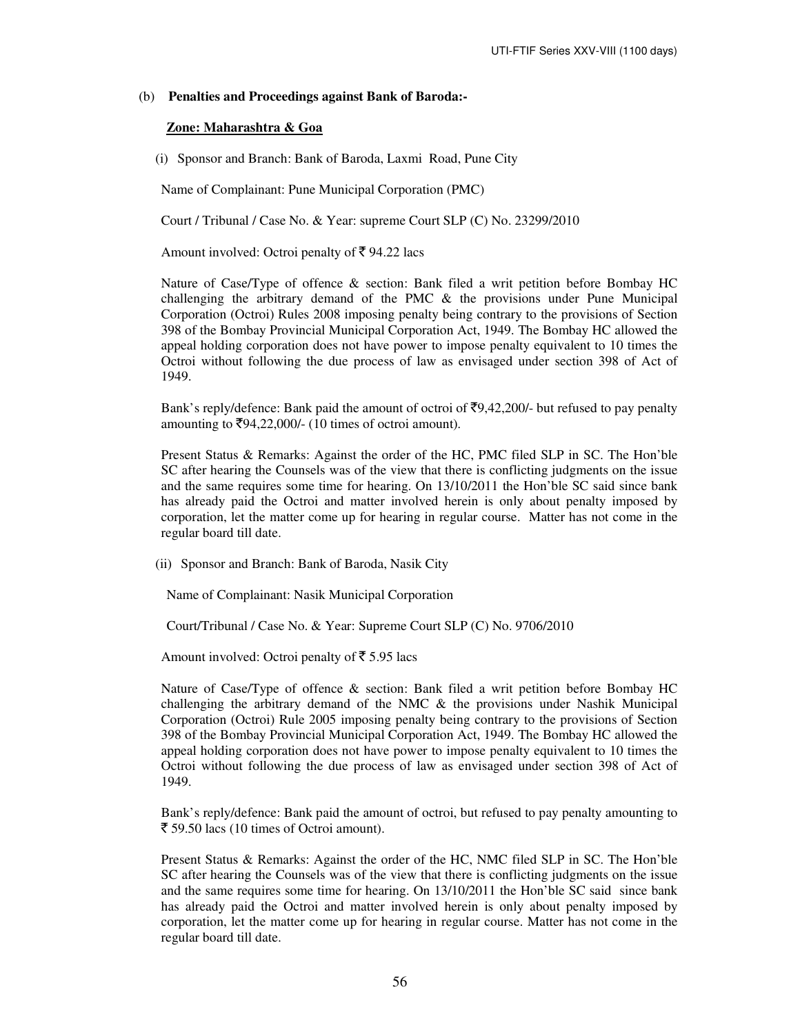#### (b) **Penalties and Proceedings against Bank of Baroda:-**

#### **Zone: Maharashtra & Goa**

(i) Sponsor and Branch: Bank of Baroda, Laxmi Road, Pune City

Name of Complainant: Pune Municipal Corporation (PMC)

Court / Tribunal / Case No. & Year: supreme Court SLP (C) No. 23299/2010

Amount involved: Octroi penalty of  $\bar{\tau}$  94.22 lacs

Nature of Case/Type of offence & section: Bank filed a writ petition before Bombay HC challenging the arbitrary demand of the PMC & the provisions under Pune Municipal Corporation (Octroi) Rules 2008 imposing penalty being contrary to the provisions of Section 398 of the Bombay Provincial Municipal Corporation Act, 1949. The Bombay HC allowed the appeal holding corporation does not have power to impose penalty equivalent to 10 times the Octroi without following the due process of law as envisaged under section 398 of Act of 1949.

Bank's reply/defence: Bank paid the amount of octroi of  $\overline{\mathcal{F}}9,42,200/$ - but refused to pay penalty amounting to  $\overline{5}94,22,000/(-10)$  times of octroi amount).

Present Status & Remarks: Against the order of the HC, PMC filed SLP in SC. The Hon'ble SC after hearing the Counsels was of the view that there is conflicting judgments on the issue and the same requires some time for hearing. On 13/10/2011 the Hon'ble SC said since bank has already paid the Octroi and matter involved herein is only about penalty imposed by corporation, let the matter come up for hearing in regular course. Matter has not come in the regular board till date.

(ii) Sponsor and Branch: Bank of Baroda, Nasik City

Name of Complainant: Nasik Municipal Corporation

Court/Tribunal / Case No. & Year: Supreme Court SLP (C) No. 9706/2010

Amount involved: Octroi penalty of  $\bar{\bar{\xi}}$  5.95 lacs

Nature of Case/Type of offence & section: Bank filed a writ petition before Bombay HC challenging the arbitrary demand of the NMC & the provisions under Nashik Municipal Corporation (Octroi) Rule 2005 imposing penalty being contrary to the provisions of Section 398 of the Bombay Provincial Municipal Corporation Act, 1949. The Bombay HC allowed the appeal holding corporation does not have power to impose penalty equivalent to 10 times the Octroi without following the due process of law as envisaged under section 398 of Act of 1949.

Bank's reply/defence: Bank paid the amount of octroi, but refused to pay penalty amounting to  $\bar{\xi}$  59.50 lacs (10 times of Octroi amount).

Present Status & Remarks: Against the order of the HC, NMC filed SLP in SC. The Hon'ble SC after hearing the Counsels was of the view that there is conflicting judgments on the issue and the same requires some time for hearing. On 13/10/2011 the Hon'ble SC said since bank has already paid the Octroi and matter involved herein is only about penalty imposed by corporation, let the matter come up for hearing in regular course. Matter has not come in the regular board till date.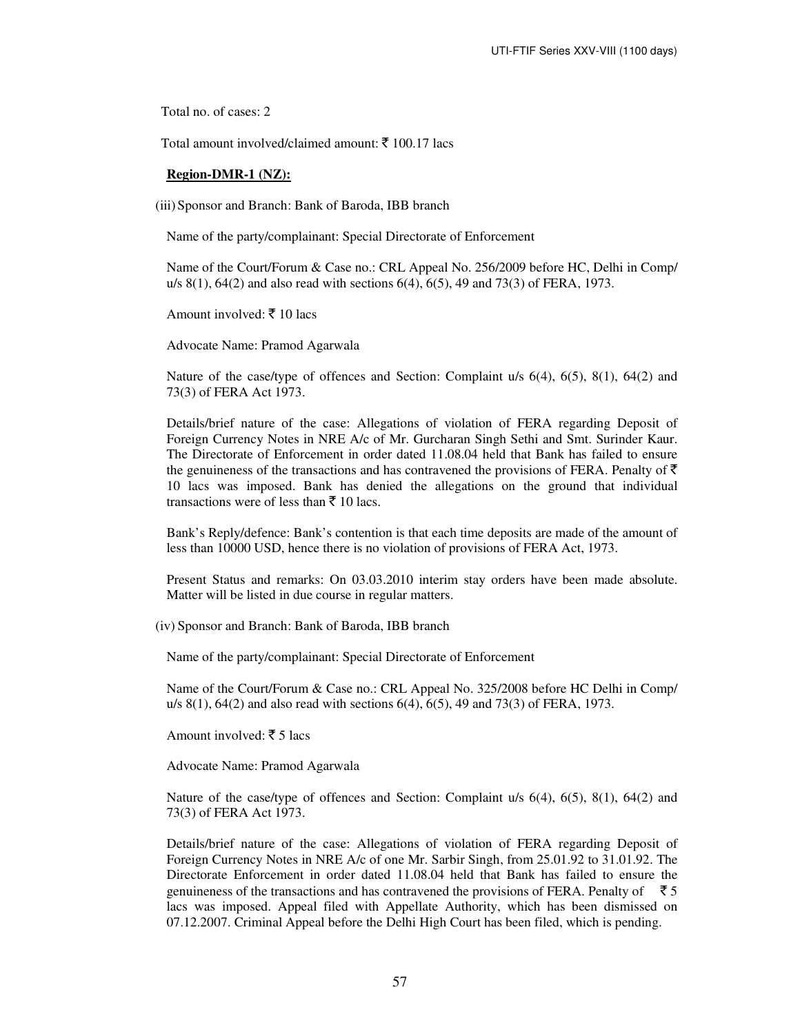Total no. of cases: 2

Total amount involved/claimed amount:  $\bar{\tau}$  100.17 lacs

#### **Region-DMR-1 (NZ):**

(iii) Sponsor and Branch: Bank of Baroda, IBB branch

Name of the party/complainant: Special Directorate of Enforcement

Name of the Court/Forum & Case no.: CRL Appeal No. 256/2009 before HC, Delhi in Comp/ u/s 8(1), 64(2) and also read with sections 6(4), 6(5), 49 and 73(3) of FERA, 1973.

Amount involved:  $\bar{\bar{\xi}}$  10 lacs

Advocate Name: Pramod Agarwala

Nature of the case/type of offences and Section: Complaint u/s 6(4), 6(5), 8(1), 64(2) and 73(3) of FERA Act 1973.

Details/brief nature of the case: Allegations of violation of FERA regarding Deposit of Foreign Currency Notes in NRE A/c of Mr. Gurcharan Singh Sethi and Smt. Surinder Kaur. The Directorate of Enforcement in order dated 11.08.04 held that Bank has failed to ensure the genuineness of the transactions and has contravened the provisions of FERA. Penalty of  $\bar{\tau}$ 10 lacs was imposed. Bank has denied the allegations on the ground that individual transactions were of less than  $\bar{z}$  10 lacs.

Bank's Reply/defence: Bank's contention is that each time deposits are made of the amount of less than 10000 USD, hence there is no violation of provisions of FERA Act, 1973.

Present Status and remarks: On 03.03.2010 interim stay orders have been made absolute. Matter will be listed in due course in regular matters.

(iv) Sponsor and Branch: Bank of Baroda, IBB branch

Name of the party/complainant: Special Directorate of Enforcement

Name of the Court/Forum & Case no.: CRL Appeal No. 325/2008 before HC Delhi in Comp/ u/s 8(1), 64(2) and also read with sections 6(4), 6(5), 49 and 73(3) of FERA, 1973.

Amount involved:  $\bar{\bar{\xi}}$  5 lacs

Advocate Name: Pramod Agarwala

Nature of the case/type of offences and Section: Complaint u/s  $6(4)$ ,  $6(5)$ ,  $8(1)$ ,  $64(2)$  and 73(3) of FERA Act 1973.

Details/brief nature of the case: Allegations of violation of FERA regarding Deposit of Foreign Currency Notes in NRE A/c of one Mr. Sarbir Singh, from 25.01.92 to 31.01.92. The Directorate Enforcement in order dated 11.08.04 held that Bank has failed to ensure the genuineness of the transactions and has contravened the provisions of FERA. Penalty of  $\bar{5}$ lacs was imposed. Appeal filed with Appellate Authority, which has been dismissed on 07.12.2007. Criminal Appeal before the Delhi High Court has been filed, which is pending.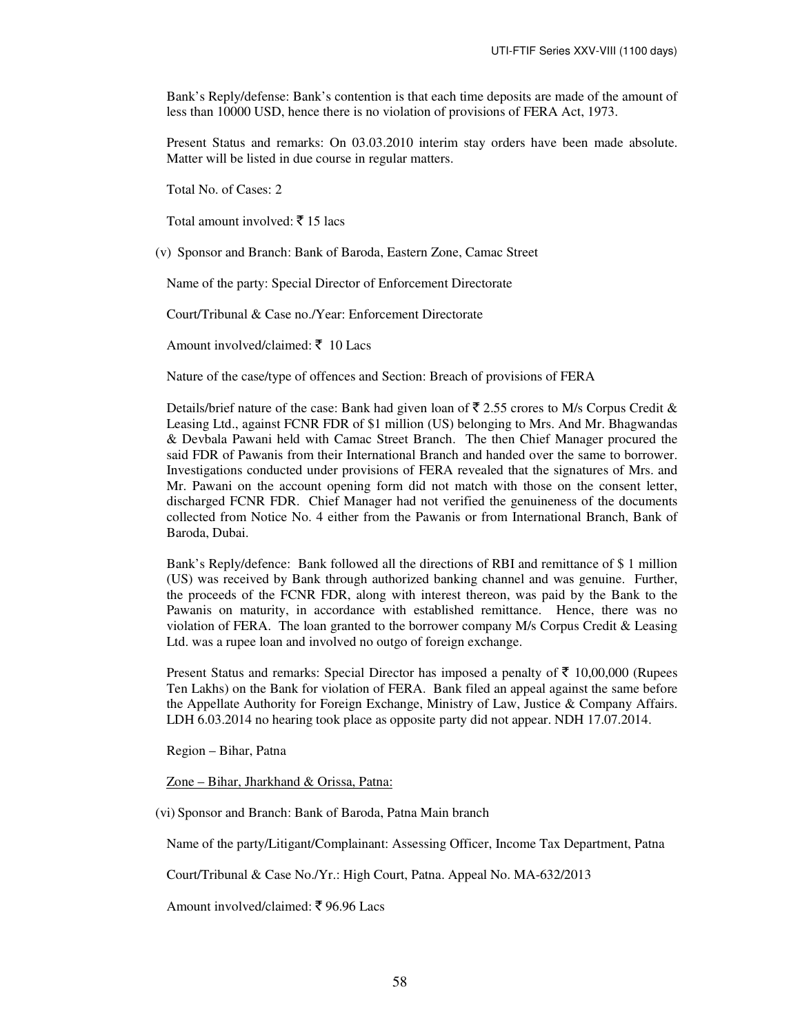Bank's Reply/defense: Bank's contention is that each time deposits are made of the amount of less than 10000 USD, hence there is no violation of provisions of FERA Act, 1973.

Present Status and remarks: On 03.03.2010 interim stay orders have been made absolute. Matter will be listed in due course in regular matters.

Total No. of Cases: 2

Total amount involved: ₹15 lacs

(v) Sponsor and Branch: Bank of Baroda, Eastern Zone, Camac Street

Name of the party: Special Director of Enforcement Directorate

Court/Tribunal & Case no./Year: Enforcement Directorate

Amount involved/claimed:  $\bar{\tau}$  10 Lacs

Nature of the case/type of offences and Section: Breach of provisions of FERA

Details/brief nature of the case: Bank had given loan of  $\bar{\tau}$  2.55 crores to M/s Corpus Credit & Leasing Ltd., against FCNR FDR of \$1 million (US) belonging to Mrs. And Mr. Bhagwandas & Devbala Pawani held with Camac Street Branch. The then Chief Manager procured the said FDR of Pawanis from their International Branch and handed over the same to borrower. Investigations conducted under provisions of FERA revealed that the signatures of Mrs. and Mr. Pawani on the account opening form did not match with those on the consent letter, discharged FCNR FDR. Chief Manager had not verified the genuineness of the documents collected from Notice No. 4 either from the Pawanis or from International Branch, Bank of Baroda, Dubai.

Bank's Reply/defence: Bank followed all the directions of RBI and remittance of \$ 1 million (US) was received by Bank through authorized banking channel and was genuine. Further, the proceeds of the FCNR FDR, along with interest thereon, was paid by the Bank to the Pawanis on maturity, in accordance with established remittance. Hence, there was no violation of FERA. The loan granted to the borrower company M/s Corpus Credit & Leasing Ltd. was a rupee loan and involved no outgo of foreign exchange.

Present Status and remarks: Special Director has imposed a penalty of  $\bar{\tau}$  10,00,000 (Rupees Ten Lakhs) on the Bank for violation of FERA. Bank filed an appeal against the same before the Appellate Authority for Foreign Exchange, Ministry of Law, Justice & Company Affairs. LDH 6.03.2014 no hearing took place as opposite party did not appear. NDH 17.07.2014.

Region – Bihar, Patna

Zone – Bihar, Jharkhand & Orissa, Patna:

(vi) Sponsor and Branch: Bank of Baroda, Patna Main branch

Name of the party/Litigant/Complainant: Assessing Officer, Income Tax Department, Patna

Court/Tribunal & Case No./Yr.: High Court, Patna. Appeal No. MA-632/2013

Amount involved/claimed:  $\bar{\xi}$  96.96 Lacs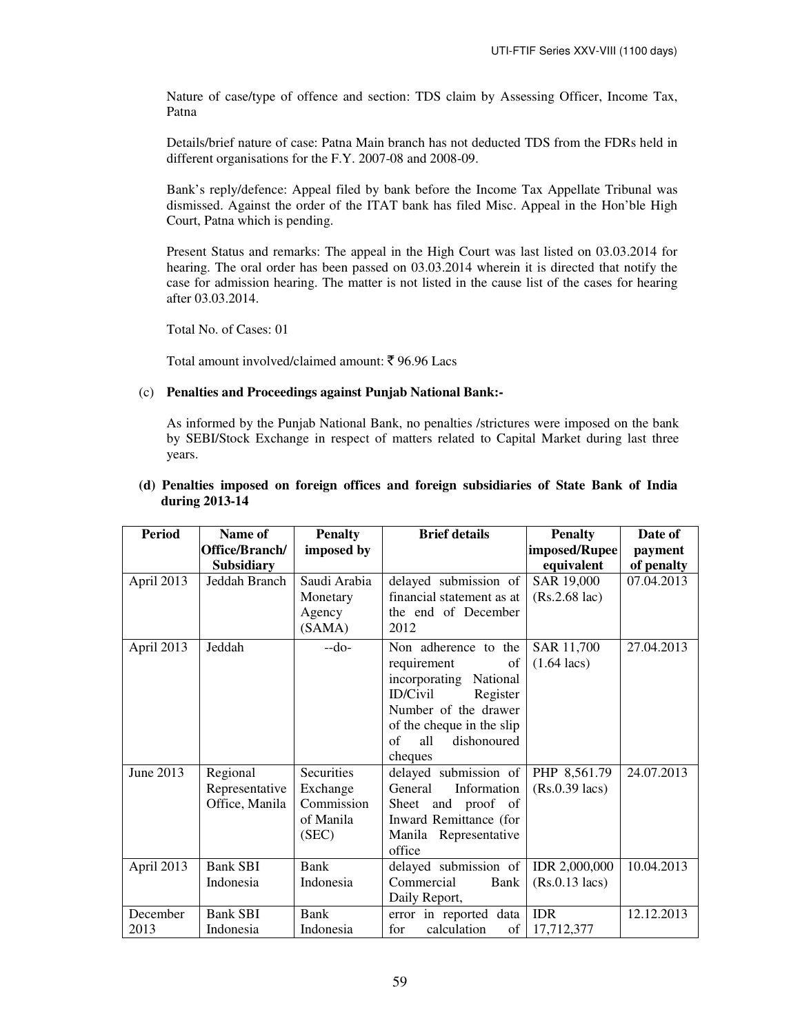Nature of case/type of offence and section: TDS claim by Assessing Officer, Income Tax, Patna

Details/brief nature of case: Patna Main branch has not deducted TDS from the FDRs held in different organisations for the F.Y. 2007-08 and 2008-09.

Bank's reply/defence: Appeal filed by bank before the Income Tax Appellate Tribunal was dismissed. Against the order of the ITAT bank has filed Misc. Appeal in the Hon'ble High Court, Patna which is pending.

Present Status and remarks: The appeal in the High Court was last listed on 03.03.2014 for hearing. The oral order has been passed on 03.03.2014 wherein it is directed that notify the case for admission hearing. The matter is not listed in the cause list of the cases for hearing after 03.03.2014.

Total No. of Cases: 01

Total amount involved/claimed amount:  $\bar{\xi}$  96.96 Lacs

### (c) **Penalties and Proceedings against Punjab National Bank:-**

As informed by the Punjab National Bank, no penalties /strictures were imposed on the bank by SEBI/Stock Exchange in respect of matters related to Capital Market during last three years.

| <b>Period</b> | Name of           | <b>Penalty</b> | <b>Brief details</b>        | <b>Penalty</b>          | Date of    |
|---------------|-------------------|----------------|-----------------------------|-------------------------|------------|
|               | Office/Branch/    | imposed by     |                             | imposed/Rupee           | payment    |
|               | <b>Subsidiary</b> |                |                             | equivalent              | of penalty |
| April 2013    | Jeddah Branch     | Saudi Arabia   | delayed submission of       | SAR 19,000              | 07.04.2013 |
|               |                   | Monetary       | financial statement as at   | $(Rs.2.68 \text{ lac})$ |            |
|               |                   | Agency         | the end of December         |                         |            |
|               |                   | (SAMA)         | 2012                        |                         |            |
| April 2013    | Jeddah            | $-do-$         | Non adherence to the        | SAR 11,700              | 27.04.2013 |
|               |                   |                | requirement<br>of           | $(1.64 \text{ lacs})$   |            |
|               |                   |                | incorporating National      |                         |            |
|               |                   |                | <b>ID/Civil</b><br>Register |                         |            |
|               |                   |                | Number of the drawer        |                         |            |
|               |                   |                | of the cheque in the slip   |                         |            |
|               |                   |                | dishonoured<br>all<br>of    |                         |            |
|               |                   |                | cheques                     |                         |            |
| June 2013     | Regional          | Securities     | delayed submission of       | PHP 8,561.79            | 24.07.2013 |
|               | Representative    | Exchange       | Information<br>General      | $(Rs.0.39$ lacs)        |            |
|               | Office, Manila    | Commission     | Sheet and proof of          |                         |            |
|               |                   | of Manila      | Inward Remittance (for      |                         |            |
|               |                   | (SEC)          | Manila Representative       |                         |            |
|               |                   |                | office                      |                         |            |
| April 2013    | <b>Bank SBI</b>   | Bank           | delayed submission of       | IDR 2,000,000           | 10.04.2013 |
|               | Indonesia         | Indonesia      | Commercial<br>Bank          | $(Rs.0.13$ lacs)        |            |
|               |                   |                | Daily Report,               |                         |            |
| December      | <b>Bank SBI</b>   | <b>Bank</b>    | error in reported data      | <b>IDR</b>              | 12.12.2013 |
| 2013          | Indonesia         | Indonesia      | calculation<br>for<br>of    | 17,712,377              |            |

# **(d) Penalties imposed on foreign offices and foreign subsidiaries of State Bank of India during 2013-14**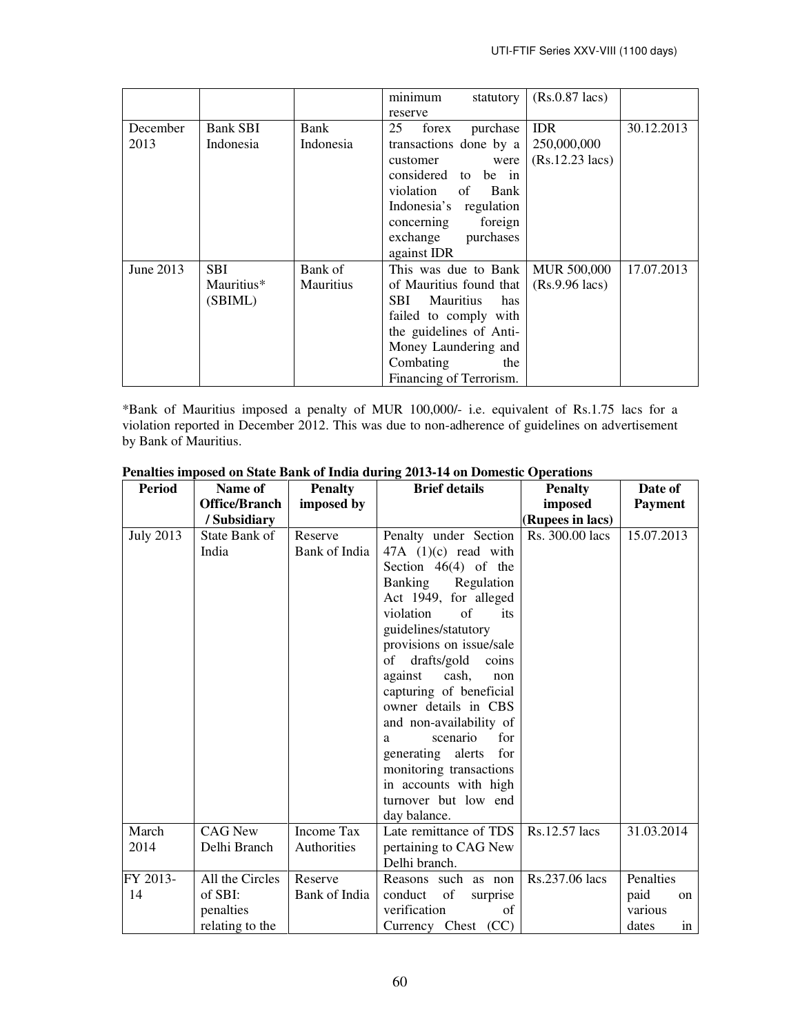|           |                 |           | minimum<br>statutory           | $(Rs.0.87$ lacs)          |            |
|-----------|-----------------|-----------|--------------------------------|---------------------------|------------|
|           |                 |           | reserve                        |                           |            |
| December  | <b>Bank SBI</b> | Bank      | 25<br>forex<br>purchase        | <b>IDR</b>                | 30.12.2013 |
| 2013      | Indonesia       | Indonesia | transactions done by a         | 250,000,000               |            |
|           |                 |           | customer<br>were               | $(Rs.12.23 \text{ lacs})$ |            |
|           |                 |           | considered to be in            |                           |            |
|           |                 |           | violation<br>of<br>Bank        |                           |            |
|           |                 |           | Indonesia's regulation         |                           |            |
|           |                 |           | concerning<br>foreign          |                           |            |
|           |                 |           | exchange<br>purchases          |                           |            |
|           |                 |           | against IDR                    |                           |            |
| June 2013 | <b>SBI</b>      | Bank of   | This was due to Bank           | <b>MUR 500,000</b>        | 17.07.2013 |
|           | Mauritius*      | Mauritius | of Mauritius found that        | $(Rs.9.96$ lacs)          |            |
|           | (SBIML)         |           | SBI<br><b>Mauritius</b><br>has |                           |            |
|           |                 |           | failed to comply with          |                           |            |
|           |                 |           | the guidelines of Anti-        |                           |            |
|           |                 |           | Money Laundering and           |                           |            |
|           |                 |           | Combating<br>the               |                           |            |
|           |                 |           | Financing of Terrorism.        |                           |            |

\*Bank of Mauritius imposed a penalty of MUR 100,000/- i.e. equivalent of Rs.1.75 lacs for a violation reported in December 2012. This was due to non-adherence of guidelines on advertisement by Bank of Mauritius.

| <b>Period</b>    | Name of              | <b>Penalty</b>    | <b>Brief details</b>                   | <b>Penalty</b>   | Date of        |
|------------------|----------------------|-------------------|----------------------------------------|------------------|----------------|
|                  | <b>Office/Branch</b> | imposed by        |                                        | imposed          | <b>Payment</b> |
|                  | / Subsidiary         |                   |                                        | (Rupees in lacs) |                |
| <b>July 2013</b> | State Bank of        | Reserve           | Penalty under Section                  | Rs. 300.00 lacs  | 15.07.2013     |
|                  | India                | Bank of India     | $47A$ (1)(c) read with                 |                  |                |
|                  |                      |                   | Section $46(4)$ of the                 |                  |                |
|                  |                      |                   | Banking<br>Regulation                  |                  |                |
|                  |                      |                   | Act 1949, for alleged                  |                  |                |
|                  |                      |                   | violation<br>of<br>its                 |                  |                |
|                  |                      |                   | guidelines/statutory                   |                  |                |
|                  |                      |                   | provisions on issue/sale               |                  |                |
|                  |                      |                   | drafts/gold coins<br>of                |                  |                |
|                  |                      |                   | against<br>cash,<br>non                |                  |                |
|                  |                      |                   | capturing of beneficial                |                  |                |
|                  |                      |                   | owner details in CBS                   |                  |                |
|                  |                      |                   | and non-availability of                |                  |                |
|                  |                      |                   | for<br>scenario<br>a                   |                  |                |
|                  |                      |                   | generating alerts<br>for               |                  |                |
|                  |                      |                   | monitoring transactions                |                  |                |
|                  |                      |                   | in accounts with high                  |                  |                |
|                  |                      |                   | turnover but low end                   |                  |                |
| March            | <b>CAG New</b>       | <b>Income Tax</b> | day balance.<br>Late remittance of TDS | Rs.12.57 lacs    | 31.03.2014     |
| 2014             | Delhi Branch         | Authorities       |                                        |                  |                |
|                  |                      |                   | pertaining to CAG New<br>Delhi branch. |                  |                |
| FY 2013-         | All the Circles      | Reserve           | Reasons such as non                    | Rs.237.06 lacs   | Penalties      |
| 14               | of SBI:              | Bank of India     | conduct<br>of<br>surprise              |                  | paid<br>on     |
|                  | penalties            |                   | verification<br>of                     |                  | various        |
|                  | relating to the      |                   | Currency Chest (CC)                    |                  | dates<br>in    |

# **Penalties imposed on State Bank of India during 2013-14 on Domestic Operations**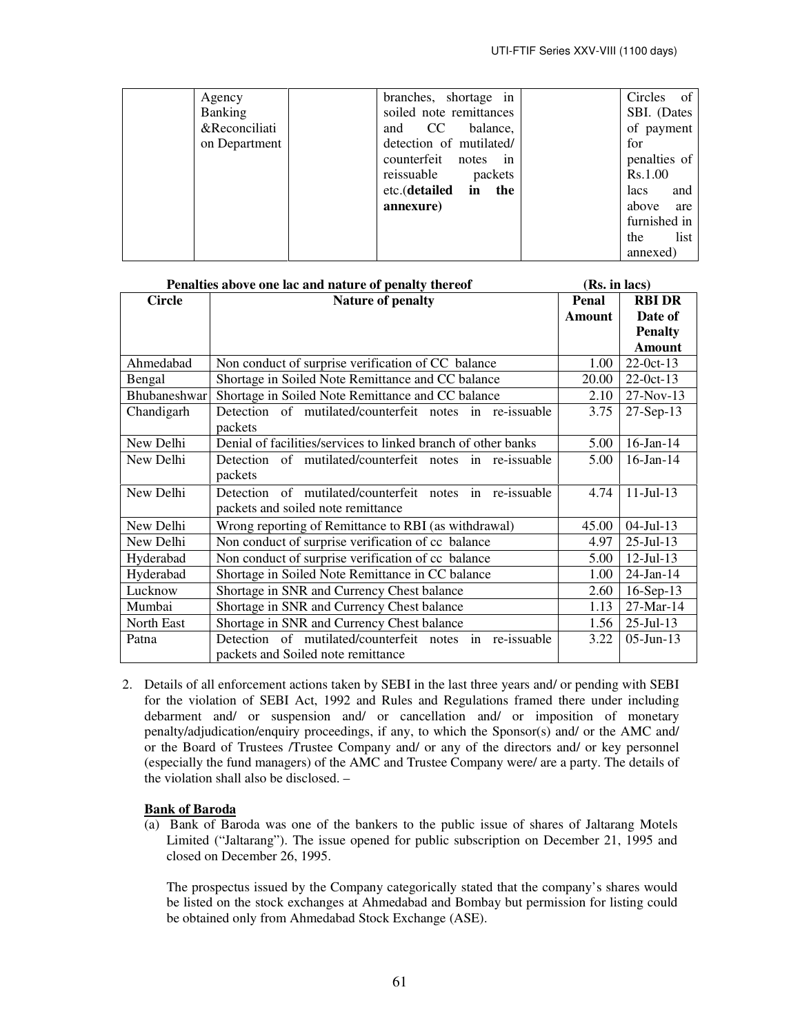| Agency<br><b>Banking</b><br>&Reconciliati<br>on Department | branches, shortage in<br>soiled note remittances<br>balance,<br>CC<br>and<br>detection of mutilated/<br>counterfeit<br>notes<br>in<br>reissuable<br>packets<br>etc.(detailed in the<br>annexure) | Circles of<br>SBI. (Dates<br>of payment<br>for<br>penalties of<br>Rs.1.00<br>and<br>lacs<br>above<br>are |
|------------------------------------------------------------|--------------------------------------------------------------------------------------------------------------------------------------------------------------------------------------------------|----------------------------------------------------------------------------------------------------------|
|                                                            |                                                                                                                                                                                                  | furnished in<br>list<br>the<br>annexed)                                                                  |

| Penalties above one lac and nature of penalty thereof | (Rs. in lacs)                                                                                 |        |                  |
|-------------------------------------------------------|-----------------------------------------------------------------------------------------------|--------|------------------|
| <b>Circle</b>                                         | <b>Nature of penalty</b>                                                                      | Penal  | <b>RBI DR</b>    |
|                                                       |                                                                                               | Amount | Date of          |
|                                                       |                                                                                               |        | <b>Penalty</b>   |
|                                                       |                                                                                               |        | <b>Amount</b>    |
| Ahmedabad                                             | Non conduct of surprise verification of CC balance                                            | 1.00   | $22-0ct-13$      |
| Bengal                                                | Shortage in Soiled Note Remittance and CC balance                                             | 20.00  | $22-0ct-13$      |
| Bhubaneshwar                                          | Shortage in Soiled Note Remittance and CC balance                                             | 2.10   | $27-Nov-13$      |
| Chandigarh                                            | Detection of mutilated/counterfeit notes in re-issuable<br>packets                            | 3.75   | $27-Sep-13$      |
| New Delhi                                             | Denial of facilities/services to linked branch of other banks                                 | 5.00   | $16$ -Jan- $14$  |
| New Delhi                                             | Detection of mutilated/counterfeit notes in re-issuable<br>packets                            | 5.00   | $16$ -Jan- $14$  |
| New Delhi                                             | Detection of mutilated/counterfeit notes in re-issuable<br>packets and soiled note remittance | 4.74   | $11 -$ Jul $-13$ |
| New Delhi                                             | Wrong reporting of Remittance to RBI (as withdrawal)                                          | 45.00  | $04$ -Jul-13     |
| New Delhi                                             | Non conduct of surprise verification of cc balance                                            | 4.97   | $25$ -Jul-13     |
| Hyderabad                                             | Non conduct of surprise verification of cc balance                                            | 5.00   | $12$ -Jul-13     |
| Hyderabad                                             | Shortage in Soiled Note Remittance in CC balance                                              | 1.00   | $24$ -Jan-14     |
| Lucknow                                               | Shortage in SNR and Currency Chest balance                                                    | 2.60   | $16-Sep-13$      |
| Mumbai                                                | Shortage in SNR and Currency Chest balance                                                    | 1.13   | 27-Mar-14        |
| North East                                            | Shortage in SNR and Currency Chest balance                                                    | 1.56   | $25$ -Jul-13     |
| Patna                                                 | Detection of mutilated/counterfeit notes in re-issuable<br>packets and Soiled note remittance | 3.22   | $05$ -Jun-13     |

2. Details of all enforcement actions taken by SEBI in the last three years and/ or pending with SEBI for the violation of SEBI Act, 1992 and Rules and Regulations framed there under including debarment and/ or suspension and/ or cancellation and/ or imposition of monetary penalty/adjudication/enquiry proceedings, if any, to which the Sponsor(s) and/ or the AMC and/ or the Board of Trustees /Trustee Company and/ or any of the directors and/ or key personnel (especially the fund managers) of the AMC and Trustee Company were/ are a party. The details of the violation shall also be disclosed. –

# **Bank of Baroda**

(a) Bank of Baroda was one of the bankers to the public issue of shares of Jaltarang Motels Limited ("Jaltarang"). The issue opened for public subscription on December 21, 1995 and closed on December 26, 1995.

The prospectus issued by the Company categorically stated that the company's shares would be listed on the stock exchanges at Ahmedabad and Bombay but permission for listing could be obtained only from Ahmedabad Stock Exchange (ASE).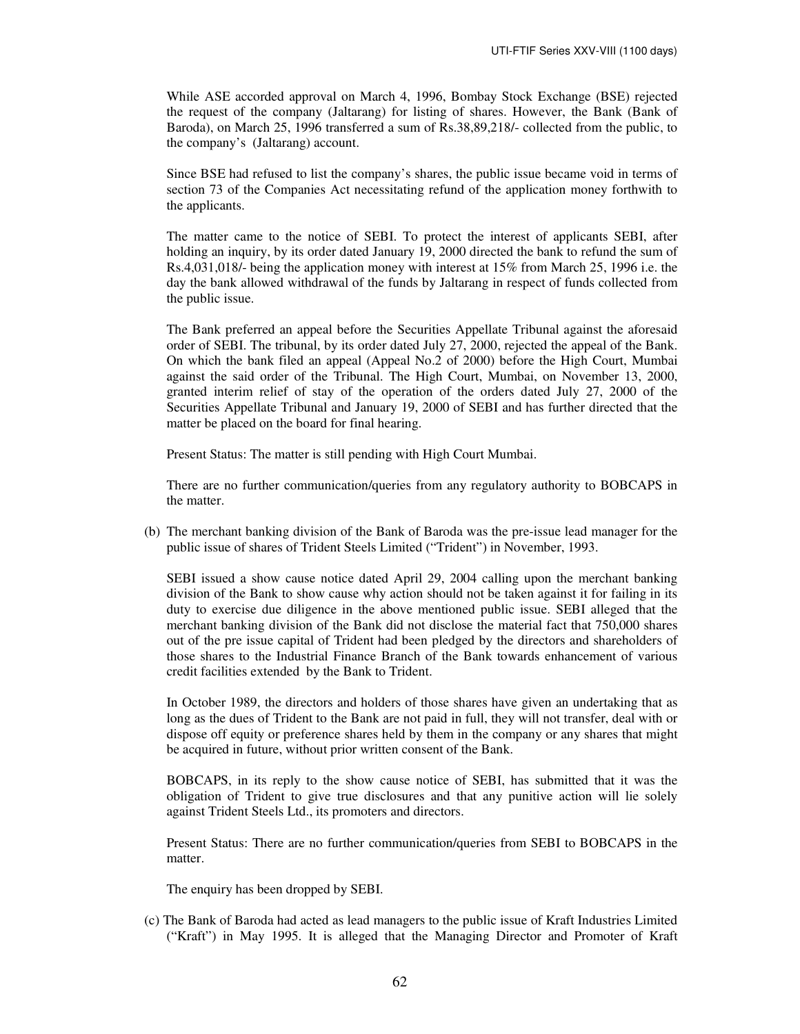While ASE accorded approval on March 4, 1996, Bombay Stock Exchange (BSE) rejected the request of the company (Jaltarang) for listing of shares. However, the Bank (Bank of Baroda), on March 25, 1996 transferred a sum of Rs.38,89,218/- collected from the public, to the company's (Jaltarang) account.

Since BSE had refused to list the company's shares, the public issue became void in terms of section 73 of the Companies Act necessitating refund of the application money forthwith to the applicants.

The matter came to the notice of SEBI. To protect the interest of applicants SEBI, after holding an inquiry, by its order dated January 19, 2000 directed the bank to refund the sum of Rs.4,031,018/- being the application money with interest at 15% from March 25, 1996 i.e. the day the bank allowed withdrawal of the funds by Jaltarang in respect of funds collected from the public issue.

The Bank preferred an appeal before the Securities Appellate Tribunal against the aforesaid order of SEBI. The tribunal, by its order dated July 27, 2000, rejected the appeal of the Bank. On which the bank filed an appeal (Appeal No.2 of 2000) before the High Court, Mumbai against the said order of the Tribunal. The High Court, Mumbai, on November 13, 2000, granted interim relief of stay of the operation of the orders dated July 27, 2000 of the Securities Appellate Tribunal and January 19, 2000 of SEBI and has further directed that the matter be placed on the board for final hearing.

Present Status: The matter is still pending with High Court Mumbai.

There are no further communication/queries from any regulatory authority to BOBCAPS in the matter.

(b) The merchant banking division of the Bank of Baroda was the pre-issue lead manager for the public issue of shares of Trident Steels Limited ("Trident") in November, 1993.

SEBI issued a show cause notice dated April 29, 2004 calling upon the merchant banking division of the Bank to show cause why action should not be taken against it for failing in its duty to exercise due diligence in the above mentioned public issue. SEBI alleged that the merchant banking division of the Bank did not disclose the material fact that 750,000 shares out of the pre issue capital of Trident had been pledged by the directors and shareholders of those shares to the Industrial Finance Branch of the Bank towards enhancement of various credit facilities extended by the Bank to Trident.

In October 1989, the directors and holders of those shares have given an undertaking that as long as the dues of Trident to the Bank are not paid in full, they will not transfer, deal with or dispose off equity or preference shares held by them in the company or any shares that might be acquired in future, without prior written consent of the Bank.

BOBCAPS, in its reply to the show cause notice of SEBI, has submitted that it was the obligation of Trident to give true disclosures and that any punitive action will lie solely against Trident Steels Ltd., its promoters and directors.

Present Status: There are no further communication/queries from SEBI to BOBCAPS in the matter.

The enquiry has been dropped by SEBI.

(c) The Bank of Baroda had acted as lead managers to the public issue of Kraft Industries Limited ("Kraft") in May 1995. It is alleged that the Managing Director and Promoter of Kraft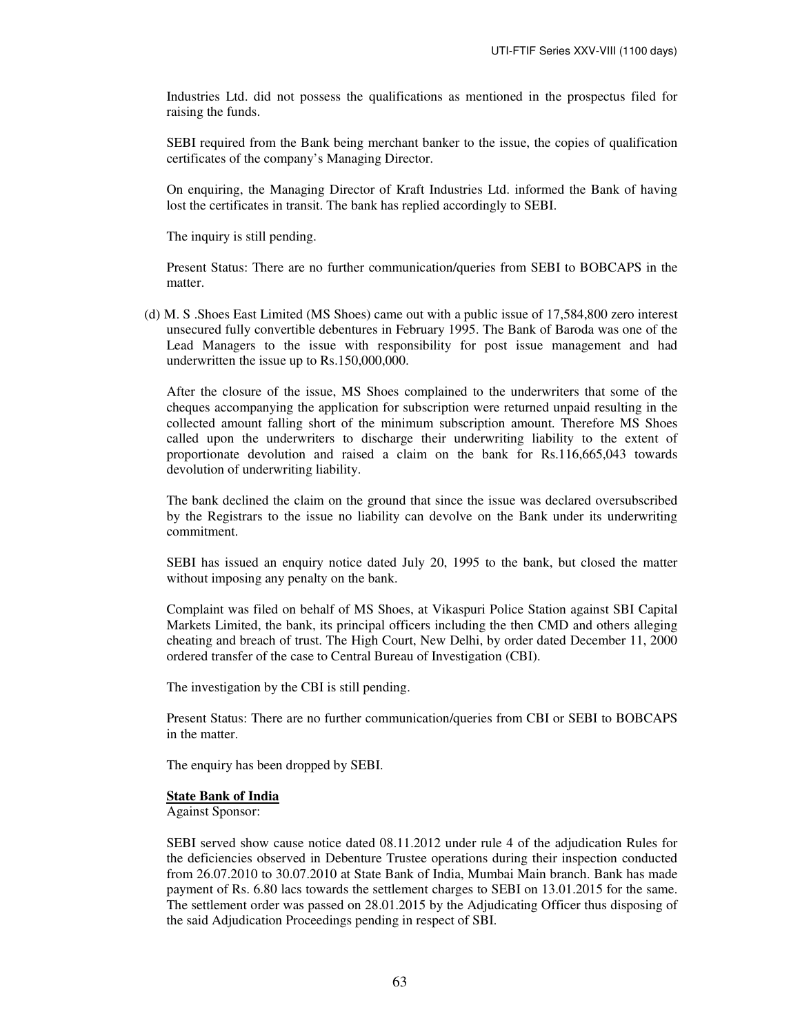Industries Ltd. did not possess the qualifications as mentioned in the prospectus filed for raising the funds.

SEBI required from the Bank being merchant banker to the issue, the copies of qualification certificates of the company's Managing Director.

On enquiring, the Managing Director of Kraft Industries Ltd. informed the Bank of having lost the certificates in transit. The bank has replied accordingly to SEBI.

The inquiry is still pending.

Present Status: There are no further communication/queries from SEBI to BOBCAPS in the matter.

(d) M. S .Shoes East Limited (MS Shoes) came out with a public issue of 17,584,800 zero interest unsecured fully convertible debentures in February 1995. The Bank of Baroda was one of the Lead Managers to the issue with responsibility for post issue management and had underwritten the issue up to Rs.150,000,000.

After the closure of the issue, MS Shoes complained to the underwriters that some of the cheques accompanying the application for subscription were returned unpaid resulting in the collected amount falling short of the minimum subscription amount. Therefore MS Shoes called upon the underwriters to discharge their underwriting liability to the extent of proportionate devolution and raised a claim on the bank for Rs.116,665,043 towards devolution of underwriting liability.

The bank declined the claim on the ground that since the issue was declared oversubscribed by the Registrars to the issue no liability can devolve on the Bank under its underwriting commitment.

SEBI has issued an enquiry notice dated July 20, 1995 to the bank, but closed the matter without imposing any penalty on the bank.

Complaint was filed on behalf of MS Shoes, at Vikaspuri Police Station against SBI Capital Markets Limited, the bank, its principal officers including the then CMD and others alleging cheating and breach of trust. The High Court, New Delhi, by order dated December 11, 2000 ordered transfer of the case to Central Bureau of Investigation (CBI).

The investigation by the CBI is still pending.

Present Status: There are no further communication/queries from CBI or SEBI to BOBCAPS in the matter.

The enquiry has been dropped by SEBI.

#### **State Bank of India**

Against Sponsor:

SEBI served show cause notice dated 08.11.2012 under rule 4 of the adjudication Rules for the deficiencies observed in Debenture Trustee operations during their inspection conducted from 26.07.2010 to 30.07.2010 at State Bank of India, Mumbai Main branch. Bank has made payment of Rs. 6.80 lacs towards the settlement charges to SEBI on 13.01.2015 for the same. The settlement order was passed on 28.01.2015 by the Adjudicating Officer thus disposing of the said Adjudication Proceedings pending in respect of SBI.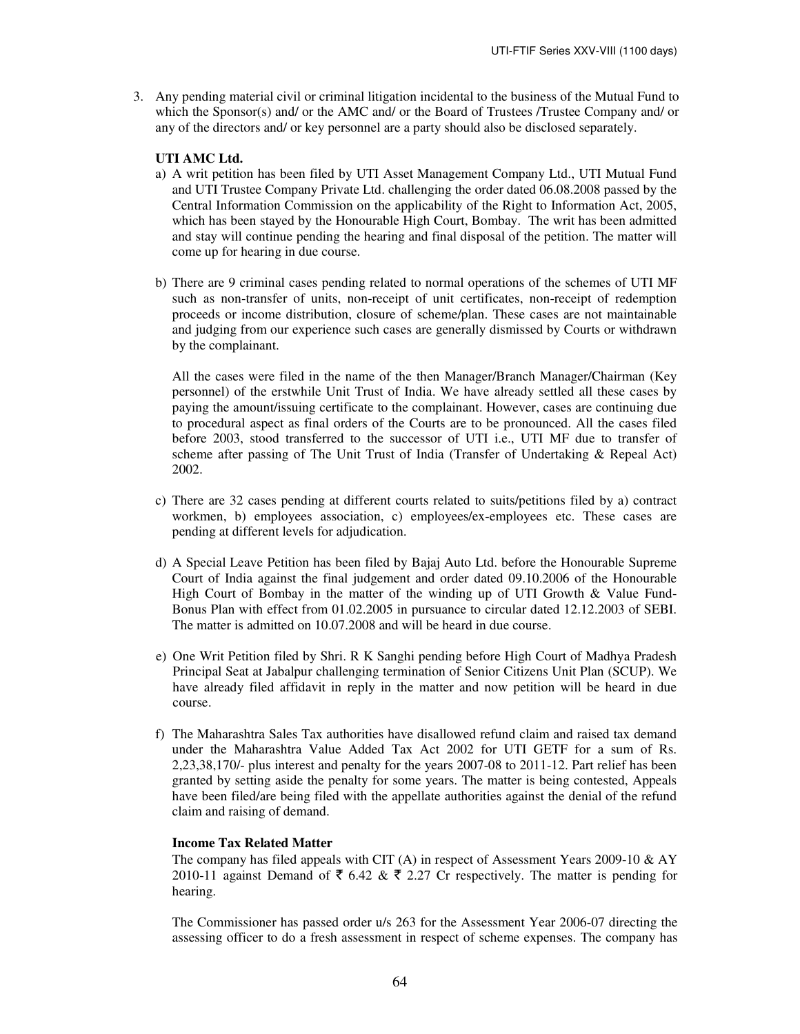3. Any pending material civil or criminal litigation incidental to the business of the Mutual Fund to which the Sponsor(s) and/ or the AMC and/ or the Board of Trustees /Trustee Company and/ or any of the directors and/ or key personnel are a party should also be disclosed separately.

### **UTI AMC Ltd.**

- a) A writ petition has been filed by UTI Asset Management Company Ltd., UTI Mutual Fund and UTI Trustee Company Private Ltd. challenging the order dated 06.08.2008 passed by the Central Information Commission on the applicability of the Right to Information Act, 2005, which has been stayed by the Honourable High Court, Bombay. The writ has been admitted and stay will continue pending the hearing and final disposal of the petition. The matter will come up for hearing in due course.
- b) There are 9 criminal cases pending related to normal operations of the schemes of UTI MF such as non-transfer of units, non-receipt of unit certificates, non-receipt of redemption proceeds or income distribution, closure of scheme/plan. These cases are not maintainable and judging from our experience such cases are generally dismissed by Courts or withdrawn by the complainant.

All the cases were filed in the name of the then Manager/Branch Manager/Chairman (Key personnel) of the erstwhile Unit Trust of India. We have already settled all these cases by paying the amount/issuing certificate to the complainant. However, cases are continuing due to procedural aspect as final orders of the Courts are to be pronounced. All the cases filed before 2003, stood transferred to the successor of UTI i.e., UTI MF due to transfer of scheme after passing of The Unit Trust of India (Transfer of Undertaking & Repeal Act) 2002.

- c) There are 32 cases pending at different courts related to suits/petitions filed by a) contract workmen, b) employees association, c) employees/ex-employees etc. These cases are pending at different levels for adjudication.
- d) A Special Leave Petition has been filed by Bajaj Auto Ltd. before the Honourable Supreme Court of India against the final judgement and order dated 09.10.2006 of the Honourable High Court of Bombay in the matter of the winding up of UTI Growth  $\&$  Value Fund-Bonus Plan with effect from 01.02.2005 in pursuance to circular dated 12.12.2003 of SEBI. The matter is admitted on 10.07.2008 and will be heard in due course.
- e) One Writ Petition filed by Shri. R K Sanghi pending before High Court of Madhya Pradesh Principal Seat at Jabalpur challenging termination of Senior Citizens Unit Plan (SCUP). We have already filed affidavit in reply in the matter and now petition will be heard in due course.
- f) The Maharashtra Sales Tax authorities have disallowed refund claim and raised tax demand under the Maharashtra Value Added Tax Act 2002 for UTI GETF for a sum of Rs. 2,23,38,170/- plus interest and penalty for the years 2007-08 to 2011-12. Part relief has been granted by setting aside the penalty for some years. The matter is being contested, Appeals have been filed/are being filed with the appellate authorities against the denial of the refund claim and raising of demand.

# **Income Tax Related Matter**

The company has filed appeals with CIT (A) in respect of Assessment Years 2009-10  $\&$  AY 2010-11 against Demand of  $\bar{\xi}$  6.42 &  $\bar{\xi}$  2.27 Cr respectively. The matter is pending for hearing.

The Commissioner has passed order u/s 263 for the Assessment Year 2006-07 directing the assessing officer to do a fresh assessment in respect of scheme expenses. The company has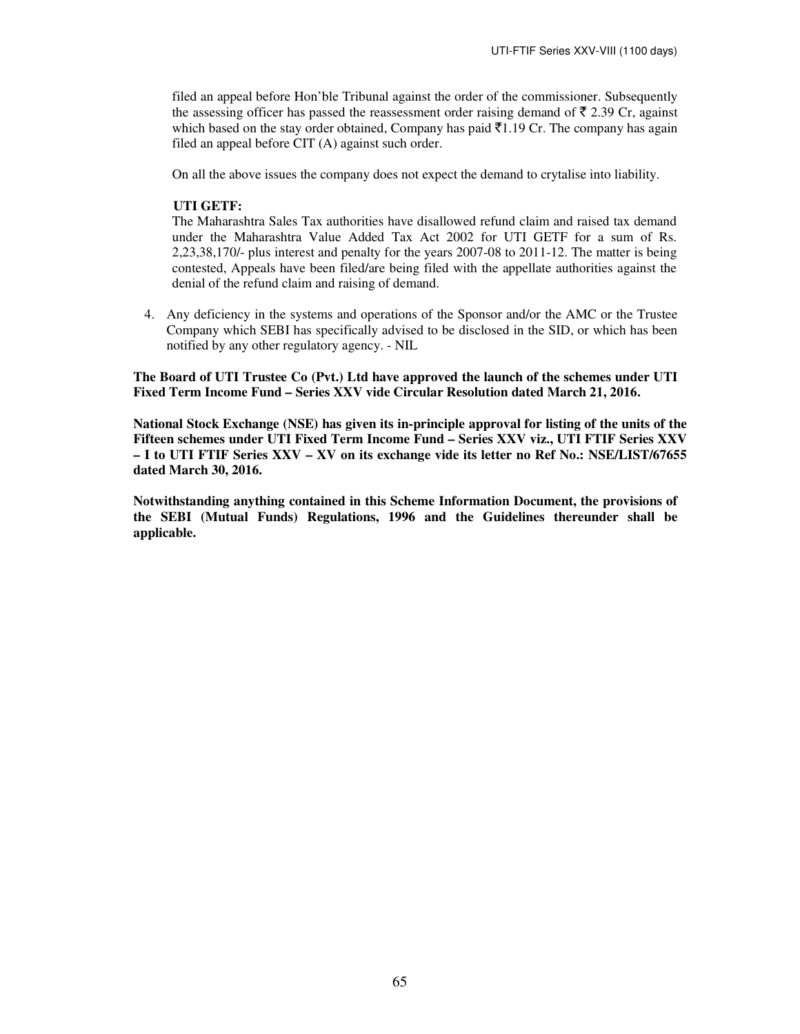filed an appeal before Hon'ble Tribunal against the order of the commissioner. Subsequently the assessing officer has passed the reassessment order raising demand of  $\bar{\tau}$  2.39 Cr, against which based on the stay order obtained, Company has paid  $\bar{\tau}1.19$  Cr. The company has again filed an appeal before CIT (A) against such order.

On all the above issues the company does not expect the demand to crytalise into liability.

# **UTI GETF:**

The Maharashtra Sales Tax authorities have disallowed refund claim and raised tax demand under the Maharashtra Value Added Tax Act 2002 for UTI GETF for a sum of Rs. 2,23,38,170/- plus interest and penalty for the years 2007-08 to 2011-12. The matter is being contested, Appeals have been filed/are being filed with the appellate authorities against the denial of the refund claim and raising of demand.

4. Any deficiency in the systems and operations of the Sponsor and/or the AMC or the Trustee Company which SEBI has specifically advised to be disclosed in the SID, or which has been notified by any other regulatory agency. - NIL

**The Board of UTI Trustee Co (Pvt.) Ltd have approved the launch of the schemes under UTI Fixed Term Income Fund – Series XXV vide Circular Resolution dated March 21, 2016.** 

**National Stock Exchange (NSE) has given its in-principle approval for listing of the units of the Fifteen schemes under UTI Fixed Term Income Fund – Series XXV viz., UTI FTIF Series XXV – I to UTI FTIF Series XXV – XV on its exchange vide its letter no Ref No.: NSE/LIST/67655 dated March 30, 2016.** 

**Notwithstanding anything contained in this Scheme Information Document, the provisions of the SEBI (Mutual Funds) Regulations, 1996 and the Guidelines thereunder shall be applicable.**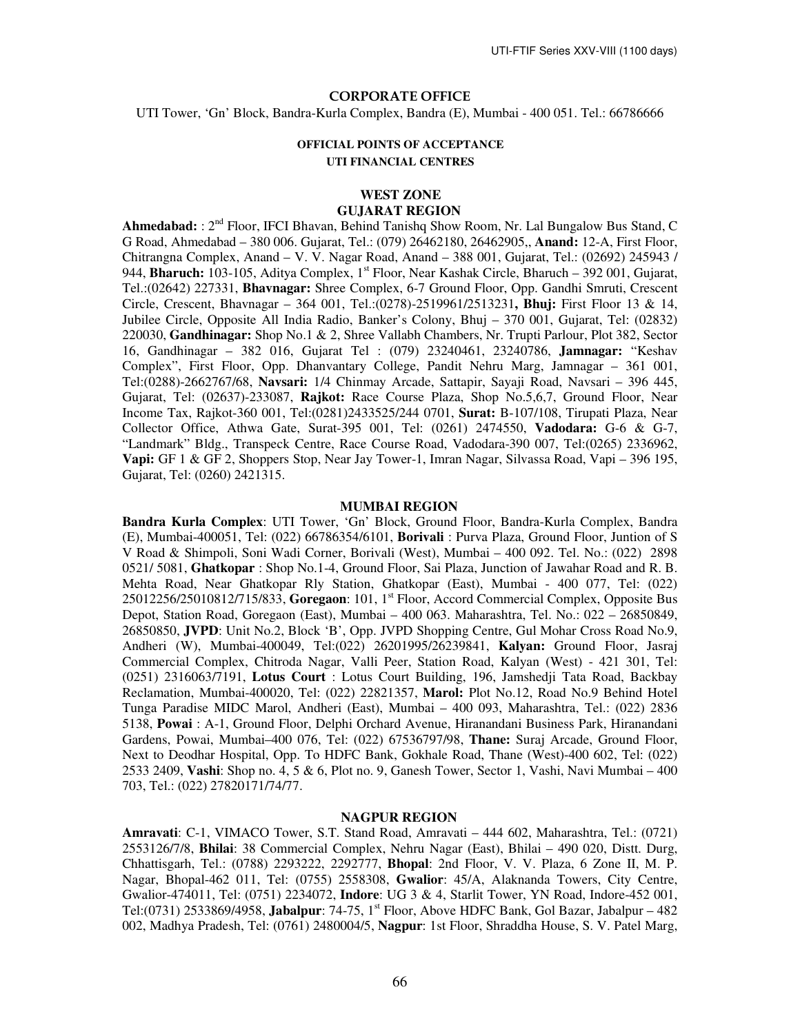#### CORPORATE OFFICE

UTI Tower, 'Gn' Block, Bandra-Kurla Complex, Bandra (E), Mumbai - 400 051. Tel.: 66786666

### **OFFICIAL POINTS OF ACCEPTANCE UTI FINANCIAL CENTRES**

# **WEST ZONE**

# **GUJARAT REGION**

Ahmedabad: : 2<sup>nd</sup> Floor, IFCI Bhavan, Behind Tanishq Show Room, Nr. Lal Bungalow Bus Stand, C G Road, Ahmedabad – 380 006. Gujarat, Tel.: (079) 26462180, 26462905,, **Anand:** 12-A, First Floor, Chitrangna Complex, Anand – V. V. Nagar Road, Anand – 388 001, Gujarat, Tel.: (02692) 245943 / 944, **Bharuch:** 103-105, Aditya Complex, 1<sup>st</sup> Floor, Near Kashak Circle, Bharuch – 392 001, Gujarat, Tel.:(02642) 227331, **Bhavnagar:** Shree Complex, 6-7 Ground Floor, Opp. Gandhi Smruti, Crescent Circle, Crescent, Bhavnagar – 364 001, Tel.:(0278)-2519961/2513231**, Bhuj:** First Floor 13 & 14, Jubilee Circle, Opposite All India Radio, Banker's Colony, Bhuj – 370 001, Gujarat, Tel: (02832) 220030, **Gandhinagar:** Shop No.1 & 2, Shree Vallabh Chambers, Nr. Trupti Parlour, Plot 382, Sector 16, Gandhinagar – 382 016, Gujarat Tel : (079) 23240461, 23240786, **Jamnagar:** "Keshav Complex", First Floor, Opp. Dhanvantary College, Pandit Nehru Marg, Jamnagar – 361 001, Tel:(0288)-2662767/68, **Navsari:** 1/4 Chinmay Arcade, Sattapir, Sayaji Road, Navsari – 396 445, Gujarat, Tel: (02637)-233087, **Rajkot:** Race Course Plaza, Shop No.5,6,7, Ground Floor, Near Income Tax, Rajkot-360 001, Tel:(0281)2433525/244 0701, **Surat:** B-107/108, Tirupati Plaza, Near Collector Office, Athwa Gate, Surat-395 001, Tel: (0261) 2474550, **Vadodara:** G-6 & G-7, "Landmark" Bldg., Transpeck Centre, Race Course Road, Vadodara-390 007, Tel:(0265) 2336962, **Vapi:** GF 1 & GF 2, Shoppers Stop, Near Jay Tower-1, Imran Nagar, Silvassa Road, Vapi – 396 195, Gujarat, Tel: (0260) 2421315.

#### **MUMBAI REGION**

**Bandra Kurla Complex**: UTI Tower, 'Gn' Block, Ground Floor, Bandra-Kurla Complex, Bandra (E), Mumbai-400051, Tel: (022) 66786354/6101, **Borivali** : Purva Plaza, Ground Floor, Juntion of S V Road & Shimpoli, Soni Wadi Corner, Borivali (West), Mumbai – 400 092. Tel. No.: (022) 2898 0521/ 5081, **Ghatkopar** : Shop No.1-4, Ground Floor, Sai Plaza, Junction of Jawahar Road and R. B. Mehta Road, Near Ghatkopar Rly Station, Ghatkopar (East), Mumbai - 400 077, Tel: (022) 25012256/25010812/715/833, **Goregaon**: 101, 1st Floor, Accord Commercial Complex, Opposite Bus Depot, Station Road, Goregaon (East), Mumbai – 400 063. Maharashtra, Tel. No.: 022 – 26850849, 26850850, **JVPD**: Unit No.2, Block 'B', Opp. JVPD Shopping Centre, Gul Mohar Cross Road No.9, Andheri (W), Mumbai-400049, Tel:(022) 26201995/26239841, **Kalyan:** Ground Floor, Jasraj Commercial Complex, Chitroda Nagar, Valli Peer, Station Road, Kalyan (West) - 421 301, Tel: (0251) 2316063/7191, **Lotus Court** : Lotus Court Building, 196, Jamshedji Tata Road, Backbay Reclamation, Mumbai-400020, Tel: (022) 22821357, **Marol:** Plot No.12, Road No.9 Behind Hotel Tunga Paradise MIDC Marol, Andheri (East), Mumbai – 400 093, Maharashtra, Tel.: (022) 2836 5138, **Powai** : A-1, Ground Floor, Delphi Orchard Avenue, Hiranandani Business Park, Hiranandani Gardens, Powai, Mumbai–400 076, Tel: (022) 67536797/98, **Thane:** Suraj Arcade, Ground Floor, Next to Deodhar Hospital, Opp. To HDFC Bank, Gokhale Road, Thane (West)-400 602, Tel: (022) 2533 2409, **Vashi**: Shop no. 4, 5 & 6, Plot no. 9, Ganesh Tower, Sector 1, Vashi, Navi Mumbai – 400 703, Tel.: (022) 27820171/74/77.

#### **NAGPUR REGION**

**Amravati**: C-1, VIMACO Tower, S.T. Stand Road, Amravati – 444 602, Maharashtra, Tel.: (0721) 2553126/7/8, **Bhilai**: 38 Commercial Complex, Nehru Nagar (East), Bhilai – 490 020, Distt. Durg, Chhattisgarh, Tel.: (0788) 2293222, 2292777, **Bhopal**: 2nd Floor, V. V. Plaza, 6 Zone II, M. P. Nagar, Bhopal-462 011, Tel: (0755) 2558308, **Gwalior**: 45/A, Alaknanda Towers, City Centre, Gwalior-474011, Tel: (0751) 2234072, **Indore**: UG 3 & 4, Starlit Tower, YN Road, Indore-452 001, Tel:(0731) 2533869/4958, **Jabalpur**: 74-75, 1st Floor, Above HDFC Bank, Gol Bazar, Jabalpur – 482 002, Madhya Pradesh, Tel: (0761) 2480004/5, **Nagpur**: 1st Floor, Shraddha House, S. V. Patel Marg,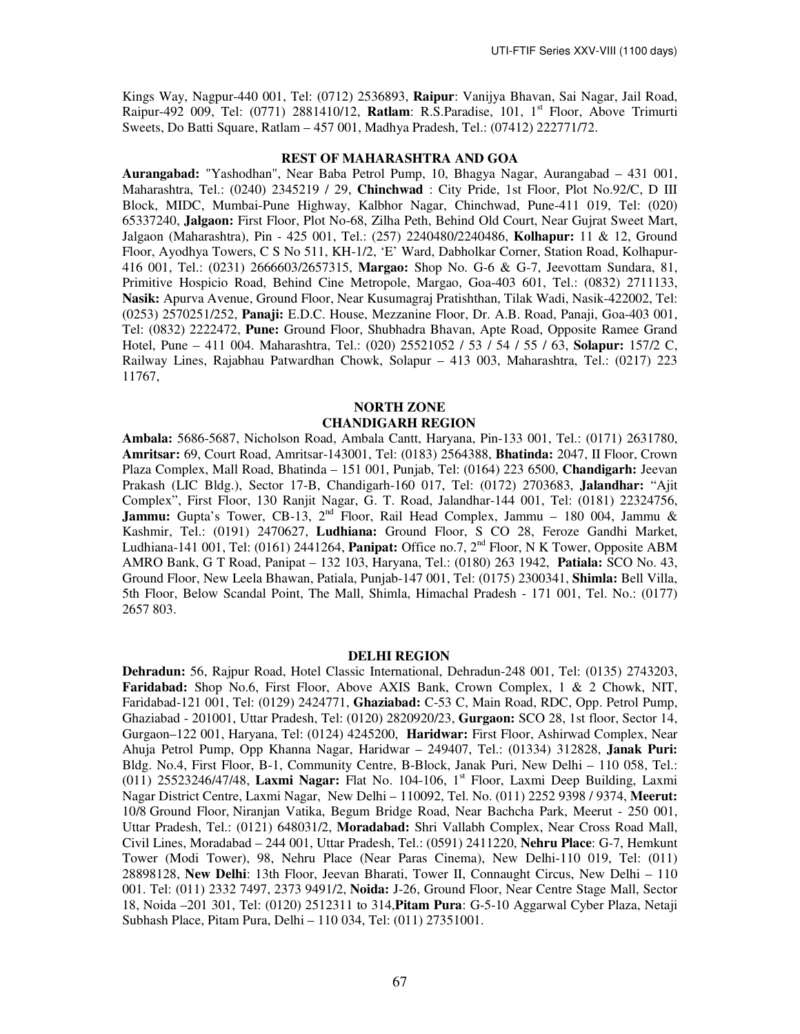Kings Way, Nagpur-440 001, Tel: (0712) 2536893, **Raipur**: Vanijya Bhavan, Sai Nagar, Jail Road, Raipur-492 009, Tel: (0771) 2881410/12, **Ratlam**: R.S.Paradise, 101, 1st Floor, Above Trimurti Sweets, Do Batti Square, Ratlam – 457 001, Madhya Pradesh, Tel.: (07412) 222771/72.

### **REST OF MAHARASHTRA AND GOA**

**Aurangabad:** "Yashodhan", Near Baba Petrol Pump, 10, Bhagya Nagar, Aurangabad – 431 001, Maharashtra, Tel.: (0240) 2345219 / 29, **Chinchwad** : City Pride, 1st Floor, Plot No.92/C, D III Block, MIDC, Mumbai-Pune Highway, Kalbhor Nagar, Chinchwad, Pune-411 019, Tel: (020) 65337240, **Jalgaon:** First Floor, Plot No-68, Zilha Peth, Behind Old Court, Near Gujrat Sweet Mart, Jalgaon (Maharashtra), Pin - 425 001, Tel.: (257) 2240480/2240486, **Kolhapur:** 11 & 12, Ground Floor, Ayodhya Towers, C S No 511, KH-1/2, 'E' Ward, Dabholkar Corner, Station Road, Kolhapur-416 001, Tel.: (0231) 2666603/2657315, **Margao:** Shop No. G-6 & G-7, Jeevottam Sundara, 81, Primitive Hospicio Road, Behind Cine Metropole, Margao, Goa-403 601, Tel.: (0832) 2711133, **Nasik:** Apurva Avenue, Ground Floor, Near Kusumagraj Pratishthan, Tilak Wadi, Nasik-422002, Tel: (0253) 2570251/252, **Panaji:** E.D.C. House, Mezzanine Floor, Dr. A.B. Road, Panaji, Goa-403 001, Tel: (0832) 2222472, **Pune:** Ground Floor, Shubhadra Bhavan, Apte Road, Opposite Ramee Grand Hotel, Pune – 411 004. Maharashtra, Tel.: (020) 25521052 / 53 / 54 / 55 / 63, **Solapur:** 157/2 C, Railway Lines, Rajabhau Patwardhan Chowk, Solapur – 413 003, Maharashtra, Tel.: (0217) 223 11767,

# **NORTH ZONE CHANDIGARH REGION**

**Ambala:** 5686-5687, Nicholson Road, Ambala Cantt, Haryana, Pin-133 001, Tel.: (0171) 2631780, **Amritsar:** 69, Court Road, Amritsar-143001, Tel: (0183) 2564388, **Bhatinda:** 2047, II Floor, Crown Plaza Complex, Mall Road, Bhatinda – 151 001, Punjab, Tel: (0164) 223 6500, **Chandigarh:** Jeevan Prakash (LIC Bldg.), Sector 17-B, Chandigarh-160 017, Tel: (0172) 2703683, **Jalandhar:** "Ajit Complex", First Floor, 130 Ranjit Nagar, G. T. Road, Jalandhar-144 001, Tel: (0181) 22324756, Jammu: Gupta's Tower, CB-13, 2<sup>nd</sup> Floor, Rail Head Complex, Jammu – 180 004, Jammu & Kashmir, Tel.: (0191) 2470627, **Ludhiana:** Ground Floor, S CO 28, Feroze Gandhi Market, Ludhiana-141 001, Tel: (0161) 2441264, **Panipat:** Office no.7, 2nd Floor, N K Tower, Opposite ABM AMRO Bank, G T Road, Panipat – 132 103, Haryana, Tel.: (0180) 263 1942, **Patiala:** SCO No. 43, Ground Floor, New Leela Bhawan, Patiala, Punjab-147 001, Tel: (0175) 2300341, **Shimla:** Bell Villa, 5th Floor, Below Scandal Point, The Mall, Shimla, Himachal Pradesh - 171 001, Tel. No.: (0177) 2657 803.

#### **DELHI REGION**

**Dehradun:** 56, Rajpur Road, Hotel Classic International, Dehradun-248 001, Tel: (0135) 2743203, **Faridabad:** Shop No.6, First Floor, Above AXIS Bank, Crown Complex, 1 & 2 Chowk, NIT, Faridabad-121 001, Tel: (0129) 2424771, **Ghaziabad:** C-53 C, Main Road, RDC, Opp. Petrol Pump, Ghaziabad - 201001, Uttar Pradesh, Tel: (0120) 2820920/23, **Gurgaon:** SCO 28, 1st floor, Sector 14, Gurgaon–122 001, Haryana, Tel: (0124) 4245200, **Haridwar:** First Floor, Ashirwad Complex, Near Ahuja Petrol Pump, Opp Khanna Nagar, Haridwar – 249407, Tel.: (01334) 312828, **Janak Puri:** Bldg. No.4, First Floor, B-1, Community Centre, B-Block, Janak Puri, New Delhi – 110 058, Tel.: (011) 25523246/47/48, **Laxmi Nagar:** Flat No. 104-106, 1st Floor, Laxmi Deep Building, Laxmi Nagar District Centre, Laxmi Nagar, New Delhi – 110092, Tel. No. (011) 2252 9398 / 9374, **Meerut:** 10/8 Ground Floor, Niranjan Vatika, Begum Bridge Road, Near Bachcha Park, Meerut - 250 001, Uttar Pradesh, Tel.: (0121) 648031/2, **Moradabad:** Shri Vallabh Complex, Near Cross Road Mall, Civil Lines, Moradabad – 244 001, Uttar Pradesh, Tel.: (0591) 2411220, **Nehru Place**: G-7, Hemkunt Tower (Modi Tower), 98, Nehru Place (Near Paras Cinema), New Delhi-110 019, Tel: (011) 28898128, **New Delhi**: 13th Floor, Jeevan Bharati, Tower II, Connaught Circus, New Delhi – 110 001. Tel: (011) 2332 7497, 2373 9491/2, **Noida:** J-26, Ground Floor, Near Centre Stage Mall, Sector 18, Noida –201 301, Tel: (0120) 2512311 to 314,**Pitam Pura**: G-5-10 Aggarwal Cyber Plaza, Netaji Subhash Place, Pitam Pura, Delhi – 110 034, Tel: (011) 27351001.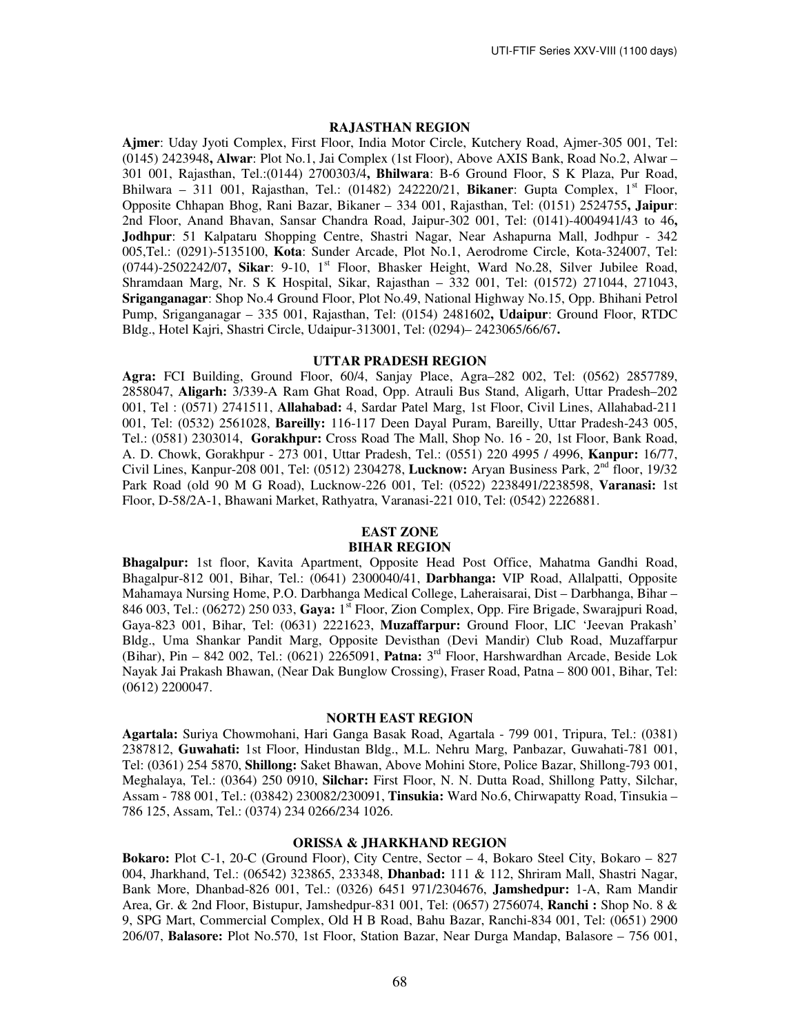#### **RAJASTHAN REGION**

**Ajmer**: Uday Jyoti Complex, First Floor, India Motor Circle, Kutchery Road, Ajmer-305 001, Tel: (0145) 2423948**, Alwar**: Plot No.1, Jai Complex (1st Floor), Above AXIS Bank, Road No.2, Alwar – 301 001, Rajasthan, Tel.:(0144) 2700303/4**, Bhilwara**: B-6 Ground Floor, S K Plaza, Pur Road, Bhilwara – 311 001, Rajasthan, Tel.:  $(01482)$  242220/21, **Bikaner**: Gupta Complex,  $1<sup>st</sup>$  Floor, Opposite Chhapan Bhog, Rani Bazar, Bikaner – 334 001, Rajasthan, Tel: (0151) 2524755**, Jaipur**: 2nd Floor, Anand Bhavan, Sansar Chandra Road, Jaipur-302 001, Tel: (0141)-4004941/43 to 46**, Jodhpur**: 51 Kalpataru Shopping Centre, Shastri Nagar, Near Ashapurna Mall, Jodhpur - 342 005,Tel.: (0291)-5135100, **Kota**: Sunder Arcade, Plot No.1, Aerodrome Circle, Kota-324007, Tel: (0744)-2502242/07**, Sikar**: 9-10, 1st Floor, Bhasker Height, Ward No.28, Silver Jubilee Road, Shramdaan Marg, Nr. S K Hospital, Sikar, Rajasthan – 332 001, Tel: (01572) 271044, 271043, **Sriganganagar**: Shop No.4 Ground Floor, Plot No.49, National Highway No.15, Opp. Bhihani Petrol Pump, Sriganganagar – 335 001, Rajasthan, Tel: (0154) 2481602**, Udaipur**: Ground Floor, RTDC Bldg., Hotel Kajri, Shastri Circle, Udaipur-313001, Tel: (0294)– 2423065/66/67**.** 

# **UTTAR PRADESH REGION**

**Agra:** FCI Building, Ground Floor, 60/4, Sanjay Place, Agra–282 002, Tel: (0562) 2857789, 2858047, **Aligarh:** 3/339-A Ram Ghat Road, Opp. Atrauli Bus Stand, Aligarh, Uttar Pradesh–202 001, Tel : (0571) 2741511, **Allahabad:** 4, Sardar Patel Marg, 1st Floor, Civil Lines, Allahabad-211 001, Tel: (0532) 2561028, **Bareilly:** 116-117 Deen Dayal Puram, Bareilly, Uttar Pradesh-243 005, Tel.: (0581) 2303014, **Gorakhpur:** Cross Road The Mall, Shop No. 16 - 20, 1st Floor, Bank Road, A. D. Chowk, Gorakhpur - 273 001, Uttar Pradesh, Tel.: (0551) 220 4995 / 4996, **Kanpur:** 16/77, Civil Lines, Kanpur-208 001, Tel: (0512) 2304278, **Lucknow:** Aryan Business Park, 2nd floor, 19/32 Park Road (old 90 M G Road), Lucknow-226 001, Tel: (0522) 2238491/2238598, **Varanasi:** 1st Floor, D-58/2A-1, Bhawani Market, Rathyatra, Varanasi-221 010, Tel: (0542) 2226881.

# **EAST ZONE**

# **BIHAR REGION**

**Bhagalpur:** 1st floor, Kavita Apartment, Opposite Head Post Office, Mahatma Gandhi Road, Bhagalpur-812 001, Bihar, Tel.: (0641) 2300040/41, **Darbhanga:** VIP Road, Allalpatti, Opposite Mahamaya Nursing Home, P.O. Darbhanga Medical College, Laheraisarai, Dist – Darbhanga, Bihar – 846 003, Tel.: (06272) 250 033, **Gaya:** 1st Floor, Zion Complex, Opp. Fire Brigade, Swarajpuri Road, Gaya-823 001, Bihar, Tel: (0631) 2221623, **Muzaffarpur:** Ground Floor, LIC 'Jeevan Prakash' Bldg., Uma Shankar Pandit Marg, Opposite Devisthan (Devi Mandir) Club Road, Muzaffarpur (Bihar), Pin – 842 002, Tel.: (0621) 2265091, **Patna:** 3 rd Floor, Harshwardhan Arcade, Beside Lok Nayak Jai Prakash Bhawan, (Near Dak Bunglow Crossing), Fraser Road, Patna – 800 001, Bihar, Tel: (0612) 2200047.

#### **NORTH EAST REGION**

**Agartala:** Suriya Chowmohani, Hari Ganga Basak Road, Agartala - 799 001, Tripura, Tel.: (0381) 2387812, **Guwahati:** 1st Floor, Hindustan Bldg., M.L. Nehru Marg, Panbazar, Guwahati-781 001, Tel: (0361) 254 5870, **Shillong:** Saket Bhawan, Above Mohini Store, Police Bazar, Shillong-793 001, Meghalaya, Tel.: (0364) 250 0910, **Silchar:** First Floor, N. N. Dutta Road, Shillong Patty, Silchar, Assam - 788 001, Tel.: (03842) 230082/230091, **Tinsukia:** Ward No.6, Chirwapatty Road, Tinsukia – 786 125, Assam, Tel.: (0374) 234 0266/234 1026.

# **ORISSA & JHARKHAND REGION**

**Bokaro:** Plot C-1, 20-C (Ground Floor), City Centre, Sector – 4, Bokaro Steel City, Bokaro – 827 004, Jharkhand, Tel.: (06542) 323865, 233348, **Dhanbad:** 111 & 112, Shriram Mall, Shastri Nagar, Bank More, Dhanbad-826 001, Tel.: (0326) 6451 971/2304676, **Jamshedpur:** 1-A, Ram Mandir Area, Gr. & 2nd Floor, Bistupur, Jamshedpur-831 001, Tel: (0657) 2756074, **Ranchi :** Shop No. 8 & 9, SPG Mart, Commercial Complex, Old H B Road, Bahu Bazar, Ranchi-834 001, Tel: (0651) 2900 206/07, **Balasore:** Plot No.570, 1st Floor, Station Bazar, Near Durga Mandap, Balasore – 756 001,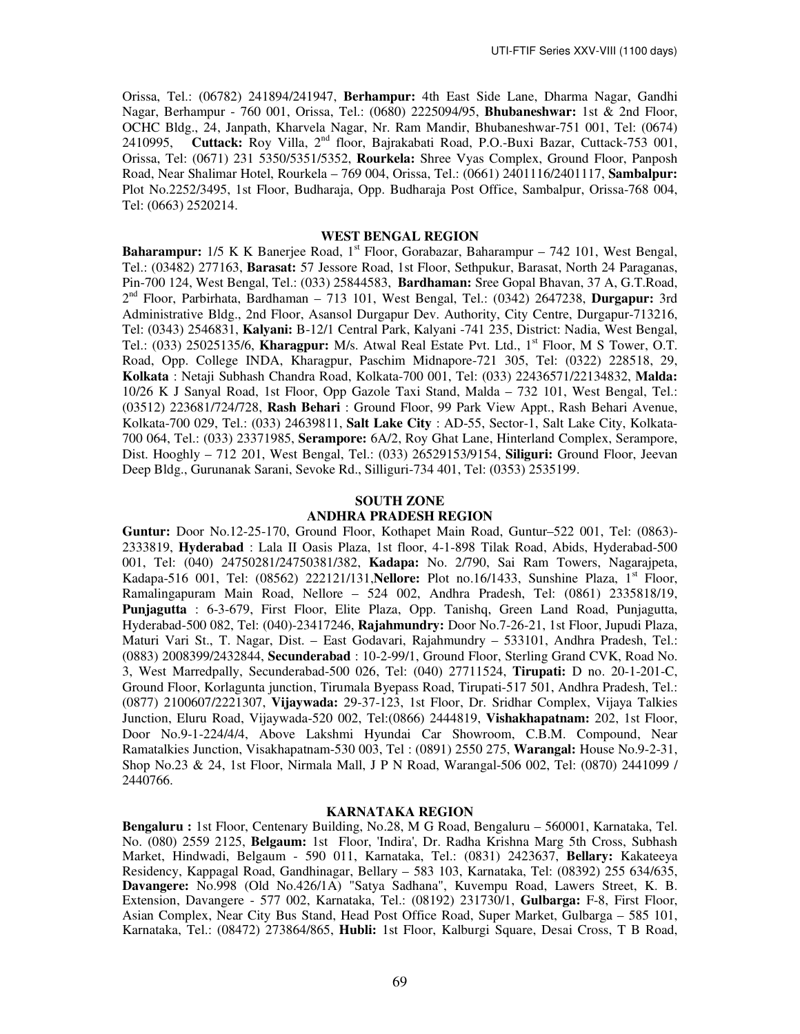Orissa, Tel.: (06782) 241894/241947, **Berhampur:** 4th East Side Lane, Dharma Nagar, Gandhi Nagar, Berhampur - 760 001, Orissa, Tel.: (0680) 2225094/95, **Bhubaneshwar:** 1st & 2nd Floor, OCHC Bldg., 24, Janpath, Kharvela Nagar, Nr. Ram Mandir, Bhubaneshwar-751 001, Tel: (0674) 2410995, **Cuttack:** Roy Villa, 2<sup>nd</sup> floor, Bajrakabati Road, P.O.-Buxi Bazar, Cuttack-753 001, Orissa, Tel: (0671) 231 5350/5351/5352, **Rourkela:** Shree Vyas Complex, Ground Floor, Panposh Road, Near Shalimar Hotel, Rourkela – 769 004, Orissa, Tel.: (0661) 2401116/2401117, **Sambalpur:**  Plot No.2252/3495, 1st Floor, Budharaja, Opp. Budharaja Post Office, Sambalpur, Orissa-768 004, Tel: (0663) 2520214.

# **WEST BENGAL REGION**

**Baharampur:** 1/5 K K Banerjee Road, 1<sup>st</sup> Floor, Gorabazar, Baharampur – 742 101, West Bengal, Tel.: (03482) 277163, **Barasat:** 57 Jessore Road, 1st Floor, Sethpukur, Barasat, North 24 Paraganas, Pin-700 124, West Bengal, Tel.: (033) 25844583, **Bardhaman:** Sree Gopal Bhavan, 37 A, G.T.Road, 2 nd Floor, Parbirhata, Bardhaman – 713 101, West Bengal, Tel.: (0342) 2647238, **Durgapur:** 3rd Administrative Bldg., 2nd Floor, Asansol Durgapur Dev. Authority, City Centre, Durgapur-713216, Tel: (0343) 2546831, **Kalyani:** B-12/1 Central Park, Kalyani -741 235, District: Nadia, West Bengal, Tel.: (033) 25025135/6, **Kharagpur:** M/s. Atwal Real Estate Pvt. Ltd., 1<sup>st</sup> Floor, M S Tower, O.T. Road, Opp. College INDA, Kharagpur, Paschim Midnapore-721 305, Tel: (0322) 228518, 29, **Kolkata** : Netaji Subhash Chandra Road, Kolkata-700 001, Tel: (033) 22436571/22134832, **Malda:** 10/26 K J Sanyal Road, 1st Floor, Opp Gazole Taxi Stand, Malda – 732 101, West Bengal, Tel.: (03512) 223681/724/728, **Rash Behari** : Ground Floor, 99 Park View Appt., Rash Behari Avenue, Kolkata-700 029, Tel.: (033) 24639811, **Salt Lake City** : AD-55, Sector-1, Salt Lake City, Kolkata-700 064, Tel.: (033) 23371985, **Serampore:** 6A/2, Roy Ghat Lane, Hinterland Complex, Serampore, Dist. Hooghly – 712 201, West Bengal, Tel.: (033) 26529153/9154, **Siliguri:** Ground Floor, Jeevan Deep Bldg., Gurunanak Sarani, Sevoke Rd., Silliguri-734 401, Tel: (0353) 2535199.

### **SOUTH ZONE**

### **ANDHRA PRADESH REGION**

**Guntur:** Door No.12-25-170, Ground Floor, Kothapet Main Road, Guntur–522 001, Tel: (0863)- 2333819, **Hyderabad** : Lala II Oasis Plaza, 1st floor, 4-1-898 Tilak Road, Abids, Hyderabad-500 001, Tel: (040) 24750281/24750381/382, **Kadapa:** No. 2/790, Sai Ram Towers, Nagarajpeta, Kadapa-516 001, Tel: (08562) 222121/131, **Nellore:** Plot no.16/1433, Sunshine Plaza, 1<sup>st</sup> Floor, Ramalingapuram Main Road, Nellore – 524 002, Andhra Pradesh, Tel: (0861) 2335818/19, **Punjagutta** : 6-3-679, First Floor, Elite Plaza, Opp. Tanishq, Green Land Road, Punjagutta, Hyderabad-500 082, Tel: (040)-23417246, **Rajahmundry:** Door No.7-26-21, 1st Floor, Jupudi Plaza, Maturi Vari St., T. Nagar, Dist. – East Godavari, Rajahmundry – 533101, Andhra Pradesh, Tel.: (0883) 2008399/2432844, **Secunderabad** : 10-2-99/1, Ground Floor, Sterling Grand CVK, Road No. 3, West Marredpally, Secunderabad-500 026, Tel: (040) 27711524, **Tirupati:** D no. 20-1-201-C, Ground Floor, Korlagunta junction, Tirumala Byepass Road, Tirupati-517 501, Andhra Pradesh, Tel.: (0877) 2100607/2221307, **Vijaywada:** 29-37-123, 1st Floor, Dr. Sridhar Complex, Vijaya Talkies Junction, Eluru Road, Vijaywada-520 002, Tel:(0866) 2444819, **Vishakhapatnam:** 202, 1st Floor, Door No.9-1-224/4/4, Above Lakshmi Hyundai Car Showroom, C.B.M. Compound, Near Ramatalkies Junction, Visakhapatnam-530 003, Tel : (0891) 2550 275, **Warangal:** House No.9-2-31, Shop No.23 & 24, 1st Floor, Nirmala Mall, J P N Road, Warangal-506 002, Tel: (0870) 2441099 / 2440766.

# **KARNATAKA REGION**

**Bengaluru :** 1st Floor, Centenary Building, No.28, M G Road, Bengaluru – 560001, Karnataka, Tel. No. (080) 2559 2125, **Belgaum:** 1st Floor, 'Indira', Dr. Radha Krishna Marg 5th Cross, Subhash Market, Hindwadi, Belgaum - 590 011, Karnataka, Tel.: (0831) 2423637, **Bellary:** Kakateeya Residency, Kappagal Road, Gandhinagar, Bellary – 583 103, Karnataka, Tel: (08392) 255 634/635, **Davangere:** No.998 (Old No.426/1A) "Satya Sadhana", Kuvempu Road, Lawers Street, K. B. Extension, Davangere - 577 002, Karnataka, Tel.: (08192) 231730/1, **Gulbarga:** F-8, First Floor, Asian Complex, Near City Bus Stand, Head Post Office Road, Super Market, Gulbarga – 585 101, Karnataka, Tel.: (08472) 273864/865, **Hubli:** 1st Floor, Kalburgi Square, Desai Cross, T B Road,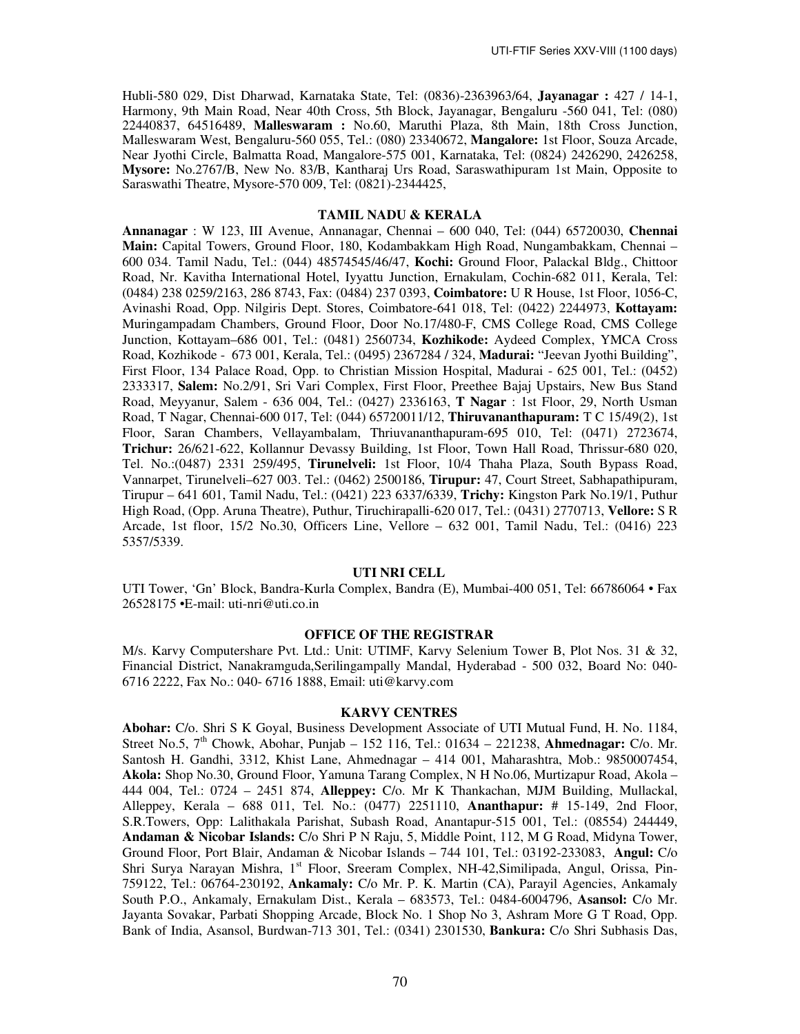Hubli-580 029, Dist Dharwad, Karnataka State, Tel: (0836)-2363963/64, **Jayanagar :** 427 / 14-1, Harmony, 9th Main Road, Near 40th Cross, 5th Block, Jayanagar, Bengaluru -560 041, Tel: (080) 22440837, 64516489, **Malleswaram :** No.60, Maruthi Plaza, 8th Main, 18th Cross Junction, Malleswaram West, Bengaluru-560 055, Tel.: (080) 23340672, **Mangalore:** 1st Floor, Souza Arcade, Near Jyothi Circle, Balmatta Road, Mangalore-575 001, Karnataka, Tel: (0824) 2426290, 2426258, **Mysore:** No.2767/B, New No. 83/B, Kantharaj Urs Road, Saraswathipuram 1st Main, Opposite to Saraswathi Theatre, Mysore-570 009, Tel: (0821)-2344425,

### **TAMIL NADU & KERALA**

**Annanagar** : W 123, III Avenue, Annanagar, Chennai – 600 040, Tel: (044) 65720030, **Chennai Main:** Capital Towers, Ground Floor, 180, Kodambakkam High Road, Nungambakkam, Chennai – 600 034. Tamil Nadu, Tel.: (044) 48574545/46/47, **Kochi:** Ground Floor, Palackal Bldg., Chittoor Road, Nr. Kavitha International Hotel, Iyyattu Junction, Ernakulam, Cochin-682 011, Kerala, Tel: (0484) 238 0259/2163, 286 8743, Fax: (0484) 237 0393, **Coimbatore:** U R House, 1st Floor, 1056-C, Avinashi Road, Opp. Nilgiris Dept. Stores, Coimbatore-641 018, Tel: (0422) 2244973, **Kottayam:** Muringampadam Chambers, Ground Floor, Door No.17/480-F, CMS College Road, CMS College Junction, Kottayam–686 001, Tel.: (0481) 2560734, **Kozhikode:** Aydeed Complex, YMCA Cross Road, Kozhikode - 673 001, Kerala, Tel.: (0495) 2367284 / 324, **Madurai:** "Jeevan Jyothi Building", First Floor, 134 Palace Road, Opp. to Christian Mission Hospital, Madurai - 625 001, Tel.: (0452) 2333317, **Salem:** No.2/91, Sri Vari Complex, First Floor, Preethee Bajaj Upstairs, New Bus Stand Road, Meyyanur, Salem - 636 004, Tel.: (0427) 2336163, **T Nagar** : 1st Floor, 29, North Usman Road, T Nagar, Chennai-600 017, Tel: (044) 65720011/12, **Thiruvananthapuram:** T C 15/49(2), 1st Floor, Saran Chambers, Vellayambalam, Thriuvananthapuram-695 010, Tel: (0471) 2723674, **Trichur:** 26/621-622, Kollannur Devassy Building, 1st Floor, Town Hall Road, Thrissur-680 020, Tel. No.:(0487) 2331 259/495, **Tirunelveli:** 1st Floor, 10/4 Thaha Plaza, South Bypass Road, Vannarpet, Tirunelveli–627 003. Tel.: (0462) 2500186, **Tirupur:** 47, Court Street, Sabhapathipuram, Tirupur – 641 601, Tamil Nadu, Tel.: (0421) 223 6337/6339, **Trichy:** Kingston Park No.19/1, Puthur High Road, (Opp. Aruna Theatre), Puthur, Tiruchirapalli-620 017, Tel.: (0431) 2770713, **Vellore:** S R Arcade, 1st floor, 15/2 No.30, Officers Line, Vellore – 632 001, Tamil Nadu, Tel.: (0416) 223 5357/5339.

#### **UTI NRI CELL**

UTI Tower, 'Gn' Block, Bandra-Kurla Complex, Bandra (E), Mumbai-400 051, Tel: 66786064 • Fax 26528175 •E-mail: uti-nri@uti.co.in

### **OFFICE OF THE REGISTRAR**

M/s. Karvy Computershare Pvt. Ltd.: Unit: UTIMF, Karvy Selenium Tower B, Plot Nos. 31 & 32, Financial District, Nanakramguda,Serilingampally Mandal, Hyderabad - 500 032, Board No: 040- 6716 2222, Fax No.: 040- 6716 1888, Email: uti@karvy.com

#### **KARVY CENTRES**

**Abohar:** C/o. Shri S K Goyal, Business Development Associate of UTI Mutual Fund, H. No. 1184, Street No.5, 7th Chowk, Abohar, Punjab – 152 116, Tel.: 01634 – 221238, **Ahmednagar:** C/o. Mr. Santosh H. Gandhi, 3312, Khist Lane, Ahmednagar – 414 001, Maharashtra, Mob.: 9850007454, **Akola:** Shop No.30, Ground Floor, Yamuna Tarang Complex, N H No.06, Murtizapur Road, Akola – 444 004, Tel.: 0724 – 2451 874, **Alleppey:** C/o. Mr K Thankachan, MJM Building, Mullackal, Alleppey, Kerala – 688 011, Tel. No.: (0477) 2251110, **Ananthapur:** # 15-149, 2nd Floor, S.R.Towers, Opp: Lalithakala Parishat, Subash Road, Anantapur-515 001, Tel.: (08554) 244449, **Andaman & Nicobar Islands:** C/o Shri P N Raju, 5, Middle Point, 112, M G Road, Midyna Tower, Ground Floor, Port Blair, Andaman & Nicobar Islands – 744 101, Tel.: 03192-233083, **Angul:** C/o Shri Surya Narayan Mishra, 1<sup>st</sup> Floor, Sreeram Complex, NH-42, Similipada, Angul, Orissa, Pin-759122, Tel.: 06764-230192, **Ankamaly:** C/o Mr. P. K. Martin (CA), Parayil Agencies, Ankamaly South P.O., Ankamaly, Ernakulam Dist., Kerala – 683573, Tel.: 0484-6004796, **Asansol:** C/o Mr. Jayanta Sovakar, Parbati Shopping Arcade, Block No. 1 Shop No 3, Ashram More G T Road, Opp. Bank of India, Asansol, Burdwan-713 301, Tel.: (0341) 2301530, **Bankura:** C/o Shri Subhasis Das,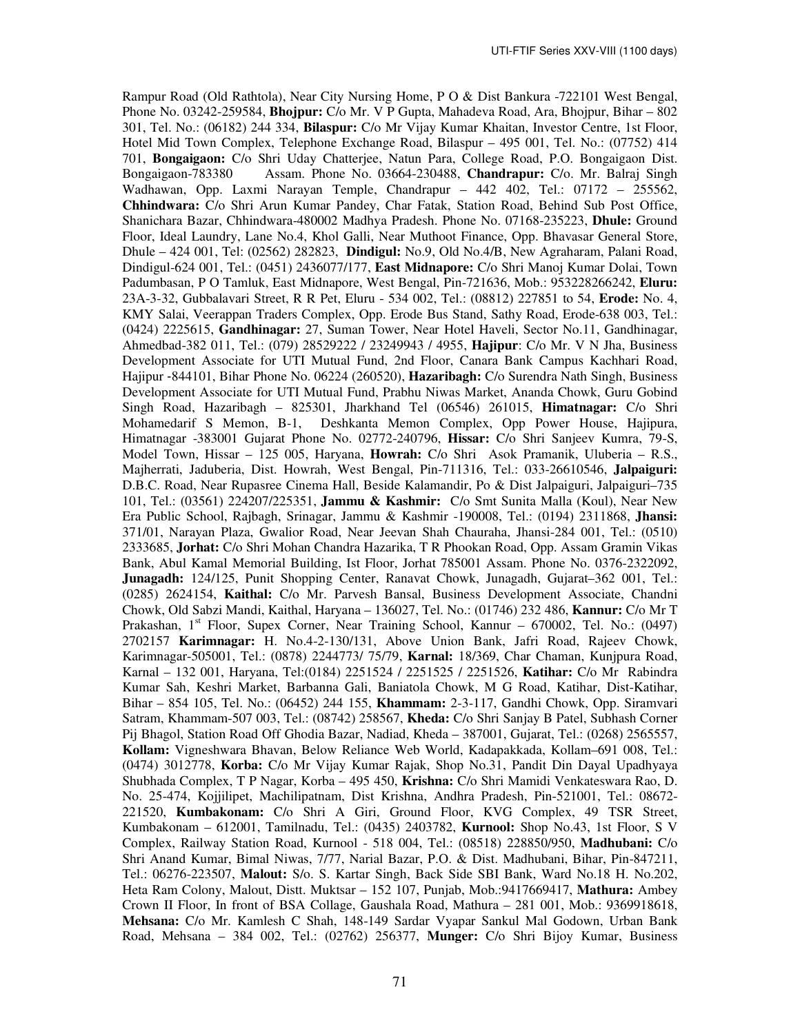Rampur Road (Old Rathtola), Near City Nursing Home, P O & Dist Bankura -722101 West Bengal, Phone No. 03242-259584, **Bhojpur:** C/o Mr. V P Gupta, Mahadeva Road, Ara, Bhojpur, Bihar – 802 301, Tel. No.: (06182) 244 334, **Bilaspur:** C/o Mr Vijay Kumar Khaitan, Investor Centre, 1st Floor, Hotel Mid Town Complex, Telephone Exchange Road, Bilaspur – 495 001, Tel. No.: (07752) 414 701, **Bongaigaon:** C/o Shri Uday Chatterjee, Natun Para, College Road, P.O. Bongaigaon Dist. Bongaigaon-783380 Assam. Phone No. 03664-230488, **Chandrapur:** C/o. Mr. Balraj Singh Wadhawan, Opp. Laxmi Narayan Temple, Chandrapur – 442 402, Tel.: 07172 – 255562, **Chhindwara:** C/o Shri Arun Kumar Pandey, Char Fatak, Station Road, Behind Sub Post Office, Shanichara Bazar, Chhindwara-480002 Madhya Pradesh. Phone No. 07168-235223, **Dhule:** Ground Floor, Ideal Laundry, Lane No.4, Khol Galli, Near Muthoot Finance, Opp. Bhavasar General Store, Dhule – 424 001, Tel: (02562) 282823, **Dindigul:** No.9, Old No.4/B, New Agraharam, Palani Road, Dindigul-624 001, Tel.: (0451) 2436077/177, **East Midnapore:** C/o Shri Manoj Kumar Dolai, Town Padumbasan, P O Tamluk, East Midnapore, West Bengal, Pin-721636, Mob.: 953228266242, **Eluru:**  23A-3-32, Gubbalavari Street, R R Pet, Eluru - 534 002, Tel.: (08812) 227851 to 54, **Erode:** No. 4, KMY Salai, Veerappan Traders Complex, Opp. Erode Bus Stand, Sathy Road, Erode-638 003, Tel.: (0424) 2225615, **Gandhinagar:** 27, Suman Tower, Near Hotel Haveli, Sector No.11, Gandhinagar, Ahmedbad-382 011, Tel.: (079) 28529222 / 23249943 / 4955, **Hajipur**: C/o Mr. V N Jha, Business Development Associate for UTI Mutual Fund, 2nd Floor, Canara Bank Campus Kachhari Road, Hajipur ‐844101, Bihar Phone No. 06224 (260520), **Hazaribagh:** C/o Surendra Nath Singh, Business Development Associate for UTI Mutual Fund, Prabhu Niwas Market, Ananda Chowk, Guru Gobind Singh Road, Hazaribagh – 825301, Jharkhand Tel (06546) 261015, **Himatnagar:** C/o Shri Mohamedarif S Memon, B-1, Deshkanta Memon Complex, Opp Power House, Hajipura, Himatnagar -383001 Gujarat Phone No. 02772-240796, **Hissar:** C/o Shri Sanjeev Kumra, 79-S, Model Town, Hissar – 125 005, Haryana, **Howrah:** C/o Shri Asok Pramanik, Uluberia – R.S., Majherrati, Jaduberia, Dist. Howrah, West Bengal, Pin-711316, Tel.: 033-26610546, **Jalpaiguri:**  D.B.C. Road, Near Rupasree Cinema Hall, Beside Kalamandir, Po & Dist Jalpaiguri, Jalpaiguri–735 101, Tel.: (03561) 224207/225351, **Jammu & Kashmir:** C/o Smt Sunita Malla (Koul), Near New Era Public School, Rajbagh, Srinagar, Jammu & Kashmir -190008, Tel.: (0194) 2311868, **Jhansi:**  371/01, Narayan Plaza, Gwalior Road, Near Jeevan Shah Chauraha, Jhansi-284 001, Tel.: (0510) 2333685, **Jorhat:** C/o Shri Mohan Chandra Hazarika, T R Phookan Road, Opp. Assam Gramin Vikas Bank, Abul Kamal Memorial Building, Ist Floor, Jorhat 785001 Assam. Phone No. 0376-2322092, **Junagadh:** 124/125, Punit Shopping Center, Ranavat Chowk, Junagadh, Gujarat–362 001, Tel.: (0285) 2624154, **Kaithal:** C/o Mr. Parvesh Bansal, Business Development Associate, Chandni Chowk, Old Sabzi Mandi, Kaithal, Haryana – 136027, Tel. No.: (01746) 232 486, **Kannur:** C/o Mr T Prakashan, 1<sup>st</sup> Floor, Supex Corner, Near Training School, Kannur – 670002, Tel. No.: (0497) 2702157 **Karimnagar:** H. No.4-2-130/131, Above Union Bank, Jafri Road, Rajeev Chowk, Karimnagar-505001, Tel.: (0878) 2244773/ 75/79, **Karnal:** 18/369, Char Chaman, Kunjpura Road, Karnal – 132 001, Haryana, Tel:(0184) 2251524 / 2251525 / 2251526, **Katihar:** C/o Mr Rabindra Kumar Sah, Keshri Market, Barbanna Gali, Baniatola Chowk, M G Road, Katihar, Dist-Katihar, Bihar – 854 105, Tel. No.: (06452) 244 155, **Khammam:** 2-3-117, Gandhi Chowk, Opp. Siramvari Satram, Khammam-507 003, Tel.: (08742) 258567, **Kheda:** C/o Shri Sanjay B Patel, Subhash Corner Pij Bhagol, Station Road Off Ghodia Bazar, Nadiad, Kheda – 387001, Gujarat, Tel.: (0268) 2565557, **Kollam:** Vigneshwara Bhavan, Below Reliance Web World, Kadapakkada, Kollam–691 008, Tel.: (0474) 3012778, **Korba:** C/o Mr Vijay Kumar Rajak, Shop No.31, Pandit Din Dayal Upadhyaya Shubhada Complex, T P Nagar, Korba – 495 450, **Krishna:** C/o Shri Mamidi Venkateswara Rao, D. No. 25-474, Kojjilipet, Machilipatnam, Dist Krishna, Andhra Pradesh, Pin-521001, Tel.: 08672- 221520, **Kumbakonam:** C/o Shri A Giri, Ground Floor, KVG Complex, 49 TSR Street, Kumbakonam – 612001, Tamilnadu, Tel.: (0435) 2403782, **Kurnool:** Shop No.43, 1st Floor, S V Complex, Railway Station Road, Kurnool - 518 004, Tel.: (08518) 228850/950, **Madhubani:** C/o Shri Anand Kumar, Bimal Niwas, 7/77, Narial Bazar, P.O. & Dist. Madhubani, Bihar, Pin-847211, Tel.: 06276-223507, **Malout:** S/o. S. Kartar Singh, Back Side SBI Bank, Ward No.18 H. No.202, Heta Ram Colony, Malout, Distt. Muktsar – 152 107, Punjab, Mob.:9417669417, **Mathura:** Ambey Crown II Floor, In front of BSA Collage, Gaushala Road, Mathura – 281 001, Mob.: 9369918618, **Mehsana:** C/o Mr. Kamlesh C Shah, 148-149 Sardar Vyapar Sankul Mal Godown, Urban Bank Road, Mehsana – 384 002, Tel.: (02762) 256377, **Munger:** C/o Shri Bijoy Kumar, Business